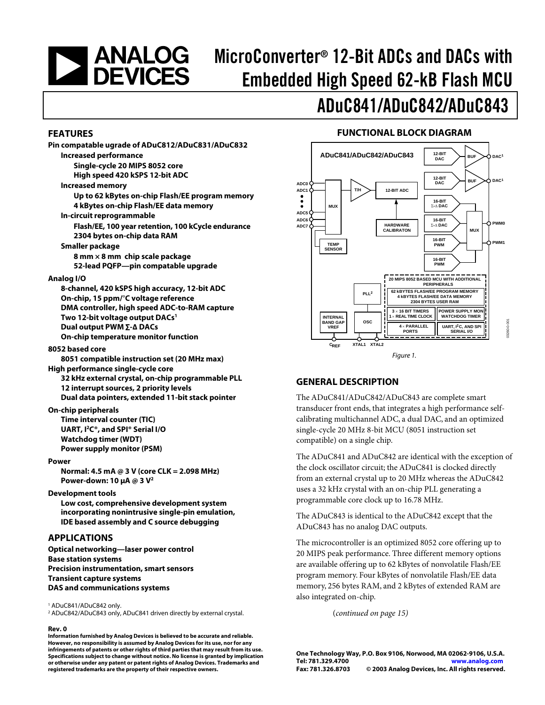# **NEXALOGES**

# MicroConverter® 12-Bit ADCs and DACs with Embedded High Speed 62-kB Flash MCU

# ADuC841/ADuC842/ADuC843

#### **FEATURES**

| Pin compatable ugrade of ADuC812/ADuC831/ADuC832<br><b>Increased performance</b>               |
|------------------------------------------------------------------------------------------------|
| Single-cycle 20 MIPS 8052 core<br>High speed 420 kSPS 12-bit ADC                               |
| <b>Increased memory</b>                                                                        |
| Up to 62 kBytes on-chip Flash/EE program memory<br>4 kBytes on-chip Flash/EE data memory       |
| In-circuit reprogrammable<br>Flash/EE, 100 year retention, 100 kCycle endurance                |
| 2304 bytes on-chip data RAM<br><b>Smaller package</b>                                          |
| 8 mm × 8 mm chip scale package<br>52-lead PQFP-pin compatable upgrade                          |
| Analog I/O                                                                                     |
| 8-channel, 420 kSPS high accuracy, 12-bit ADC                                                  |
| On-chip, 15 ppm/°C voltage reference                                                           |
| DMA controller, high speed ADC-to-RAM capture<br>Two 12-bit voltage output DACs <sup>1</sup>   |
| Dual output PWM Σ-Δ DACs                                                                       |
| On-chip temperature monitor function                                                           |
| 8052 based core                                                                                |
| 8051 compatible instruction set (20 MHz max)                                                   |
| High performance single-cycle core                                                             |
| 32 kHz external crystal, on-chip programmable PLL                                              |
| 12 interrupt sources, 2 priority levels                                                        |
| Dual data pointers, extended 11-bit stack pointer                                              |
| <b>On-chip peripherals</b><br>Time interval counter (TIC)                                      |
| UART, I <sup>2</sup> C <sup>®</sup> , and SPI <sup>®</sup> Serial I/O                          |
| <b>Watchdog timer (WDT)</b>                                                                    |
| <b>Power supply monitor (PSM)</b>                                                              |
| Power                                                                                          |
| Normal: 4.5 mA @ 3 V (core CLK = 2.098 MHz)<br>Power-down: 10 $\mu$ A @ 3 V <sup>2</sup>       |
| <b>Development tools</b>                                                                       |
| Low cost, comprehensive development system<br>incorporating nonintrusive single-pin emulation, |
| IDE based assembly and C source debugging                                                      |
| <b>APPLICATIONS</b>                                                                            |
| Optical networking-laser power control                                                         |

**Base station systems Precision instrumentation, smart sensors Transient capture systems DAS and communications systems** 

1 ADuC841/ADuC842 only.

2 ADuC842/ADuC843 only, ADuC841 driven directly by external crystal.

#### **Rev. 0**

**Information furnished by Analog Devices is believed to be accurate and reliable. However, no responsibility is assumed by Analog Devices for its use, nor for any infringements of patents or other rights of third parties that may result from its use. Specifications subject to change without notice. No license is granted by implication or otherwise under any patent or patent rights of Analog Devices. Trademarks and registered trademarks are the property of their respective owners.**

#### **FUNCTIONAL BLOCK DIAGRAM**



#### **GENERAL DESCRIPTION**

The ADuC841/ADuC842/ADuC843 are complete smart transducer front ends, that integrates a high performance selfcalibrating multichannel ADC, a dual DAC, and an optimized single-cycle 20 MHz 8-bit MCU (8051 instruction set compatible) on a single chip.

The ADuC841 and ADuC842 are identical with the exception of the clock oscillator circuit; the ADuC841 is clocked directly from an external crystal up to 20 MHz whereas the ADuC842 uses a 32 kHz crystal with an on-chip PLL generating a programmable core clock up to 16.78 MHz.

The ADuC843 is identical to the ADuC842 except that the ADuC843 has no analog DAC outputs.

The microcontroller is an optimized 8052 core offering up to 20 MIPS peak performance. Three different memory options are available offering up to 62 kBytes of nonvolatile Flash/EE program memory. Four kBytes of nonvolatile Flash/EE data memory, 256 bytes RAM, and 2 kBytes of extended RAM are also integrated on-chip.

(*continued on page 15)* 

**One Technology Way, P.O. Box 9106, Norwood, MA 02062-9106, U.S.A. Tel: 781.329.4700 [www.analog.com](http://www.analog.com)  Fax: 781.326.8703 © 2003 Analog Devices, Inc. All rights reserved.**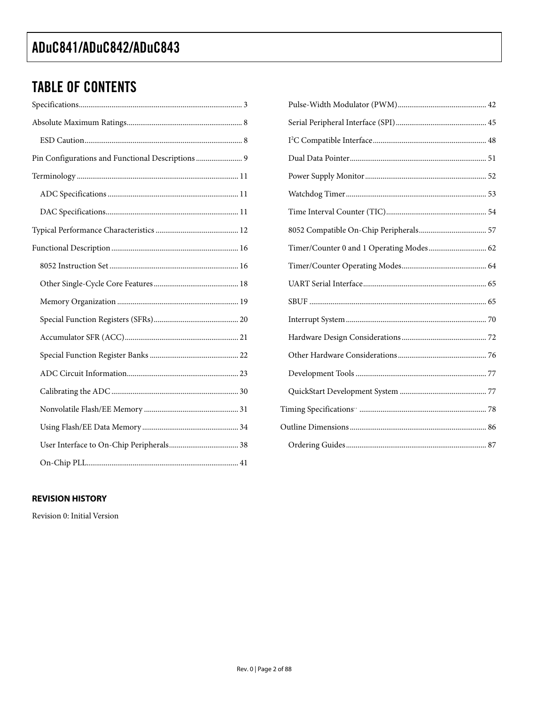### **TABLE OF CONTENTS**

| Pin Configurations and Functional Descriptions 9 |
|--------------------------------------------------|
|                                                  |
|                                                  |
|                                                  |
|                                                  |
|                                                  |
|                                                  |
|                                                  |
|                                                  |
|                                                  |
|                                                  |
|                                                  |
|                                                  |
|                                                  |
|                                                  |
|                                                  |
|                                                  |
|                                                  |

| Timer/Counter 0 and 1 Operating Modes 62 |  |
|------------------------------------------|--|
|                                          |  |
|                                          |  |
|                                          |  |
|                                          |  |
|                                          |  |
|                                          |  |
|                                          |  |
|                                          |  |
|                                          |  |
|                                          |  |
|                                          |  |

#### **REVISION HISTORY**

Revision 0: Initial Version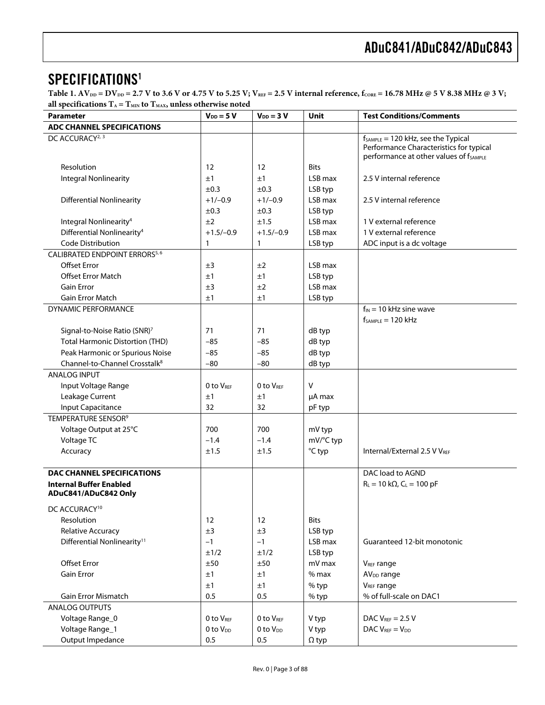### SPECIFICATIONS<sup>1</sup>

Table 1.  $AV_{DD} = DV_{DD} = 2.7 V$  to 3.6 V or 4.75 V to 5.25 V;  $V_{REF} = 2.5 V$  internal reference,  $f_{CORE} = 16.78 MHz$  @ 5 V 8.38 MHz @ 3 V; all specifications  $T_A = T_{MIN}$  to  $T_{MAX}$ , unless otherwise noted

| $\sim$ $\frac{m}{2}$<br>Parameter                                            | $V_{DD} = 5 V$       | $V_{DD} = 3 V$        | Unit         | <b>Test Conditions/Comments</b>                    |
|------------------------------------------------------------------------------|----------------------|-----------------------|--------------|----------------------------------------------------|
| <b>ADC CHANNEL SPECIFICATIONS</b>                                            |                      |                       |              |                                                    |
| DC ACCURACY <sup>2, 3</sup>                                                  |                      |                       |              | $f_{SAMPLE} = 120$ kHz, see the Typical            |
|                                                                              |                      |                       |              | Performance Characteristics for typical            |
|                                                                              |                      |                       |              | performance at other values of f <sub>SAMPLE</sub> |
| Resolution                                                                   | 12                   | 12                    | <b>Bits</b>  |                                                    |
| <b>Integral Nonlinearity</b>                                                 | ±1                   | ±1                    | LSB max      | 2.5 V internal reference                           |
|                                                                              | ±0.3                 | $\pm 0.3$             | LSB typ      |                                                    |
| <b>Differential Nonlinearity</b>                                             | $+1/-0.9$            | $+1/-0.9$             | LSB max      | 2.5 V internal reference                           |
|                                                                              | ±0.3                 | $\pm 0.3$             | LSB typ      |                                                    |
| Integral Nonlinearity <sup>4</sup>                                           | ±2                   | ±1.5                  | LSB max      | 1 V external reference                             |
| Differential Nonlinearity <sup>4</sup>                                       | $+1.5/-0.9$          | $+1.5/-0.9$           | LSB max      | 1 V external reference                             |
| Code Distribution                                                            | 1                    | 1                     | LSB typ      | ADC input is a dc voltage                          |
| CALIBRATED ENDPOINT ERRORS5,6                                                |                      |                       |              |                                                    |
| <b>Offset Error</b>                                                          | ±3                   | ±2                    | LSB max      |                                                    |
| <b>Offset Error Match</b>                                                    | ±1                   | ±1                    | LSB typ      |                                                    |
| Gain Error                                                                   | ±3                   | ±2                    | LSB max      |                                                    |
| <b>Gain Error Match</b>                                                      | ±1                   | ±1                    | LSB typ      |                                                    |
| DYNAMIC PERFORMANCE                                                          |                      |                       |              | $f_{IN}$ = 10 kHz sine wave                        |
|                                                                              |                      |                       |              | $f_{SAMPLE} = 120$ kHz                             |
| Signal-to-Noise Ratio (SNR) <sup>7</sup>                                     | 71                   | 71                    | dB typ       |                                                    |
| <b>Total Harmonic Distortion (THD)</b>                                       | $-85$                | $-85$                 | dB typ       |                                                    |
| Peak Harmonic or Spurious Noise<br>Channel-to-Channel Crosstalk <sup>8</sup> | $-85$                | $-85$                 | dB typ       |                                                    |
|                                                                              | $-80$                | $-80$                 | dB typ       |                                                    |
| <b>ANALOG INPUT</b>                                                          |                      |                       |              |                                                    |
| Input Voltage Range                                                          | 0 to VREF            | 0 to VREE             | $\vee$       |                                                    |
| Leakage Current                                                              | ±1                   | ±1                    | µA max       |                                                    |
| Input Capacitance                                                            | 32                   | 32                    | pF typ       |                                                    |
| TEMPERATURE SENSOR <sup>9</sup>                                              |                      |                       |              |                                                    |
| Voltage Output at 25°C                                                       | 700                  | 700                   | mV typ       |                                                    |
| Voltage TC                                                                   | $-1.4$               | $-1.4$                | mV/°C typ    |                                                    |
| Accuracy                                                                     | ±1.5                 | ±1.5                  | °C typ       | Internal/External 2.5 V VREF                       |
| <b>DAC CHANNEL SPECIFICATIONS</b>                                            |                      |                       |              | DAC load to AGND                                   |
| <b>Internal Buffer Enabled</b>                                               |                      |                       |              | $R_L = 10 k\Omega$ , $C_L = 100 pF$                |
| ADuC841/ADuC842 Only                                                         |                      |                       |              |                                                    |
| DC ACCURACY <sup>10</sup>                                                    |                      |                       |              |                                                    |
| Resolution                                                                   | 12                   | 12                    | <b>Bits</b>  |                                                    |
| Relative Accuracy                                                            | ±3                   | ±3                    | LSB typ      |                                                    |
| Differential Nonlinearity <sup>11</sup>                                      | $-1$                 | $-1$                  | LSB max      | Guaranteed 12-bit monotonic                        |
|                                                                              | ±1/2                 | ±1/2                  | LSB typ      |                                                    |
| Offset Error                                                                 | ±50                  | ±50                   | mV max       | V <sub>REF</sub> range                             |
| <b>Gain Error</b>                                                            | ±1                   | ±1                    | $%$ max      | AV <sub>DD</sub> range                             |
|                                                                              | ±1                   | ±1                    | % typ        | V <sub>REF</sub> range                             |
| <b>Gain Error Mismatch</b>                                                   | 0.5                  | 0.5                   | % typ        | % of full-scale on DAC1                            |
| ANALOG OUTPUTS                                                               |                      |                       |              |                                                    |
| Voltage Range_0                                                              | 0 to VREF            | 0 to V <sub>REF</sub> | V typ        | DAC $V_{REF}$ = 2.5 V                              |
| Voltage Range_1                                                              | 0 to V <sub>DD</sub> | 0 to V <sub>DD</sub>  | V typ        | DAC $V_{REF} = V_{DD}$                             |
| Output Impedance                                                             | 0.5                  | 0.5                   | $\Omega$ typ |                                                    |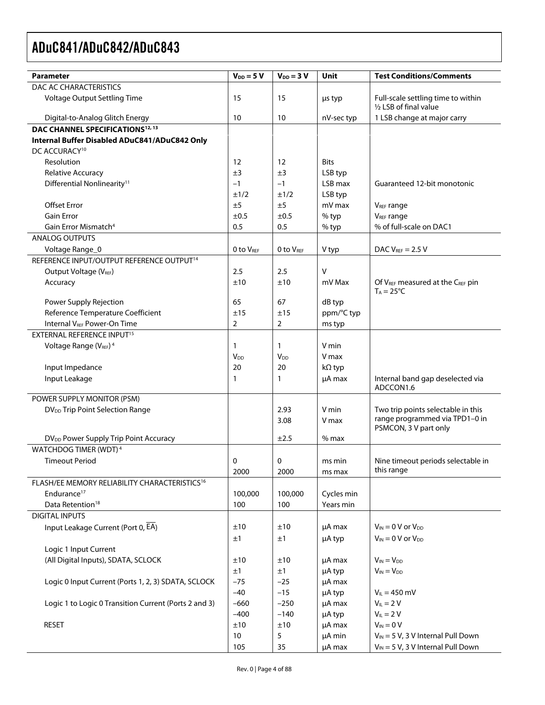| <b>Parameter</b>                                          | $V_{DD} = 5 V$    | $V_{DD} = 3 V$   | Unit          | <b>Test Conditions/Comments</b>                                      |
|-----------------------------------------------------------|-------------------|------------------|---------------|----------------------------------------------------------------------|
| DAC AC CHARACTERISTICS                                    |                   |                  |               |                                                                      |
| Voltage Output Settling Time                              | 15                | 15               | us typ        | Full-scale settling time to within<br>1/2 LSB of final value         |
| Digital-to-Analog Glitch Energy                           | 10                | 10               | nV-sec typ    | 1 LSB change at major carry                                          |
| DAC CHANNEL SPECIFICATIONS <sup>12, 13</sup>              |                   |                  |               |                                                                      |
| Internal Buffer Disabled ADuC841/ADuC842 Only             |                   |                  |               |                                                                      |
| DC ACCURACY <sup>10</sup>                                 |                   |                  |               |                                                                      |
| Resolution                                                | $12 \overline{ }$ | 12               | <b>Bits</b>   |                                                                      |
| <b>Relative Accuracy</b>                                  | ±3                | ±3               | LSB typ       |                                                                      |
| Differential Nonlinearity <sup>11</sup>                   | $-1$              | $-1$             | LSB max       | Guaranteed 12-bit monotonic                                          |
|                                                           | ±1/2              | ±1/2             | LSB typ       |                                                                      |
| <b>Offset Error</b>                                       | ±5                | ±5               | mV max        | V <sub>REF</sub> range                                               |
| <b>Gain Error</b>                                         | ±0.5              | ±0.5             | % typ         | <b>VREF range</b>                                                    |
| Gain Error Mismatch <sup>4</sup>                          | 0.5               | 0.5              | % typ         | % of full-scale on DAC1                                              |
| <b>ANALOG OUTPUTS</b>                                     |                   |                  |               |                                                                      |
| Voltage Range_0                                           | 0 to VREF         | $0$ to $V_{REF}$ | V typ         | DAC $V_{REF}$ = 2.5 V                                                |
| REFERENCE INPUT/OUTPUT REFERENCE OUTPUT <sup>14</sup>     |                   |                  |               |                                                                      |
| Output Voltage (VREF)                                     | 2.5               | 2.5              | V             |                                                                      |
| Accuracy                                                  | ±10               | ±10              | mV Max        | Of VREF measured at the CREF pin                                     |
|                                                           |                   |                  |               | $T_A = 25^{\circ}C$                                                  |
| Power Supply Rejection                                    | 65                | 67               | dB typ        |                                                                      |
| Reference Temperature Coefficient                         | ±15               | ±15              | ppm/°C typ    |                                                                      |
| Internal V <sub>REF</sub> Power-On Time                   | $\overline{2}$    | $\overline{2}$   | ms typ        |                                                                      |
| EXTERNAL REFERENCE INPUT <sup>15</sup>                    |                   |                  |               |                                                                      |
| Voltage Range (V <sub>REF</sub> ) <sup>4</sup>            | 1                 | 1                | V min         |                                                                      |
|                                                           | V <sub>DD</sub>   | V <sub>DD</sub>  | V max         |                                                                      |
| Input Impedance                                           | 20                | 20               | $k\Omega$ typ |                                                                      |
| Input Leakage                                             | $\mathbf{1}$      | 1                | µA max        | Internal band gap deselected via                                     |
|                                                           |                   |                  |               | ADCCON1.6                                                            |
| POWER SUPPLY MONITOR (PSM)                                |                   |                  |               |                                                                      |
| DV <sub>DD</sub> Trip Point Selection Range               |                   | 2.93             | V min         | Two trip points selectable in this<br>range programmed via TPD1-0 in |
|                                                           |                   | 3.08             | V max         | PSMCON, 3 V part only                                                |
| DV <sub>DD</sub> Power Supply Trip Point Accuracy         |                   | ±2.5             | $%$ max       |                                                                      |
| WATCHDOG TIMER (WDT) <sup>4</sup>                         |                   |                  |               |                                                                      |
| <b>Timeout Period</b>                                     | 0                 | 0                | ms min        | Nine timeout periods selectable in                                   |
|                                                           | 2000              | 2000             | ms max        | this range                                                           |
| FLASH/EE MEMORY RELIABILITY CHARACTERISTICS <sup>16</sup> |                   |                  |               |                                                                      |
| Endurance <sup>17</sup>                                   | 100,000           | 100,000          | Cycles min    |                                                                      |
| Data Retention <sup>18</sup>                              | 100               | 100              | Years min     |                                                                      |
| <b>DIGITAL INPUTS</b>                                     |                   |                  |               |                                                                      |
| Input Leakage Current (Port 0, EA)                        | ±10               | ±10              | $\mu$ A max   | $V_{IN} = 0$ V or $V_{DD}$                                           |
|                                                           | ±1                | ±1               | µA typ        | $V_{IN} = 0 V$ or $V_{DD}$                                           |
| Logic 1 Input Current                                     |                   |                  |               |                                                                      |
| (All Digital Inputs), SDATA, SCLOCK                       | ±10               | ±10              | µA max        | $V_{IN} = V_{DD}$                                                    |
|                                                           | ±1                | ±1               | µA typ        | $V_{IN} = V_{DD}$                                                    |
| Logic 0 Input Current (Ports 1, 2, 3) SDATA, SCLOCK       | $-75$             | $-25$            | µA max        |                                                                      |
|                                                           | $-40$             | $-15$            | µA typ        | $V_{IL} = 450$ mV                                                    |
| Logic 1 to Logic 0 Transition Current (Ports 2 and 3)     | $-660$            | $-250$           | µA max        | $V_{IL} = 2 V$                                                       |
|                                                           | $-400$            | $-140$           | µA typ        | $V_{IL} = 2 V$                                                       |
| <b>RESET</b>                                              | ±10               | ±10              | µA max        | $V_{IN} = 0 V$                                                       |
|                                                           | 10                | 5                | μA min        | $V_{IN}$ = 5 V, 3 V Internal Pull Down                               |
|                                                           | 105               | 35               | µA max        | $V_{IN}$ = 5 V, 3 V Internal Pull Down                               |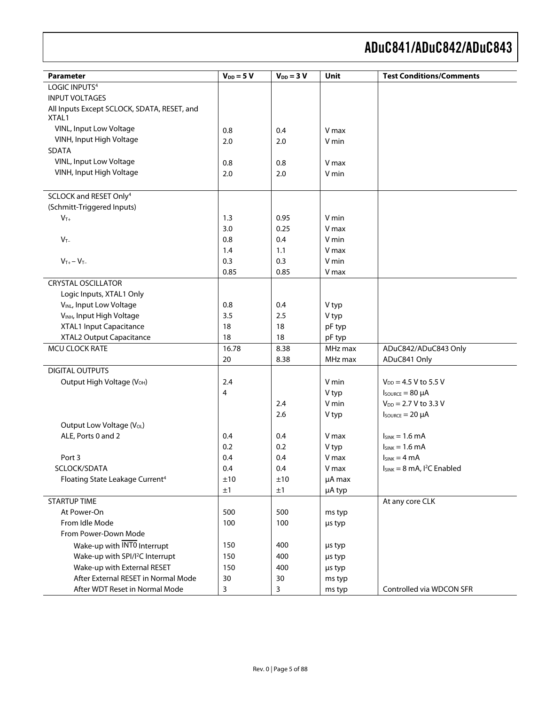| <b>Parameter</b>                            | $V_{DD} = 5 V$ | $V_{DD} = 3 V$ | Unit    | <b>Test Conditions/Comments</b>   |
|---------------------------------------------|----------------|----------------|---------|-----------------------------------|
| LOGIC INPUTS <sup>4</sup>                   |                |                |         |                                   |
| <b>INPUT VOLTAGES</b>                       |                |                |         |                                   |
| All Inputs Except SCLOCK, SDATA, RESET, and |                |                |         |                                   |
| XTAL1                                       |                |                |         |                                   |
| VINL, Input Low Voltage                     | 0.8            | 0.4            | V max   |                                   |
| VINH, Input High Voltage                    | 2.0            | 2.0            | V min   |                                   |
| <b>SDATA</b>                                |                |                |         |                                   |
| VINL, Input Low Voltage                     | 0.8            | 0.8            | V max   |                                   |
| VINH, Input High Voltage                    | 2.0            | 2.0            | V min   |                                   |
|                                             |                |                |         |                                   |
| SCLOCK and RESET Only <sup>4</sup>          |                |                |         |                                   |
| (Schmitt-Triggered Inputs)                  |                |                |         |                                   |
| $V_{T+}$                                    | 1.3            | 0.95           | V min   |                                   |
|                                             | 3.0            | 0.25           | V max   |                                   |
| $V_{T-}$                                    | 0.8            | 0.4            | V min   |                                   |
|                                             | 1.4            | 1.1            | V max   |                                   |
| $V_{T+} - V_{T-}$                           | 0.3            | 0.3            | V min   |                                   |
|                                             | 0.85           | 0.85           | V max   |                                   |
| <b>CRYSTAL OSCILLATOR</b>                   |                |                |         |                                   |
| Logic Inputs, XTAL1 Only                    |                |                |         |                                   |
| VINL, Input Low Voltage                     | 0.8            | 0.4            | V typ   |                                   |
| V <sub>INH</sub> , Input High Voltage       | 3.5            | 2.5            | V typ   |                                   |
| XTAL1 Input Capacitance                     | 18             | 18             | pF typ  |                                   |
| XTAL2 Output Capacitance                    | 18             | 18             | pF typ  |                                   |
| MCU CLOCK RATE                              | 16.78          | 8.38           | MHz max | ADuC842/ADuC843 Only              |
|                                             | 20             | 8.38           | MHz max | ADuC841 Only                      |
| <b>DIGITAL OUTPUTS</b>                      |                |                |         |                                   |
| Output High Voltage (V <sub>OH</sub> )      | 2.4            |                | V min   | $V_{DD} = 4.5 V$ to 5.5 V         |
|                                             | $\overline{4}$ |                | V typ   | $I_{\text{SOWRCE}} = 80 \mu A$    |
|                                             |                | 2.4            | V min   | $V_{DD} = 2.7 V$ to 3.3 V         |
|                                             |                | 2.6            | V typ   | $I_{\text{SOWRCE}} = 20 \mu A$    |
| Output Low Voltage (VoL)                    |                |                |         |                                   |
| ALE, Ports 0 and 2                          | 0.4            | 0.4            | V max   | $I_{SINK} = 1.6 mA$               |
|                                             | 0.2            | 0.2            | V typ   | $I_{SINK} = 1.6$ mA               |
| Port 3                                      | 0.4            | 0.4            | V max   | $I_{SINK} = 4 mA$                 |
| SCLOCK/SDATA                                | 0.4            | 0.4            | V max   | $I_{SINK} = 8$ mA, $I^2C$ Enabled |
| Floating State Leakage Current <sup>4</sup> | ±10            | ±10            | µA max  |                                   |
|                                             | ±1             | ±1             | µA typ  |                                   |
| <b>STARTUP TIME</b>                         |                |                |         | At any core CLK                   |
| At Power-On                                 | 500            | 500            | ms typ  |                                   |
| From Idle Mode                              | 100            | 100            | µs typ  |                                   |
| From Power-Down Mode                        |                |                |         |                                   |
| Wake-up with INTO Interrupt                 | 150            | 400            | µs typ  |                                   |
| Wake-up with SPI/I <sup>2</sup> C Interrupt | 150            | 400            | us typ  |                                   |
| Wake-up with External RESET                 | 150            | 400            | µs typ  |                                   |
| After External RESET in Normal Mode         | 30             | 30             | ms typ  |                                   |
| After WDT Reset in Normal Mode              | 3              | 3              | ms typ  | Controlled via WDCON SFR          |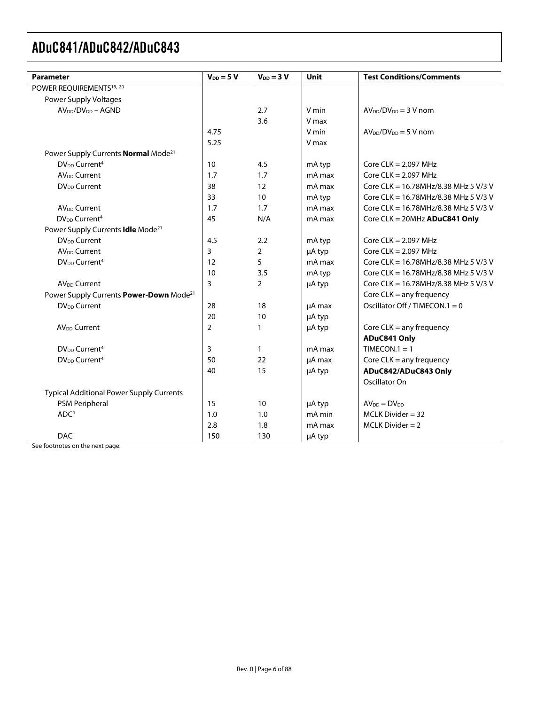| <b>Parameter</b>                                    | $V_{DD} = 5 V$ | $V_{DD} = 3 V$ | <b>Unit</b> | <b>Test Conditions/Comments</b>      |
|-----------------------------------------------------|----------------|----------------|-------------|--------------------------------------|
| POWER REQUIREMENTS <sup>19, 20</sup>                |                |                |             |                                      |
| Power Supply Voltages                               |                |                |             |                                      |
| $AV_{DD}/DV_{DD} - AGND$                            |                | 2.7            | V min       | $AVDD/DVDD = 3 V$ nom                |
|                                                     |                | 3.6            | V max       |                                      |
|                                                     | 4.75           |                | V min       | $AV_{DD}/DV_{DD} = 5 V$ nom          |
|                                                     | 5.25           |                | V max       |                                      |
| Power Supply Currents Normal Mode <sup>21</sup>     |                |                |             |                                      |
| DV <sub>DD</sub> Current <sup>4</sup>               | 10             | 4.5            | mA typ      | Core $CLK = 2.097$ MHz               |
| <b>AV<sub>DD</sub></b> Current                      | 1.7            | 1.7            | mA max      | Core $CLK = 2.097$ MHz               |
| DV <sub>DD</sub> Current                            | 38             | 12             | mA max      | Core CLK = 16.78MHz/8.38 MHz 5 V/3 V |
|                                                     | 33             | 10             | mA typ      | Core CLK = 16.78MHz/8.38 MHz 5 V/3 V |
| AV <sub>DD</sub> Current                            | 1.7            | 1.7            | mA max      | Core CLK = 16.78MHz/8.38 MHz 5 V/3 V |
| DV <sub>DD</sub> Current <sup>4</sup>               | 45             | N/A            | mA max      | Core CLK = $20MHz$ ADuC841 Only      |
| Power Supply Currents Idle Mode <sup>21</sup>       |                |                |             |                                      |
| <b>DV<sub>DD</sub></b> Current                      | 4.5            | 2.2            | mA typ      | Core $CLK = 2.097$ MHz               |
| AV <sub>DD</sub> Current                            | $\overline{3}$ | 2              | µA typ      | Core $CLK = 2.097$ MHz               |
| DV <sub>DD</sub> Current <sup>4</sup>               | 12             | 5              | mA max      | Core CLK = 16.78MHz/8.38 MHz 5 V/3 V |
|                                                     | 10             | 3.5            | mA typ      | Core CLK = 16.78MHz/8.38 MHz 5 V/3 V |
| AV <sub>DD</sub> Current                            | $\overline{3}$ | $\overline{2}$ | µA typ      | Core CLK = 16.78MHz/8.38 MHz 5 V/3 V |
| Power Supply Currents Power-Down Mode <sup>21</sup> |                |                |             | Core $CLK =$ any frequency           |
| DV <sub>DD</sub> Current                            | 28             | 18             | µA max      | Oscillator Off / TIMECON.1 = 0       |
|                                                     | 20             | 10             | µA typ      |                                      |
| AV <sub>DD</sub> Current                            | $\overline{2}$ | 1              | µA typ      | Core $CLK = any frequency$           |
|                                                     |                |                |             | ADuC841 Only                         |
| DV <sub>DD</sub> Current <sup>4</sup>               | 3              | 1              | mA max      | TIMECON. $1 = 1$                     |
| DV <sub>DD</sub> Current <sup>4</sup>               | 50             | 22             | µA max      | Core $CLK = any frequency$           |
|                                                     | 40             | 15             | µA typ      | ADuC842/ADuC843 Only                 |
|                                                     |                |                |             | Oscillator On                        |
| <b>Typical Additional Power Supply Currents</b>     |                |                |             |                                      |
| <b>PSM Peripheral</b>                               | 15             | 10             | µA typ      | $AV_{DD} = DV_{DD}$                  |
| ADC <sup>4</sup>                                    | 1.0            | 1.0            | mA min      | $MCLK$ Divider = 32                  |
|                                                     | 2.8            | 1.8            | mA max      | $MCLK$ Divider = 2                   |
| <b>DAC</b>                                          | 150            | 130            | µA typ      |                                      |

See footnotes on the next page.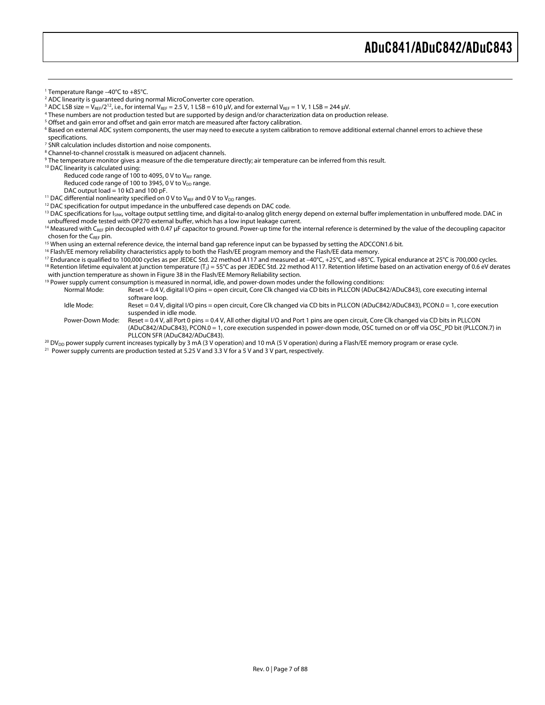$\overline{a}$ 

<sup>2</sup> ADC linearity is quaranteed during normal MicroConverter core operation. <sup>2</sup> ADC linearity is guaranteed during normal MicroConverter core operation.<br><sup>3</sup> ADC LSB size – Verc/2<sup>12</sup> i.e., for internal Verc – 2.5 V, 1.LSB – 610 UV, and for

- $^3$  ADC LSB size = V $_{\rm REF}/2^{12}$ , i.e., for internal V $_{\rm REF}$  = 2.5 V, 1 LSB = 610 µV, and for external V $_{\rm REF}$  = 1 V, 1 LSB = 244 µV.<br>4 These numbers are not production tested but are supported by design and/or charact
- These numbers are not production tested but are supported by design and/or characterization data on production release.
- <sup>5</sup> Offset and gain error and offset and gain error match are measured after factory calibration.<br><sup>6</sup> Based on external ADC system components, the user may need to execute a system calibrati

<sup>6</sup> Based on external ADC system components, the user may need to execute a system calibration to remove additional external channel errors to achieve these specifications.

- <sup>7</sup> SNR calculation includes distortion and noise components.
- <sup>8</sup> Channel-to-channel crosstalk is measured on adjacent channels.
- <sup>9</sup> The temperature monitor gives a measure of the die temperature directly; air temperature can be inferred from this result.<br><sup>10</sup> DAC linearity is calculated using:

Reduced code range of 100 to 4095, 0 V to  $V_{REF}$  range.

Reduced code range of 100 to 3945, 0 V to V<sub>DD</sub> range.

DAC output load = 10 kΩ and 100 pF.<br><sup>11</sup> DAC differential nonlinearity specified on 0 V to V<sub>RFF</sub> and 0 V to V<sub>DD</sub> ranges.

<sup>12</sup> DAC specification for output impedance in the unbuffered case depends on DAC code.<br><sup>13</sup> DAC specifications for I<sub>SINK</sub>, voltage output settling time, and digital-to-analog glitch energy depend on external buffer impl

<sup>14</sup> Measured with C<sub>REF</sub> pin decoupled with 0.47 µF capacitor to ground. Power-up time for the internal reference is determined by the value of the decoupling capacitor

chosen for the C<sub>REF</sub> pin.<br><sup>15</sup> When using an external reference device, the internal band gap reference input can be bypassed by setting the ADCCON1.6 bit.<br><sup>16</sup> Flash/EE memory reliability characteristics apply to both th

<sup>17</sup> Endurance is qualified to 100,000 cycles as per JEDEC Std. 22 method A117 and measured at  $-40^{\circ}$ C, +25°C, and +85°C. Typical endurance at 25°C is 700,000 cycles.<br><sup>18</sup> Retention lifetime equivalent at junction temp

<sup>19</sup> Power supply current consumption is measured in normal, idle, and power-down modes under the following conditions:

Normal Mode: Reset = 0.4 V, digital I/O pins = open circuit, Core Clk changed via CD bits in PLLCON (ADuC842/ADuC843), core executing internal

software loop. Idle Mode: Reset = 0.4 V, digital I/O pins = open circuit, Core Clk changed via CD bits in PLLCON (ADuC842/ADuC843), PCON.0 = 1, core execution suspended in idle mode.

Power-Down Mode: Reset = 0.4 V, all Port 0 pins = 0.4 V, All other digital I/O and Port 1 pins are open circuit, Core Clk changed via CD bits in PLLCON (ADuC842/ADuC843), PCON.0 = 1, core execution suspended in power-down mode, OSC turned on or off via OSC\_PD bit (PLLCON.7) in

PLLCON SFR (ADuC842/ADuC843).<br><sup>20</sup> DV<sub>DD</sub> power supply current increases typically by 3 mA (3 V operation) and 10 mA (5 V operation) during a Flash/EE memory program or erase cycle.<br><sup>21</sup> Power supply currents are productio

<sup>1</sup> Temperature Range –40°C to +85°C.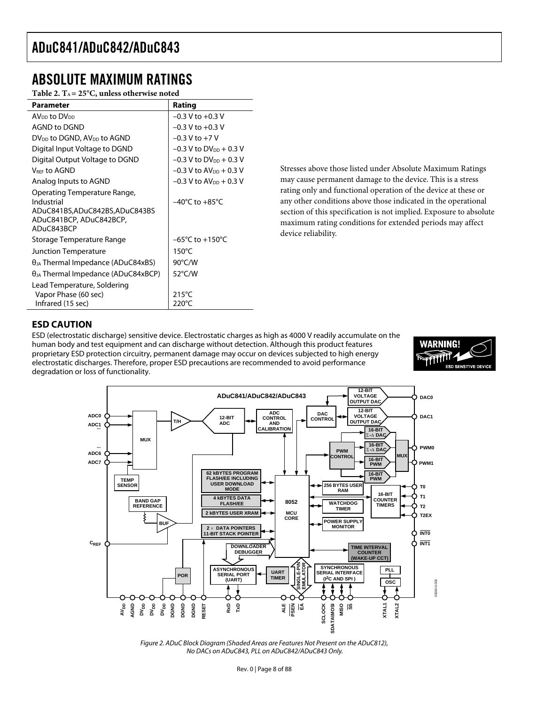### ABSOLUTE MAXIMUM RATINGS

Table 2. T<sub>A</sub> = 25°C, unless otherwise noted

| Parameter                                                                                                            | Rating                                |
|----------------------------------------------------------------------------------------------------------------------|---------------------------------------|
| AV <sub>DD</sub> to DV <sub>DD</sub>                                                                                 | $-0.3$ V to $+0.3$ V                  |
| <b>AGND to DGND</b>                                                                                                  | $-0.3$ V to $+0.3$ V                  |
| $DV_{DD}$ to DGND, $AV_{DD}$ to AGND                                                                                 | $-0.3$ V to $+7$ V                    |
| Digital Input Voltage to DGND                                                                                        | $-0.3$ V to DV <sub>DD</sub> + 0.3 V  |
| Digital Output Voltage to DGND                                                                                       | $-0.3$ V to DV <sub>pp</sub> + 0.3 V  |
| V <sub>REE</sub> to AGND                                                                                             | $-0.3$ V to AV <sub>DD</sub> $+0.3$ V |
| Analog Inputs to AGND                                                                                                | $-0.3$ V to $AV_{DD} + 0.3$ V         |
| Operating Temperature Range,<br>Industrial<br>ADuC841BS,ADuC842BS,ADuC843BS<br>ADuC841BCP, ADuC842BCP,<br>ADuC843BCP | $-40^{\circ}$ C to $+85^{\circ}$ C    |
| Storage Temperature Range                                                                                            | $-65^{\circ}$ C to $+150^{\circ}$ C   |
| <b>Junction Temperature</b>                                                                                          | $150^{\circ}$ C                       |
| $\theta_{JA}$ Thermal Impedance (ADuC84xBS)                                                                          | 90°C/W                                |
| $\theta_{JA}$ Thermal Impedance (ADuC84xBCP)                                                                         | 52°C/W                                |
| Lead Temperature, Soldering<br>Vapor Phase (60 sec)<br>Infrared (15 sec)                                             | $215^{\circ}$ C<br>$220^{\circ}$ C    |

Stresses above those listed under Absolute Maximum Ratings may cause permanent damage to the device. This is a stress rating only and functional operation of the device at these or any other conditions above those indicated in the operational section of this specification is not implied. Exposure to absolute maximum rating conditions for extended periods may affect device reliability.

#### **ESD CAUTION**

ESD (electrostatic discharge) sensitive device. Electrostatic charges as high as 4000 V readily accumulate on the human body and test equipment and can discharge without detection. Although this product features proprietary ESD protection circuitry, permanent damage may occur on devices subjected to high energy electrostatic discharges. Therefore, proper ESD precautions are recommended to avoid performance degradation or loss of functionality.





Figure 2. ADuC Block Diagram (Shaded Areas are Features Not Present on the ADuC812), No DACs on ADuC843, PLL on ADuC842/ADuC843 Only.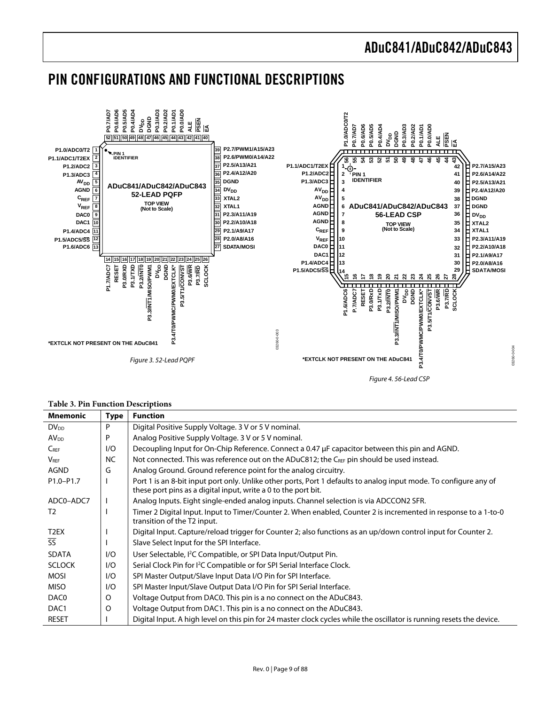### PIN CONFIGURATIONS AND FUNCTIONAL DESCRIPTIONS



#### **Table 3. Pin Function Descriptions**

| <b>Mnemonic</b>        | Type      | <b>Function</b>                                                                                                                                                                     |
|------------------------|-----------|-------------------------------------------------------------------------------------------------------------------------------------------------------------------------------------|
| $DV_{DD}$              | P         | Digital Positive Supply Voltage. 3 V or 5 V nominal.                                                                                                                                |
| <b>AV<sub>DD</sub></b> | P         | Analog Positive Supply Voltage. 3 V or 5 V nominal.                                                                                                                                 |
| $C_{REF}$              | 1/O       | Decoupling Input for On-Chip Reference. Connect a 0.47 µF capacitor between this pin and AGND.                                                                                      |
| $V_{\text{REF}}$       | <b>NC</b> | Not connected. This was reference out on the ADuC812; the CREF pin should be used instead.                                                                                          |
| <b>AGND</b>            | G         | Analog Ground. Ground reference point for the analog circuitry.                                                                                                                     |
| $P1.0 - P1.7$          |           | Port 1 is an 8-bit input port only. Unlike other ports, Port 1 defaults to analog input mode. To configure any of<br>these port pins as a digital input, write a 0 to the port bit. |
| ADC0-ADC7              |           | Analog Inputs. Eight single-ended analog inputs. Channel selection is via ADCCON2 SFR.                                                                                              |
| T <sub>2</sub>         |           | Timer 2 Digital Input. Input to Timer/Counter 2. When enabled, Counter 2 is incremented in response to a 1-to-0<br>transition of the T2 input.                                      |
| T <sub>2</sub> EX      |           | Digital Input. Capture/reload trigger for Counter 2; also functions as an up/down control input for Counter 2.                                                                      |
| $\overline{\text{SS}}$ |           | Slave Select Input for the SPI Interface.                                                                                                                                           |
| <b>SDATA</b>           | 1/O       | User Selectable, <sup>2</sup> C Compatible, or SPI Data Input/Output Pin.                                                                                                           |
| <b>SCLOCK</b>          | 1/O       | Serial Clock Pin for <sup>2</sup> C Compatible or for SPI Serial Interface Clock.                                                                                                   |
| <b>MOSI</b>            | 1/O       | SPI Master Output/Slave Input Data I/O Pin for SPI Interface.                                                                                                                       |
| <b>MISO</b>            | 1/O       | SPI Master Input/Slave Output Data I/O Pin for SPI Serial Interface.                                                                                                                |
| DAC0                   | O         | Voltage Output from DAC0. This pin is a no connect on the ADuC843.                                                                                                                  |
| DAC <sub>1</sub>       | O         | Voltage Output from DAC1. This pin is a no connect on the ADuC843.                                                                                                                  |
| <b>RESET</b>           |           | Digital Input. A high level on this pin for 24 master clock cycles while the oscillator is running resets the device.                                                               |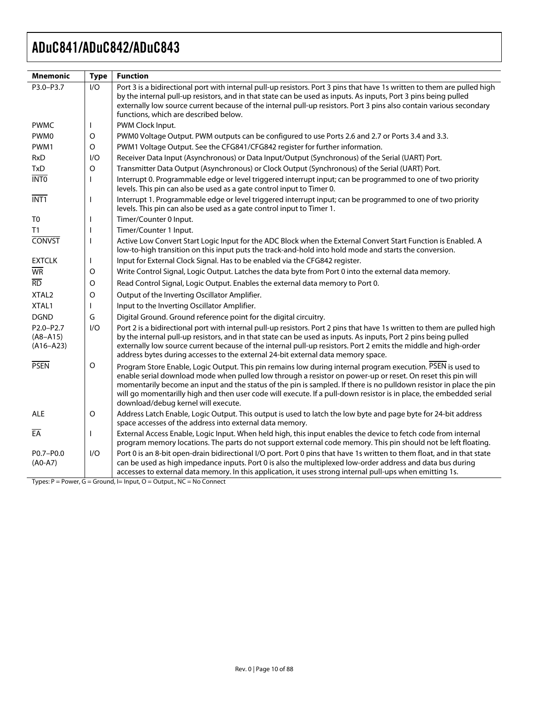| <b>Mnemonic</b>                            | <b>Type</b>  | <b>Function</b>                                                                                                                                                                                                                                                                                                                                                                                                                                                                                                 |
|--------------------------------------------|--------------|-----------------------------------------------------------------------------------------------------------------------------------------------------------------------------------------------------------------------------------------------------------------------------------------------------------------------------------------------------------------------------------------------------------------------------------------------------------------------------------------------------------------|
| P3.0-P3.7                                  | 1/O          | Port 3 is a bidirectional port with internal pull-up resistors. Port 3 pins that have 1s written to them are pulled high<br>by the internal pull-up resistors, and in that state can be used as inputs. As inputs, Port 3 pins being pulled<br>externally low source current because of the internal pull-up resistors. Port 3 pins also contain various secondary<br>functions, which are described below.                                                                                                     |
| <b>PWMC</b>                                | $\mathbf{I}$ | PWM Clock Input.                                                                                                                                                                                                                                                                                                                                                                                                                                                                                                |
| PWM <sub>0</sub>                           | $\Omega$     | PWM0 Voltage Output. PWM outputs can be configured to use Ports 2.6 and 2.7 or Ports 3.4 and 3.3.                                                                                                                                                                                                                                                                                                                                                                                                               |
| PWM1                                       | $\Omega$     | PWM1 Voltage Output. See the CFG841/CFG842 register for further information.                                                                                                                                                                                                                                                                                                                                                                                                                                    |
| <b>RxD</b>                                 | 1/O          | Receiver Data Input (Asynchronous) or Data Input/Output (Synchronous) of the Serial (UART) Port.                                                                                                                                                                                                                                                                                                                                                                                                                |
| <b>TxD</b>                                 | O            | Transmitter Data Output (Asynchronous) or Clock Output (Synchronous) of the Serial (UART) Port.                                                                                                                                                                                                                                                                                                                                                                                                                 |
| $\overline{\text{INTO}}$                   | J.           | Interrupt 0. Programmable edge or level triggered interrupt input; can be programmed to one of two priority<br>levels. This pin can also be used as a gate control input to Timer 0.                                                                                                                                                                                                                                                                                                                            |
| $\overline{INT1}$                          | $\mathbf{I}$ | Interrupt 1. Programmable edge or level triggered interrupt input; can be programmed to one of two priority<br>levels. This pin can also be used as a gate control input to Timer 1.                                                                                                                                                                                                                                                                                                                            |
| T <sub>0</sub>                             | J.           | Timer/Counter 0 Input.                                                                                                                                                                                                                                                                                                                                                                                                                                                                                          |
| T1                                         | J.           | Timer/Counter 1 Input.                                                                                                                                                                                                                                                                                                                                                                                                                                                                                          |
| <b>CONVST</b>                              | $\mathbf{I}$ | Active Low Convert Start Logic Input for the ADC Block when the External Convert Start Function is Enabled. A<br>low-to-high transition on this input puts the track-and-hold into hold mode and starts the conversion.                                                                                                                                                                                                                                                                                         |
| <b>EXTCLK</b>                              | L            | Input for External Clock Signal. Has to be enabled via the CFG842 register.                                                                                                                                                                                                                                                                                                                                                                                                                                     |
| $\overline{\text{WR}}$                     | O            | Write Control Signal, Logic Output. Latches the data byte from Port 0 into the external data memory.                                                                                                                                                                                                                                                                                                                                                                                                            |
| $\overline{RD}$                            | O            | Read Control Signal, Logic Output. Enables the external data memory to Port 0.                                                                                                                                                                                                                                                                                                                                                                                                                                  |
| XTAL <sub>2</sub>                          | O            | Output of the Inverting Oscillator Amplifier.                                                                                                                                                                                                                                                                                                                                                                                                                                                                   |
| XTAL1                                      | L            | Input to the Inverting Oscillator Amplifier.                                                                                                                                                                                                                                                                                                                                                                                                                                                                    |
| <b>DGND</b>                                | G            | Digital Ground. Ground reference point for the digital circuitry.                                                                                                                                                                                                                                                                                                                                                                                                                                               |
| P2.0-P2.7<br>$(A8 - A15)$<br>$(A16 - A23)$ | 1/O          | Port 2 is a bidirectional port with internal pull-up resistors. Port 2 pins that have 1s written to them are pulled high<br>by the internal pull-up resistors, and in that state can be used as inputs. As inputs, Port 2 pins being pulled<br>externally low source current because of the internal pull-up resistors. Port 2 emits the middle and high-order<br>address bytes during accesses to the external 24-bit external data memory space.                                                              |
| <b>PSEN</b>                                | $\circ$      | Program Store Enable, Logic Output. This pin remains low during internal program execution. PSEN is used to<br>enable serial download mode when pulled low through a resistor on power-up or reset. On reset this pin will<br>momentarily become an input and the status of the pin is sampled. If there is no pulldown resistor in place the pin<br>will go momentarilly high and then user code will execute. If a pull-down resistor is in place, the embedded serial<br>download/debug kernel will execute. |
| <b>ALE</b>                                 | O            | Address Latch Enable, Logic Output. This output is used to latch the low byte and page byte for 24-bit address<br>space accesses of the address into external data memory.                                                                                                                                                                                                                                                                                                                                      |
| $E\overline{A}$                            | J.           | External Access Enable, Logic Input. When held high, this input enables the device to fetch code from internal<br>program memory locations. The parts do not support external code memory. This pin should not be left floating.                                                                                                                                                                                                                                                                                |
| P0.7-P0.0<br>$(A0-A7)$                     | 1/O          | Port 0 is an 8-bit open-drain bidirectional I/O port. Port 0 pins that have 1s written to them float, and in that state<br>can be used as high impedance inputs. Port 0 is also the multiplexed low-order address and data bus during<br>accesses to external data memory. In this application, it uses strong internal pull-ups when emitting 1s.                                                                                                                                                              |

 $Types: P = Power, G = Ground, I = Input, O = Output, NC = No Connect$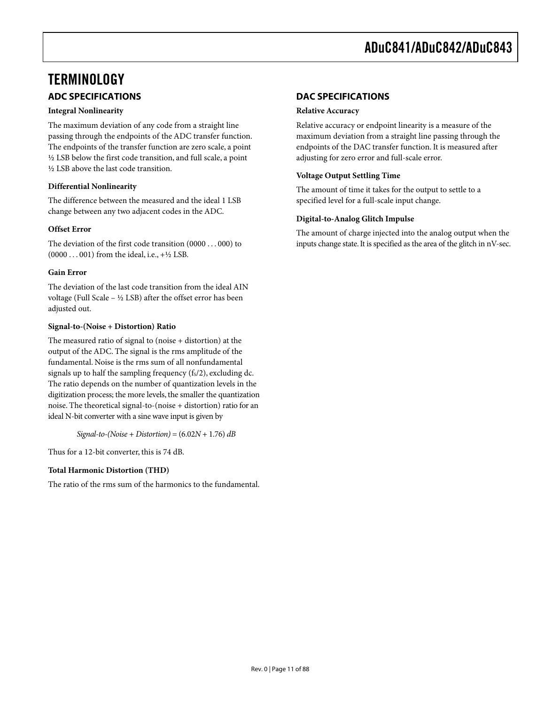### **TERMINOLOGY ADC SPECIFICATIONS**

#### **Integral Nonlinearity**

The maximum deviation of any code from a straight line passing through the endpoints of the ADC transfer function. The endpoints of the transfer function are zero scale, a point ½ LSB below the first code transition, and full scale, a point ½ LSB above the last code transition.

#### **Differential Nonlinearity**

The difference between the measured and the ideal 1 LSB change between any two adjacent codes in the ADC.

#### **Offset Error**

The deviation of the first code transition (0000 . . . 000) to  $(0000...001)$  from the ideal, i.e.,  $+\frac{1}{2}$  LSB.

#### **Gain Error**

The deviation of the last code transition from the ideal AIN voltage (Full Scale – ½ LSB) after the offset error has been adjusted out.

#### **Signal-to-(Noise + Distortion) Ratio**

The measured ratio of signal to (noise + distortion) at the output of the ADC. The signal is the rms amplitude of the fundamental. Noise is the rms sum of all nonfundamental signals up to half the sampling frequency  $(f_s/2)$ , excluding dc. The ratio depends on the number of quantization levels in the digitization process; the more levels, the smaller the quantization noise. The theoretical signal-to-(noise + distortion) ratio for an ideal N-bit converter with a sine wave input is given by

*Signal-to-(Noise + Distortion)* = (6.02*N* + 1.76) *dB*

Thus for a 12-bit converter, this is 74 dB.

#### **Total Harmonic Distortion (THD)**

The ratio of the rms sum of the harmonics to the fundamental.

#### **DAC SPECIFICATIONS**

#### **Relative Accuracy**

Relative accuracy or endpoint linearity is a measure of the maximum deviation from a straight line passing through the endpoints of the DAC transfer function. It is measured after adjusting for zero error and full-scale error.

#### **Voltage Output Settling Time**

The amount of time it takes for the output to settle to a specified level for a full-scale input change.

#### **Digital-to-Analog Glitch Impulse**

The amount of charge injected into the analog output when the inputs change state. It is specified as the area of the glitch in nV-sec.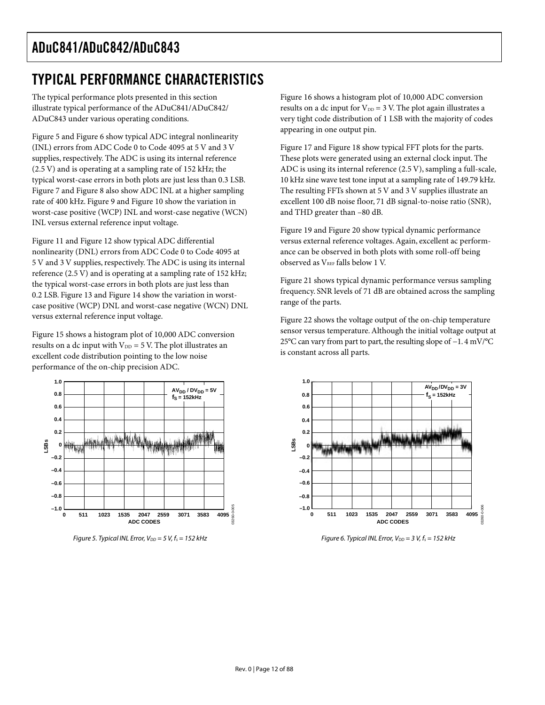# TYPICAL PERFORMANCE CHARACTERISTICS

The typical performance plots presented in this section illustrate typical performance of the ADuC841/ADuC842/ ADuC843 under various operating conditions.

Figure 5 and Figure 6 show typical ADC integral nonlinearity (INL) errors from ADC Code 0 to Code 4095 at 5 V and 3 V supplies, respectively. The ADC is using its internal reference (2.5 V) and is operating at a sampling rate of 152 kHz; the typical worst-case errors in both plots are just less than 0.3 LSB. Figure 7 and Figure 8 also show ADC INL at a higher sampling rate of 400 kHz. Figure 9 and Figure 10 show the variation in worst-case positive (WCP) INL and worst-case negative (WCN) INL versus external reference input voltage.

Figure 11 and Figure 12 show typical ADC differential nonlinearity (DNL) errors from ADC Code 0 to Code 4095 at 5 V and 3 V supplies, respectively. The ADC is using its internal reference (2.5 V) and is operating at a sampling rate of 152 kHz; the typical worst-case errors in both plots are just less than 0.2 LSB. Figure 13 and Figure 14 show the variation in worstcase positive (WCP) DNL and worst-case negative (WCN) DNL versus external reference input voltage.

Figure 15 shows a histogram plot of 10,000 ADC conversion results on a dc input with  $V_{DD} = 5$  V. The plot illustrates an excellent code distribution pointing to the low noise performance of the on-chip precision ADC.



Figure 5. Typical INL Error,  $V_{DD} = 5$  V,  $f_s = 152$  kHz

Figure 16 shows a histogram plot of 10,000 ADC conversion results on a dc input for  $V_{DD} = 3$  V. The plot again illustrates a very tight code distribution of 1 LSB with the majority of codes appearing in one output pin.

Figure 17 and Figure 18 show typical FFT plots for the parts. These plots were generated using an external clock input. The ADC is using its internal reference (2.5 V), sampling a full-scale, 10 kHz sine wave test tone input at a sampling rate of 149.79 kHz. The resulting FFTs shown at 5 V and 3 V supplies illustrate an excellent 100 dB noise floor, 71 dB signal-to-noise ratio (SNR), and THD greater than –80 dB.

Figure 19 and Figure 20 show typical dynamic performance versus external reference voltages. Again, excellent ac performance can be observed in both plots with some roll-off being observed as V<sub>REF</sub> falls below 1 V.

Figure 21 shows typical dynamic performance versus sampling frequency. SNR levels of 71 dB are obtained across the sampling range of the parts.

Figure 22 shows the voltage output of the on-chip temperature sensor versus temperature. Although the initial voltage output at 25°C can vary from part to part, the resulting slope of −1. 4 mV/°C is constant across all parts.



Figure 6. Typical INL Error,  $V_{DD} = 3 V$ ,  $f_s = 152$  kHz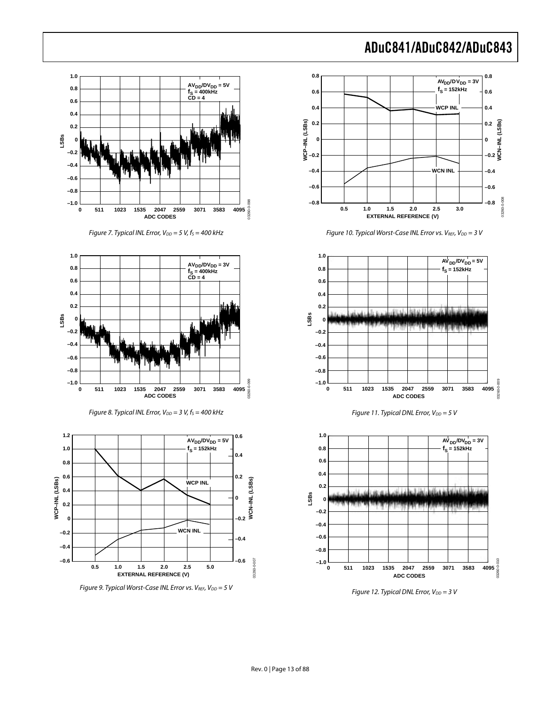**WCN INL**

 $AV_{DD}/DV_{DD} = 5V$  $f_S = 152kHz$ 

 $AV_{DD}/DV_{DD} = 3V$  $f_S = 152$ kHz

**WCP INL**

 $AV<sub>DD</sub>/DV<sub>DD</sub> = 3V$  $f_S = 152$ **kHz** 

**WCN–INL (LSBs)**

**0.8**

**0.4**

**0.2**

**0.6**

**0**

**–0.4**

**–0.6**

**–0.2**

**–0.8**

03260-0-008

080-0-008

03260-0-009

03260-0-010

13260-0-01



Figure 9. Typical Worst-Case INL Error vs.  $V_{REF}$ ,  $V_{DD} = 5$  V

Figure 12. Typical DNL Error,  $V_{DD} = 3 V$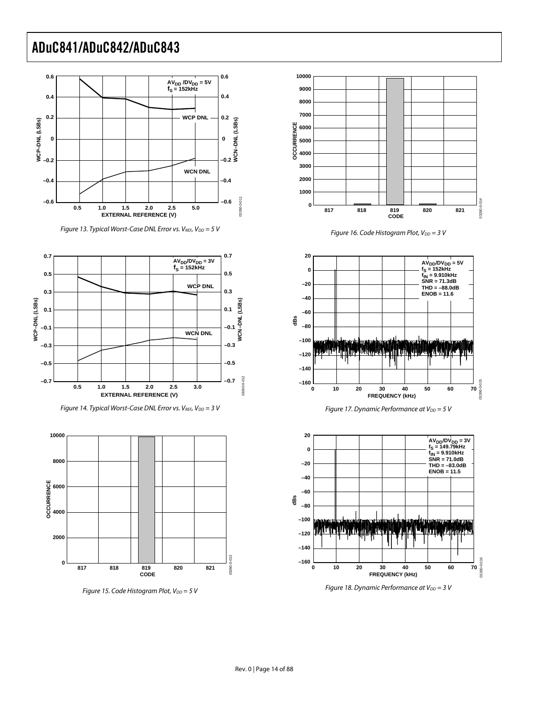

Figure 13. Typical Worst-Case DNL Error vs.  $V_{REF}$ ,  $V_{DD} = 5$  V







Figure 15. Code Histogram Plot,  $V_{DD} = 5$  V



Figure 16. Code Histogram Plot,  $V_{DD} = 3 V$ 







Figure 18. Dynamic Performance at  $V_{DD} = 3 V$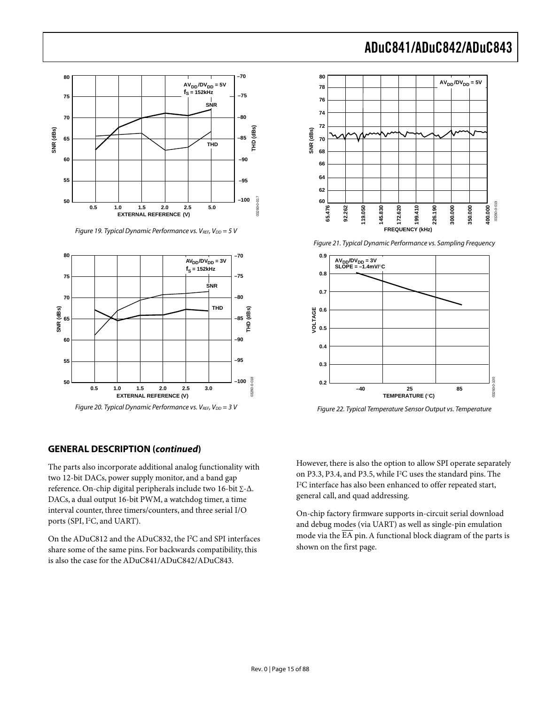

Figure 19. Typical Dynamic Performance vs.  $V_{REF}$ ,  $V_{DD} = 5$  V



Figure 20. Typical Dynamic Performance vs.  $V_{REF}$ ,  $V_{DD} = 3 V$ 

#### **GENERAL DESCRIPTION (continued)**

The parts also incorporate additional analog functionality with two 12-bit DACs, power supply monitor, and a band gap reference. On-chip digital peripherals include two 16-bit ∑-∆. DACs, a dual output 16-bit PWM, a watchdog timer, a time interval counter, three timers/counters, and three serial I/O ports (SPI, I2 C, and UART).

On the ADuC812 and the ADuC832, the I<sup>2</sup> C and SPI interfaces share some of the same pins. For backwards compatibility, this is also the case for the ADuC841/ADuC842/ADuC843.

# ADuC841/ADuC842/ADuC843



Figure 21. Typical Dynamic Performance vs. Sampling Frequency



Figure 22. Typical Temperature Sensor Output vs. Temperature

However, there is also the option to allow SPI operate separately on P3.3, P3.4, and P3.5, while I<sup>2</sup>C uses the standard pins. The I2 C interface has also been enhanced to offer repeated start, general call, and quad addressing.

On-chip factory firmware supports in-circuit serial download and debug modes (via UART) as well as single-pin emulation mode via the  $\overline{\text{EA}}$  pin. A functional block diagram of the parts is shown on the first page.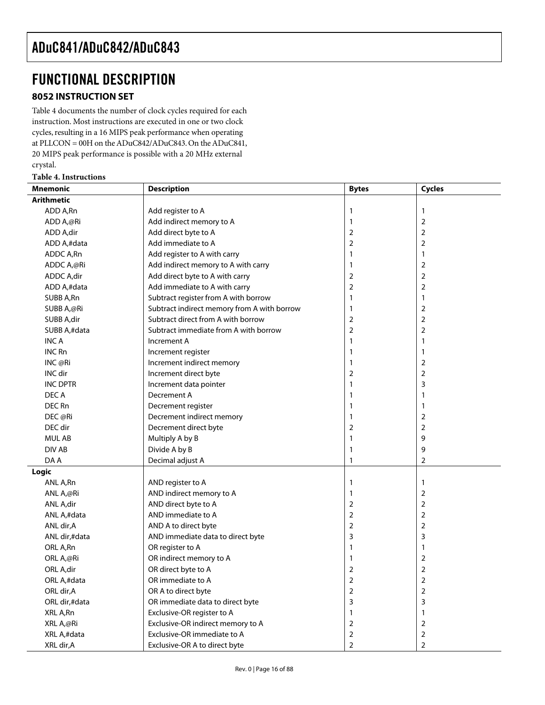### FUNCTIONAL DESCRIPTION

#### **8052 INSTRUCTION SET**

Table 4 documents the number of clock cycles required for each instruction. Most instructions are executed in one or two clock cycles, resulting in a 16 MIPS peak performance when operating at PLLCON = 00H on the ADuC842/ADuC843. On the ADuC841, 20 MIPS peak performance is possible with a 20 MHz external crystal.

#### **Table 4. Instructions**

| <b>Mnemonic</b>   | <b>Description</b>                          | <b>Bytes</b>   | Cycles         |
|-------------------|---------------------------------------------|----------------|----------------|
| <b>Arithmetic</b> |                                             |                |                |
| ADD A,Rn          | Add register to A                           | 1              | 1              |
| ADD A,@Ri         | Add indirect memory to A                    | 1              | $\overline{2}$ |
| ADD A,dir         | Add direct byte to A                        | $\overline{2}$ | $\overline{2}$ |
| ADD A,#data       | Add immediate to A                          | $\overline{2}$ | $\overline{2}$ |
| ADDC A,Rn         | Add register to A with carry                | 1              | 1              |
| ADDC A,@Ri        | Add indirect memory to A with carry         | 1              | $\overline{2}$ |
| ADDC A,dir        | Add direct byte to A with carry             | $\overline{2}$ | $\mathbf 2$    |
| ADD A,#data       | Add immediate to A with carry               | $\overline{2}$ | 2              |
| SUBB A,Rn         | Subtract register from A with borrow        | 1              | 1              |
| SUBB A,@Ri        | Subtract indirect memory from A with borrow | 1              | $\overline{2}$ |
| SUBB A,dir        | Subtract direct from A with borrow          | $\mathbf 2$    | $\overline{2}$ |
| SUBB A,#data      | Subtract immediate from A with borrow       | $\overline{2}$ | $\overline{2}$ |
| INC A             | Increment A                                 | 1              | $\mathbf{1}$   |
| <b>INC Rn</b>     | Increment register                          | 1              | 1              |
| INC@Ri            | Increment indirect memory                   | 1              | 2              |
| INC dir           | Increment direct byte                       | $\overline{2}$ | $\overline{2}$ |
| <b>INC DPTR</b>   | Increment data pointer                      | $\mathbf{1}$   | 3              |
| DEC A             | Decrement A                                 | 1              | 1              |
| DEC Rn            | Decrement register                          | 1              | 1              |
| DEC @Ri           | Decrement indirect memory                   | 1              | $\overline{2}$ |
| DEC dir           | Decrement direct byte                       | $\overline{2}$ | $\overline{2}$ |
| <b>MUL AB</b>     | Multiply A by B                             | 1              | 9              |
| DIV AB            | Divide A by B                               | 1              | 9              |
| DA A              | Decimal adjust A                            | $\mathbf{1}$   | 2              |
| Logic             |                                             |                |                |
| ANL A,Rn          | AND register to A                           | 1              | 1              |
| ANL A,@Ri         | AND indirect memory to A                    | 1              | $\overline{2}$ |
| ANL A,dir         | AND direct byte to A                        | $\overline{2}$ | $\overline{2}$ |
| ANL A,#data       | AND immediate to A                          | $\overline{2}$ | $\overline{2}$ |
| ANL dir, A        | AND A to direct byte                        | $\overline{2}$ | $\overline{2}$ |
| ANL dir,#data     | AND immediate data to direct byte           | 3              | 3              |
| ORL A,Rn          | OR register to A                            | 1              | $\mathbf{1}$   |
| ORL A,@Ri         | OR indirect memory to A                     | 1              | $\overline{2}$ |
| ORL A,dir         | OR direct byte to A                         | $\overline{2}$ | $\overline{2}$ |
| ORL A,#data       | OR immediate to A                           | $\overline{2}$ | $\overline{2}$ |
| ORL dir, A        | OR A to direct byte                         | $\overline{2}$ | $\overline{2}$ |
| ORL dir,#data     | OR immediate data to direct byte            | 3              | 3              |
| XRL A,Rn          | Exclusive-OR register to A                  | 1              | 1              |
| XRL A,@Ri         | Exclusive-OR indirect memory to A           | $\overline{2}$ | 2              |
| XRL A,#data       | Exclusive-OR immediate to A                 | $\overline{2}$ | $\overline{2}$ |
| XRL dir, A        | Exclusive-OR A to direct byte               | $\overline{2}$ | $\overline{2}$ |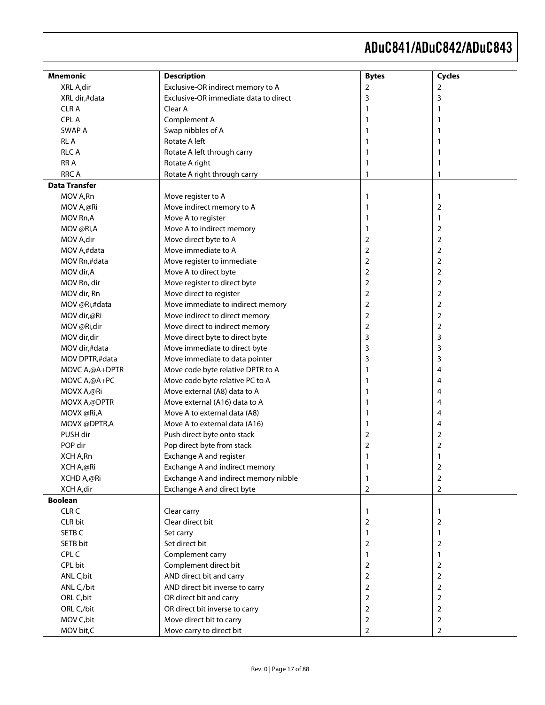| Mnemonic                | <b>Description</b>                    | <b>Bytes</b>   | <b>Cycles</b>  |
|-------------------------|---------------------------------------|----------------|----------------|
| XRL A,dir               | Exclusive-OR indirect memory to A     | $\overline{2}$ | $\overline{2}$ |
| XRL dir,#data           | Exclusive-OR immediate data to direct | 3              | 3              |
| <b>CLRA</b>             | Clear A                               | 1              | ı              |
| CPL A                   | Complement A                          | 1              |                |
| SWAP A                  | Swap nibbles of A                     |                |                |
| <b>RLA</b>              | Rotate A left                         |                |                |
| <b>RLCA</b>             | Rotate A left through carry           |                | 1              |
| RR A                    | Rotate A right                        | 1              | 1              |
| <b>RRC A</b>            | Rotate A right through carry          | 1              | 1              |
| <b>Data Transfer</b>    |                                       |                |                |
| MOV A,Rn                | Move register to A                    | 1              | $\mathbf{1}$   |
| MOV A,@Ri               | Move indirect memory to A             | 1              | $\overline{2}$ |
| MOV Rn,A                | Move A to register                    | 1              | 1              |
| MOV @Ri,A               | Move A to indirect memory             | 1              | $\overline{2}$ |
| MOV A, dir              | Move direct byte to A                 | 2              | $\overline{2}$ |
| MOV A,#data             | Move immediate to A                   | 2              | $\overline{2}$ |
| MOV Rn,#data            | Move register to immediate            | 2              | $\overline{2}$ |
| MOV dir, A              | Move A to direct byte                 | 2              | $\overline{2}$ |
| MOV Rn, dir             | Move register to direct byte          | 2              | $\overline{2}$ |
| MOV dir, Rn             | Move direct to register               | 2              | $\overline{2}$ |
| MOV @Ri,#data           | Move immediate to indirect memory     | 2              | $\overline{2}$ |
| MOV dir,@Ri             | Move indirect to direct memory        | 2              | $\overline{2}$ |
| MOV @Ri,dir             | Move direct to indirect memory        | 2              | $\overline{2}$ |
| MOV dir, dir            | Move direct byte to direct byte       | 3              | 3              |
| MOV dir,#data           | Move immediate to direct byte         | 3              | 3              |
| MOV DPTR,#data          | Move immediate to data pointer        | 3              | 3              |
| MOVC A,@A+DPTR          | Move code byte relative DPTR to A     | 1              | 4              |
| MOVC A,@A+PC            | Move code byte relative PC to A       | 1              | 4              |
| MOVX A,@Ri              | Move external (A8) data to A          | 1              | 4              |
| MOVX A,@DPTR            | Move external (A16) data to A         | 1              | 4              |
| MOVX @Ri,A              | Move A to external data (A8)          | 1              | 4              |
| MOVX @DPTR,A            | Move A to external data (A16)         | 1              | 4              |
| PUSH dir                | Push direct byte onto stack           | 2              | $\overline{2}$ |
| POP dir                 | Pop direct byte from stack            | 2              | $\overline{2}$ |
| XCH A,Rn                | Exchange A and register               | 1              | 1              |
| XCH A,@Ri               | Exchange A and indirect memory        |                | 2              |
| XCHD A,@Ri              | Exchange A and indirect memory nibble | 1              | $\overline{2}$ |
| XCH A,dir               | Exchange A and direct byte            | 2              | 2              |
| <b>Boolean</b>          |                                       |                |                |
| CLR <sub>C</sub>        | Clear carry                           | 1              | $\mathbf{1}$   |
| CLR bit                 | Clear direct bit                      | 2              | $\overline{2}$ |
| SETB <sub>C</sub>       | Set carry                             | 1              | 1              |
| SETB bit                | Set direct bit                        | 2              | $\overline{2}$ |
| CPL C                   | Complement carry                      | 1              | 1              |
| CPL bit                 | Complement direct bit                 | 2              | 2              |
| ANL C, bit              | AND direct bit and carry              | 2              | 2              |
| ANL C <sub>,</sub> /bit | AND direct bit inverse to carry       | 2              | 2              |
| ORL C, bit              | OR direct bit and carry               | 2              | 2              |
| ORL C <sub>,</sub> /bit | OR direct bit inverse to carry        | 2              | 2              |
| MOV C, bit              | Move direct bit to carry              | 2              | 2              |
| MOV bit,C               | Move carry to direct bit              | 2              | $\overline{2}$ |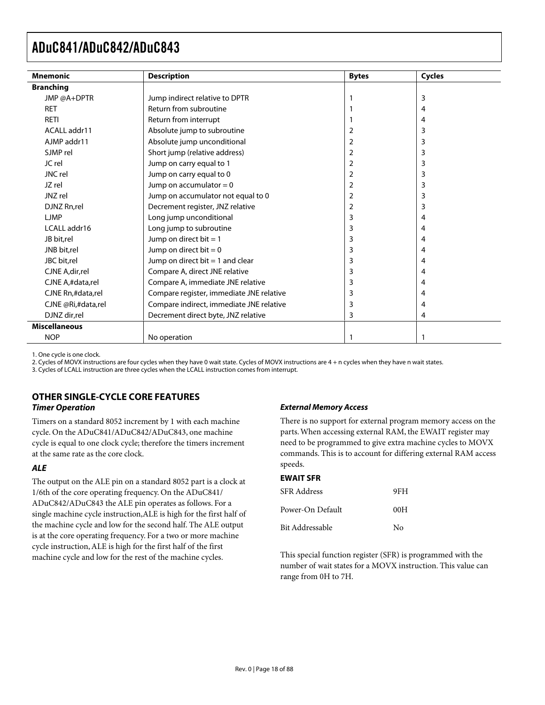| <b>Mnemonic</b>      | <b>Description</b>                       | <b>Bytes</b> | <b>Cycles</b> |
|----------------------|------------------------------------------|--------------|---------------|
| <b>Branching</b>     |                                          |              |               |
| JMP @A+DPTR          | Jump indirect relative to DPTR           |              | 3             |
| <b>RET</b>           | Return from subroutine                   |              | 4             |
| <b>RETI</b>          | Return from interrupt                    |              | 4             |
| ACALL addr11         | Absolute jump to subroutine              | 2            | 3             |
| AJMP addr11          | Absolute jump unconditional              | 2            | 3             |
| SJMP rel             | Short jump (relative address)            | 2            | 3             |
| JC rel               | Jump on carry equal to 1                 | 2            | 3             |
| JNC rel              | Jump on carry equal to 0                 | 2            | 3             |
| JZ rel               | Jump on accumulator $= 0$                | 2            | 3             |
| JNZ rel              | Jump on accumulator not equal to 0       | 2            | 3             |
| DJNZ Rn,rel          | Decrement register, JNZ relative         | 2            | 3             |
| <b>LJMP</b>          | Long jump unconditional                  | 3            | 4             |
| LCALL addr16         | Long jump to subroutine                  | 3            | 4             |
| JB bit,rel           | Jump on direct bit $= 1$                 | 3            | 4             |
| JNB bit,rel          | Jump on direct bit $= 0$                 | 3            | 4             |
| JBC bit.rel          | Jump on direct bit $=$ 1 and clear       | 3            | 4             |
| CJNE A, dir, rel     | Compare A, direct JNE relative           | 3            | 4             |
| CJNE A,#data,rel     | Compare A, immediate JNE relative        | 3            | 4             |
| CJNE Rn,#data,rel    | Compare register, immediate JNE relative | 3            | 4             |
| CJNE @Ri,#data,rel   | Compare indirect, immediate JNE relative | 3            | 4             |
| DJNZ dir,rel         | Decrement direct byte, JNZ relative      | 3            | 4             |
| <b>Miscellaneous</b> |                                          |              |               |
| <b>NOP</b>           | No operation                             |              |               |

1. One cycle is one clock.

2. Cycles of MOVX instructions are four cycles when they have 0 wait state. Cycles of MOVX instructions are 4 + n cycles when they have n wait states.

3. Cycles of LCALL instruction are three cycles when the LCALL instruction comes from interrupt.

#### **OTHER SINGLE-CYCLE CORE FEATURES Timer Operation**

Timers on a standard 8052 increment by 1 with each machine cycle. On the ADuC841/ADuC842/ADuC843, one machine cycle is equal to one clock cycle; therefore the timers increment at the same rate as the core clock.

#### **ALE**

The output on the ALE pin on a standard 8052 part is a clock at 1/6th of the core operating frequency. On the ADuC841/ ADuC842/ADuC843 the ALE pin operates as follows. For a single machine cycle instruction,ALE is high for the first half of the machine cycle and low for the second half. The ALE output is at the core operating frequency. For a two or more machine cycle instruction, ALE is high for the first half of the first machine cycle and low for the rest of the machine cycles.

#### **External Memory Access**

There is no support for external program memory access on the parts. When accessing external RAM, the EWAIT register may need to be programmed to give extra machine cycles to MOVX commands. This is to account for differing external RAM access speeds.

#### **EWAIT SFR**

| SFR Address      | 9FH |
|------------------|-----|
| Power-On Default | 00H |
| Bit Addressable  | Nο  |

This special function register (SFR) is programmed with the number of wait states for a MOVX instruction. This value can range from 0H to 7H.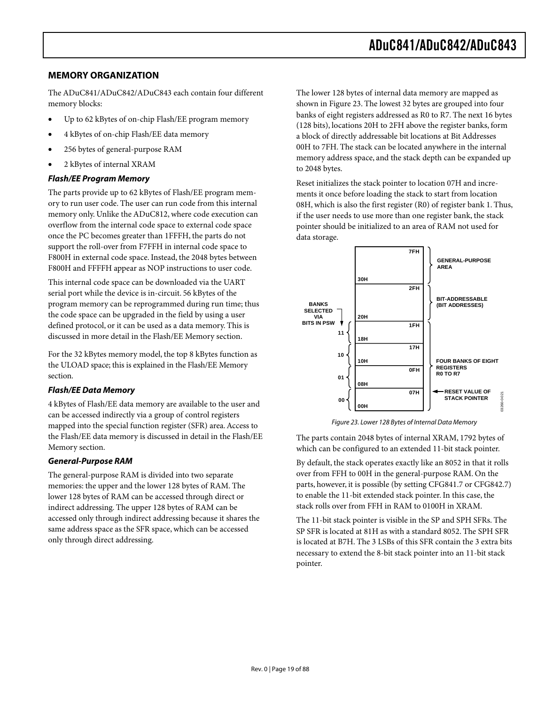#### **MEMORY ORGANIZATION**

The ADuC841/ADuC842/ADuC843 each contain four different memory blocks:

- Up to 62 kBytes of on-chip Flash/EE program memory
- 4 kBytes of on-chip Flash/EE data memory
- 256 bytes of general-purpose RAM
- 2 kBytes of internal XRAM

#### **Flash/EE Program Memory**

The parts provide up to 62 kBytes of Flash/EE program memory to run user code. The user can run code from this internal memory only. Unlike the ADuC812, where code execution can overflow from the internal code space to external code space once the PC becomes greater than 1FFFH, the parts do not support the roll-over from F7FFH in internal code space to F800H in external code space. Instead, the 2048 bytes between F800H and FFFFH appear as NOP instructions to user code.

This internal code space can be downloaded via the UART serial port while the device is in-circuit. 56 kBytes of the program memory can be reprogrammed during run time; thus the code space can be upgraded in the field by using a user defined protocol, or it can be used as a data memory. This is discussed in more detail in the Flash/EE Memory section.

For the 32 kBytes memory model, the top 8 kBytes function as the ULOAD space; this is explained in the Flash/EE Memory section.

#### **Flash/EE Data Memory**

4 kBytes of Flash/EE data memory are available to the user and can be accessed indirectly via a group of control registers mapped into the special function register (SFR) area. Access to the Flash/EE data memory is discussed in detail in the Flash/EE Memory section.

#### **General-Purpose RAM**

The general-purpose RAM is divided into two separate memories: the upper and the lower 128 bytes of RAM. The lower 128 bytes of RAM can be accessed through direct or indirect addressing. The upper 128 bytes of RAM can be accessed only through indirect addressing because it shares the same address space as the SFR space, which can be accessed only through direct addressing.

The lower 128 bytes of internal data memory are mapped as shown in Figure 23. The lowest 32 bytes are grouped into four banks of eight registers addressed as R0 to R7. The next 16 bytes (128 bits), locations 20H to 2FH above the register banks, form a block of directly addressable bit locations at Bit Addresses 00H to 7FH. The stack can be located anywhere in the internal memory address space, and the stack depth can be expanded up to 2048 bytes.

Reset initializes the stack pointer to location 07H and increments it once before loading the stack to start from location 08H, which is also the first register (R0) of register bank 1. Thus, if the user needs to use more than one register bank, the stack pointer should be initialized to an area of RAM not used for data storage.



Figure 23. Lower 128 Bytes of Internal Data Memory

The parts contain 2048 bytes of internal XRAM, 1792 bytes of which can be configured to an extended 11-bit stack pointer.

By default, the stack operates exactly like an 8052 in that it rolls over from FFH to 00H in the general-purpose RAM. On the parts, however, it is possible (by setting CFG841.7 or CFG842.7) to enable the 11-bit extended stack pointer. In this case, the stack rolls over from FFH in RAM to 0100H in XRAM.

The 11-bit stack pointer is visible in the SP and SPH SFRs. The SP SFR is located at 81H as with a standard 8052. The SPH SFR is located at B7H. The 3 LSBs of this SFR contain the 3 extra bits necessary to extend the 8-bit stack pointer into an 11-bit stack pointer.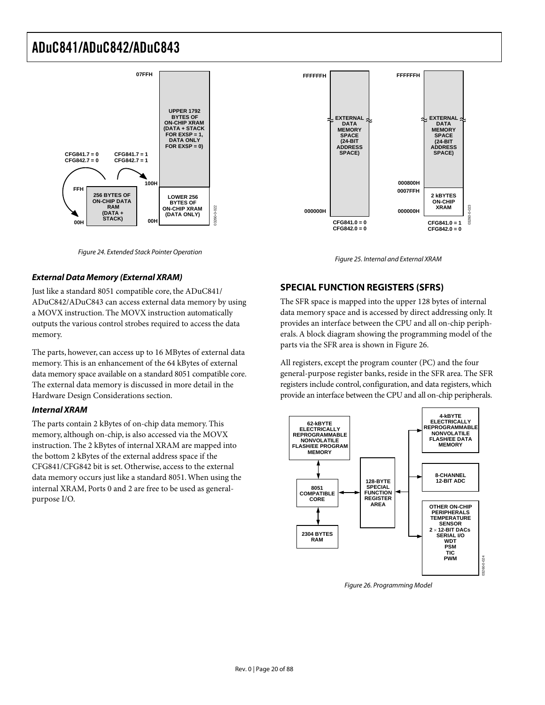



Figure 24. Extended Stack Pointer Operation

#### **External Data Memory (External XRAM)**

Just like a standard 8051 compatible core, the ADuC841/ ADuC842/ADuC843 can access external data memory by using a MOVX instruction. The MOVX instruction automatically outputs the various control strobes required to access the data memory.

The parts, however, can access up to 16 MBytes of external data memory. This is an enhancement of the 64 kBytes of external data memory space available on a standard 8051 compatible core. The external data memory is discussed in more detail in the Hardware Design Considerations section.

#### **Internal XRAM**

The parts contain 2 kBytes of on-chip data memory. This memory, although on-chip, is also accessed via the MOVX instruction. The 2 kBytes of internal XRAM are mapped into the bottom 2 kBytes of the external address space if the CFG841/CFG842 bit is set. Otherwise, access to the external data memory occurs just like a standard 8051. When using the internal XRAM, Ports 0 and 2 are free to be used as generalpurpose I/O.

#### **SPECIAL FUNCTION REGISTERS (SFRS)**

The SFR space is mapped into the upper 128 bytes of internal data memory space and is accessed by direct addressing only. It provides an interface between the CPU and all on-chip peripherals. A block diagram showing the programming model of the parts via the SFR area is shown in Figure 26.

All registers, except the program counter (PC) and the four general-purpose register banks, reside in the SFR area. The SFR registers include control, configuration, and data registers, which provide an interface between the CPU and all on-chip peripherals.



Figure 26. Programming Model

Figure 25. Internal and External XRAM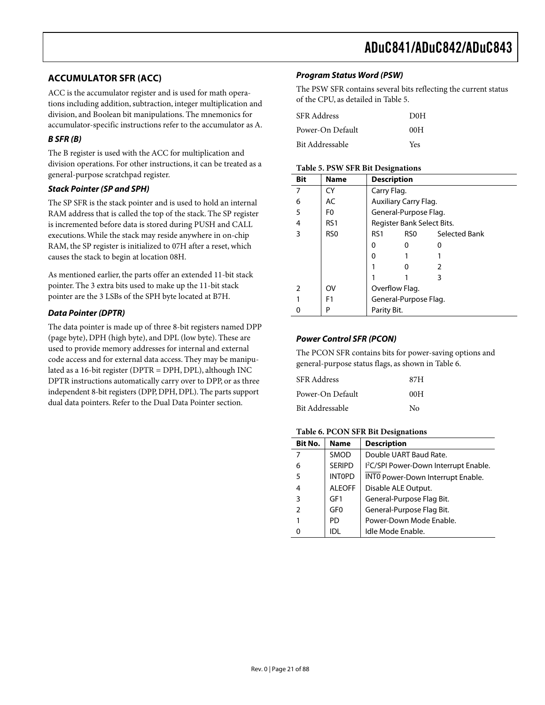#### **ACCUMULATOR SFR (ACC)**

ACC is the accumulator register and is used for math operations including addition, subtraction, integer multiplication and division, and Boolean bit manipulations. The mnemonics for accumulator-specific instructions refer to the accumulator as A.

#### **B SFR (B)**

The B register is used with the ACC for multiplication and division operations. For other instructions, it can be treated as a general-purpose scratchpad register.

#### **Stack Pointer (SP and SPH)**

The SP SFR is the stack pointer and is used to hold an internal RAM address that is called the top of the stack. The SP register is incremented before data is stored during PUSH and CALL executions. While the stack may reside anywhere in on-chip RAM, the SP register is initialized to 07H after a reset, which causes the stack to begin at location 08H.

As mentioned earlier, the parts offer an extended 11-bit stack pointer. The 3 extra bits used to make up the 11-bit stack pointer are the 3 LSBs of the SPH byte located at B7H.

#### **Data Pointer (DPTR)**

The data pointer is made up of three 8-bit registers named DPP (page byte), DPH (high byte), and DPL (low byte). These are used to provide memory addresses for internal and external code access and for external data access. They may be manipulated as a 16-bit register (DPTR = DPH, DPL), although INC DPTR instructions automatically carry over to DPP, or as three independent 8-bit registers (DPP, DPH, DPL). The parts support dual data pointers. Refer to the Dual Data Pointer section.

#### **Program Status Word (PSW)**

The PSW SFR contains several bits reflecting the current status of the CPU, as detailed in Table 5.

| SFR Address      | D <sub>0</sub> H |
|------------------|------------------|
| Power-On Default | 00H              |
| Bit Addressable  | Yes              |

#### **Table 5. PSW SFR Bit Designations**

| Bit | <b>Name</b>     | <b>Description</b>         |                       |               |  |  |  |
|-----|-----------------|----------------------------|-----------------------|---------------|--|--|--|
| 7   | CY              | Carry Flag.                |                       |               |  |  |  |
| 6   | AC              |                            | Auxiliary Carry Flag. |               |  |  |  |
| 5   | F <sub>0</sub>  |                            | General-Purpose Flag. |               |  |  |  |
| 4   | RS <sub>1</sub> | Register Bank Select Bits. |                       |               |  |  |  |
| 3   | RS <sub>0</sub> | RS <sub>1</sub>            | RSO -                 | Selected Bank |  |  |  |
|     |                 | 0                          | 0                     |               |  |  |  |
|     |                 | ŋ                          |                       |               |  |  |  |
|     |                 |                            | O                     |               |  |  |  |
|     |                 |                            |                       | 3             |  |  |  |
|     | OV              | Overflow Flag.             |                       |               |  |  |  |
|     | F <sub>1</sub>  | General-Purpose Flag.      |                       |               |  |  |  |
|     | Ρ               |                            | Parity Bit.           |               |  |  |  |

#### **Power Control SFR (PCON)**

The PCON SFR contains bits for power-saving options and general-purpose status flags, as shown in Table 6.

| <b>SFR</b> Address | 87H            |
|--------------------|----------------|
| Power-On Default   | 00H            |
| Bit Addressable    | N <sub>0</sub> |

#### **Table 6. PCON SFR Bit Designations**

| Bit No.        | <b>Name</b>     | <b>Description</b>                                |
|----------------|-----------------|---------------------------------------------------|
|                | SMOD            | Double UART Baud Rate.                            |
| 6              | <b>SERIPD</b>   | I <sup>2</sup> C/SPI Power-Down Interrupt Enable. |
| 5              | <b>INTOPD</b>   | INTO Power-Down Interrupt Enable.                 |
| 4              | <b>ALEOFF</b>   | Disable ALE Output.                               |
| 3              | GF1             | General-Purpose Flag Bit.                         |
| $\overline{2}$ | GF <sub>0</sub> | General-Purpose Flag Bit.                         |
|                | PD              | Power-Down Mode Enable.                           |
|                | וחו             | Idle Mode Enable.                                 |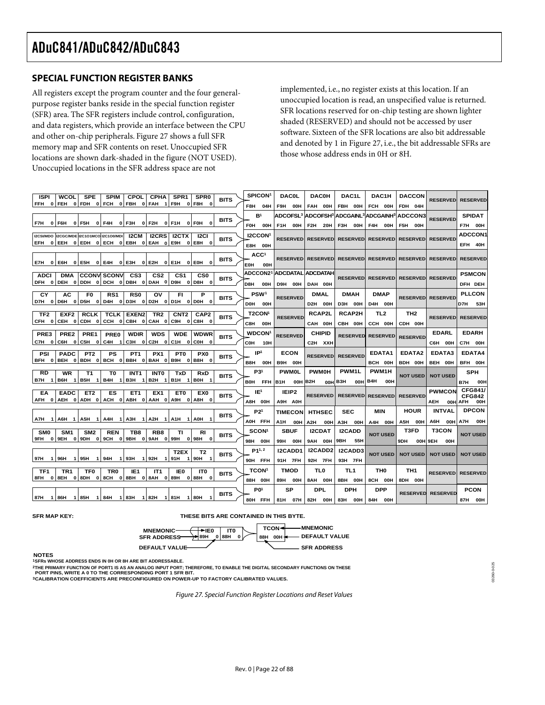#### **SPECIAL FUNCTION REGISTER BANKS**

All registers except the program counter and the four generalpurpose register banks reside in the special function register (SFR) area. The SFR registers include control, configuration, and data registers, which provide an interface between the CPU and other on-chip peripherals. Figure 27 shows a full SFR memory map and SFR contents on reset. Unoccupied SFR locations are shown dark-shaded in the figure (NOT USED). Unoccupied locations in the SFR address space are not

implemented, i.e., no register exists at this location. If an unoccupied location is read, an unspecified value is returned. SFR locations reserved for on-chip testing are shown lighter shaded (RESERVED) and should not be accessed by user software. Sixteen of the SFR locations are also bit addressable and denoted by 1 in Figure 27, i.e., the bit addressable SFRs are those whose address ends in 0H or 8H.

03260-0-025

13260-0-025

| <b>ISPI</b>         | <b>WCOL</b>                        | <b>SPE</b>            | <b>SPIM</b>                              | CPOL                                            | <b>CPHA</b>         | SPR <sub>1</sub>             | SPR <sub>0</sub>           | <b>BITS</b> | <b>SPICON</b>       | <b>DAC0L</b>            | <b>DAC0H</b>                      | DAC1L                                                                                 | DAC1H                    | <b>DACCON</b>                       | <b>RESERVED</b>          | <b>RESERVED</b>                 |
|---------------------|------------------------------------|-----------------------|------------------------------------------|-------------------------------------------------|---------------------|------------------------------|----------------------------|-------------|---------------------|-------------------------|-----------------------------------|---------------------------------------------------------------------------------------|--------------------------|-------------------------------------|--------------------------|---------------------------------|
| <b>FFH</b>          |                                    |                       |                                          | $0$ FEH $0$ FDH $0$ FCH $0$ FBH $0$ FAH $1$ F9H |                     |                              | 0 F8H<br>$\mathbf{0}$      |             | F8H<br>04H          | F9H<br>00H              | FAH 00H                           | FBH 00H                                                                               | FCH 00H                  | FDH 04H                             |                          |                                 |
|                     |                                    |                       |                                          |                                                 |                     |                              |                            |             | B <sup>1</sup>      |                         |                                   | ADCOFSL <sup>3</sup> ADCOFSH <sup>3</sup> ADCGAINL <sup>3</sup> ADCGAINH <sup>3</sup> |                          | <b>ADCCON3</b>                      |                          | <b>SPIDAT</b>                   |
| F7H                 | 0 F6H                              | OIF5H OIF4H           |                                          | $0$ F3H $0$ F2H $0$ F1H                         |                     |                              | 0 FOH<br>$\mathbf{0}$      | <b>BITS</b> | <b>FOH</b><br>00H   | F <sub>1</sub> H<br>00H | F2H<br>20H                        | F3H<br>00H                                                                            | F4H<br>00H               | F5H<br>00H                          | <b>RESERVED</b>          | F7H 00H                         |
|                     |                                    |                       | I2CSI/MDO I2CGC/MDE I2C1O1MCO I2C1O0/MDI | I2CM                                            | <b>I2CRS</b>        |                              | 12CI                       |             | <b>I2CCON</b>       |                         |                                   |                                                                                       |                          |                                     |                          | <b>ADCCON1</b>                  |
| EFH                 |                                    |                       |                                          | 0 EEH 0 EDH 0 ECH 0 EBH 0 EAH                   |                     | I2CTX<br>$\mathbf{0}$<br>E9H | $0$ E8H $0$                | <b>BITS</b> |                     | <b>RESERVED</b>         | <b>RESERVED</b>                   | <b>RESERVEDI</b>                                                                      | <b>RESERVED</b>          | <b>RESERVED</b>                     | <b>RESERVED</b>          | EFH 40H                         |
|                     |                                    |                       |                                          |                                                 |                     |                              |                            |             | E8H 00H             |                         |                                   |                                                                                       |                          |                                     |                          |                                 |
|                     |                                    |                       |                                          |                                                 |                     | 0 E1H                        | 0 EOH                      | <b>BITS</b> | ACC <sup>1</sup>    |                         | <b>RESERVEDI RESERVEDI</b>        |                                                                                       |                          | RESERVED RESERVED RESERVED RESERVED |                          | <b>RESERVED</b>                 |
| E7H                 |                                    |                       |                                          | $0 E6H$ 0 E5H 0 E4H 0 E3H 0 E2H                 |                     |                              |                            |             | EOH<br>00H          |                         |                                   |                                                                                       |                          |                                     |                          |                                 |
| <b>ADCI</b>         | <b>DMA</b>                         |                       | <b>CCONV SCONV</b>                       | CS3                                             | CS <sub>2</sub>     | CS1                          | CS <sub>0</sub>            | <b>BITS</b> | <b>ADCCON21</b>     |                         | <b>ADCDATAL ADCDATAH</b>          | <b>RESERVED</b>                                                                       | <b>RESERVED</b>          |                                     | <b>RESERVED RESERVED</b> | <b>PSMCON</b>                   |
|                     |                                    |                       |                                          | DFH 0 DEH 0 DDH 0 DCH 0 DBH 0 DAH 0 D9H         |                     |                              | 0 D8H<br>$\mathbf{0}$      |             | D8H<br><b>OOH</b>   | D9H 00H                 | DAH 00H                           |                                                                                       |                          |                                     |                          | DFH DEH                         |
| CY                  | AC                                 | F0                    | RS1                                      | <b>RS0</b>                                      | ov                  | FI                           | Р                          |             | <b>PSW1</b>         | <b>RESERVED</b>         | <b>DMAL</b>                       | <b>DMAH</b>                                                                           | <b>DMAP</b>              |                                     | <b>RESERVED RESERVED</b> | <b>PLLCON</b>                   |
| D7H<br>$\mathbf{o}$ | D6H                                | 0 D5H<br> 0           |                                          | $D4H$ 0 D3H 0 D2H 0 D1H                         |                     |                              | 0 DOH<br>$\mathbf{0}$      | <b>BITS</b> | <b>DOH</b><br>00H   |                         | D2H 00H                           | D3H 00H                                                                               | D4H 00H                  |                                     |                          | D7H.<br>53H                     |
| TF <sub>2</sub>     | EXF <sub>2</sub>                   | <b>RCLK</b>           | TCLK                                     | EXEN <sub>2</sub>                               | TR <sub>2</sub>     | CNT2                         | CAP <sub>2</sub>           |             | <b>T2CON'</b>       |                         | <b>RCAP2L</b>                     | <b>RCAP2H</b>                                                                         | TL <sub>2</sub>          | TH <sub>2</sub>                     |                          |                                 |
| CFH 0               |                                    |                       |                                          | CEH 0 CDH 0 CCH 0 CBH 0 CAH 0 C9H               |                     |                              | 0 C8H<br>$\mathbf 0$       | <b>BITS</b> | C8H<br>00H          | <b>RESERVED</b>         | CAH 00H                           | CBH 00H                                                                               | CCH 00H                  | CDH 00H                             | <b>RESERVED</b>          | <b>RESERVED</b>                 |
|                     |                                    |                       |                                          |                                                 |                     |                              |                            |             |                     |                         |                                   |                                                                                       |                          |                                     | <b>EDARL</b>             | <b>EDARH</b>                    |
| PRE3                | PRE2                               | PRE1                  | PRE0                                     | <b>WDIR</b>                                     | <b>WDS</b>          | <b>WDE</b>                   | <b>WDWR</b>                | <b>BITS</b> | <b>WDCON</b>        | <b>RESERVED</b>         | <b>CHIPID</b>                     | <b>RESERVED</b>                                                                       | <b>RESERVED</b>          | <b>RESERVED</b>                     |                          |                                 |
| C7H<br>$\mathbf 0$  |                                    | $C6H$ $0 C5H$ $0 $    | C4H<br>-1                                |                                                 |                     | C3H 0 C2H 0 C1H              | 0 COH<br>$\mathbf{0}$      |             | COH<br>10H          |                         | C <sub>2</sub> H X <sub>X</sub> H |                                                                                       |                          |                                     | C6H 00H                  | C7H 00H                         |
| PSI                 | <b>PADC</b>                        | PT <sub>2</sub>       | PS                                       | PT <sub>1</sub>                                 | PX1                 | PT0                          | PX0                        | <b>BITS</b> | IP <sup>1</sup>     | <b>ECON</b>             | <b>RESERVED</b>                   | <b>RESERVED</b>                                                                       | EDATA1                   | EDATA2                              | EDATA3                   | EDATA4                          |
| BFH<br>$\mathbf{o}$ |                                    |                       |                                          | BEH 0 BDH 0 BCH 0 BBH 0 BAH 0                   |                     | B9H                          | 0 B8H<br>$\mathbf{0}$      |             | B8H<br>00H          | B9H 00H                 |                                   |                                                                                       | BCH 00H                  | BDH 00H                             | BEH 00H                  | BFH 00H                         |
| <b>RD</b>           | <b>WR</b>                          | T1                    | T0                                       | INT <sub>1</sub>                                | <b>INTO</b>         | TxD                          | <b>RxD</b>                 | <b>BITS</b> | P31                 | <b>PWM0L</b>            | <b>PWM0H</b>                      | PWM1L                                                                                 | PWM1H                    | <b>NOT USED</b>                     | <b>NOT USED</b>          | <b>SPH</b>                      |
| B7H<br>$\mathbf{1}$ | B6H<br>1                           | B5H<br>1              | B4H<br>-1                                | взн<br>-1                                       | B2H 1               | B1H<br>-1                    | <b>B0H</b>                 |             | B0H FFH             | IB1H<br>00H             | IB2H                              | 00H B3H<br>00H                                                                        | B4H<br><b>OOH</b>        |                                     |                          | B7H<br>OOH                      |
| EA                  | <b>EADC</b>                        | ET <sub>2</sub>       | ES                                       | ET <sub>1</sub>                                 | EX <sub>1</sub>     | ET0                          | EX <sub>0</sub>            |             | IE1                 | IEIP <sub>2</sub>       |                                   |                                                                                       |                          |                                     | <b>PWMCON</b>            | CFG841/                         |
|                     |                                    |                       |                                          | AFH 0 AEH 0 ADH 0 ACH 0 ABH 0 AAH 0             |                     | A9H                          | 0 A SH<br>$\mathbf{0}$     | <b>BITS</b> | A8H 00H             | A9H A0H                 | <b>RESERVED</b>                   |                                                                                       | <b>RESERVED RESERVED</b> | <b>RESERVED</b>                     | <b>AEH</b>               | <b>CFG842</b><br>00H AFH<br>00H |
|                     |                                    |                       |                                          |                                                 |                     |                              |                            |             | P21                 | <b>TIMECON</b>          | <b>HTHSEC</b>                     | <b>SEC</b>                                                                            | MIN                      | <b>HOUR</b>                         | <b>INTVAL</b>            | <b>DPCON</b>                    |
| A7H                 | 1   A6H<br>$\overline{\mathbf{1}}$ | A5H<br>$\blacksquare$ | A4H<br>-1                                | АЗН                                             | $1$ $A2H$ $1$ $A1H$ |                              | <b>A0H</b>                 | <b>BITS</b> | AOH FFH             |                         |                                   |                                                                                       |                          |                                     | A6H<br>00H               | A7H<br>00H                      |
|                     |                                    |                       |                                          |                                                 |                     |                              |                            |             |                     | A1H<br>00H              | A <sub>2</sub> H<br>00H           | АЗН<br>00H                                                                            | A4H 00H                  | A5H<br>00H<br>T3FD                  | T3CON                    |                                 |
| <b>SMO</b>          | SM <sub>1</sub>                    | SM <sub>2</sub>       | <b>REN</b>                               | TB8<br>9FH 0 9EH 0 9DH 0 9CH 0 9BH 0 9AH 0 99H  | RB <sub>8</sub>     | ΤI                           | RI<br>0 98H<br>$\mathbf 0$ | <b>BITS</b> | SCON <sup>1</sup>   | <b>SBUF</b>             | <b>I2CDAT</b>                     | <b>I2CADD</b>                                                                         | <b>NOT USED</b>          |                                     |                          | <b>NOT USED</b>                 |
|                     |                                    |                       |                                          |                                                 |                     |                              |                            |             | 98H<br>00H          | 99H<br>00H              | 9AH<br>00H                        | 9BH<br>55H                                                                            |                          | 9DH                                 | 00H 9EH<br>00H           |                                 |
|                     |                                    |                       |                                          |                                                 |                     | T2EX                         | T2                         | <b>BITS</b> | P <sub>1</sub> 1, 2 | <b>I2CADD1</b>          | I2CADD2                           | <b>I2CADD3</b>                                                                        | <b>NOT USED</b>          | <b>NOT USED</b>                     | <b>NOT USED</b>          | <b>NOT USED</b>                 |
| 97H                 | 1   96H                            | 1   95H               | 1   94 H<br>11                           | 93H 192H                                        |                     | 1   91 H<br>-1               | 90H                        |             | 90H FFH             | 91H 7FH                 | 92H 7FH                           | 93H 7FH                                                                               |                          |                                     |                          |                                 |
| TF1                 | TR <sub>1</sub>                    | TF0                   | TR0                                      | IE <sub>1</sub>                                 | IT <sub>1</sub>     | IE0                          | <b>ITO</b>                 | <b>BITS</b> | <b>TCON</b>         | <b>TMOD</b>             | TL0                               | TL1                                                                                   | тно                      | TH1                                 | <b>RESERVED</b>          | <b>RESERVED</b>                 |
| 8FH<br>$\mathbf{0}$ | 8EH                                | OI8DH OI8CH           |                                          | 0 8BH 0 8AH                                     |                     | 0 89H                        | 0 88H<br>$\mathbf 0$       |             | 88H 00H             | 89H<br>00H              | 8AH 00H                           | 8BH<br>00H                                                                            | 8CH 00H                  | 8DH 00H                             |                          |                                 |
|                     |                                    |                       |                                          |                                                 |                     |                              |                            |             | P <sub>01</sub>     | SP                      | <b>DPL</b>                        | <b>DPH</b>                                                                            | <b>DPP</b>               |                                     |                          | <b>PCON</b>                     |
| 87H                 | 1 86H 1 85H 1 84H                  |                       |                                          | 1   83H                                         | 1   82H             | 1 81 H                       | 1 80H                      | <b>BITS</b> | 80H FFH             | 81H 07H                 | OOH<br>82H                        | 00H<br>83H                                                                            | 84H 00H                  | <b>RESERVED</b>                     | <b>RESERVED</b>          | 87H 00H                         |
|                     |                                    |                       |                                          |                                                 |                     |                              |                            |             |                     |                         |                                   |                                                                                       |                          |                                     |                          |                                 |

**SFR MAP KEY: THESE BITS ARE CONTAINED IN THIS BYTE.**



**NOTES 1SFRs WHOSE ADDRESS ENDS IN 0H OR 8H ARE BIT ADDRESSABLE.**

**2THE PRIMARY FUNCTION OF PORT1 IS AS AN ANALOG INPUT PORT; THEREFORE, TO ENABLE THE DIGITAL SECONDARY FUNCTIONS ON THESE PORT PINS, WRITE A 0 TO THE CORRESPONDING PORT 1 SFR BIT.**

**3CALIBRATION COEFFICIENTS ARE PRECONFIGURED ON POWER-UP TO FACTORY CALIBRATED VALUES.**

Figure 27. Special Function Register Locations and Reset Values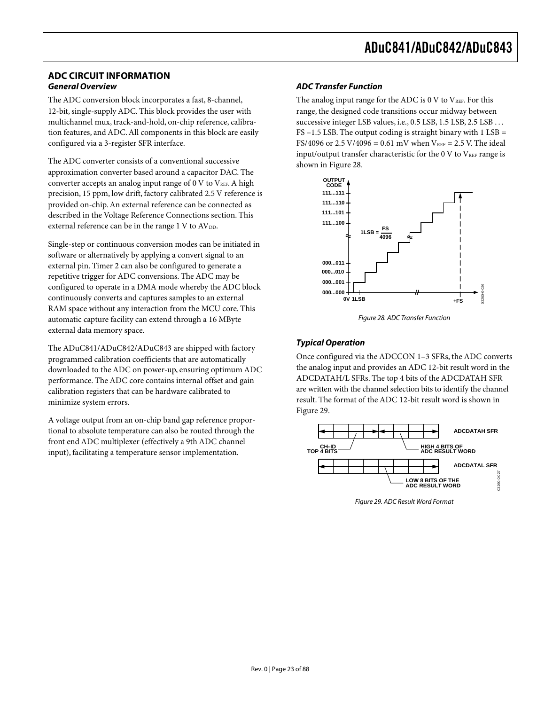#### **ADC CIRCUIT INFORMATION General Overview**

The ADC conversion block incorporates a fast, 8-channel, 12-bit, single-supply ADC. This block provides the user with multichannel mux, track-and-hold, on-chip reference, calibration features, and ADC. All components in this block are easily configured via a 3-register SFR interface.

The ADC converter consists of a conventional successive approximation converter based around a capacitor DAC. The converter accepts an analog input range of  $0 \,$ V to  $V_{REF}$ . A high precision, 15 ppm, low drift, factory calibrated 2.5 V reference is provided on-chip. An external reference can be connected as described in the Voltage Reference Connections section. This external reference can be in the range  $1 \text{ V}$  to  $AV_{DD}$ .

Single-step or continuous conversion modes can be initiated in software or alternatively by applying a convert signal to an external pin. Timer 2 can also be configured to generate a repetitive trigger for ADC conversions. The ADC may be configured to operate in a DMA mode whereby the ADC block continuously converts and captures samples to an external RAM space without any interaction from the MCU core. This automatic capture facility can extend through a 16 MByte external data memory space.

The ADuC841/ADuC842/ADuC843 are shipped with factory programmed calibration coefficients that are automatically downloaded to the ADC on power-up, ensuring optimum ADC performance. The ADC core contains internal offset and gain calibration registers that can be hardware calibrated to minimize system errors.

A voltage output from an on-chip band gap reference proportional to absolute temperature can also be routed through the front end ADC multiplexer (effectively a 9th ADC channel input), facilitating a temperature sensor implementation.

#### **ADC Transfer Function**

The analog input range for the ADC is 0 V to  $V_{REF}$ . For this range, the designed code transitions occur midway between successive integer LSB values, i.e., 0.5 LSB, 1.5 LSB, 2.5 LSB ... FS –1.5 LSB. The output coding is straight binary with 1 LSB = FS/4096 or 2.5 V/4096 =  $0.61$  mV when V<sub>REF</sub> = 2.5 V. The ideal input/output transfer characteristic for the  $0 \text{ V}$  to  $\text{V}_{\text{REF}}$  range is shown in Figure 28.



Figure 28. ADC Transfer Function

#### **Typical Operation**

Once configured via the ADCCON 1–3 SFRs, the ADC converts the analog input and provides an ADC 12-bit result word in the ADCDATAH/L SFRs. The top 4 bits of the ADCDATAH SFR are written with the channel selection bits to identify the channel result. The format of the ADC 12-bit result word is shown in Figure 29.



Figure 29. ADC Result Word Format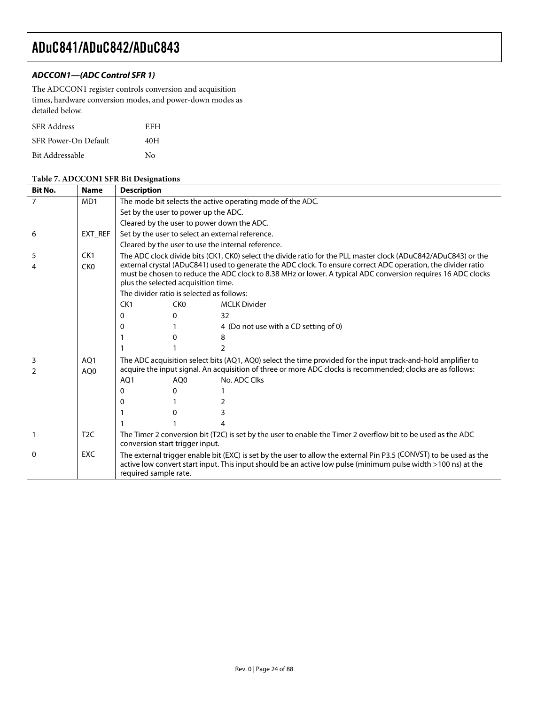#### **ADCCON1—(ADC Control SFR 1)**

The ADCCON1 register controls conversion and acquisition times, hardware conversion modes, and power-down modes as detailed below.

| <b>SFR</b> Address   | EFH |
|----------------------|-----|
| SFR Power-On Default | 40H |
| Bit Addressable      | No  |

#### **Table 7. ADCCON1 SFR Bit Designations**

| <b>Bit No.</b>     | <b>Name</b>                        | <b>Description</b>                                                                                                                                                                                                                                                                 |                                                                                                                                                                                                                                                                      |                                                                                                                                                                                                                                     |  |  |  |  |  |  |
|--------------------|------------------------------------|------------------------------------------------------------------------------------------------------------------------------------------------------------------------------------------------------------------------------------------------------------------------------------|----------------------------------------------------------------------------------------------------------------------------------------------------------------------------------------------------------------------------------------------------------------------|-------------------------------------------------------------------------------------------------------------------------------------------------------------------------------------------------------------------------------------|--|--|--|--|--|--|
| 7                  | MD <sub>1</sub>                    |                                                                                                                                                                                                                                                                                    | The mode bit selects the active operating mode of the ADC.                                                                                                                                                                                                           |                                                                                                                                                                                                                                     |  |  |  |  |  |  |
|                    |                                    |                                                                                                                                                                                                                                                                                    | Set by the user to power up the ADC.                                                                                                                                                                                                                                 |                                                                                                                                                                                                                                     |  |  |  |  |  |  |
|                    |                                    |                                                                                                                                                                                                                                                                                    |                                                                                                                                                                                                                                                                      | Cleared by the user to power down the ADC.                                                                                                                                                                                          |  |  |  |  |  |  |
| 6                  | EXT REF                            |                                                                                                                                                                                                                                                                                    |                                                                                                                                                                                                                                                                      | Set by the user to select an external reference.                                                                                                                                                                                    |  |  |  |  |  |  |
|                    |                                    |                                                                                                                                                                                                                                                                                    |                                                                                                                                                                                                                                                                      | Cleared by the user to use the internal reference.                                                                                                                                                                                  |  |  |  |  |  |  |
| 5                  | CK1                                |                                                                                                                                                                                                                                                                                    |                                                                                                                                                                                                                                                                      | The ADC clock divide bits (CK1, CK0) select the divide ratio for the PLL master clock (ADuC842/ADuC843) or the                                                                                                                      |  |  |  |  |  |  |
|                    | CK <sub>0</sub>                    |                                                                                                                                                                                                                                                                                    | external crystal (ADuC841) used to generate the ADC clock. To ensure correct ADC operation, the divider ratio<br>must be chosen to reduce the ADC clock to 8.38 MHz or lower. A typical ADC conversion requires 16 ADC clocks<br>plus the selected acquisition time. |                                                                                                                                                                                                                                     |  |  |  |  |  |  |
|                    |                                    | The divider ratio is selected as follows:                                                                                                                                                                                                                                          |                                                                                                                                                                                                                                                                      |                                                                                                                                                                                                                                     |  |  |  |  |  |  |
|                    |                                    | CK1                                                                                                                                                                                                                                                                                | CK <sub>0</sub>                                                                                                                                                                                                                                                      | <b>MCLK Divider</b>                                                                                                                                                                                                                 |  |  |  |  |  |  |
|                    |                                    | 0                                                                                                                                                                                                                                                                                  | 0                                                                                                                                                                                                                                                                    | 32                                                                                                                                                                                                                                  |  |  |  |  |  |  |
|                    |                                    | 0                                                                                                                                                                                                                                                                                  |                                                                                                                                                                                                                                                                      | 4 (Do not use with a CD setting of 0)                                                                                                                                                                                               |  |  |  |  |  |  |
|                    |                                    |                                                                                                                                                                                                                                                                                    | 0                                                                                                                                                                                                                                                                    | 8                                                                                                                                                                                                                                   |  |  |  |  |  |  |
|                    |                                    |                                                                                                                                                                                                                                                                                    |                                                                                                                                                                                                                                                                      | 2                                                                                                                                                                                                                                   |  |  |  |  |  |  |
| 3<br>$\mathcal{P}$ | AO <sub>1</sub><br>AO <sub>0</sub> | The ADC acquisition select bits (AQ1, AQ0) select the time provided for the input track-and-hold amplifier to<br>acquire the input signal. An acquisition of three or more ADC clocks is recommended; clocks are as follows:<br>No. ADC Clks<br>AO <sub>1</sub><br>AO <sub>0</sub> |                                                                                                                                                                                                                                                                      |                                                                                                                                                                                                                                     |  |  |  |  |  |  |
|                    |                                    | 0                                                                                                                                                                                                                                                                                  | 0                                                                                                                                                                                                                                                                    |                                                                                                                                                                                                                                     |  |  |  |  |  |  |
|                    |                                    | 0                                                                                                                                                                                                                                                                                  |                                                                                                                                                                                                                                                                      |                                                                                                                                                                                                                                     |  |  |  |  |  |  |
|                    |                                    |                                                                                                                                                                                                                                                                                    | 0                                                                                                                                                                                                                                                                    | 3                                                                                                                                                                                                                                   |  |  |  |  |  |  |
|                    |                                    |                                                                                                                                                                                                                                                                                    |                                                                                                                                                                                                                                                                      |                                                                                                                                                                                                                                     |  |  |  |  |  |  |
|                    | T <sub>2</sub> C                   | conversion start trigger input.                                                                                                                                                                                                                                                    |                                                                                                                                                                                                                                                                      | The Timer 2 conversion bit (T2C) is set by the user to enable the Timer 2 overflow bit to be used as the ADC                                                                                                                        |  |  |  |  |  |  |
| 0                  | <b>EXC</b>                         | required sample rate.                                                                                                                                                                                                                                                              |                                                                                                                                                                                                                                                                      | The external trigger enable bit (EXC) is set by the user to allow the external Pin P3.5 (CONVST) to be used as the<br>active low convert start input. This input should be an active low pulse (minimum pulse width >100 ns) at the |  |  |  |  |  |  |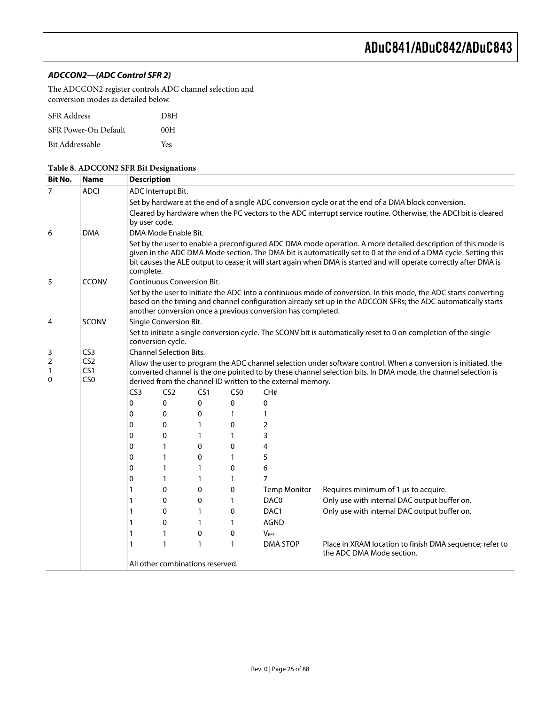#### **ADCCON2—(ADC Control SFR 2)**

The ADCCON2 register controls ADC channel selection and conversion modes as detailed below.

| <b>SFR</b> Address   | D8H |
|----------------------|-----|
| SFR Power-On Default | 00H |
| Bit Addressable      | Yes |

#### **Table 8. ADCCON2 SFR Bit Designations**

| <b>Bit No.</b>                                                                                                                                                                                                                                                                                                                                                            | <b>Name</b>     | <b>Description</b>                                                                                                                                                                                                                                                                                                                                                    |                                                                                                                                                                                                                                                                                                    |              |                 |                     |                                                                                                                  |  |  |  |  |  |  |
|---------------------------------------------------------------------------------------------------------------------------------------------------------------------------------------------------------------------------------------------------------------------------------------------------------------------------------------------------------------------------|-----------------|-----------------------------------------------------------------------------------------------------------------------------------------------------------------------------------------------------------------------------------------------------------------------------------------------------------------------------------------------------------------------|----------------------------------------------------------------------------------------------------------------------------------------------------------------------------------------------------------------------------------------------------------------------------------------------------|--------------|-----------------|---------------------|------------------------------------------------------------------------------------------------------------------|--|--|--|--|--|--|
| $\overline{7}$                                                                                                                                                                                                                                                                                                                                                            | <b>ADCI</b>     | ADC Interrupt Bit.                                                                                                                                                                                                                                                                                                                                                    |                                                                                                                                                                                                                                                                                                    |              |                 |                     |                                                                                                                  |  |  |  |  |  |  |
|                                                                                                                                                                                                                                                                                                                                                                           |                 | Set by hardware at the end of a single ADC conversion cycle or at the end of a DMA block conversion.                                                                                                                                                                                                                                                                  |                                                                                                                                                                                                                                                                                                    |              |                 |                     |                                                                                                                  |  |  |  |  |  |  |
|                                                                                                                                                                                                                                                                                                                                                                           |                 | Cleared by hardware when the PC vectors to the ADC interrupt service routine. Otherwise, the ADCI bit is cleared                                                                                                                                                                                                                                                      |                                                                                                                                                                                                                                                                                                    |              |                 |                     |                                                                                                                  |  |  |  |  |  |  |
|                                                                                                                                                                                                                                                                                                                                                                           |                 | by user code.                                                                                                                                                                                                                                                                                                                                                         |                                                                                                                                                                                                                                                                                                    |              |                 |                     |                                                                                                                  |  |  |  |  |  |  |
| 6                                                                                                                                                                                                                                                                                                                                                                         | <b>DMA</b>      |                                                                                                                                                                                                                                                                                                                                                                       | DMA Mode Enable Bit.                                                                                                                                                                                                                                                                               |              |                 |                     |                                                                                                                  |  |  |  |  |  |  |
|                                                                                                                                                                                                                                                                                                                                                                           |                 | Set by the user to enable a preconfigured ADC DMA mode operation. A more detailed description of this mode is<br>given in the ADC DMA Mode section. The DMA bit is automatically set to 0 at the end of a DMA cycle. Setting this<br>bit causes the ALE output to cease; it will start again when DMA is started and will operate correctly after DMA is<br>complete. |                                                                                                                                                                                                                                                                                                    |              |                 |                     |                                                                                                                  |  |  |  |  |  |  |
| 5                                                                                                                                                                                                                                                                                                                                                                         | CCONV           |                                                                                                                                                                                                                                                                                                                                                                       | <b>Continuous Conversion Bit.</b>                                                                                                                                                                                                                                                                  |              |                 |                     |                                                                                                                  |  |  |  |  |  |  |
|                                                                                                                                                                                                                                                                                                                                                                           |                 |                                                                                                                                                                                                                                                                                                                                                                       | Set by the user to initiate the ADC into a continuous mode of conversion. In this mode, the ADC starts converting<br>based on the timing and channel configuration already set up in the ADCCON SFRs; the ADC automatically starts<br>another conversion once a previous conversion has completed. |              |                 |                     |                                                                                                                  |  |  |  |  |  |  |
| 4                                                                                                                                                                                                                                                                                                                                                                         | <b>SCONV</b>    |                                                                                                                                                                                                                                                                                                                                                                       | Single Conversion Bit.                                                                                                                                                                                                                                                                             |              |                 |                     |                                                                                                                  |  |  |  |  |  |  |
|                                                                                                                                                                                                                                                                                                                                                                           |                 | conversion cycle.                                                                                                                                                                                                                                                                                                                                                     |                                                                                                                                                                                                                                                                                                    |              |                 |                     | Set to initiate a single conversion cycle. The SCONV bit is automatically reset to 0 on completion of the single |  |  |  |  |  |  |
| 3                                                                                                                                                                                                                                                                                                                                                                         | CS <sub>3</sub> |                                                                                                                                                                                                                                                                                                                                                                       | <b>Channel Selection Bits.</b>                                                                                                                                                                                                                                                                     |              |                 |                     |                                                                                                                  |  |  |  |  |  |  |
| $\overline{2}$<br>CS <sub>2</sub><br>Allow the user to program the ADC channel selection under software control. When a conversion is initiated, the<br>CS1<br>1<br>converted channel is the one pointed to by these channel selection bits. In DMA mode, the channel selection is<br>CS <sub>0</sub><br>0<br>derived from the channel ID written to the external memory. |                 |                                                                                                                                                                                                                                                                                                                                                                       |                                                                                                                                                                                                                                                                                                    |              |                 |                     |                                                                                                                  |  |  |  |  |  |  |
|                                                                                                                                                                                                                                                                                                                                                                           |                 | CS <sub>3</sub>                                                                                                                                                                                                                                                                                                                                                       | CS <sub>2</sub>                                                                                                                                                                                                                                                                                    | CS1          | CS <sub>0</sub> | CH#                 |                                                                                                                  |  |  |  |  |  |  |
|                                                                                                                                                                                                                                                                                                                                                                           |                 | 0                                                                                                                                                                                                                                                                                                                                                                     | 0                                                                                                                                                                                                                                                                                                  | 0            | 0               | $\mathbf 0$         |                                                                                                                  |  |  |  |  |  |  |
|                                                                                                                                                                                                                                                                                                                                                                           |                 | $\mathbf 0$                                                                                                                                                                                                                                                                                                                                                           | 0                                                                                                                                                                                                                                                                                                  | 0            | $\mathbf{1}$    | 1                   |                                                                                                                  |  |  |  |  |  |  |
|                                                                                                                                                                                                                                                                                                                                                                           |                 | $\mathbf{0}$                                                                                                                                                                                                                                                                                                                                                          | 0                                                                                                                                                                                                                                                                                                  | $\mathbf{1}$ | 0               | $\overline{2}$      |                                                                                                                  |  |  |  |  |  |  |
|                                                                                                                                                                                                                                                                                                                                                                           |                 | $\mathbf{0}$                                                                                                                                                                                                                                                                                                                                                          | 0                                                                                                                                                                                                                                                                                                  | $\mathbf{1}$ | $\mathbf{1}$    | 3                   |                                                                                                                  |  |  |  |  |  |  |
|                                                                                                                                                                                                                                                                                                                                                                           |                 | 0                                                                                                                                                                                                                                                                                                                                                                     | $\mathbf{1}$                                                                                                                                                                                                                                                                                       | $\mathbf{0}$ | $\Omega$        | $\overline{4}$      |                                                                                                                  |  |  |  |  |  |  |
|                                                                                                                                                                                                                                                                                                                                                                           |                 | 0                                                                                                                                                                                                                                                                                                                                                                     | 1                                                                                                                                                                                                                                                                                                  | $\Omega$     | $\mathbf{1}$    | 5                   |                                                                                                                  |  |  |  |  |  |  |
|                                                                                                                                                                                                                                                                                                                                                                           |                 | 0                                                                                                                                                                                                                                                                                                                                                                     | 1                                                                                                                                                                                                                                                                                                  | $\mathbf{1}$ | 0               | 6                   |                                                                                                                  |  |  |  |  |  |  |
|                                                                                                                                                                                                                                                                                                                                                                           |                 | 0                                                                                                                                                                                                                                                                                                                                                                     | 1                                                                                                                                                                                                                                                                                                  | $\mathbf{1}$ | 1               | $\overline{7}$      |                                                                                                                  |  |  |  |  |  |  |
|                                                                                                                                                                                                                                                                                                                                                                           |                 | $\mathbf{1}$                                                                                                                                                                                                                                                                                                                                                          | 0                                                                                                                                                                                                                                                                                                  | 0            | 0               | <b>Temp Monitor</b> | Requires minimum of 1 µs to acquire.                                                                             |  |  |  |  |  |  |
|                                                                                                                                                                                                                                                                                                                                                                           |                 | 1                                                                                                                                                                                                                                                                                                                                                                     | $\Omega$                                                                                                                                                                                                                                                                                           | $\mathbf{0}$ | $\mathbf{1}$    | DAC <sub>0</sub>    | Only use with internal DAC output buffer on.                                                                     |  |  |  |  |  |  |
|                                                                                                                                                                                                                                                                                                                                                                           |                 | 1                                                                                                                                                                                                                                                                                                                                                                     | $\Omega$                                                                                                                                                                                                                                                                                           | $\mathbf{1}$ | 0               | DAC <sub>1</sub>    | Only use with internal DAC output buffer on.                                                                     |  |  |  |  |  |  |
|                                                                                                                                                                                                                                                                                                                                                                           |                 | 1                                                                                                                                                                                                                                                                                                                                                                     | $\mathbf{0}$                                                                                                                                                                                                                                                                                       | 1            | $\mathbf{1}$    | <b>AGND</b>         |                                                                                                                  |  |  |  |  |  |  |
|                                                                                                                                                                                                                                                                                                                                                                           |                 | 1                                                                                                                                                                                                                                                                                                                                                                     | 1                                                                                                                                                                                                                                                                                                  | $\mathbf 0$  | 0               | $V_{RF}$            |                                                                                                                  |  |  |  |  |  |  |
|                                                                                                                                                                                                                                                                                                                                                                           |                 | 1                                                                                                                                                                                                                                                                                                                                                                     | 1                                                                                                                                                                                                                                                                                                  | $\mathbf{1}$ | $\mathbf{1}$    | DMA STOP            | Place in XRAM location to finish DMA sequence; refer to<br>the ADC DMA Mode section.                             |  |  |  |  |  |  |
|                                                                                                                                                                                                                                                                                                                                                                           |                 | All other combinations reserved.                                                                                                                                                                                                                                                                                                                                      |                                                                                                                                                                                                                                                                                                    |              |                 |                     |                                                                                                                  |  |  |  |  |  |  |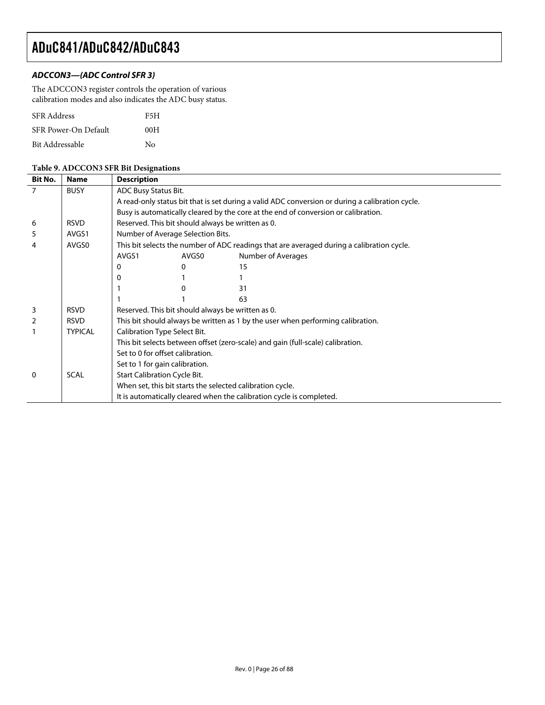#### **ADCCON3—(ADC Control SFR 3)**

The ADCCON3 register controls the operation of various calibration modes and also indicates the ADC busy status.

| <b>SFR</b> Address   | F5H |
|----------------------|-----|
| SFR Power-On Default | 00H |
| Bit Addressable      | Nο  |

#### **Table 9. ADCCON3 SFR Bit Designations**

| $\overline{7}$<br><b>BUSY</b><br>ADC Busy Status Bit.<br>A read-only status bit that is set during a valid ADC conversion or during a calibration cycle.<br>Busy is automatically cleared by the core at the end of conversion or calibration.<br>Reserved. This bit should always be written as 0.<br><b>RSVD</b><br>6 | <b>Description</b> |  |  |  |  |  |
|-------------------------------------------------------------------------------------------------------------------------------------------------------------------------------------------------------------------------------------------------------------------------------------------------------------------------|--------------------|--|--|--|--|--|
|                                                                                                                                                                                                                                                                                                                         |                    |  |  |  |  |  |
|                                                                                                                                                                                                                                                                                                                         |                    |  |  |  |  |  |
|                                                                                                                                                                                                                                                                                                                         |                    |  |  |  |  |  |
|                                                                                                                                                                                                                                                                                                                         |                    |  |  |  |  |  |
| Number of Average Selection Bits.<br>5<br>AVGS1                                                                                                                                                                                                                                                                         |                    |  |  |  |  |  |
| This bit selects the number of ADC readings that are averaged during a calibration cycle.<br>AVGS0<br>4                                                                                                                                                                                                                 |                    |  |  |  |  |  |
| Number of Averages<br>AVGS1<br>AVGS0                                                                                                                                                                                                                                                                                    |                    |  |  |  |  |  |
| 15<br><sup>0</sup><br>0                                                                                                                                                                                                                                                                                                 |                    |  |  |  |  |  |
|                                                                                                                                                                                                                                                                                                                         |                    |  |  |  |  |  |
| 31                                                                                                                                                                                                                                                                                                                      |                    |  |  |  |  |  |
| 63                                                                                                                                                                                                                                                                                                                      |                    |  |  |  |  |  |
| <b>RSVD</b><br>Reserved. This bit should always be written as 0.<br>3                                                                                                                                                                                                                                                   |                    |  |  |  |  |  |
| $\overline{2}$<br><b>RSVD</b><br>This bit should always be written as 1 by the user when performing calibration.                                                                                                                                                                                                        |                    |  |  |  |  |  |
| Calibration Type Select Bit.<br><b>TYPICAL</b>                                                                                                                                                                                                                                                                          |                    |  |  |  |  |  |
| This bit selects between offset (zero-scale) and gain (full-scale) calibration.                                                                                                                                                                                                                                         |                    |  |  |  |  |  |
| Set to 0 for offset calibration.                                                                                                                                                                                                                                                                                        |                    |  |  |  |  |  |
| Set to 1 for gain calibration.                                                                                                                                                                                                                                                                                          |                    |  |  |  |  |  |
| <b>Start Calibration Cycle Bit.</b><br><b>SCAL</b><br>$\mathbf{0}$                                                                                                                                                                                                                                                      |                    |  |  |  |  |  |
| When set, this bit starts the selected calibration cycle.                                                                                                                                                                                                                                                               |                    |  |  |  |  |  |
| It is automatically cleared when the calibration cycle is completed.                                                                                                                                                                                                                                                    |                    |  |  |  |  |  |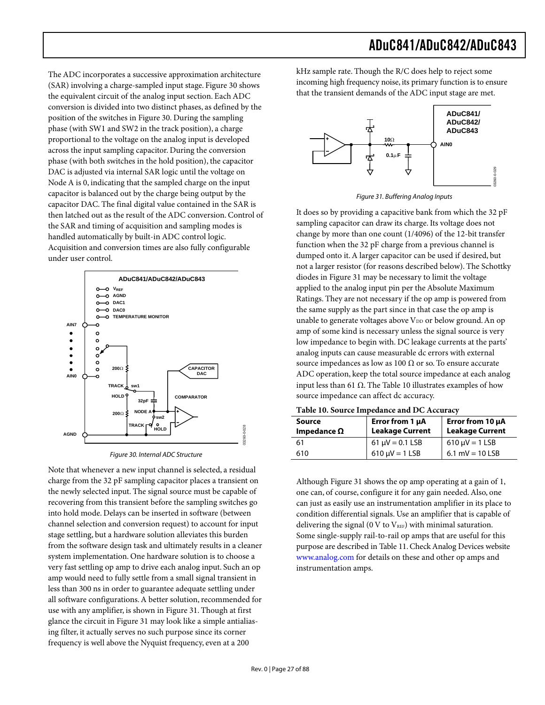The ADC incorporates a successive approximation architecture (SAR) involving a charge-sampled input stage. Figure 30 shows the equivalent circuit of the analog input section. Each ADC conversion is divided into two distinct phases, as defined by the position of the switches in Figure 30. During the sampling phase (with SW1 and SW2 in the track position), a charge proportional to the voltage on the analog input is developed across the input sampling capacitor. During the conversion phase (with both switches in the hold position), the capacitor DAC is adjusted via internal SAR logic until the voltage on Node A is 0, indicating that the sampled charge on the input capacitor is balanced out by the charge being output by the capacitor DAC. The final digital value contained in the SAR is then latched out as the result of the ADC conversion. Control of the SAR and timing of acquisition and sampling modes is handled automatically by built-in ADC control logic. Acquisition and conversion times are also fully configurable under user control.



Figure 30. Internal ADC Structure

Note that whenever a new input channel is selected, a residual charge from the 32 pF sampling capacitor places a transient on the newly selected input. The signal source must be capable of recovering from this transient before the sampling switches go into hold mode. Delays can be inserted in software (between channel selection and conversion request) to account for input stage settling, but a hardware solution alleviates this burden from the software design task and ultimately results in a cleaner system implementation. One hardware solution is to choose a very fast settling op amp to drive each analog input. Such an op amp would need to fully settle from a small signal transient in less than 300 ns in order to guarantee adequate settling under all software configurations. A better solution, recommended for use with any amplifier, is shown in Figure 31. Though at first glance the circuit in Figure 31 may look like a simple antialiasing filter, it actually serves no such purpose since its corner frequency is well above the Nyquist frequency, even at a 200

kHz sample rate. Though the R/C does help to reject some incoming high frequency noise, its primary function is to ensure that the transient demands of the ADC input stage are met.



Figure 31. Buffering Analog Inputs

It does so by providing a capacitive bank from which the 32 pF sampling capacitor can draw its charge. Its voltage does not change by more than one count (1/4096) of the 12-bit transfer function when the 32 pF charge from a previous channel is dumped onto it. A larger capacitor can be used if desired, but not a larger resistor (for reasons described below). The Schottky diodes in Figure 31 may be necessary to limit the voltage applied to the analog input pin per the Absolute Maximum Ratings. They are not necessary if the op amp is powered from the same supply as the part since in that case the op amp is unable to generate voltages above  $V_{DD}$  or below ground. An op amp of some kind is necessary unless the signal source is very low impedance to begin with. DC leakage currents at the parts' analog inputs can cause measurable dc errors with external source impedances as low as 100  $\Omega$  or so. To ensure accurate ADC operation, keep the total source impedance at each analog input less than 61 Ω. The Table 10 illustrates examples of how source impedance can affect dc accuracy.

**Table 10. Source Impedance and DC Accuracy** 

| Source<br>Impedance $\Omega$ | Error from 1 µA<br><b>Leakage Current</b> | Error from $10 \mu A$<br><b>Leakage Current</b> |  |
|------------------------------|-------------------------------------------|-------------------------------------------------|--|
| 61                           | $61 \mu V = 0.1$ LSB                      | $610 \mu V = 1$ LSB                             |  |
| 610                          | $610 \mu V = 1$ LSB                       | 6.1 mV = $10$ LSB                               |  |

Although Figure 31 shows the op amp operating at a gain of 1, one can, of course, configure it for any gain needed. Also, one can just as easily use an instrumentation amplifier in its place to condition differential signals. Use an amplifier that is capable of delivering the signal (0 V to  $V_{REF}$ ) with minimal saturation. Some single-supply rail-to-rail op amps that are useful for this purpose are described in Table 11. Check Analog Devices website [www.analog.com](http://www.analog.com) for details on these and other op amps and instrumentation amps.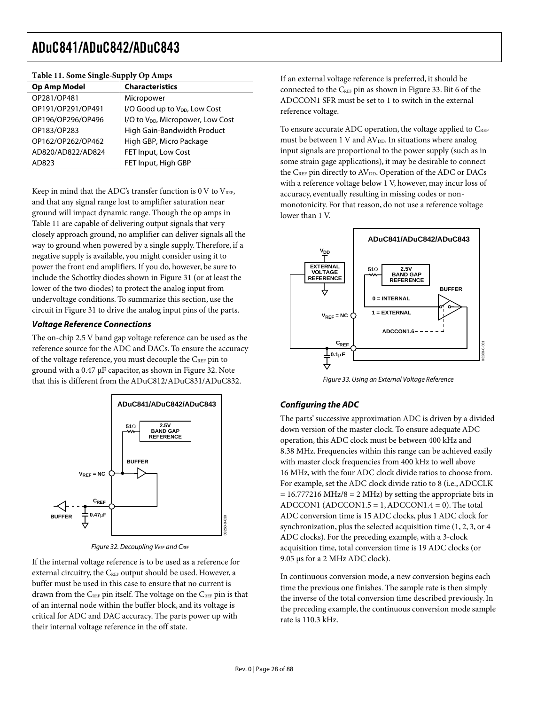| <b>Characteristics</b>                        |
|-----------------------------------------------|
| Micropower                                    |
| I/O Good up to V <sub>DD</sub> , Low Cost     |
| I/O to V <sub>DD</sub> , Micropower, Low Cost |
| High Gain-Bandwidth Product                   |
| High GBP, Micro Package                       |
| FET Input, Low Cost                           |
| FET Input, High GBP                           |
|                                               |

#### **Table 11. Some Single-Supply Op Amps**

Keep in mind that the ADC's transfer function is  $0$  V to  $V_{REF}$ , and that any signal range lost to amplifier saturation near ground will impact dynamic range. Though the op amps in Table 11 are capable of delivering output signals that very closely approach ground, no amplifier can deliver signals all the way to ground when powered by a single supply. Therefore, if a negative supply is available, you might consider using it to power the front end amplifiers. If you do, however, be sure to include the Schottky diodes shown in Figure 31 (or at least the lower of the two diodes) to protect the analog input from undervoltage conditions. To summarize this section, use the circuit in Figure 31 to drive the analog input pins of the parts.

#### **Voltage Reference Connections**

The on-chip 2.5 V band gap voltage reference can be used as the reference source for the ADC and DACs. To ensure the accuracy of the voltage reference, you must decouple the  $C_{REF}$  pin to ground with a 0.47 µF capacitor, as shown in Figure 32. Note that this is different from the ADuC812/ADuC831/ADuC832.



Figure 32. Decoupling VREF and CREF

If the internal voltage reference is to be used as a reference for external circuitry, the CREF output should be used. However, a buffer must be used in this case to ensure that no current is drawn from the  $C_{REF}$  pin itself. The voltage on the  $C_{REF}$  pin is that of an internal node within the buffer block, and its voltage is critical for ADC and DAC accuracy. The parts power up with their internal voltage reference in the off state.

If an external voltage reference is preferred, it should be connected to the CREF pin as shown in Figure 33. Bit 6 of the ADCCON1 SFR must be set to 1 to switch in the external reference voltage.

To ensure accurate ADC operation, the voltage applied to CREF must be between  $1 \text{ V}$  and  $\text{AV}_{DD}$ . In situations where analog input signals are proportional to the power supply (such as in some strain gage applications), it may be desirable to connect the CREF pin directly to AV<sub>DD</sub>. Operation of the ADC or DACs with a reference voltage below 1 V, however, may incur loss of accuracy, eventually resulting in missing codes or nonmonotonicity. For that reason, do not use a reference voltage lower than 1 V.



Figure 33. Using an External Voltage Reference

#### **Configuring the ADC**

The parts' successive approximation ADC is driven by a divided down version of the master clock. To ensure adequate ADC operation, this ADC clock must be between 400 kHz and 8.38 MHz. Frequencies within this range can be achieved easily with master clock frequencies from 400 kHz to well above 16 MHz, with the four ADC clock divide ratios to choose from. For example, set the ADC clock divide ratio to 8 (i.e., ADCCLK  $= 16.777216 \text{ MHz}/8 = 2 \text{ MHz}$  by setting the appropriate bits in ADCCON1 (ADCCON1.5 = 1, ADCCON1.4 = 0). The total ADC conversion time is 15 ADC clocks, plus 1 ADC clock for synchronization, plus the selected acquisition time (1, 2, 3, or 4 ADC clocks). For the preceding example, with a 3-clock acquisition time, total conversion time is 19 ADC clocks (or 9.05 µs for a 2 MHz ADC clock).

In continuous conversion mode, a new conversion begins each time the previous one finishes. The sample rate is then simply the inverse of the total conversion time described previously. In the preceding example, the continuous conversion mode sample rate is 110.3 kHz.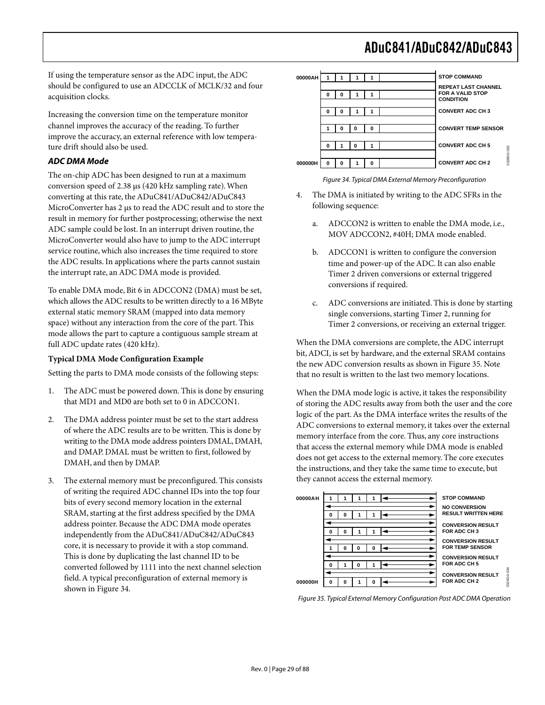If using the temperature sensor as the ADC input, the ADC should be configured to use an ADCCLK of MCLK/32 and four acquisition clocks.

Increasing the conversion time on the temperature monitor channel improves the accuracy of the reading. To further improve the accuracy, an external reference with low temperature drift should also be used.

#### **ADC DMA Mode**

The on-chip ADC has been designed to run at a maximum conversion speed of 2.38 µs (420 kHz sampling rate). When converting at this rate, the ADuC841/ADuC842/ADuC843 MicroConverter has 2 µs to read the ADC result and to store the result in memory for further postprocessing; otherwise the next ADC sample could be lost. In an interrupt driven routine, the MicroConverter would also have to jump to the ADC interrupt service routine, which also increases the time required to store the ADC results. In applications where the parts cannot sustain the interrupt rate, an ADC DMA mode is provided.

To enable DMA mode, Bit 6 in ADCCON2 (DMA) must be set, which allows the ADC results to be written directly to a 16 MByte external static memory SRAM (mapped into data memory space) without any interaction from the core of the part. This mode allows the part to capture a contiguous sample stream at full ADC update rates (420 kHz).

#### **Typical DMA Mode Configuration Example**

Setting the parts to DMA mode consists of the following steps:

- 1. The ADC must be powered down. This is done by ensuring that MD1 and MD0 are both set to 0 in ADCCON1.
- 2. The DMA address pointer must be set to the start address of where the ADC results are to be written. This is done by writing to the DMA mode address pointers DMAL, DMAH, and DMAP. DMAL must be written to first, followed by DMAH, and then by DMAP.
- 3. The external memory must be preconfigured. This consists of writing the required ADC channel IDs into the top four bits of every second memory location in the external SRAM, starting at the first address specified by the DMA address pointer. Because the ADC DMA mode operates independently from the ADuC841/ADuC842/ADuC843 core, it is necessary to provide it with a stop command. This is done by duplicating the last channel ID to be converted followed by 1111 into the next channel selection field. A typical preconfiguration of external memory is shown in Figure 34.



#### Figure 34. Typical DMA External Memory Preconfiguration

- The DMA is initiated by writing to the ADC SFRs in the following sequence:
	- a. ADCCON2 is written to enable the DMA mode, i.e., MOV ADCCON2, #40H; DMA mode enabled.
	- b. ADCCON1 is written to configure the conversion time and power-up of the ADC. It can also enable Timer 2 driven conversions or external triggered conversions if required.
	- ADC conversions are initiated. This is done by starting single conversions, starting Timer 2, running for Timer 2 conversions, or receiving an external trigger.

When the DMA conversions are complete, the ADC interrupt bit, ADCI, is set by hardware, and the external SRAM contains the new ADC conversion results as shown in Figure 35. Note that no result is written to the last two memory locations.

When the DMA mode logic is active, it takes the responsibility of storing the ADC results away from both the user and the core logic of the part. As the DMA interface writes the results of the ADC conversions to external memory, it takes over the external memory interface from the core. Thus, any core instructions that access the external memory while DMA mode is enabled does not get access to the external memory. The core executes the instructions, and they take the same time to execute, but they cannot access the external memory.



Figure 35. Typical External Memory Configuration Post ADC DMA Operation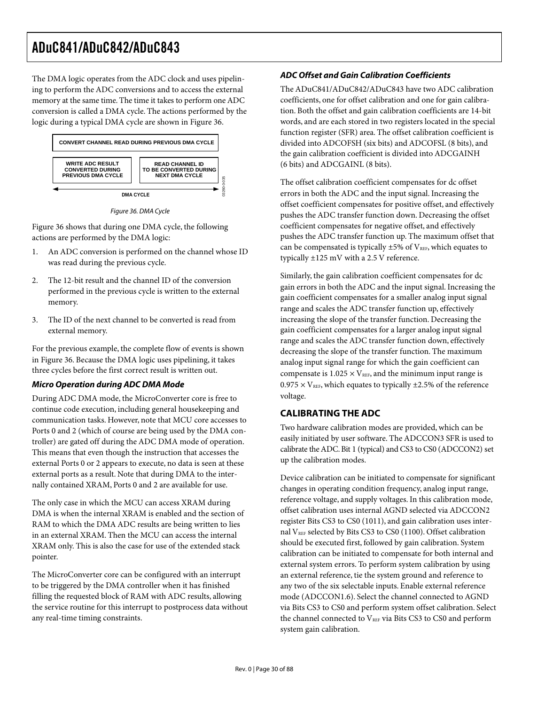The DMA logic operates from the ADC clock and uses pipelining to perform the ADC conversions and to access the external memory at the same time. The time it takes to perform one ADC conversion is called a DMA cycle. The actions performed by the logic during a typical DMA cycle are shown in Figure 36.



Figure 36. DMA Cycle

Figure 36 shows that during one DMA cycle, the following actions are performed by the DMA logic:

- 1. An ADC conversion is performed on the channel whose ID was read during the previous cycle.
- 2. The 12-bit result and the channel ID of the conversion performed in the previous cycle is written to the external memory.
- 3. The ID of the next channel to be converted is read from external memory.

For the previous example, the complete flow of events is shown in Figure 36. Because the DMA logic uses pipelining, it takes three cycles before the first correct result is written out.

#### **Micro Operation during ADC DMA Mode**

During ADC DMA mode, the MicroConverter core is free to continue code execution, including general housekeeping and communication tasks. However, note that MCU core accesses to Ports 0 and 2 (which of course are being used by the DMA controller) are gated off during the ADC DMA mode of operation. This means that even though the instruction that accesses the external Ports 0 or 2 appears to execute, no data is seen at these external ports as a result. Note that during DMA to the internally contained XRAM, Ports 0 and 2 are available for use.

The only case in which the MCU can access XRAM during DMA is when the internal XRAM is enabled and the section of RAM to which the DMA ADC results are being written to lies in an external XRAM. Then the MCU can access the internal XRAM only. This is also the case for use of the extended stack pointer.

The MicroConverter core can be configured with an interrupt to be triggered by the DMA controller when it has finished filling the requested block of RAM with ADC results, allowing the service routine for this interrupt to postprocess data without any real-time timing constraints.

#### **ADC Offset and Gain Calibration Coefficients**

The ADuC841/ADuC842/ADuC843 have two ADC calibration coefficients, one for offset calibration and one for gain calibration. Both the offset and gain calibration coefficients are 14-bit words, and are each stored in two registers located in the special function register (SFR) area. The offset calibration coefficient is divided into ADCOFSH (six bits) and ADCOFSL (8 bits), and the gain calibration coefficient is divided into ADCGAINH (6 bits) and ADCGAINL (8 bits).

The offset calibration coefficient compensates for dc offset errors in both the ADC and the input signal. Increasing the offset coefficient compensates for positive offset, and effectively pushes the ADC transfer function down. Decreasing the offset coefficient compensates for negative offset, and effectively pushes the ADC transfer function up. The maximum offset that can be compensated is typically  $\pm 5\%$  of V<sub>REF</sub>, which equates to typically ±125 mV with a 2.5 V reference.

Similarly, the gain calibration coefficient compensates for dc gain errors in both the ADC and the input signal. Increasing the gain coefficient compensates for a smaller analog input signal range and scales the ADC transfer function up, effectively increasing the slope of the transfer function. Decreasing the gain coefficient compensates for a larger analog input signal range and scales the ADC transfer function down, effectively decreasing the slope of the transfer function. The maximum analog input signal range for which the gain coefficient can compensate is  $1.025 \times V_{REF}$ , and the minimum input range is  $0.975 \times V_{REF}$ , which equates to typically  $\pm 2.5\%$  of the reference voltage.

#### **CALIBRATING THE ADC**

Two hardware calibration modes are provided, which can be easily initiated by user software. The ADCCON3 SFR is used to calibrate the ADC. Bit 1 (typical) and CS3 to CS0 (ADCCON2) set up the calibration modes.

Device calibration can be initiated to compensate for significant changes in operating condition frequency, analog input range, reference voltage, and supply voltages. In this calibration mode, offset calibration uses internal AGND selected via ADCCON2 register Bits CS3 to CS0 (1011), and gain calibration uses internal  $V_{REF}$  selected by Bits CS3 to CS0 (1100). Offset calibration should be executed first, followed by gain calibration. System calibration can be initiated to compensate for both internal and external system errors. To perform system calibration by using an external reference, tie the system ground and reference to any two of the six selectable inputs. Enable external reference mode (ADCCON1.6). Select the channel connected to AGND via Bits CS3 to CS0 and perform system offset calibration. Select the channel connected to VREF via Bits CS3 to CS0 and perform system gain calibration.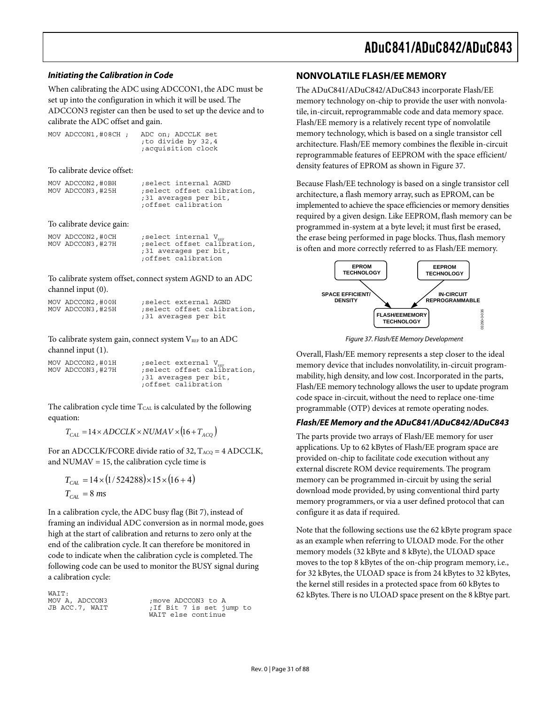#### **Initiating the Calibration in Code**

When calibrating the ADC using ADCCON1, the ADC must be set up into the configuration in which it will be used. The ADCCON3 register can then be used to set up the device and to calibrate the ADC offset and gain.

MOV ADCCON1,#08CH ; ADC on; ADCCLK set ;to divide by 32,4 ;acquisition clock

To calibrate device offset:

| MOV ADCCON2, #0BH | select internal AGND:                        |
|-------------------|----------------------------------------------|
| MOV ADCCON3, #25H | ; select offset calibration,                 |
|                   | ;31 averages per bit,<br>:offset calibration |

To calibrate device gain:

| MOV ADCCON2, #0CH | select internal V <sub>nn</sub> |
|-------------------|---------------------------------|
| MOV ADCCON3, #27H | select offset calibration,      |
|                   | ;31 averages per bit,           |
|                   | offset calibration;             |

To calibrate system offset, connect system AGND to an ADC channel input (0).

| MOV ADCCON2, #00H | select external AGND:      |
|-------------------|----------------------------|
| MOV ADCCON3, #25H | select offset calibration, |
|                   | ;31 averages per bit       |

To calibrate system gain, connect system  $V_{REF}$  to an ADC channel input (1).

| MOV ADCCON2,#01H<br>MOV ADCCON3,#27H | ; select external V <sub>nes</sub><br>select offset calibration, |
|--------------------------------------|------------------------------------------------------------------|
|                                      | ;31 averages per bit,<br>offset calibration;                     |

The calibration cycle time T<sub>CAL</sub> is calculated by the following equation:

 $T_{CAL} = 14 \times ADCCLK \times NUMAV \times (16 + T_{ACO})$ 

For an ADCCLK/FCORE divide ratio of 32,  $T_{ACQ} = 4$  ADCCLK, and NUMAV = 15, the calibration cycle time is

$$
T_{CAL} = 14 \times (1/524288) \times 15 \times (16 + 4)
$$
  
\n
$$
T_{CAL} = 8 \text{ ms}
$$

In a calibration cycle, the ADC busy flag (Bit 7), instead of framing an individual ADC conversion as in normal mode, goes high at the start of calibration and returns to zero only at the end of the calibration cycle. It can therefore be monitored in code to indicate when the calibration cycle is completed. The following code can be used to monitor the BUSY signal during a calibration cycle:

WAIT:<br>MOV A, ADCCON3<br>JB ACC.7, WAIT

; move ADCCON3 to A ; If Bit 7 is set jump to WAIT else continue

#### **NONVOLATILE FLASH/EE MEMORY**

The ADuC841/ADuC842/ADuC843 incorporate Flash/EE memory technology on-chip to provide the user with nonvolatile, in-circuit, reprogrammable code and data memory space. Flash/EE memory is a relatively recent type of nonvolatile memory technology, which is based on a single transistor cell architecture. Flash/EE memory combines the flexible in-circuit reprogrammable features of EEPROM with the space efficient/ density features of EPROM as shown in Figure 37.

Because Flash/EE technology is based on a single transistor cell architecture, a flash memory array, such as EPROM, can be implemented to achieve the space efficiencies or memory densities required by a given design. Like EEPROM, flash memory can be programmed in-system at a byte level; it must first be erased, the erase being performed in page blocks. Thus, flash memory is often and more correctly referred to as Flash/EE memory.



Figure 37. Flash/EE Memory Development

Overall, Flash/EE memory represents a step closer to the ideal memory device that includes nonvolatility, in-circuit programmability, high density, and low cost. Incorporated in the parts, Flash/EE memory technology allows the user to update program code space in-circuit, without the need to replace one-time programmable (OTP) devices at remote operating nodes.

#### **Flash/EE Memory and the ADuC841/ADuC842/ADuC843**

The parts provide two arrays of Flash/EE memory for user applications. Up to 62 kBytes of Flash/EE program space are provided on-chip to facilitate code execution without any external discrete ROM device requirements. The program memory can be programmed in-circuit by using the serial download mode provided, by using conventional third party memory programmers, or via a user defined protocol that can configure it as data if required.

Note that the following sections use the 62 kByte program space as an example when referring to ULOAD mode. For the other memory models (32 kByte and 8 kByte), the ULOAD space moves to the top 8 kBytes of the on-chip program memory, i.e., for 32 kBytes, the ULOAD space is from 24 kBytes to 32 kBytes, the kernel still resides in a protected space from 60 kBytes to 62 kBytes. There is no ULOAD space present on the 8 kBtye part.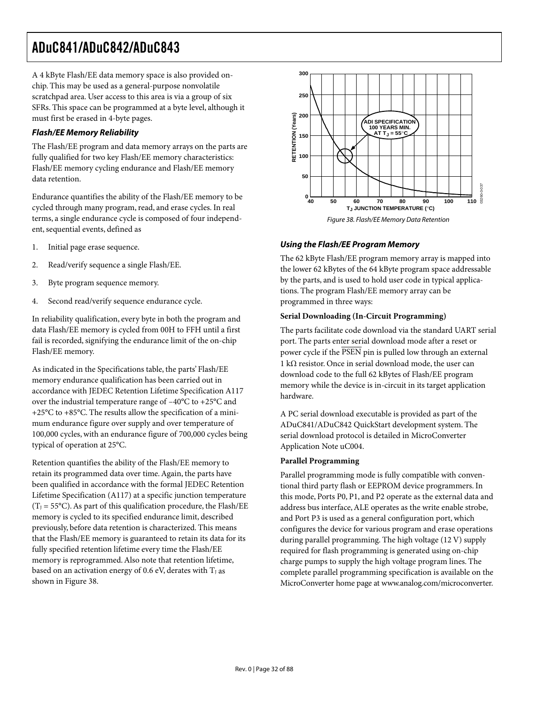A 4 kByte Flash/EE data memory space is also provided onchip. This may be used as a general-purpose nonvolatile scratchpad area. User access to this area is via a group of six SFRs. This space can be programmed at a byte level, although it must first be erased in 4-byte pages.

#### **Flash/EE Memory Reliability**

The Flash/EE program and data memory arrays on the parts are fully qualified for two key Flash/EE memory characteristics: Flash/EE memory cycling endurance and Flash/EE memory data retention.

Endurance quantifies the ability of the Flash/EE memory to be cycled through many program, read, and erase cycles. In real terms, a single endurance cycle is composed of four independent, sequential events, defined as

- 1. Initial page erase sequence.
- 2. Read/verify sequence a single Flash/EE.
- 3. Byte program sequence memory.
- 4. Second read/verify sequence endurance cycle.

In reliability qualification, every byte in both the program and data Flash/EE memory is cycled from 00H to FFH until a first fail is recorded, signifying the endurance limit of the on-chip Flash/EE memory.

As indicated in the Specifications table, the parts' Flash/EE memory endurance qualification has been carried out in accordance with JEDEC Retention Lifetime Specification A117 over the industrial temperature range of –40°C to +25°C and +25°C to +85°C. The results allow the specification of a minimum endurance figure over supply and over temperature of 100,000 cycles, with an endurance figure of 700,000 cycles being typical of operation at 25°C.

Retention quantifies the ability of the Flash/EE memory to retain its programmed data over time. Again, the parts have been qualified in accordance with the formal JEDEC Retention Lifetime Specification (A117) at a specific junction temperature  $(T<sub>I</sub> = 55°C)$ . As part of this qualification procedure, the Flash/EE memory is cycled to its specified endurance limit, described previously, before data retention is characterized. This means that the Flash/EE memory is guaranteed to retain its data for its fully specified retention lifetime every time the Flash/EE memory is reprogrammed. Also note that retention lifetime, based on an activation energy of 0.6 eV, derates with  $T<sub>J</sub>$  as shown in Figure 38.



Figure 38. Flash/EE Memory Data Retention

#### **Using the Flash/EE Program Memory**

The 62 kByte Flash/EE program memory array is mapped into the lower 62 kBytes of the 64 kByte program space addressable by the parts, and is used to hold user code in typical applications. The program Flash/EE memory array can be programmed in three ways:

#### **Serial Downloading (In-Circuit Programming)**

The parts facilitate code download via the standard UART serial port. The parts enter serial download mode after a reset or power cycle if the PSEN pin is pulled low through an external 1 kΩ resistor. Once in serial download mode, the user can download code to the full 62 kBytes of Flash/EE program memory while the device is in-circuit in its target application hardware.

A PC serial download executable is provided as part of the ADuC841/ADuC842 QuickStart development system. The serial download protocol is detailed in MicroConverter Application Note uC004.

#### **Parallel Programming**

Parallel programming mode is fully compatible with conventional third party flash or EEPROM device programmers. In this mode, Ports P0, P1, and P2 operate as the external data and address bus interface, ALE operates as the write enable strobe, and Port P3 is used as a general configuration port, which configures the device for various program and erase operations during parallel programming. The high voltage (12 V) supply required for flash programming is generated using on-chip charge pumps to supply the high voltage program lines. The complete parallel programming specification is available on the MicroConverter home page at www.analog.com/microconverter.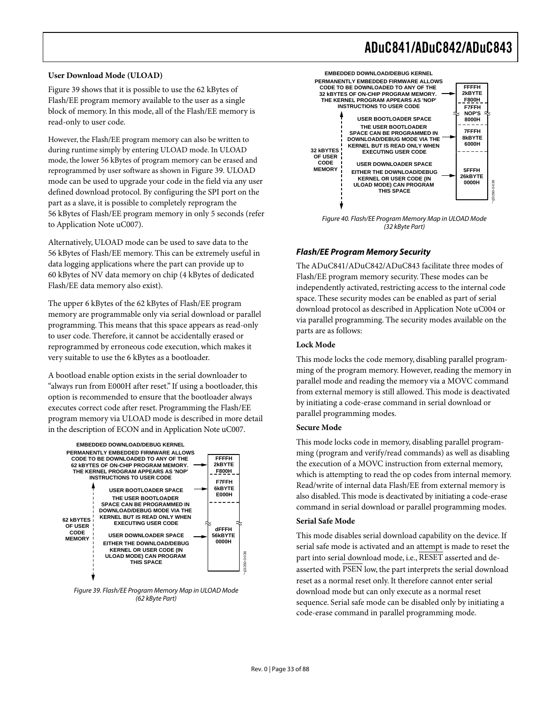#### **User Download Mode (ULOAD)**

Figure 39 shows that it is possible to use the 62 kBytes of Flash/EE program memory available to the user as a single block of memory. In this mode, all of the Flash/EE memory is read-only to user code.

However, the Flash/EE program memory can also be written to during runtime simply by entering ULOAD mode. In ULOAD mode, the lower 56 kBytes of program memory can be erased and reprogrammed by user software as shown in Figure 39. ULOAD mode can be used to upgrade your code in the field via any user defined download protocol. By configuring the SPI port on the part as a slave, it is possible to completely reprogram the 56 kBytes of Flash/EE program memory in only 5 seconds (refer to Application Note uC007).

Alternatively, ULOAD mode can be used to save data to the 56 kBytes of Flash/EE memory. This can be extremely useful in data logging applications where the part can provide up to 60 kBytes of NV data memory on chip (4 kBytes of dedicated Flash/EE data memory also exist).

The upper 6 kBytes of the 62 kBytes of Flash/EE program memory are programmable only via serial download or parallel programming. This means that this space appears as read-only to user code. Therefore, it cannot be accidentally erased or reprogrammed by erroneous code execution, which makes it very suitable to use the 6 kBytes as a bootloader.

A bootload enable option exists in the serial downloader to "always run from E000H after reset." If using a bootloader, this option is recommended to ensure that the bootloader always executes correct code after reset. Programming the Flash/EE program memory via ULOAD mode is described in more detail in the description of ECON and in Application Note uC007.



Figure 39. Flash/EE Program Memory Map in ULOAD Mode (62 kByte Part)



Figure 40. Flash/EE Program Memory Map in ULOAD Mode (32 kByte Part)

#### **Flash/EE Program Memory Security**

The ADuC841/ADuC842/ADuC843 facilitate three modes of Flash/EE program memory security. These modes can be independently activated, restricting access to the internal code space. These security modes can be enabled as part of serial download protocol as described in Application Note uC004 or via parallel programming. The security modes available on the parts are as follows:

#### **Lock Mode**

This mode locks the code memory, disabling parallel programming of the program memory. However, reading the memory in parallel mode and reading the memory via a MOVC command from external memory is still allowed. This mode is deactivated by initiating a code-erase command in serial download or parallel programming modes.

#### **Secure Mode**

This mode locks code in memory, disabling parallel programming (program and verify/read commands) as well as disabling the execution of a MOVC instruction from external memory, which is attempting to read the op codes from internal memory. Read/write of internal data Flash/EE from external memory is also disabled. This mode is deactivated by initiating a code-erase command in serial download or parallel programming modes.

#### **Serial Safe Mode**

This mode disables serial download capability on the device. If serial safe mode is activated and an attempt is made to reset the part into serial download mode, i.e., RESET asserted and deasserted with PSEN low, the part interprets the serial download reset as a normal reset only. It therefore cannot enter serial download mode but can only execute as a normal reset sequence. Serial safe mode can be disabled only by initiating a code-erase command in parallel programming mode.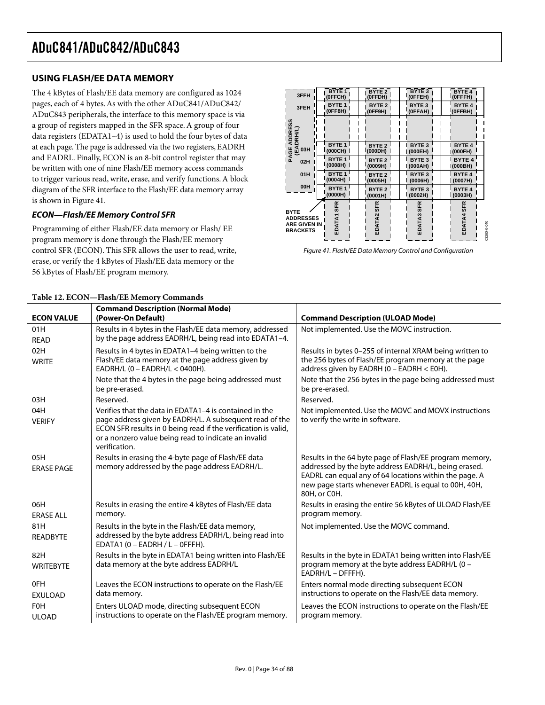#### **USING FLASH/EE DATA MEMORY**

The 4 kBytes of Flash/EE data memory are configured as 1024 pages, each of 4 bytes. As with the other ADuC841/ADuC842/ ADuC843 peripherals, the interface to this memory space is via a group of registers mapped in the SFR space. A group of four data registers (EDATA1–4) is used to hold the four bytes of data at each page. The page is addressed via the two registers, EADRH and EADRL. Finally, ECON is an 8-bit control register that may be written with one of nine Flash/EE memory access commands to trigger various read, write, erase, and verify functions. A block diagram of the SFR interface to the Flash/EE data memory array is shown in Figure 41.

#### **ECON—Flash/EE Memory Control SFR**

Programming of either Flash/EE data memory or Flash/ EE program memory is done through the Flash/EE memory control SFR (ECON). This SFR allows the user to read, write, erase, or verify the 4 kBytes of Flash/EE data memory or the 56 kBytes of Flash/EE program memory.

| 3FFH                                                                      | <b>BYTE</b> 1        | BYTE <sub>2</sub> | BYTE <sub>3</sub> | <b>BYTE4</b>              |
|---------------------------------------------------------------------------|----------------------|-------------------|-------------------|---------------------------|
|                                                                           | (OFFCH)              | (OFFDH)           | (OFFEH)           | (OFFFH)                   |
| 3FEH                                                                      | <b>BYTE1</b>         | BYTE <sub>2</sub> | <b>BYTE 3</b>     | <b>BYTE 4</b>             |
|                                                                           | (OFF8H)              | (OFF9H)           | (OFFAH)           | (OFFBH)                   |
| ADDRESS<br>(DRH/L)                                                        |                      |                   |                   |                           |
| PAGE                                                                      | BYTE <sub>1</sub>    | BYTE <sub>2</sub> | <b>BYTE 3</b>     | <b>BYTE 4</b>             |
| 03H                                                                       | (000CH)              | (000DH)           | (000EH)           | (000FH)                   |
| 02H                                                                       | BYTE <sub>1</sub>    | <b>BYTE 2</b>     | <b>BYTE3</b>      | <b>BYTE 4</b>             |
|                                                                           | (0008H)              | (0009H)           | (000AH)           | (000BH)                   |
| 01H                                                                       | <b>BYTE 1</b>        | BYTE <sub>2</sub> | <b>BYTE3</b>      | <b>BYTE 4</b>             |
|                                                                           | (0004H)              | (0005H)           | (0006H)           | (0007H)                   |
| 00H                                                                       | <b>BYTE1</b>         | <b>BYTE 2</b>     | BYTE <sub>3</sub> | <b>BYTE 4</b>             |
|                                                                           | (0000H)              | (0001H)           | (0002H)           | (0003H)                   |
| <b>BYTE</b><br><b>ADDRESSES</b><br><b>ARE GIVEN IN</b><br><b>BRACKETS</b> | <b>SFR</b><br>EDATA1 | EDATA2 SFR        | EDATA3 SFR        | EDATA4 SFR<br>03260-0-040 |

Figure 41. Flash/EE Data Memory Control and Configuration

| <b>ECON VALUE</b>          | <b>Command Description (Normal Mode)</b><br>(Power-On Default)                                                                                                                                                                                               | <b>Command Description (ULOAD Mode)</b>                                                                                                                                                                                                           |
|----------------------------|--------------------------------------------------------------------------------------------------------------------------------------------------------------------------------------------------------------------------------------------------------------|---------------------------------------------------------------------------------------------------------------------------------------------------------------------------------------------------------------------------------------------------|
| 01H<br><b>READ</b>         | Results in 4 bytes in the Flash/EE data memory, addressed<br>by the page address EADRH/L, being read into EDATA1-4.                                                                                                                                          | Not implemented. Use the MOVC instruction.                                                                                                                                                                                                        |
| 02H<br><b>WRITE</b>        | Results in 4 bytes in EDATA1-4 being written to the<br>Flash/EE data memory at the page address given by<br>EADRH/L (0 - EADRH/L < 0400H).                                                                                                                   | Results in bytes 0-255 of internal XRAM being written to<br>the 256 bytes of Flash/EE program memory at the page<br>address given by EADRH (0 - EADRH < E0H).                                                                                     |
|                            | Note that the 4 bytes in the page being addressed must<br>be pre-erased.                                                                                                                                                                                     | Note that the 256 bytes in the page being addressed must<br>be pre-erased.                                                                                                                                                                        |
| 03H                        | Reserved.                                                                                                                                                                                                                                                    | Reserved.                                                                                                                                                                                                                                         |
| 04H<br><b>VERIFY</b>       | Verifies that the data in EDATA1-4 is contained in the<br>page address given by EADRH/L. A subsequent read of the<br>ECON SFR results in 0 being read if the verification is valid,<br>or a nonzero value being read to indicate an invalid<br>verification. | Not implemented. Use the MOVC and MOVX instructions<br>to verify the write in software.                                                                                                                                                           |
| 05H<br><b>ERASE PAGE</b>   | Results in erasing the 4-byte page of Flash/EE data<br>memory addressed by the page address EADRH/L.                                                                                                                                                         | Results in the 64 byte page of Flash/EE program memory,<br>addressed by the byte address EADRH/L, being erased.<br>EADRL can equal any of 64 locations within the page. A<br>new page starts whenever EADRL is equal to 00H, 40H,<br>80H, or C0H. |
| 06H<br><b>ERASE ALL</b>    | Results in erasing the entire 4 kBytes of Flash/EE data<br>memory.                                                                                                                                                                                           | Results in erasing the entire 56 kBytes of ULOAD Flash/EE<br>program memory.                                                                                                                                                                      |
| 81H<br><b>READBYTE</b>     | Results in the byte in the Flash/EE data memory,<br>addressed by the byte address EADRH/L, being read into<br>EDATA1 (0 - EADRH / L - OFFFH).                                                                                                                | Not implemented. Use the MOVC command.                                                                                                                                                                                                            |
| 82H<br><b>WRITEBYTE</b>    | Results in the byte in EDATA1 being written into Flash/EE<br>data memory at the byte address EADRH/L                                                                                                                                                         | Results in the byte in EDATA1 being written into Flash/EE<br>program memory at the byte address EADRH/L (0 -<br>EADRH/L - DFFFH).                                                                                                                 |
| 0FH<br><b>EXULOAD</b>      | Leaves the ECON instructions to operate on the Flash/EE<br>data memory.                                                                                                                                                                                      | Enters normal mode directing subsequent ECON<br>instructions to operate on the Flash/EE data memory.                                                                                                                                              |
| <b>FOH</b><br><b>ULOAD</b> | Enters ULOAD mode, directing subsequent ECON<br>instructions to operate on the Flash/EE program memory.                                                                                                                                                      | Leaves the ECON instructions to operate on the Flash/EE<br>program memory.                                                                                                                                                                        |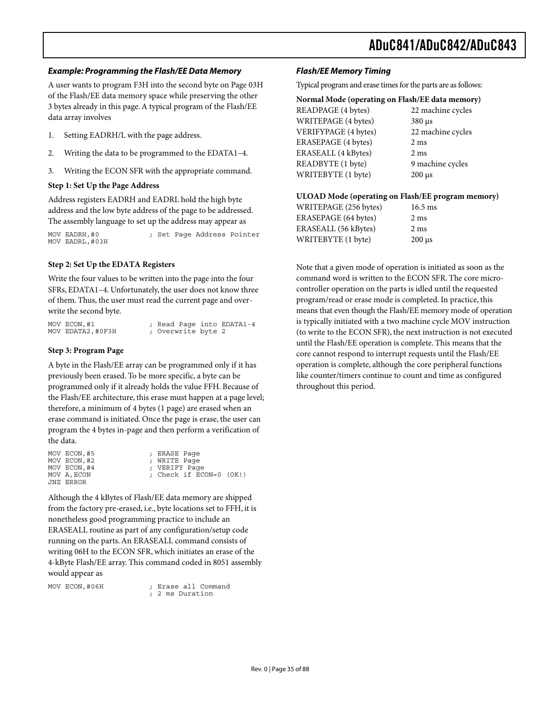#### **Example: Programming the Flash/EE Data Memory**

A user wants to program F3H into the second byte on Page 03H of the Flash/EE data memory space while preserving the other 3 bytes already in this page. A typical program of the Flash/EE data array involves

- 1. Setting EADRH/L with the page address.
- 2. Writing the data to be programmed to the EDATA1–4.
- 3. Writing the ECON SFR with the appropriate command.

#### **Step 1: Set Up the Page Address**

Address registers EADRH and EADRL hold the high byte address and the low byte address of the page to be addressed. The assembly language to set up the address may appear as

MOV EADRH,#0 ; Set Page Address Pointer MOV EADRL,#03H

#### **Step 2: Set Up the EDATA Registers**

Write the four values to be written into the page into the four SFRs, EDATA1–4. Unfortunately, the user does not know three of them. Thus, the user must read the current page and overwrite the second byte.

| MOV ECON,#1      |                    |  | ; Read Page into EDATA1-4 |  |
|------------------|--------------------|--|---------------------------|--|
| MOV EDATA2,#0F3H | ; Overwrite byte 2 |  |                           |  |

#### **Step 3: Program Page**

A byte in the Flash/EE array can be programmed only if it has previously been erased. To be more specific, a byte can be programmed only if it already holds the value FFH. Because of the Flash/EE architecture, this erase must happen at a page level; therefore, a minimum of 4 bytes (1 page) are erased when an erase command is initiated. Once the page is erase, the user can program the 4 bytes in-page and then perform a verification of the data.

| MOV ECON, #5 | ; ERASE Page                |
|--------------|-----------------------------|
| MOV ECON, #2 | ; WRITE Page                |
| MOV ECON, #4 | : VERIFY Page               |
| MOV A, ECON  | ; Check if $ECON=0$ $(OK!)$ |
| JNZ ERROR    |                             |

Although the 4 kBytes of Flash/EE data memory are shipped from the factory pre-erased, i.e., byte locations set to FFH, it is nonetheless good programming practice to include an ERASEALL routine as part of any configuration/setup code running on the parts. An ERASEALL command consists of writing 06H to the ECON SFR, which initiates an erase of the 4-kByte Flash/EE array. This command coded in 8051 assembly would appear as

MOV ECON, #06H ; Erase all Command ; 2 ms Duration

#### **Flash/EE Memory Timing**

Typical program and erase times for the parts are as follows:

| Normal Mode (operating on Flash/EE data memory) |                           |  |  |
|-------------------------------------------------|---------------------------|--|--|
| READPAGE (4 bytes)                              | 22 machine cycles         |  |  |
| WRITEPAGE (4 bytes)                             | $380 \text{ }\mu\text{s}$ |  |  |
| VERIFYPAGE (4 bytes)                            | 22 machine cycles         |  |  |
| ERASEPAGE (4 bytes)                             | $2 \text{ ms}$            |  |  |
| ERASEALL (4 kBytes)                             | 2 <sub>ms</sub>           |  |  |
| READBYTE (1 byte)                               | 9 machine cycles          |  |  |
| WRITEBYTE (1 byte)                              | $200 \mu s$               |  |  |
|                                                 |                           |  |  |

#### **ULOAD Mode (operating on Flash/EE program memory)**

| $200 \mu s$ |
|-------------|
|             |

Note that a given mode of operation is initiated as soon as the command word is written to the ECON SFR. The core microcontroller operation on the parts is idled until the requested program/read or erase mode is completed. In practice, this means that even though the Flash/EE memory mode of operation is typically initiated with a two machine cycle MOV instruction (to write to the ECON SFR), the next instruction is not executed until the Flash/EE operation is complete. This means that the core cannot respond to interrupt requests until the Flash/EE operation is complete, although the core peripheral functions like counter/timers continue to count and time as configured throughout this period.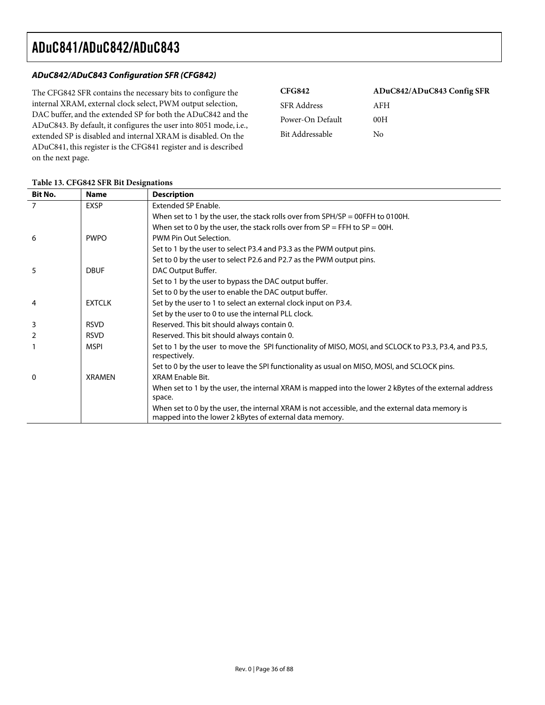#### **ADuC842/ADuC843 Configuration SFR (CFG842)**

The CFG842 SFR contains the necessary bits to configure the internal XRAM, external clock select, PWM output selection, DAC buffer, and the extended SP for both the ADuC842 and the ADuC843. By default, it configures the user into 8051 mode, i.e., extended SP is disabled and internal XRAM is disabled. On the ADuC841, this register is the CFG841 register and is described on the next page.

| <b>CFG842</b>      | ADuC842/ADuC843 Config SFR |
|--------------------|----------------------------|
| <b>SFR</b> Address | AFH                        |
| Power-On Default   | 00H                        |
| Bit Addressable    | Nο                         |

| <b>Bit No.</b> | <b>Name</b>   | <b>Description</b>                                                                                                                                         |
|----------------|---------------|------------------------------------------------------------------------------------------------------------------------------------------------------------|
| $\overline{7}$ | <b>EXSP</b>   | Extended SP Enable.                                                                                                                                        |
|                |               | When set to 1 by the user, the stack rolls over from $SPH/SP = OOFFH$ to 0100H.                                                                            |
|                |               | When set to 0 by the user, the stack rolls over from $SP = FFH$ to $SP = 00H$ .                                                                            |
| 6              | <b>PWPO</b>   | PWM Pin Out Selection.                                                                                                                                     |
|                |               | Set to 1 by the user to select P3.4 and P3.3 as the PWM output pins.                                                                                       |
|                |               | Set to 0 by the user to select P2.6 and P2.7 as the PWM output pins.                                                                                       |
| 5              | <b>DBUF</b>   | DAC Output Buffer.                                                                                                                                         |
|                |               | Set to 1 by the user to bypass the DAC output buffer.                                                                                                      |
|                |               | Set to 0 by the user to enable the DAC output buffer.                                                                                                      |
| 4              | <b>EXTCLK</b> | Set by the user to 1 to select an external clock input on P3.4.                                                                                            |
|                |               | Set by the user to 0 to use the internal PLL clock.                                                                                                        |
| 3              | <b>RSVD</b>   | Reserved. This bit should always contain 0.                                                                                                                |
| 2              | <b>RSVD</b>   | Reserved. This bit should always contain 0.                                                                                                                |
|                | <b>MSPI</b>   | Set to 1 by the user to move the SPI functionality of MISO, MOSI, and SCLOCK to P3.3, P3.4, and P3.5,<br>respectively.                                     |
|                |               | Set to 0 by the user to leave the SPI functionality as usual on MISO, MOSI, and SCLOCK pins.                                                               |
| 0              | <b>XRAMEN</b> | XRAM Enable Bit.                                                                                                                                           |
|                |               | When set to 1 by the user, the internal XRAM is mapped into the lower 2 kBytes of the external address<br>space.                                           |
|                |               | When set to 0 by the user, the internal XRAM is not accessible, and the external data memory is<br>mapped into the lower 2 kBytes of external data memory. |

#### **Table 13. CFG842 SFR Bit Designations**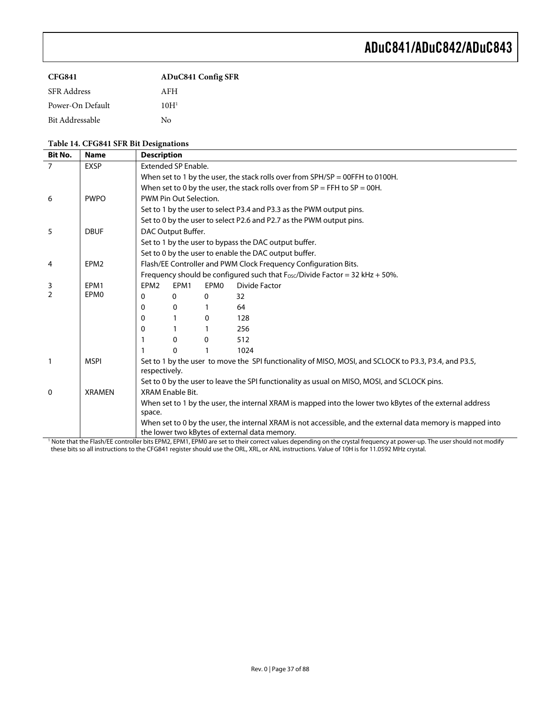| CFG841             | <b>ADuC841 Config SFR</b> |
|--------------------|---------------------------|
| <b>SFR</b> Address | AFH                       |
| Power-On Default   | 10H <sup>1</sup>          |
| Bit Addressable    | Nο                        |

#### **Table 14. CFG841 SFR Bit Designations**

| <b>Bit No.</b>                                | <b>Name</b>      | <b>Description</b>                                                                                                     |                        |      |                                                                                                                                                                                 |  |  |
|-----------------------------------------------|------------------|------------------------------------------------------------------------------------------------------------------------|------------------------|------|---------------------------------------------------------------------------------------------------------------------------------------------------------------------------------|--|--|
| 7                                             | <b>EXSP</b>      | <b>Extended SP Enable.</b>                                                                                             |                        |      |                                                                                                                                                                                 |  |  |
|                                               |                  | When set to 1 by the user, the stack rolls over from $SPH/SP = OOFFH$ to 0100H.                                        |                        |      |                                                                                                                                                                                 |  |  |
|                                               |                  | When set to 0 by the user, the stack rolls over from $SP = FFH$ to $SP = 00H$ .                                        |                        |      |                                                                                                                                                                                 |  |  |
| 6                                             | <b>PWPO</b>      |                                                                                                                        | PWM Pin Out Selection. |      |                                                                                                                                                                                 |  |  |
|                                               |                  |                                                                                                                        |                        |      | Set to 1 by the user to select P3.4 and P3.3 as the PWM output pins.                                                                                                            |  |  |
|                                               |                  |                                                                                                                        |                        |      | Set to 0 by the user to select P2.6 and P2.7 as the PWM output pins.                                                                                                            |  |  |
| 5                                             | <b>DBUF</b>      |                                                                                                                        | DAC Output Buffer.     |      |                                                                                                                                                                                 |  |  |
|                                               |                  |                                                                                                                        |                        |      | Set to 1 by the user to bypass the DAC output buffer.                                                                                                                           |  |  |
|                                               |                  |                                                                                                                        |                        |      | Set to 0 by the user to enable the DAC output buffer.                                                                                                                           |  |  |
| 4                                             | EPM <sub>2</sub> |                                                                                                                        |                        |      | Flash/EE Controller and PWM Clock Frequency Configuration Bits.                                                                                                                 |  |  |
|                                               |                  |                                                                                                                        |                        |      | Frequency should be configured such that Fosc/Divide Factor = 32 kHz + 50%.                                                                                                     |  |  |
| 3                                             | EPM1             | EPM <sub>2</sub>                                                                                                       | EPM1                   | EPM0 | Divide Factor                                                                                                                                                                   |  |  |
| $\overline{2}$                                | EPM <sub>0</sub> | 0                                                                                                                      | 0                      | 0    | 32                                                                                                                                                                              |  |  |
|                                               |                  | 0                                                                                                                      | 0                      |      | 64                                                                                                                                                                              |  |  |
|                                               |                  | 0                                                                                                                      |                        | 0    | 128                                                                                                                                                                             |  |  |
|                                               |                  | 0                                                                                                                      |                        |      | 256                                                                                                                                                                             |  |  |
|                                               |                  |                                                                                                                        | 0                      | 0    | 512                                                                                                                                                                             |  |  |
|                                               |                  |                                                                                                                        | $\Omega$               |      | 1024                                                                                                                                                                            |  |  |
| 1                                             | <b>MSPI</b>      | Set to 1 by the user to move the SPI functionality of MISO, MOSI, and SCLOCK to P3.3, P3.4, and P3.5,<br>respectively. |                        |      |                                                                                                                                                                                 |  |  |
|                                               |                  | Set to 0 by the user to leave the SPI functionality as usual on MISO, MOSI, and SCLOCK pins.                           |                        |      |                                                                                                                                                                                 |  |  |
| $\mathbf{0}$                                  | <b>XRAMEN</b>    | XRAM Fnable Bit.                                                                                                       |                        |      |                                                                                                                                                                                 |  |  |
|                                               |                  |                                                                                                                        |                        |      | When set to 1 by the user, the internal XRAM is mapped into the lower two kBytes of the external address                                                                        |  |  |
|                                               |                  | space.                                                                                                                 |                        |      |                                                                                                                                                                                 |  |  |
|                                               |                  |                                                                                                                        |                        |      | When set to 0 by the user, the internal XRAM is not accessible, and the external data memory is mapped into                                                                     |  |  |
| the lower two kBytes of external data memory. |                  |                                                                                                                        |                        |      |                                                                                                                                                                                 |  |  |
|                                               |                  |                                                                                                                        |                        |      | <sup>1</sup> Note that the Flash/EE controller bits EPM2, EPM1, EPM0 are set to their correct values depending on the crystal frequency at power-up. The user should not modify |  |  |

these bits so all instructions to the CFG841 register should use the ORL, XRL, or ANL instructions. Value of 10H is for 11.0592 MHz crystal.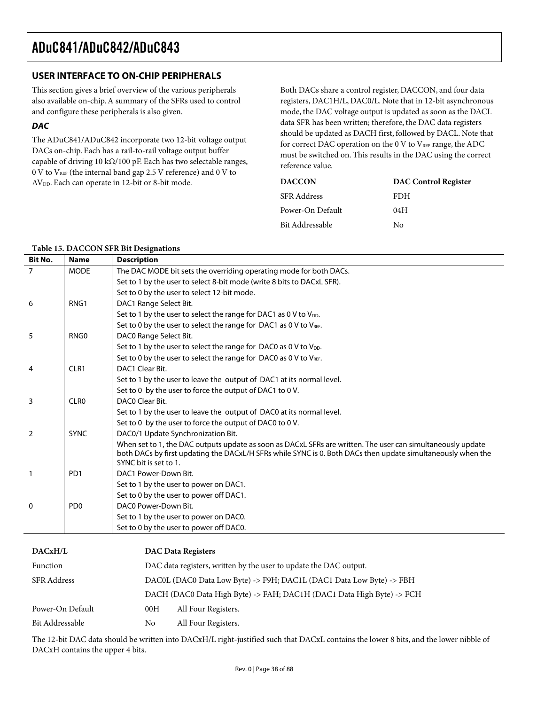## **USER INTERFACE TO ON-CHIP PERIPHERALS**

This section gives a brief overview of the various peripherals also available on-chip. A summary of the SFRs used to control and configure these peripherals is also given.

### **DAC**

The ADuC841/ADuC842 incorporate two 12-bit voltage output DACs on-chip. Each has a rail-to-rail voltage output buffer capable of driving 10 kΩ/100 pF. Each has two selectable ranges,  $0$  V to  $V_{REF}$  (the internal band gap 2.5 V reference) and  $0$  V to AVDD. Each can operate in 12-bit or 8-bit mode.

Both DACs share a control register, DACCON, and four data registers, DAC1H/L, DAC0/L. Note that in 12-bit asynchronous mode, the DAC voltage output is updated as soon as the DACL data SFR has been written; therefore, the DAC data registers should be updated as DACH first, followed by DACL. Note that for correct DAC operation on the 0 V to  $V_{REF}$  range, the ADC must be switched on. This results in the DAC using the correct reference value.

| <b>DACCON</b>      | <b>DAC Control Register</b> |
|--------------------|-----------------------------|
| <b>SFR</b> Address | FDH                         |
| Power-On Default   | 04H                         |
| Bit Addressable    | Nο                          |

#### **Table 15. DACCON SFR Bit Designations**

| <b>Bit No.</b> | <b>Name</b>                 | <b>Description</b>                                                                                                                                                                                                                                  |
|----------------|-----------------------------|-----------------------------------------------------------------------------------------------------------------------------------------------------------------------------------------------------------------------------------------------------|
| $\overline{7}$ | <b>MODE</b>                 | The DAC MODE bit sets the overriding operating mode for both DACs.                                                                                                                                                                                  |
|                |                             | Set to 1 by the user to select 8-bit mode (write 8 bits to DACxL SFR).                                                                                                                                                                              |
|                |                             | Set to 0 by the user to select 12-bit mode.                                                                                                                                                                                                         |
| 6              | RNG1                        | DAC1 Range Select Bit.                                                                                                                                                                                                                              |
|                |                             | Set to 1 by the user to select the range for DAC1 as 0 V to V <sub>DD</sub> .                                                                                                                                                                       |
|                |                             | Set to 0 by the user to select the range for DAC1 as 0 V to VREF.                                                                                                                                                                                   |
| 5              | RNG0                        | DAC0 Range Select Bit.                                                                                                                                                                                                                              |
|                |                             | Set to 1 by the user to select the range for DAC0 as 0 V to $V_{DD}$ .                                                                                                                                                                              |
|                |                             | Set to 0 by the user to select the range for DAC0 as 0 V to $V_{REF}$ .                                                                                                                                                                             |
| 4              | CLR1                        | DAC1 Clear Bit.                                                                                                                                                                                                                                     |
|                |                             | Set to 1 by the user to leave the output of DAC1 at its normal level.                                                                                                                                                                               |
|                |                             | Set to 0 by the user to force the output of DAC1 to 0 V.                                                                                                                                                                                            |
| 3              | CLR <sub>0</sub>            | DACO Clear Bit.                                                                                                                                                                                                                                     |
|                |                             | Set to 1 by the user to leave the output of DAC0 at its normal level.                                                                                                                                                                               |
|                |                             | Set to 0 by the user to force the output of DAC0 to 0 V.                                                                                                                                                                                            |
| 2              | <b>SYNC</b>                 | DAC0/1 Update Synchronization Bit.                                                                                                                                                                                                                  |
|                |                             | When set to 1, the DAC outputs update as soon as DACxL SFRs are written. The user can simultaneously update<br>both DACs by first updating the DACxL/H SFRs while SYNC is 0. Both DACs then update simultaneously when the<br>SYNC bit is set to 1. |
| 1              | P <sub>D</sub> 1            | DAC1 Power-Down Bit.                                                                                                                                                                                                                                |
|                |                             | Set to 1 by the user to power on DAC1.                                                                                                                                                                                                              |
|                |                             | Set to 0 by the user to power off DAC1.                                                                                                                                                                                                             |
| $\Omega$       | P <sub>D</sub> <sub>0</sub> | DAC0 Power-Down Bit.                                                                                                                                                                                                                                |
|                |                             | Set to 1 by the user to power on DAC0.                                                                                                                                                                                                              |
|                |                             | Set to 0 by the user to power off DAC0.                                                                                                                                                                                                             |

| DACxH/L            | <b>DAC Data Registers</b>                                             |                     |  |  |  |
|--------------------|-----------------------------------------------------------------------|---------------------|--|--|--|
| Function           | DAC data registers, written by the user to update the DAC output.     |                     |  |  |  |
| <b>SFR Address</b> | DACOL (DACO Data Low Byte) -> F9H; DAC1L (DAC1 Data Low Byte) -> FBH  |                     |  |  |  |
|                    | DACH (DAC0 Data High Byte) -> FAH; DAC1H (DAC1 Data High Byte) -> FCH |                     |  |  |  |
| Power-On Default   | 00H                                                                   | All Four Registers. |  |  |  |
| Bit Addressable    | No                                                                    | All Four Registers. |  |  |  |

The 12-bit DAC data should be written into DACxH/L right-justified such that DACxL contains the lower 8 bits, and the lower nibble of DACxH contains the upper 4 bits.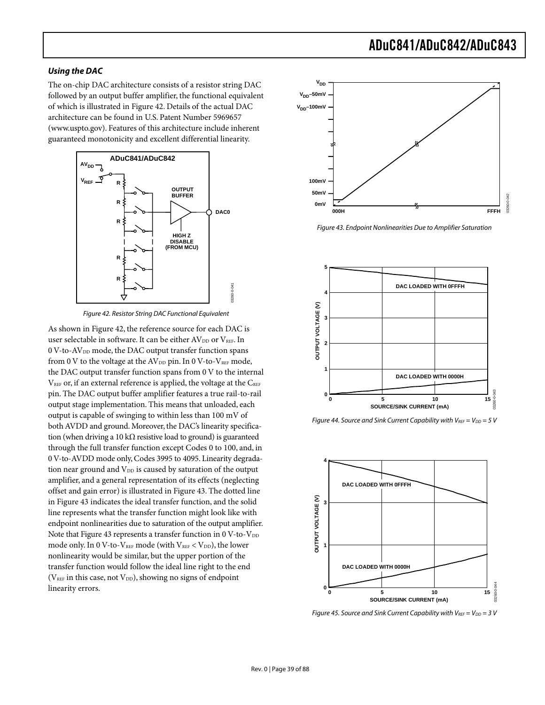#### **Using the DAC**

The on-chip DAC architecture consists of a resistor string DAC followed by an output buffer amplifier, the functional equivalent of which is illustrated in Figure 42. Details of the actual DAC architecture can be found in U.S. Patent Number 5969657 (www.uspto.gov). Features of this architecture include inherent guaranteed monotonicity and excellent differential linearity.



Figure 42. Resistor String DAC Functional Equivalent

As shown in Figure 42, the reference source for each DAC is user selectable in software. It can be either  $AV_{DD}$  or  $V_{REF}$ . In 0 V-to-AV<sub>DD</sub> mode, the DAC output transfer function spans from 0 V to the voltage at the AV<sub>DD</sub> pin. In 0 V-to-V<sub>REF</sub> mode, the DAC output transfer function spans from 0 V to the internal  $V_{REF}$  or, if an external reference is applied, the voltage at the  $C_{REF}$ pin. The DAC output buffer amplifier features a true rail-to-rail output stage implementation. This means that unloaded, each output is capable of swinging to within less than 100 mV of both AVDD and ground. Moreover, the DAC's linearity specification (when driving a 10 k $\Omega$  resistive load to ground) is guaranteed through the full transfer function except Codes 0 to 100, and, in 0 V-to-AVDD mode only, Codes 3995 to 4095. Linearity degradation near ground and V<sub>DD</sub> is caused by saturation of the output amplifier, and a general representation of its effects (neglecting offset and gain error) is illustrated in Figure 43. The dotted line in Figure 43 indicates the ideal transfer function, and the solid line represents what the transfer function might look like with endpoint nonlinearities due to saturation of the output amplifier. Note that Figure 43 represents a transfer function in  $0$  V-to-V<sub>DD</sub> mode only. In 0 V-to-V<sub>REF</sub> mode (with  $V_{REF}$  <  $V_{DD}$ ), the lower nonlinearity would be similar, but the upper portion of the transfer function would follow the ideal line right to the end ( $V_{REF}$  in this case, not  $V_{DD}$ ), showing no signs of endpoint linearity errors.



Figure 43. Endpoint Nonlinearities Due to Amplifier Saturation



Figure 44. Source and Sink Current Capability with  $V_{REF} = V_{DD} = 5 V$ 



Figure 45. Source and Sink Current Capability with  $V_{REF} = V_{DD} = 3 V$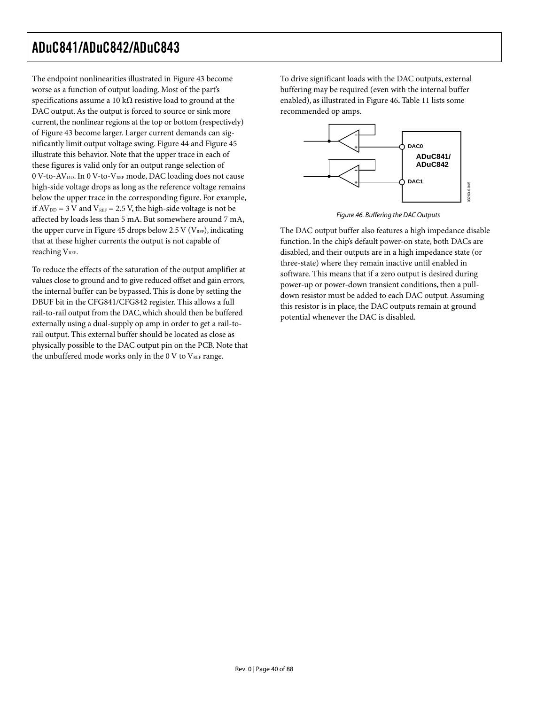The endpoint nonlinearities illustrated in Figure 43 become worse as a function of output loading. Most of the part's specifications assume a 10 k $\Omega$  resistive load to ground at the DAC output. As the output is forced to source or sink more current, the nonlinear regions at the top or bottom (respectively) of Figure 43 become larger. Larger current demands can significantly limit output voltage swing. Figure 44 and Figure 45 illustrate this behavior. Note that the upper trace in each of these figures is valid only for an output range selection of 0 V-to-AV<sub>DD</sub>. In 0 V-to-V<sub>REF</sub> mode, DAC loading does not cause high-side voltage drops as long as the reference voltage remains below the upper trace in the corresponding figure. For example, if  $AV_{DD} = 3$  V and  $V_{REF} = 2.5$  V, the high-side voltage is not be affected by loads less than 5 mA. But somewhere around 7 mA, the upper curve in Figure 45 drops below 2.5 V ( $V_{REF}$ ), indicating that at these higher currents the output is not capable of reaching V<sub>REF</sub>.

To reduce the effects of the saturation of the output amplifier at values close to ground and to give reduced offset and gain errors, the internal buffer can be bypassed. This is done by setting the DBUF bit in the CFG841/CFG842 register. This allows a full rail-to-rail output from the DAC, which should then be buffered externally using a dual-supply op amp in order to get a rail-torail output. This external buffer should be located as close as physically possible to the DAC output pin on the PCB. Note that the unbuffered mode works only in the 0 V to  $V_{REF}$  range.

To drive significant loads with the DAC outputs, external buffering may be required (even with the internal buffer enabled), as illustrated in Figure 46**.** Table 11 lists some recommended op amps.



Figure 46. Buffering the DAC Outputs

The DAC output buffer also features a high impedance disable function. In the chip's default power-on state, both DACs are disabled, and their outputs are in a high impedance state (or three-state) where they remain inactive until enabled in software. This means that if a zero output is desired during power-up or power-down transient conditions, then a pulldown resistor must be added to each DAC output. Assuming this resistor is in place, the DAC outputs remain at ground potential whenever the DAC is disabled.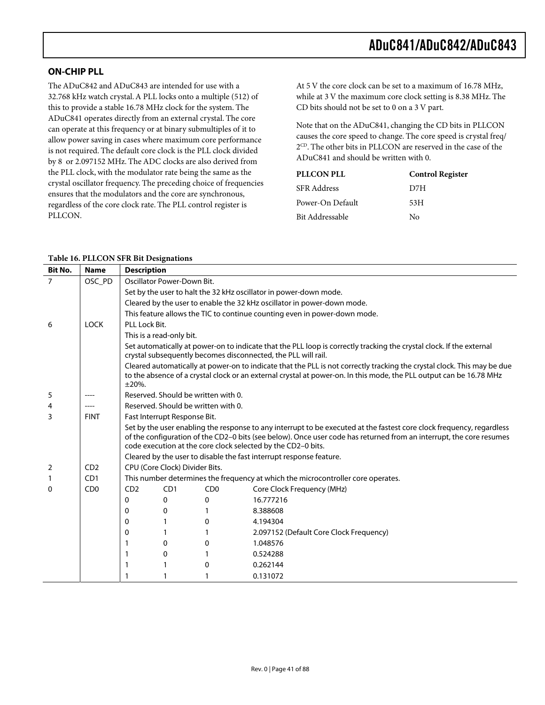## **ON-CHIP PLL**

The ADuC842 and ADuC843 are intended for use with a 32.768 kHz watch crystal. A PLL locks onto a multiple (512) of this to provide a stable 16.78 MHz clock for the system. The ADuC841 operates directly from an external crystal. The core can operate at this frequency or at binary submultiples of it to allow power saving in cases where maximum core performance is not required. The default core clock is the PLL clock divided by 8 or 2.097152 MHz. The ADC clocks are also derived from the PLL clock, with the modulator rate being the same as the crystal oscillator frequency. The preceding choice of frequencies ensures that the modulators and the core are synchronous, regardless of the core clock rate. The PLL control register is PLLCON.

At 5 V the core clock can be set to a maximum of 16.78 MHz, while at 3 V the maximum core clock setting is 8.38 MHz. The CD bits should not be set to 0 on a 3 V part.

Note that on the ADuC841, changing the CD bits in PLLCON causes the core speed to change. The core speed is crystal freq/ 2<sup>CD</sup>. The other bits in PLLCON are reserved in the case of the ADuC841 and should be written with 0.

| <b>PLLCON PLL</b> | <b>Control Register</b> |
|-------------------|-------------------------|
| SFR Address       | D7H                     |
| Power-On Default  | 53H                     |
| Bit Addressable   | Nο                      |

| <b>Bit No.</b> | <b>Name</b>                 | <b>Description</b>                                                                                                                                                                                                                                                                                           |                                                                     |                                     |                                                                                                                                                                                                                                                |  |
|----------------|-----------------------------|--------------------------------------------------------------------------------------------------------------------------------------------------------------------------------------------------------------------------------------------------------------------------------------------------------------|---------------------------------------------------------------------|-------------------------------------|------------------------------------------------------------------------------------------------------------------------------------------------------------------------------------------------------------------------------------------------|--|
| $\overline{7}$ | OSC_PD                      | Oscillator Power-Down Bit.                                                                                                                                                                                                                                                                                   |                                                                     |                                     |                                                                                                                                                                                                                                                |  |
|                |                             | Set by the user to halt the 32 kHz oscillator in power-down mode.                                                                                                                                                                                                                                            |                                                                     |                                     |                                                                                                                                                                                                                                                |  |
|                |                             |                                                                                                                                                                                                                                                                                                              |                                                                     |                                     | Cleared by the user to enable the 32 kHz oscillator in power-down mode.                                                                                                                                                                        |  |
|                |                             |                                                                                                                                                                                                                                                                                                              |                                                                     |                                     | This feature allows the TIC to continue counting even in power-down mode.                                                                                                                                                                      |  |
| 6              | <b>LOCK</b>                 | PLL Lock Bit.                                                                                                                                                                                                                                                                                                |                                                                     |                                     |                                                                                                                                                                                                                                                |  |
|                |                             |                                                                                                                                                                                                                                                                                                              | This is a read-only bit.                                            |                                     |                                                                                                                                                                                                                                                |  |
|                |                             |                                                                                                                                                                                                                                                                                                              |                                                                     |                                     | Set automatically at power-on to indicate that the PLL loop is correctly tracking the crystal clock. If the external<br>crystal subsequently becomes disconnected, the PLL will rail.                                                          |  |
|                |                             | $±20%$ .                                                                                                                                                                                                                                                                                                     |                                                                     |                                     | Cleared automatically at power-on to indicate that the PLL is not correctly tracking the crystal clock. This may be due<br>to the absence of a crystal clock or an external crystal at power-on. In this mode, the PLL output can be 16.78 MHz |  |
| 5              |                             |                                                                                                                                                                                                                                                                                                              |                                                                     | Reserved. Should be written with 0. |                                                                                                                                                                                                                                                |  |
| 4              | $---$                       |                                                                                                                                                                                                                                                                                                              |                                                                     | Reserved. Should be written with 0. |                                                                                                                                                                                                                                                |  |
| 3              | <b>FINT</b>                 | Fast Interrupt Response Bit.                                                                                                                                                                                                                                                                                 |                                                                     |                                     |                                                                                                                                                                                                                                                |  |
|                |                             | Set by the user enabling the response to any interrupt to be executed at the fastest core clock frequency, regardless<br>of the configuration of the CD2-0 bits (see below). Once user code has returned from an interrupt, the core resumes<br>code execution at the core clock selected by the CD2-0 bits. |                                                                     |                                     |                                                                                                                                                                                                                                                |  |
|                |                             |                                                                                                                                                                                                                                                                                                              | Cleared by the user to disable the fast interrupt response feature. |                                     |                                                                                                                                                                                                                                                |  |
| 2              | CD2                         | CPU (Core Clock) Divider Bits.                                                                                                                                                                                                                                                                               |                                                                     |                                     |                                                                                                                                                                                                                                                |  |
| 1              | CD1                         | This number determines the frequency at which the microcontroller core operates.                                                                                                                                                                                                                             |                                                                     |                                     |                                                                                                                                                                                                                                                |  |
| 0              | C <sub>D</sub> <sub>0</sub> | CD2                                                                                                                                                                                                                                                                                                          | CD1                                                                 | CD <sub>0</sub>                     | Core Clock Frequency (MHz)                                                                                                                                                                                                                     |  |
|                |                             | 0                                                                                                                                                                                                                                                                                                            | 0                                                                   | $\mathbf{0}$                        | 16.777216                                                                                                                                                                                                                                      |  |
|                |                             | 0                                                                                                                                                                                                                                                                                                            | 0                                                                   |                                     | 8.388608                                                                                                                                                                                                                                       |  |
|                |                             | 0                                                                                                                                                                                                                                                                                                            |                                                                     | $\Omega$                            | 4.194304                                                                                                                                                                                                                                       |  |
|                |                             | 0                                                                                                                                                                                                                                                                                                            |                                                                     |                                     | 2.097152 (Default Core Clock Frequency)                                                                                                                                                                                                        |  |
|                |                             |                                                                                                                                                                                                                                                                                                              | 0                                                                   | 0                                   | 1.048576                                                                                                                                                                                                                                       |  |
|                |                             |                                                                                                                                                                                                                                                                                                              | 0                                                                   |                                     | 0.524288                                                                                                                                                                                                                                       |  |
|                |                             | 1                                                                                                                                                                                                                                                                                                            | 1                                                                   | 0                                   | 0.262144                                                                                                                                                                                                                                       |  |
|                |                             | 1                                                                                                                                                                                                                                                                                                            | 1                                                                   |                                     | 0.131072                                                                                                                                                                                                                                       |  |

#### **Table 16. PLLCON SFR Bit Designations**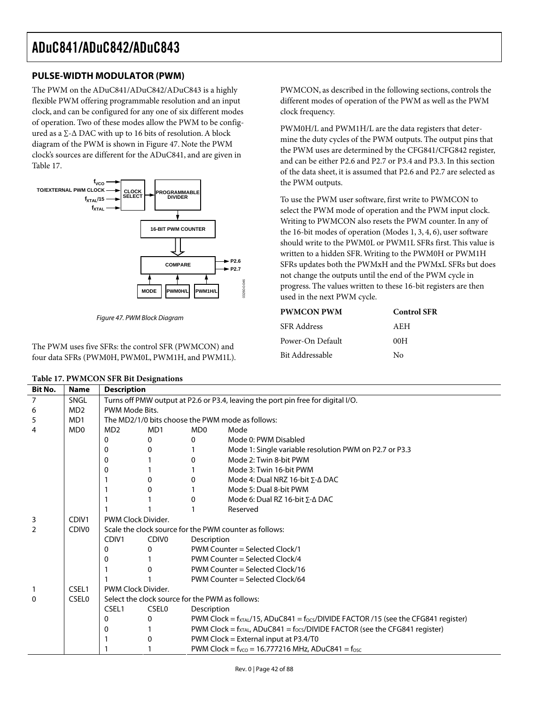## **PULSE-WIDTH MODULATOR (PWM)**

The PWM on the ADuC841/ADuC842/ADuC843 is a highly flexible PWM offering programmable resolution and an input clock, and can be configured for any one of six different modes of operation. Two of these modes allow the PWM to be configured as a ∑-∆ DAC with up to 16 bits of resolution. A block diagram of the PWM is shown in Figure 47. Note the PWM clock's sources are different for the ADuC841, and are given in Table 17.



Figure 47. PWM Block Diagram

The PWM uses five SFRs: the control SFR (PWMCON) and four data SFRs (PWM0H, PWM0L, PWM1H, and PWM1L).

| Table 17. PWMCON SFR Bit Designations |
|---------------------------------------|
|---------------------------------------|

PWMCON, as described in the following sections, controls the different modes of operation of the PWM as well as the PWM clock frequency.

PWM0H/L and PWM1H/L are the data registers that determine the duty cycles of the PWM outputs. The output pins that the PWM uses are determined by the CFG841/CFG842 register, and can be either P2.6 and P2.7 or P3.4 and P3.3. In this section of the data sheet, it is assumed that P2.6 and P2.7 are selected as the PWM outputs.

To use the PWM user software, first write to PWMCON to select the PWM mode of operation and the PWM input clock. Writing to PWMCON also resets the PWM counter. In any of the 16-bit modes of operation (Modes 1, 3, 4, 6), user software should write to the PWM0L or PWM1L SFRs first. This value is written to a hidden SFR. Writing to the PWM0H or PWM1H SFRs updates both the PWMxH and the PWMxL SFRs but does not change the outputs until the end of the PWM cycle in progress. The values written to these 16-bit registers are then used in the next PWM cycle.

| <b>PWMCON PWM</b> | <b>Control SFR</b> |
|-------------------|--------------------|
| SFR Address       | A E.H              |
| Power-On Default  | 00H                |
| Bit Addressable   | Nο                 |

| Bit No.      | <b>Name</b>                 | <b>Description</b>                                                               |                   |                                                        |                                                                                             |  |
|--------------|-----------------------------|----------------------------------------------------------------------------------|-------------------|--------------------------------------------------------|---------------------------------------------------------------------------------------------|--|
| 7            | SNGL                        | Turns off PMW output at P2.6 or P3.4, leaving the port pin free for digital I/O. |                   |                                                        |                                                                                             |  |
| 6            | MD <sub>2</sub>             | PWM Mode Bits.                                                                   |                   |                                                        |                                                                                             |  |
| 5            | MD1                         |                                                                                  |                   |                                                        | The MD2/1/0 bits choose the PWM mode as follows:                                            |  |
| 4            | M <sub>D</sub> <sub>0</sub> | MD <sub>2</sub>                                                                  | MD1               | MD <sub>0</sub>                                        | Mode                                                                                        |  |
|              |                             | 0                                                                                | 0                 | 0                                                      | Mode 0: PWM Disabled                                                                        |  |
|              |                             | 0                                                                                | 0                 |                                                        | Mode 1: Single variable resolution PWM on P2.7 or P3.3                                      |  |
|              |                             | 0                                                                                |                   | 0                                                      | Mode 2: Twin 8-bit PWM                                                                      |  |
|              |                             | 0                                                                                |                   |                                                        | Mode 3: Twin 16-bit PWM                                                                     |  |
|              |                             |                                                                                  | 0                 | 0                                                      | Mode 4: Dual NRZ 16-bit $\Sigma$ - $\Delta$ DAC                                             |  |
|              |                             |                                                                                  | 0                 |                                                        | Mode 5: Dual 8-bit PWM                                                                      |  |
|              |                             |                                                                                  |                   | 0                                                      | Mode 6: Dual RZ 16-bit $\Sigma$ - $\Delta$ DAC                                              |  |
|              |                             |                                                                                  |                   |                                                        | Reserved                                                                                    |  |
| 3            | CDIV <sub>1</sub>           | PWM Clock Divider.                                                               |                   |                                                        |                                                                                             |  |
| 2            | CDIV <sub>0</sub>           |                                                                                  |                   | Scale the clock source for the PWM counter as follows: |                                                                                             |  |
|              |                             | CDIV <sub>1</sub>                                                                | CDIV <sub>0</sub> |                                                        | Description                                                                                 |  |
|              |                             | 0                                                                                | 0                 |                                                        | PWM Counter = Selected Clock/1                                                              |  |
|              |                             | 0                                                                                |                   | PWM Counter = Selected Clock/4                         |                                                                                             |  |
|              |                             |                                                                                  |                   | PWM Counter = Selected Clock/16                        |                                                                                             |  |
|              |                             |                                                                                  |                   |                                                        | PWM Counter = Selected Clock/64                                                             |  |
| 1            | CSEL1                       | PWM Clock Divider.                                                               |                   |                                                        |                                                                                             |  |
| $\mathbf{0}$ | <b>CSEL0</b>                |                                                                                  |                   | Select the clock source for the PWM as follows:        |                                                                                             |  |
|              |                             | CSEL1                                                                            | <b>CSEL0</b>      | Description                                            |                                                                                             |  |
|              |                             | 0                                                                                | 0                 |                                                        | PWM Clock = $f_{XTAL}/15$ , ADuC841 = $f_{OCs}/DIVIDE$ FACTOR /15 (see the CFG841 register) |  |
|              |                             | 0                                                                                |                   |                                                        | PWM Clock = $f_{XTAL}$ , ADuC841 = $f_{OCS}/DIVIDE$ FACTOR (see the CFG841 register)        |  |
|              |                             |                                                                                  |                   |                                                        | PWM Clock = External input at P3.4/T0                                                       |  |
|              |                             |                                                                                  |                   |                                                        | PWM Clock = $f_{VCO}$ = 16.777216 MHz, ADuC841 = $f_{OSC}$                                  |  |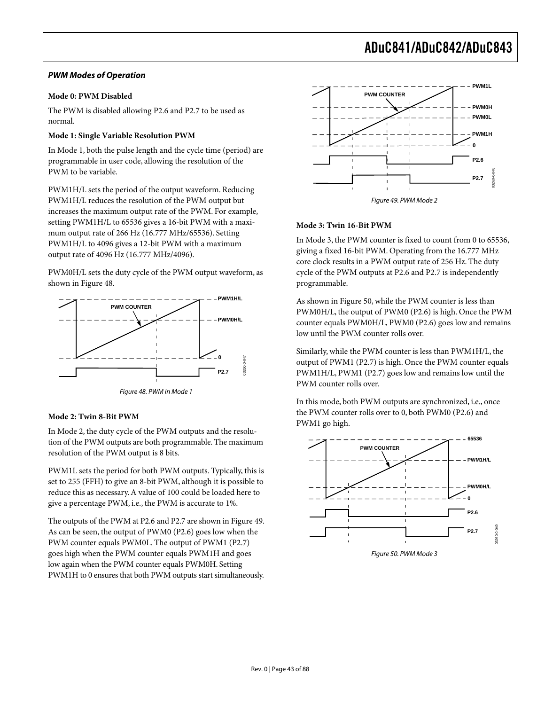#### **PWM Modes of Operation**

#### **Mode 0: PWM Disabled**

The PWM is disabled allowing P2.6 and P2.7 to be used as normal.

#### **Mode 1: Single Variable Resolution PWM**

In Mode 1, both the pulse length and the cycle time (period) are programmable in user code, allowing the resolution of the PWM to be variable.

PWM1H/L sets the period of the output waveform. Reducing PWM1H/L reduces the resolution of the PWM output but increases the maximum output rate of the PWM. For example, setting PWM1H/L to 65536 gives a 16-bit PWM with a maximum output rate of 266 Hz (16.777 MHz/65536). Setting PWM1H/L to 4096 gives a 12-bit PWM with a maximum output rate of 4096 Hz (16.777 MHz/4096).

PWM0H/L sets the duty cycle of the PWM output waveform, as shown in Figure 48.



Figure 48. PWM in Mode 1

#### **Mode 2: Twin 8-Bit PWM**

In Mode 2, the duty cycle of the PWM outputs and the resolution of the PWM outputs are both programmable. The maximum resolution of the PWM output is 8 bits.

PWM1L sets the period for both PWM outputs. Typically, this is set to 255 (FFH) to give an 8-bit PWM, although it is possible to reduce this as necessary. A value of 100 could be loaded here to give a percentage PWM, i.e., the PWM is accurate to 1%.

The outputs of the PWM at P2.6 and P2.7 are shown in Figure 49. As can be seen, the output of PWM0 (P2.6) goes low when the PWM counter equals PWM0L. The output of PWM1 (P2.7) goes high when the PWM counter equals PWM1H and goes low again when the PWM counter equals PWM0H. Setting PWM1H to 0 ensures that both PWM outputs start simultaneously.



#### **Mode 3: Twin 16-Bit PWM**

In Mode 3, the PWM counter is fixed to count from 0 to 65536, giving a fixed 16-bit PWM. Operating from the 16.777 MHz core clock results in a PWM output rate of 256 Hz. The duty cycle of the PWM outputs at P2.6 and P2.7 is independently programmable.

As shown in Figure 50, while the PWM counter is less than PWM0H/L, the output of PWM0 (P2.6) is high. Once the PWM counter equals PWM0H/L, PWM0 (P2.6) goes low and remains low until the PWM counter rolls over.

Similarly, while the PWM counter is less than PWM1H/L, the output of PWM1 (P2.7) is high. Once the PWM counter equals PWM1H/L, PWM1 (P2.7) goes low and remains low until the PWM counter rolls over.

In this mode, both PWM outputs are synchronized, i.e., once the PWM counter rolls over to 0, both PWM0 (P2.6) and PWM1 go high.



Figure 50. PWM Mode 3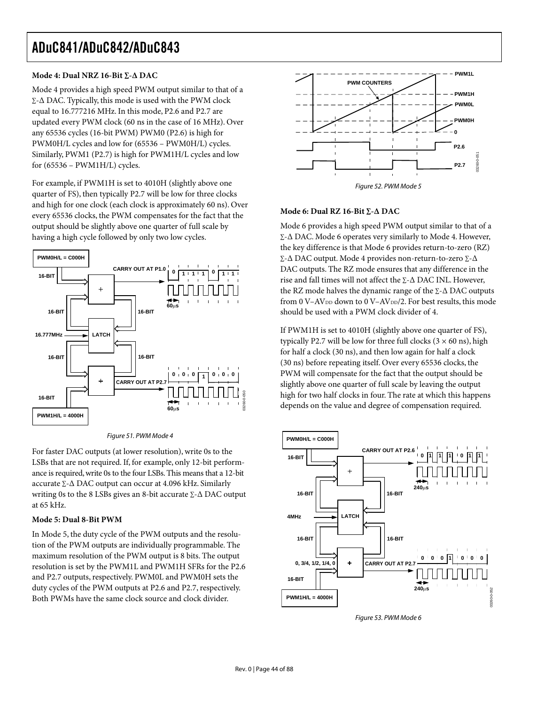### **Mode 4: Dual NRZ 16-Bit ∑-∆ DAC**

Mode 4 provides a high speed PWM output similar to that of a ∑-∆ DAC. Typically, this mode is used with the PWM clock equal to 16.777216 MHz. In this mode, P2.6 and P2.7 are updated every PWM clock (60 ns in the case of 16 MHz). Over any 65536 cycles (16-bit PWM) PWM0 (P2.6) is high for PWM0H/L cycles and low for (65536 – PWM0H/L) cycles. Similarly, PWM1 (P2.7) is high for PWM1H/L cycles and low for (65536 – PWM1H/L) cycles.

For example, if PWM1H is set to 4010H (slightly above one quarter of FS), then typically P2.7 will be low for three clocks and high for one clock (each clock is approximately 60 ns). Over every 65536 clocks, the PWM compensates for the fact that the output should be slightly above one quarter of full scale by having a high cycle followed by only two low cycles.



Figure 51. PWM Mode 4

For faster DAC outputs (at lower resolution), write 0s to the LSBs that are not required. If, for example, only 12-bit performance is required, write 0s to the four LSBs. This means that a 12-bit accurate ∑-∆ DAC output can occur at 4.096 kHz. Similarly writing 0s to the 8 LSBs gives an 8-bit accurate ∑-∆ DAC output at 65 kHz.

### **Mode 5: Dual 8-Bit PWM**

In Mode 5, the duty cycle of the PWM outputs and the resolution of the PWM outputs are individually programmable. The maximum resolution of the PWM output is 8 bits. The output resolution is set by the PWM1L and PWM1H SFRs for the P2.6 and P2.7 outputs, respectively. PWM0L and PWM0H sets the duty cycles of the PWM outputs at P2.6 and P2.7, respectively. Both PWMs have the same clock source and clock divider.



Figure 52. PWM Mode 5

#### **Mode 6: Dual RZ 16-Bit ∑-∆ DAC**

Mode 6 provides a high speed PWM output similar to that of a ∑-∆ DAC. Mode 6 operates very similarly to Mode 4. However, the key difference is that Mode 6 provides return-to-zero (RZ) ∑-∆ DAC output. Mode 4 provides non-return-to-zero ∑-∆ DAC outputs. The RZ mode ensures that any difference in the rise and fall times will not affect the ∑-∆ DAC INL. However, the RZ mode halves the dynamic range of the ∑-∆ DAC outputs from 0 V–AV<sub>DD</sub> down to 0 V–AV<sub>DD</sub>/2. For best results, this mode should be used with a PWM clock divider of 4.

If PWM1H is set to 4010H (slightly above one quarter of FS), typically P2.7 will be low for three full clocks  $(3 \times 60 \text{ ns})$ , high for half a clock (30 ns), and then low again for half a clock (30 ns) before repeating itself. Over every 65536 clocks, the PWM will compensate for the fact that the output should be slightly above one quarter of full scale by leaving the output high for two half clocks in four. The rate at which this happens depends on the value and degree of compensation required.



Figure 53. PWM Mode 6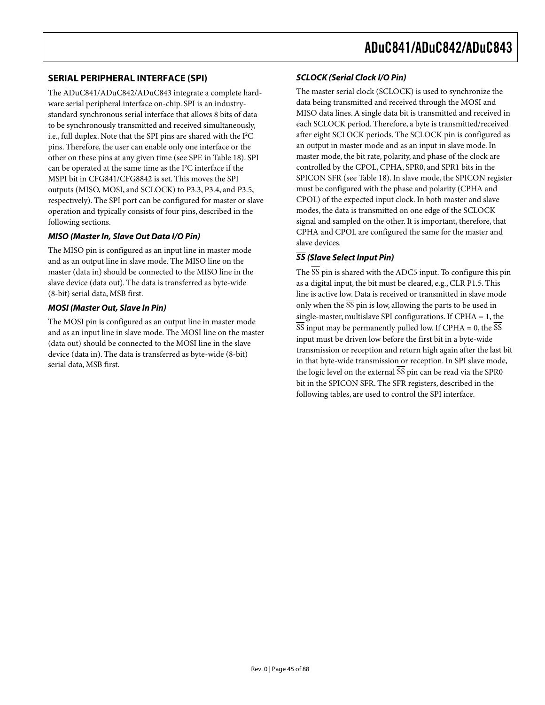## **SERIAL PERIPHERAL INTERFACE (SPI)**

The ADuC841/ADuC842/ADuC843 integrate a complete hardware serial peripheral interface on-chip. SPI is an industrystandard synchronous serial interface that allows 8 bits of data to be synchronously transmitted and received simultaneously, i.e., full duplex. Note that the SPI pins are shared with the I<sup>2</sup>C pins. Therefore, the user can enable only one interface or the other on these pins at any given time (see SPE in Table 18). SPI can be operated at the same time as the I<sup>2</sup> C interface if the MSPI bit in CFG841/CFG8842 is set. This moves the SPI outputs (MISO, MOSI, and SCLOCK) to P3.3, P3.4, and P3.5, respectively). The SPI port can be configured for master or slave operation and typically consists of four pins, described in the following sections.

### **MISO (Master In, Slave Out Data I/O Pin)**

The MISO pin is configured as an input line in master mode and as an output line in slave mode. The MISO line on the master (data in) should be connected to the MISO line in the slave device (data out). The data is transferred as byte-wide (8-bit) serial data, MSB first.

### **MOSI (Master Out, Slave In Pin)**

The MOSI pin is configured as an output line in master mode and as an input line in slave mode. The MOSI line on the master (data out) should be connected to the MOSI line in the slave device (data in). The data is transferred as byte-wide (8-bit) serial data, MSB first.

### **SCLOCK (Serial Clock I/O Pin)**

The master serial clock (SCLOCK) is used to synchronize the data being transmitted and received through the MOSI and MISO data lines. A single data bit is transmitted and received in each SCLOCK period. Therefore, a byte is transmitted/received after eight SCLOCK periods. The SCLOCK pin is configured as an output in master mode and as an input in slave mode. In master mode, the bit rate, polarity, and phase of the clock are controlled by the CPOL, CPHA, SPR0, and SPR1 bits in the SPICON SFR (see Table 18). In slave mode, the SPICON register must be configured with the phase and polarity (CPHA and CPOL) of the expected input clock. In both master and slave modes, the data is transmitted on one edge of the SCLOCK signal and sampled on the other. It is important, therefore, that CPHA and CPOL are configured the same for the master and slave devices.

## **SS (Slave Select Input Pin)**

The  $\overline{SS}$  pin is shared with the ADC5 input. To configure this pin as a digital input, the bit must be cleared, e.g., CLR P1.5. This line is active low. Data is received or transmitted in slave mode only when the  $\overline{SS}$  pin is low, allowing the parts to be used in single-master, multislave SPI configurations. If CPHA = 1, the  $\overline{SS}$  input may be permanently pulled low. If CPHA = 0, the  $\overline{SS}$ input must be driven low before the first bit in a byte-wide transmission or reception and return high again after the last bit in that byte-wide transmission or reception. In SPI slave mode, the logic level on the external  $\overline{\text{SS}}$  pin can be read via the SPR0 bit in the SPICON SFR. The SFR registers, described in the following tables, are used to control the SPI interface.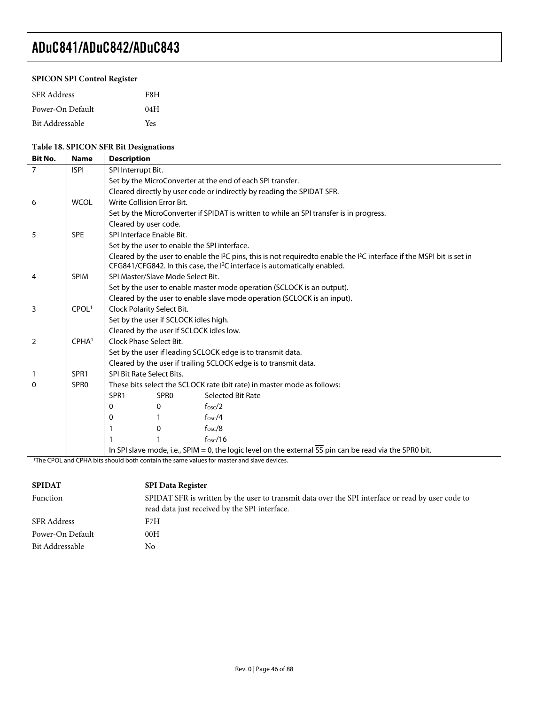### **SPICON SPI Control Register**

| <b>SFR</b> Address | F8H |
|--------------------|-----|
| Power-On Default   | 04H |
| Bit Addressable    | Yes |

### **Table 18. SPICON SFR Bit Designations**

| <b>Bit No.</b> | <b>Name</b>       | <b>Description</b>                                                                                                   |                                                            |                                                                                                                                                                                                                                          |  |  |  |  |
|----------------|-------------------|----------------------------------------------------------------------------------------------------------------------|------------------------------------------------------------|------------------------------------------------------------------------------------------------------------------------------------------------------------------------------------------------------------------------------------------|--|--|--|--|
| $\overline{7}$ | <b>ISPI</b>       | SPI Interrupt Bit.                                                                                                   |                                                            |                                                                                                                                                                                                                                          |  |  |  |  |
|                |                   |                                                                                                                      | Set by the MicroConverter at the end of each SPI transfer. |                                                                                                                                                                                                                                          |  |  |  |  |
|                |                   |                                                                                                                      |                                                            | Cleared directly by user code or indirectly by reading the SPIDAT SFR.                                                                                                                                                                   |  |  |  |  |
| 6              | <b>WCOL</b>       |                                                                                                                      | Write Collision Error Bit.                                 |                                                                                                                                                                                                                                          |  |  |  |  |
|                |                   |                                                                                                                      |                                                            | Set by the MicroConverter if SPIDAT is written to while an SPI transfer is in progress.                                                                                                                                                  |  |  |  |  |
|                |                   | Cleared by user code.                                                                                                |                                                            |                                                                                                                                                                                                                                          |  |  |  |  |
| 5              | <b>SPE</b>        |                                                                                                                      | SPI Interface Enable Bit.                                  |                                                                                                                                                                                                                                          |  |  |  |  |
|                |                   |                                                                                                                      |                                                            | Set by the user to enable the SPI interface.                                                                                                                                                                                             |  |  |  |  |
|                |                   |                                                                                                                      |                                                            | Cleared by the user to enable the I <sup>2</sup> C pins, this is not requiredto enable the I <sup>2</sup> C interface if the MSPI bit is set in<br>CFG841/CFG842. In this case, the I <sup>2</sup> C interface is automatically enabled. |  |  |  |  |
| 4              | <b>SPIM</b>       |                                                                                                                      | SPI Master/Slave Mode Select Bit.                          |                                                                                                                                                                                                                                          |  |  |  |  |
|                |                   |                                                                                                                      |                                                            | Set by the user to enable master mode operation (SCLOCK is an output).                                                                                                                                                                   |  |  |  |  |
|                |                   |                                                                                                                      |                                                            | Cleared by the user to enable slave mode operation (SCLOCK is an input).                                                                                                                                                                 |  |  |  |  |
| 3              | CPOL <sup>1</sup> |                                                                                                                      | Clock Polarity Select Bit.                                 |                                                                                                                                                                                                                                          |  |  |  |  |
|                |                   |                                                                                                                      | Set by the user if SCLOCK idles high.                      |                                                                                                                                                                                                                                          |  |  |  |  |
|                |                   | Cleared by the user if SCLOCK idles low.                                                                             |                                                            |                                                                                                                                                                                                                                          |  |  |  |  |
| 2              | CPHA <sup>1</sup> | Clock Phase Select Bit.                                                                                              |                                                            |                                                                                                                                                                                                                                          |  |  |  |  |
|                |                   | Set by the user if leading SCLOCK edge is to transmit data.                                                          |                                                            |                                                                                                                                                                                                                                          |  |  |  |  |
|                |                   | Cleared by the user if trailing SCLOCK edge is to transmit data.                                                     |                                                            |                                                                                                                                                                                                                                          |  |  |  |  |
|                | SPR <sub>1</sub>  |                                                                                                                      | SPI Bit Rate Select Bits.                                  |                                                                                                                                                                                                                                          |  |  |  |  |
| 0              | SPR <sub>0</sub>  |                                                                                                                      |                                                            | These bits select the SCLOCK rate (bit rate) in master mode as follows:                                                                                                                                                                  |  |  |  |  |
|                |                   | SPR <sub>1</sub>                                                                                                     | SPR <sub>0</sub>                                           | Selected Bit Rate                                                                                                                                                                                                                        |  |  |  |  |
|                |                   | 0                                                                                                                    | $\mathbf{0}$                                               | f <sub>osc</sub> /2                                                                                                                                                                                                                      |  |  |  |  |
|                |                   | 0                                                                                                                    |                                                            | f <sub>osc</sub> /4                                                                                                                                                                                                                      |  |  |  |  |
|                |                   |                                                                                                                      | 0                                                          | $f$ <sub>OSC</sub> $/8$                                                                                                                                                                                                                  |  |  |  |  |
|                |                   |                                                                                                                      |                                                            | f <sub>OSC</sub> /16                                                                                                                                                                                                                     |  |  |  |  |
|                |                   | In SPI slave mode, i.e., SPIM = 0, the logic level on the external $\overline{SS}$ pin can be read via the SPR0 bit. |                                                            |                                                                                                                                                                                                                                          |  |  |  |  |
|                |                   |                                                                                                                      |                                                            | <sup>1</sup> The CPOL and CPHA bits should both contain the same values for master and slave devices.                                                                                                                                    |  |  |  |  |

| <b>SPIDAT</b>    | <b>SPI Data Register</b>                                                                          |  |
|------------------|---------------------------------------------------------------------------------------------------|--|
| Function         | SPIDAT SFR is written by the user to transmit data over the SPI interface or read by user code to |  |
|                  | read data just received by the SPI interface.                                                     |  |
| SFR Address      | F7H                                                                                               |  |
| Power-On Default | 00H                                                                                               |  |
| Bit Addressable  | No                                                                                                |  |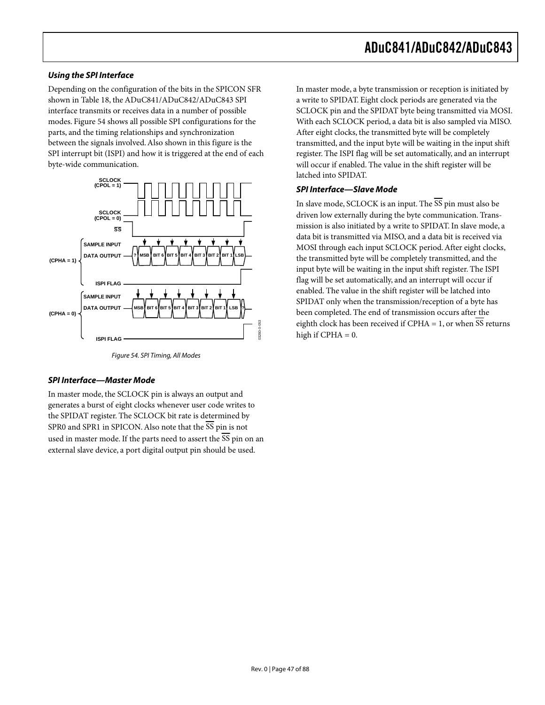#### **Using the SPI Interface**

Depending on the configuration of the bits in the SPICON SFR shown in Table 18, the ADuC841/ADuC842/ADuC843 SPI interface transmits or receives data in a number of possible modes. Figure 54 shows all possible SPI configurations for the parts, and the timing relationships and synchronization between the signals involved. Also shown in this figure is the SPI interrupt bit (ISPI) and how it is triggered at the end of each byte-wide communication.



Figure 54. SPI Timing, All Modes

#### **SPI Interface—Master Mode**

In master mode, the SCLOCK pin is always an output and generates a burst of eight clocks whenever user code writes to the SPIDAT register. The SCLOCK bit rate is determined by SPR0 and SPR1 in SPICON. Also note that the SS pin is not used in master mode. If the parts need to assert the  $\overline{SS}$  pin on an external slave device, a port digital output pin should be used.

In master mode, a byte transmission or reception is initiated by a write to SPIDAT. Eight clock periods are generated via the SCLOCK pin and the SPIDAT byte being transmitted via MOSI. With each SCLOCK period, a data bit is also sampled via MISO. After eight clocks, the transmitted byte will be completely transmitted, and the input byte will be waiting in the input shift register. The ISPI flag will be set automatically, and an interrupt will occur if enabled. The value in the shift register will be latched into SPIDAT.

### **SPI Interface—Slave Mode**

In slave mode, SCLOCK is an input. The SS pin must also be driven low externally during the byte communication. Transmission is also initiated by a write to SPIDAT. In slave mode, a data bit is transmitted via MISO, and a data bit is received via MOSI through each input SCLOCK period. After eight clocks, the transmitted byte will be completely transmitted, and the input byte will be waiting in the input shift register. The ISPI flag will be set automatically, and an interrupt will occur if enabled. The value in the shift register will be latched into SPIDAT only when the transmission/reception of a byte has been completed. The end of transmission occurs after the eighth clock has been received if CPHA = 1, or when SS returns high if  $CPHA = 0$ .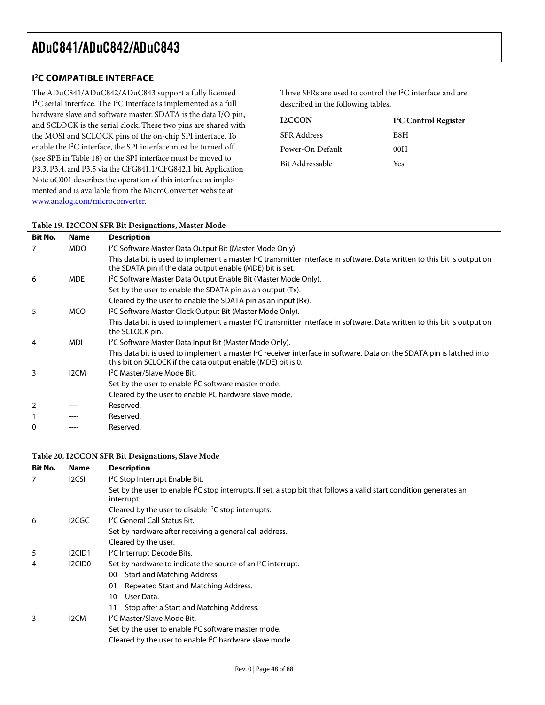## **I 2 C COMPATIBLE INTERFACE**

The ADuC841/ADuC842/ADuC843 support a fully licensed I<sup>2</sup>C serial interface. The I<sup>2</sup>C interface is implemented as a full hardware slave and software master. SDATA is the data I/O pin, and SCLOCK is the serial clock. These two pins are shared with the MOSI and SCLOCK pins of the on-chip SPI interface. To enable the I<sup>2</sup>C interface, the SPI interface must be turned off (see SPE in Table 18) or the SPI interface must be moved to P3.3, P3.4, and P3.5 via the CFG841.1/CFG842.1 bit. Application Note uC001 describes the operation of this interface as implemented and is available from the MicroConverter website at [www.analog.com/microconverter.](http://www.analog.com/microconverter)

Three SFRs are used to control the  $I^2C$  interface and are described in the following tables.

| I <sup>2</sup> C Control Register |
|-----------------------------------|
| E8H                               |
| 00H                               |
| Yes                               |
|                                   |

## **Table 19. I2CCON SFR Bit Designations, Master Mode**

| Bit No. | <b>Name</b>       | <b>Description</b>                                                                                                                                                                               |
|---------|-------------------|--------------------------------------------------------------------------------------------------------------------------------------------------------------------------------------------------|
|         | <b>MDO</b>        | I <sup>2</sup> C Software Master Data Output Bit (Master Mode Only).                                                                                                                             |
|         |                   | This data bit is used to implement a master <sup>2</sup> C transmitter interface in software. Data written to this bit is output on<br>the SDATA pin if the data output enable (MDE) bit is set. |
| 6       | <b>MDE</b>        | I <sup>2</sup> C Software Master Data Output Enable Bit (Master Mode Only).                                                                                                                      |
|         |                   | Set by the user to enable the SDATA pin as an output (Tx).                                                                                                                                       |
|         |                   | Cleared by the user to enable the SDATA pin as an input (Rx).                                                                                                                                    |
| 5       | <b>MCO</b>        | I <sup>2</sup> C Software Master Clock Output Bit (Master Mode Only).                                                                                                                            |
|         |                   | This data bit is used to implement a master <sup>12</sup> C transmitter interface in software. Data written to this bit is output on<br>the SCLOCK pin.                                          |
| 4       | <b>MDI</b>        | I <sup>2</sup> C Software Master Data Input Bit (Master Mode Only).                                                                                                                              |
|         |                   | This data bit is used to implement a master <sup>2</sup> C receiver interface in software. Data on the SDATA pin is latched into<br>this bit on SCLOCK if the data output enable (MDE) bit is 0. |
| 3       | I <sub>2</sub> CM | <sup>12</sup> C Master/Slave Mode Bit.                                                                                                                                                           |
|         |                   | Set by the user to enable <sup>2</sup> C software master mode.                                                                                                                                   |
|         |                   | Cleared by the user to enable I <sup>2</sup> C hardware slave mode.                                                                                                                              |
|         |                   | Reserved.                                                                                                                                                                                        |
|         |                   | Reserved.                                                                                                                                                                                        |
|         |                   | Reserved.                                                                                                                                                                                        |

#### **Table 20. I2CCON SFR Bit Designations, Slave Mode**

| <b>Bit No.</b> | <b>Name</b>        | <b>Description</b>                                                                                                                             |  |  |
|----------------|--------------------|------------------------------------------------------------------------------------------------------------------------------------------------|--|--|
| 7              | <b>I2CSI</b>       | I <sup>2</sup> C Stop Interrupt Enable Bit.                                                                                                    |  |  |
|                |                    | Set by the user to enable I <sup>2</sup> C stop interrupts. If set, a stop bit that follows a valid start condition generates an<br>interrupt. |  |  |
|                |                    | Cleared by the user to disable $l^2C$ stop interrupts.                                                                                         |  |  |
| 6              | I2CGC              | <sup>12</sup> C General Call Status Bit.                                                                                                       |  |  |
|                |                    | Set by hardware after receiving a general call address.                                                                                        |  |  |
|                |                    | Cleared by the user.                                                                                                                           |  |  |
| 5              | I2CID1             | <sup>12</sup> C Interrupt Decode Bits.                                                                                                         |  |  |
| 4              | I2CID <sub>0</sub> | Set by hardware to indicate the source of an <sup>2</sup> C interrupt.                                                                         |  |  |
|                |                    | Start and Matching Address.<br>00                                                                                                              |  |  |
|                |                    | Repeated Start and Matching Address.<br>01                                                                                                     |  |  |
|                |                    | User Data.<br>10                                                                                                                               |  |  |
|                |                    | Stop after a Start and Matching Address.<br>11                                                                                                 |  |  |
| 3              | I <sub>2</sub> CM  | <sup>12</sup> C Master/Slave Mode Bit.                                                                                                         |  |  |
|                |                    | Set by the user to enable <sup>2</sup> C software master mode.                                                                                 |  |  |
|                |                    | Cleared by the user to enable <sup>2</sup> C hardware slave mode.                                                                              |  |  |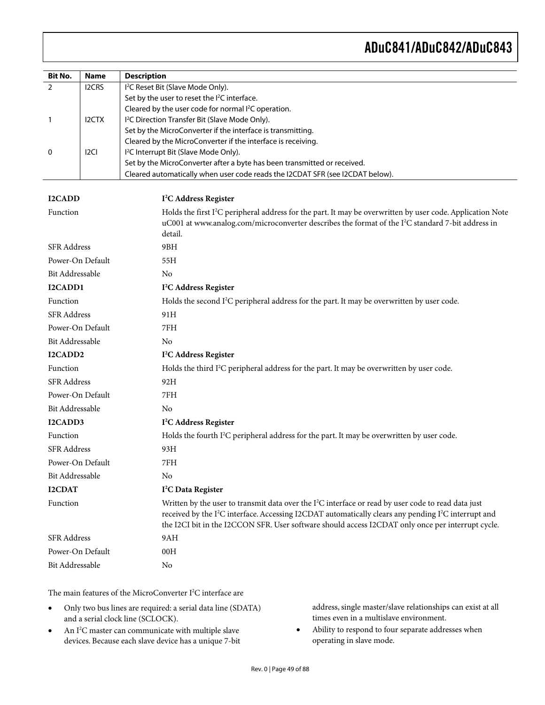| <b>Bit No.</b>         | <b>Name</b>      | <b>Description</b>                                                                                                                                                                                                                    |  |
|------------------------|------------------|---------------------------------------------------------------------------------------------------------------------------------------------------------------------------------------------------------------------------------------|--|
| 2                      | I2CRS            | I <sup>2</sup> C Reset Bit (Slave Mode Only).                                                                                                                                                                                         |  |
|                        |                  | Set by the user to reset the I <sup>2</sup> C interface.                                                                                                                                                                              |  |
|                        |                  | Cleared by the user code for normal I <sup>2</sup> C operation.                                                                                                                                                                       |  |
| $\mathbf{1}$           | <b>I2CTX</b>     | I <sup>2</sup> C Direction Transfer Bit (Slave Mode Only).                                                                                                                                                                            |  |
|                        |                  | Set by the MicroConverter if the interface is transmitting.<br>Cleared by the MicroConverter if the interface is receiving.                                                                                                           |  |
| 0                      | I <sub>2CI</sub> | I <sup>2</sup> C Interrupt Bit (Slave Mode Only).                                                                                                                                                                                     |  |
|                        |                  | Set by the MicroConverter after a byte has been transmitted or received.                                                                                                                                                              |  |
|                        |                  | Cleared automatically when user code reads the I2CDAT SFR (see I2CDAT below).                                                                                                                                                         |  |
|                        |                  |                                                                                                                                                                                                                                       |  |
| <b>I2CADD</b>          |                  | I <sup>2</sup> C Address Register                                                                                                                                                                                                     |  |
| Function               |                  | Holds the first I <sup>2</sup> C peripheral address for the part. It may be overwritten by user code. Application Note                                                                                                                |  |
|                        |                  | uC001 at www.analog.com/microconverter describes the format of the I <sup>2</sup> C standard 7-bit address in                                                                                                                         |  |
|                        |                  | detail.                                                                                                                                                                                                                               |  |
| <b>SFR</b> Address     |                  | 9BH                                                                                                                                                                                                                                   |  |
| Power-On Default       |                  | 55H                                                                                                                                                                                                                                   |  |
| <b>Bit Addressable</b> |                  | No                                                                                                                                                                                                                                    |  |
| I2CADD1                |                  | I <sup>2</sup> C Address Register                                                                                                                                                                                                     |  |
| Function               |                  | Holds the second I <sup>2</sup> C peripheral address for the part. It may be overwritten by user code.                                                                                                                                |  |
| <b>SFR</b> Address     |                  | 91H                                                                                                                                                                                                                                   |  |
| Power-On Default       |                  | 7FH                                                                                                                                                                                                                                   |  |
| Bit Addressable        |                  | No                                                                                                                                                                                                                                    |  |
| I2CADD2                |                  | I <sup>2</sup> C Address Register                                                                                                                                                                                                     |  |
| Function               |                  | Holds the third I <sup>2</sup> C peripheral address for the part. It may be overwritten by user code.                                                                                                                                 |  |
| <b>SFR</b> Address     |                  | 92H                                                                                                                                                                                                                                   |  |
| Power-On Default       |                  | 7FH                                                                                                                                                                                                                                   |  |
| Bit Addressable        |                  | No                                                                                                                                                                                                                                    |  |
| I2CADD3                |                  | I <sup>2</sup> C Address Register                                                                                                                                                                                                     |  |
| Function               |                  | Holds the fourth $I^2C$ peripheral address for the part. It may be overwritten by user code.                                                                                                                                          |  |
| <b>SFR</b> Address     |                  | 93H                                                                                                                                                                                                                                   |  |
| Power-On Default       |                  | 7FH                                                                                                                                                                                                                                   |  |
| Bit Addressable        |                  | N <sub>o</sub>                                                                                                                                                                                                                        |  |
| <b>I2CDAT</b>          |                  | I <sup>2</sup> C Data Register                                                                                                                                                                                                        |  |
| Function               |                  | Written by the user to transmit data over the $I^2C$ interface or read by user code to read data just<br>received by the I <sup>2</sup> C interface. Accessing I2CDAT automatically clears any pending I <sup>2</sup> C interrupt and |  |
|                        |                  | the I2CI bit in the I2CCON SFR. User software should access I2CDAT only once per interrupt cycle.                                                                                                                                     |  |
| <b>SFR</b> Address     |                  | 9AH                                                                                                                                                                                                                                   |  |
| Power-On Default       |                  | 00H                                                                                                                                                                                                                                   |  |
| Bit Addressable        |                  | No                                                                                                                                                                                                                                    |  |

The main features of the MicroConverter  $I^2C$  interface are

- Only two bus lines are required: a serial data line (SDATA) and a serial clock line (SCLOCK).
- An I<sup>2</sup>C master can communicate with multiple slave devices. Because each slave device has a unique 7-bit

address, single master/slave relationships can exist at all times even in a multislave environment.

• Ability to respond to four separate addresses when operating in slave mode.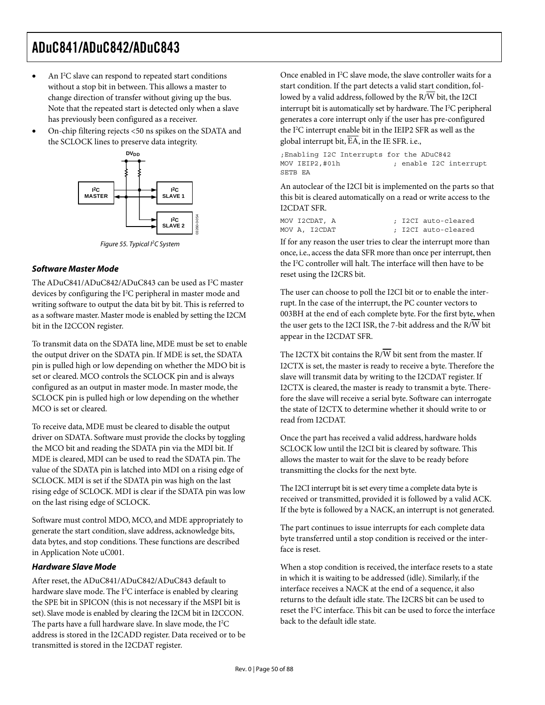- An I<sup>2</sup>C slave can respond to repeated start conditions without a stop bit in between. This allows a master to change direction of transfer without giving up the bus. Note that the repeated start is detected only when a slave has previously been configured as a receiver.
- On-chip filtering rejects <50 ns spikes on the SDATA and the SCLOCK lines to preserve data integrity.



Figure 55. Typical l<sup>2</sup>C System

### **Software Master Mode**

The ADuC841/ADuC842/ADuC843 can be used as I<sup>2</sup>C master devices by configuring the I<sup>2</sup>C peripheral in master mode and writing software to output the data bit by bit. This is referred to as a software master. Master mode is enabled by setting the I2CM bit in the I2CCON register.

To transmit data on the SDATA line, MDE must be set to enable the output driver on the SDATA pin. If MDE is set, the SDATA pin is pulled high or low depending on whether the MDO bit is set or cleared. MCO controls the SCLOCK pin and is always configured as an output in master mode. In master mode, the SCLOCK pin is pulled high or low depending on the whether MCO is set or cleared.

To receive data, MDE must be cleared to disable the output driver on SDATA. Software must provide the clocks by toggling the MCO bit and reading the SDATA pin via the MDI bit. If MDE is cleared, MDI can be used to read the SDATA pin. The value of the SDATA pin is latched into MDI on a rising edge of SCLOCK. MDI is set if the SDATA pin was high on the last rising edge of SCLOCK. MDI is clear if the SDATA pin was low on the last rising edge of SCLOCK.

Software must control MDO, MCO, and MDE appropriately to generate the start condition, slave address, acknowledge bits, data bytes, and stop conditions. These functions are described in Application Note uC001.

### **Hardware Slave Mode**

After reset, the ADuC841/ADuC842/ADuC843 default to hardware slave mode. The I<sup>2</sup>C interface is enabled by clearing the SPE bit in SPICON (this is not necessary if the MSPI bit is set). Slave mode is enabled by clearing the I2CM bit in I2CCON. The parts have a full hardware slave. In slave mode, the  $I^2C$ address is stored in the I2CADD register. Data received or to be transmitted is stored in the I2CDAT register.

Once enabled in I<sup>2</sup>C slave mode, the slave controller waits for a start condition. If the part detects a valid start condition, followed by a valid address, followed by the R/W bit, the I2CI interrupt bit is automatically set by hardware. The I<sup>2</sup>C peripheral generates a core interrupt only if the user has pre-configured the I<sup>2</sup>C interrupt enable bit in the IEIP2 SFR as well as the global interrupt bit, EA, in the IE SFR. i.e.,

;Enabling I2C Interrupts for the ADuC842 MOV IEIP2,#01h ; enable I2C interrupt SETB EA

An autoclear of the I2CI bit is implemented on the parts so that this bit is cleared automatically on a read or write access to the I2CDAT SFR.

|  | MOV I2CDAT, A |  | ; I2CI auto-cleared |
|--|---------------|--|---------------------|
|  | MOV A, I2CDAT |  | ; I2CI auto-cleared |

If for any reason the user tries to clear the interrupt more than once, i.e., access the data SFR more than once per interrupt, then the I<sup>2</sup>C controller will halt. The interface will then have to be reset using the I2CRS bit.

The user can choose to poll the I2CI bit or to enable the interrupt. In the case of the interrupt, the PC counter vectors to 003BH at the end of each complete byte. For the first byte, when the user gets to the I2CI ISR, the 7-bit address and the  $R/\overline{W}$  bit appear in the I2CDAT SFR.

The I2CTX bit contains the  $R/\overline{W}$  bit sent from the master. If I2CTX is set, the master is ready to receive a byte. Therefore the slave will transmit data by writing to the I2CDAT register. If I2CTX is cleared, the master is ready to transmit a byte. Therefore the slave will receive a serial byte. Software can interrogate the state of I2CTX to determine whether it should write to or read from I2CDAT.

Once the part has received a valid address, hardware holds SCLOCK low until the I2CI bit is cleared by software. This allows the master to wait for the slave to be ready before transmitting the clocks for the next byte.

The I2CI interrupt bit is set every time a complete data byte is received or transmitted, provided it is followed by a valid ACK. If the byte is followed by a NACK, an interrupt is not generated.

The part continues to issue interrupts for each complete data byte transferred until a stop condition is received or the interface is reset.

When a stop condition is received, the interface resets to a state in which it is waiting to be addressed (idle). Similarly, if the interface receives a NACK at the end of a sequence, it also returns to the default idle state. The I2CRS bit can be used to reset the I<sup>2</sup>C interface. This bit can be used to force the interface back to the default idle state.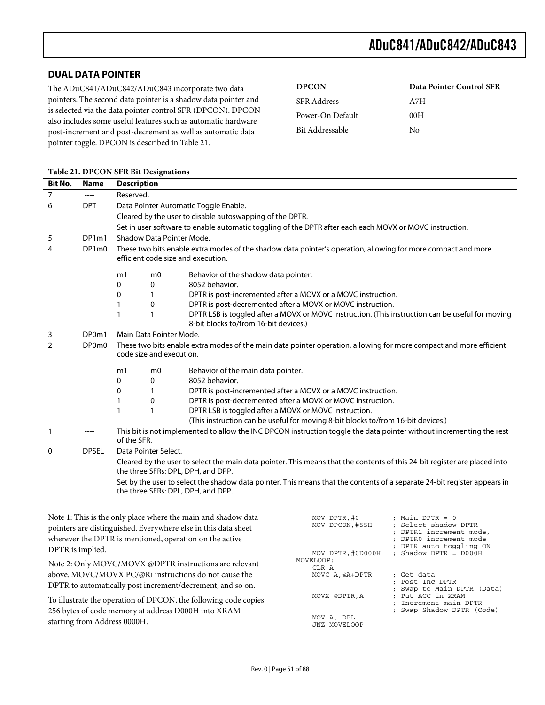## **DUAL DATA POINTER**

The ADuC841/ADuC842/ADuC843 incorporate two data pointers. The second data pointer is a shadow data pointer and is selected via the data pointer control SFR (DPCON). DPCON also includes some useful features such as automatic hardware post-increment and post-decrement as well as automatic data pointer toggle. DPCON is described in Table 21.

| <b>DPCON</b>       | <b>Data Pointer Control SFR</b> |
|--------------------|---------------------------------|
| <b>SFR</b> Address | A7H                             |
| Power-On Default   | 00H                             |
| Bit Addressable    | Nο                              |

| <b>Bit No.</b> | <b>Name</b>  | <b>Description</b>                                                                                                                                              |  |  |  |
|----------------|--------------|-----------------------------------------------------------------------------------------------------------------------------------------------------------------|--|--|--|
| $\overline{7}$ | ----         | Reserved.                                                                                                                                                       |  |  |  |
| 6              | <b>DPT</b>   | Data Pointer Automatic Toggle Enable.                                                                                                                           |  |  |  |
|                |              | Cleared by the user to disable autoswapping of the DPTR.                                                                                                        |  |  |  |
|                |              | Set in user software to enable automatic toggling of the DPTR after each each MOVX or MOVC instruction.                                                         |  |  |  |
| 5              | DP1m1        | Shadow Data Pointer Mode.                                                                                                                                       |  |  |  |
| 4              | DP1m0        | These two bits enable extra modes of the shadow data pointer's operation, allowing for more compact and more<br>efficient code size and execution.              |  |  |  |
|                |              | Behavior of the shadow data pointer.<br>m <sub>0</sub><br>m1                                                                                                    |  |  |  |
|                |              | 8052 behavior.<br>0<br>0                                                                                                                                        |  |  |  |
|                |              | DPTR is post-incremented after a MOVX or a MOVC instruction.<br>0                                                                                               |  |  |  |
|                |              | DPTR is post-decremented after a MOVX or MOVC instruction.<br>$\mathbf{0}$                                                                                      |  |  |  |
|                |              | DPTR LSB is toggled after a MOVX or MOVC instruction. (This instruction can be useful for moving<br>1<br>8-bit blocks to/from 16-bit devices.)                  |  |  |  |
| 3              | DP0m1        | Main Data Pointer Mode.                                                                                                                                         |  |  |  |
| $\overline{2}$ | DP0m0        | These two bits enable extra modes of the main data pointer operation, allowing for more compact and more efficient<br>code size and execution.                  |  |  |  |
|                |              | Behavior of the main data pointer.<br>m <sub>0</sub><br>m1                                                                                                      |  |  |  |
|                |              | 8052 behavior.<br>0<br>0                                                                                                                                        |  |  |  |
|                |              | DPTR is post-incremented after a MOVX or a MOVC instruction.<br>0                                                                                               |  |  |  |
|                |              | DPTR is post-decremented after a MOVX or MOVC instruction.<br>0<br>1                                                                                            |  |  |  |
|                |              | DPTR LSB is toggled after a MOVX or MOVC instruction.<br>1                                                                                                      |  |  |  |
|                |              | (This instruction can be useful for moving 8-bit blocks to/from 16-bit devices.)                                                                                |  |  |  |
| $\mathbf{1}$   | ----         | This bit is not implemented to allow the INC DPCON instruction toggle the data pointer without incrementing the rest<br>of the SFR.                             |  |  |  |
| 0              | <b>DPSEL</b> | Data Pointer Select.                                                                                                                                            |  |  |  |
|                |              | Cleared by the user to select the main data pointer. This means that the contents of this 24-bit register are placed into<br>the three SFRs: DPL, DPH, and DPP. |  |  |  |
|                |              | Set by the user to select the shadow data pointer. This means that the contents of a separate 24-bit register appears in<br>the three SFRs: DPL, DPH, and DPP.  |  |  |  |

#### **Table 21. DPCON SFR Bit Designations**

Note 1: This is the only place where the main and shadow data pointers are distinguished. Everywhere else in this data sheet wherever the DPTR is mentioned, operation on the active DPTR is implied.

Note 2: Only MOVC/MOVX @DPTR instructions are relevant above. MOVC/MOVX PC/@Ri instructions do not cause the DPTR to automatically post increment/decrement, and so on.

To illustrate the operation of DPCON, the following code copies 256 bytes of code memory at address D000H into XRAM starting from Address 0000H.

| MOV DPTR, #0<br>MOV DPCON, #55H         | : Main DPTR = 0<br>: Select shadow DPTR<br>; DPTR1 increment mode,<br>: DPTRO increment mode        |
|-----------------------------------------|-----------------------------------------------------------------------------------------------------|
| MOV DPTR, #0D000H<br>MOVELOOP:<br>CLR A | ; DPTR auto toggling ON<br>: Shadow DPTR = $D000H$                                                  |
| MOVC A, @A+DPTR                         | ; Get data<br>Post Inc DPTR                                                                         |
| MOVX @DPTR, A                           | Swap to Main DPTR (Data)<br>: Put ACC in XRAM<br>: Increment main DPTR<br>; Swap Shadow DPTR (Code) |
| MOV A, DPL<br>JNZ MOVELOOP              |                                                                                                     |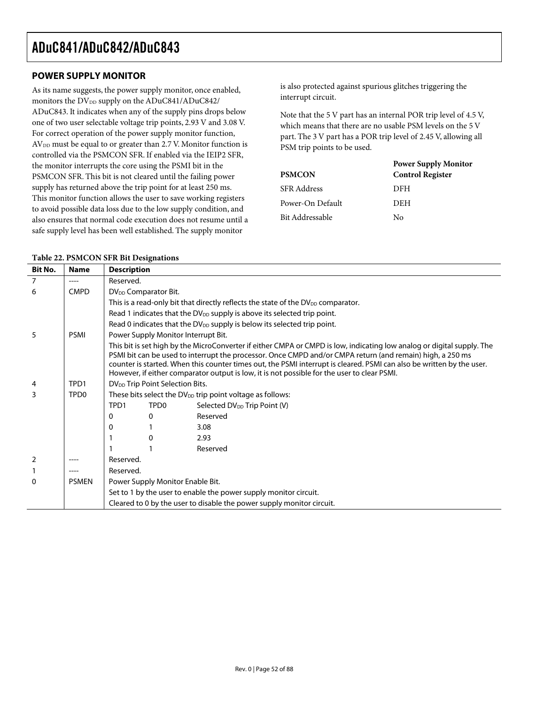## **POWER SUPPLY MONITOR**

As its name suggests, the power supply monitor, once enabled, monitors the DV<sub>DD</sub> supply on the ADuC841/ADuC842/ ADuC843. It indicates when any of the supply pins drops below one of two user selectable voltage trip points, 2.93 V and 3.08 V. For correct operation of the power supply monitor function, AV<sub>DD</sub> must be equal to or greater than 2.7 V. Monitor function is controlled via the PSMCON SFR. If enabled via the IEIP2 SFR, the monitor interrupts the core using the PSMI bit in the PSMCON SFR. This bit is not cleared until the failing power supply has returned above the trip point for at least 250 ms. This monitor function allows the user to save working registers to avoid possible data loss due to the low supply condition, and also ensures that normal code execution does not resume until a safe supply level has been well established. The supply monitor

is also protected against spurious glitches triggering the interrupt circuit.

Note that the 5 V part has an internal POR trip level of 4.5 V, which means that there are no usable PSM levels on the 5 V part. The 3 V part has a POR trip level of 2.45 V, allowing all PSM trip points to be used.

|                  | <b>Power Supply Monitor</b> |
|------------------|-----------------------------|
| <b>PSMCON</b>    | <b>Control Register</b>     |
| SFR Address      | DFH                         |
| Power-On Default | DEH                         |
| Bit Addressable  | Nο                          |

| <b>Bit No.</b> | <b>Name</b>      | <b>Description</b>                                                                                                                                                                                                                                                                                                                                                                                                                                          |                                                                                     |                                                                                       |  |
|----------------|------------------|-------------------------------------------------------------------------------------------------------------------------------------------------------------------------------------------------------------------------------------------------------------------------------------------------------------------------------------------------------------------------------------------------------------------------------------------------------------|-------------------------------------------------------------------------------------|---------------------------------------------------------------------------------------|--|
| 7              | ----             | Reserved.                                                                                                                                                                                                                                                                                                                                                                                                                                                   |                                                                                     |                                                                                       |  |
| 6              | <b>CMPD</b>      |                                                                                                                                                                                                                                                                                                                                                                                                                                                             | DV <sub>DD</sub> Comparator Bit.                                                    |                                                                                       |  |
|                |                  |                                                                                                                                                                                                                                                                                                                                                                                                                                                             |                                                                                     | This is a read-only bit that directly reflects the state of the $DV_{DD}$ comparator. |  |
|                |                  |                                                                                                                                                                                                                                                                                                                                                                                                                                                             | Read 1 indicates that the DV <sub>DD</sub> supply is above its selected trip point. |                                                                                       |  |
|                |                  |                                                                                                                                                                                                                                                                                                                                                                                                                                                             |                                                                                     | Read 0 indicates that the $DV_{DD}$ supply is below its selected trip point.          |  |
| 5              | <b>PSMI</b>      |                                                                                                                                                                                                                                                                                                                                                                                                                                                             |                                                                                     | Power Supply Monitor Interrupt Bit.                                                   |  |
|                |                  | This bit is set high by the MicroConverter if either CMPA or CMPD is low, indicating low analog or digital supply. The<br>PSMI bit can be used to interrupt the processor. Once CMPD and/or CMPA return (and remain) high, a 250 ms<br>counter is started. When this counter times out, the PSMI interrupt is cleared. PSMI can also be written by the user.<br>However, if either comparator output is low, it is not possible for the user to clear PSMI. |                                                                                     |                                                                                       |  |
| 4              | TPD1             |                                                                                                                                                                                                                                                                                                                                                                                                                                                             | DV <sub>DD</sub> Trip Point Selection Bits.                                         |                                                                                       |  |
| 3              | TPD <sub>0</sub> | These bits select the DV <sub>DD</sub> trip point voltage as follows:                                                                                                                                                                                                                                                                                                                                                                                       |                                                                                     |                                                                                       |  |
|                |                  | TPD1                                                                                                                                                                                                                                                                                                                                                                                                                                                        | TPD <sub>0</sub>                                                                    | Selected DV <sub>DD</sub> Trip Point (V)                                              |  |
|                |                  | 0                                                                                                                                                                                                                                                                                                                                                                                                                                                           | 0                                                                                   | Reserved                                                                              |  |
|                |                  | 0                                                                                                                                                                                                                                                                                                                                                                                                                                                           |                                                                                     | 3.08                                                                                  |  |
|                |                  |                                                                                                                                                                                                                                                                                                                                                                                                                                                             | $\Omega$                                                                            | 2.93                                                                                  |  |
|                |                  |                                                                                                                                                                                                                                                                                                                                                                                                                                                             |                                                                                     | Reserved                                                                              |  |
| $\overline{2}$ |                  | Reserved.                                                                                                                                                                                                                                                                                                                                                                                                                                                   |                                                                                     |                                                                                       |  |
|                |                  | Reserved.                                                                                                                                                                                                                                                                                                                                                                                                                                                   |                                                                                     |                                                                                       |  |
| 0              | <b>PSMEN</b>     | Power Supply Monitor Enable Bit.                                                                                                                                                                                                                                                                                                                                                                                                                            |                                                                                     |                                                                                       |  |
|                |                  |                                                                                                                                                                                                                                                                                                                                                                                                                                                             |                                                                                     | Set to 1 by the user to enable the power supply monitor circuit.                      |  |
|                |                  |                                                                                                                                                                                                                                                                                                                                                                                                                                                             | Cleared to 0 by the user to disable the power supply monitor circuit.               |                                                                                       |  |

#### **Table 22. PSMCON SFR Bit Designations**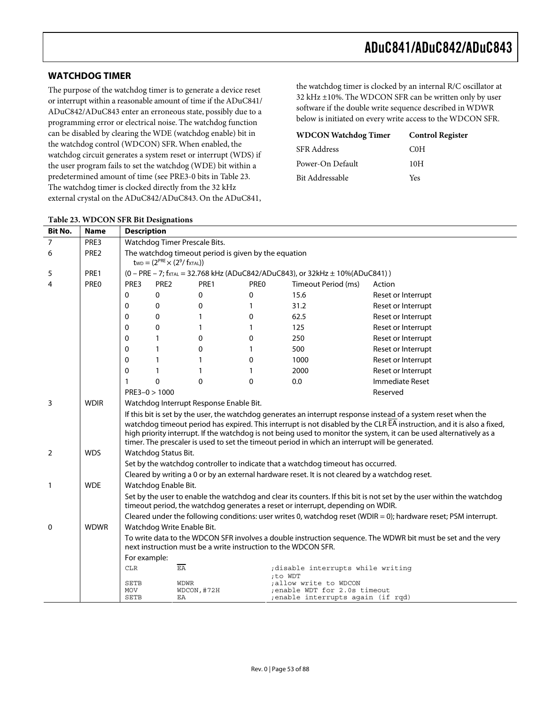### **WATCHDOG TIMER**

The purpose of the watchdog timer is to generate a device reset or interrupt within a reasonable amount of time if the ADuC841/ ADuC842/ADuC843 enter an erroneous state, possibly due to a programming error or electrical noise. The watchdog function can be disabled by clearing the WDE (watchdog enable) bit in the watchdog control (WDCON) SFR. When enabled, the watchdog circuit generates a system reset or interrupt (WDS) if the user program fails to set the watchdog (WDE) bit within a predetermined amount of time (see PRE3-0 bits in Table 23. The watchdog timer is clocked directly from the 32 kHz external crystal on the ADuC842/ADuC843. On the ADuC841,

the watchdog timer is clocked by an internal R/C oscillator at 32 kHz ±10%. The WDCON SFR can be written only by user software if the double write sequence described in WDWR below is initiated on every write access to the WDCON SFR.

| <b>WDCON Watchdog Timer</b> | <b>Control Register</b> |
|-----------------------------|-------------------------|
| <b>SFR Address</b>          | C <sub>0</sub> H        |
| Power-On Default            | 10H                     |
| Bit Addressable             | Yes                     |

| <b>Bit No.</b> | <b>Name</b> | <b>Description</b>                                                                                                                                                                                                                                                                                                                                                                                                                                                  |                            |                                         |          |                                                                              |                                                                                                                  |
|----------------|-------------|---------------------------------------------------------------------------------------------------------------------------------------------------------------------------------------------------------------------------------------------------------------------------------------------------------------------------------------------------------------------------------------------------------------------------------------------------------------------|----------------------------|-----------------------------------------|----------|------------------------------------------------------------------------------|------------------------------------------------------------------------------------------------------------------|
| 7              | PRE3        | Watchdog Timer Prescale Bits.                                                                                                                                                                                                                                                                                                                                                                                                                                       |                            |                                         |          |                                                                              |                                                                                                                  |
| 6              | PRE2        | The watchdog timeout period is given by the equation<br>$t_{WD} = (2^{PRE} \times (2^9 / f_{XTAL}))$                                                                                                                                                                                                                                                                                                                                                                |                            |                                         |          |                                                                              |                                                                                                                  |
| 5              | PRE1        |                                                                                                                                                                                                                                                                                                                                                                                                                                                                     |                            |                                         |          | (0 - PRE - 7; fxTAL = 32.768 kHz (ADuC842/ADuC843), or 32kHz ± 10%(ADuC841)) |                                                                                                                  |
| 4              | <b>PREO</b> | PRE3                                                                                                                                                                                                                                                                                                                                                                                                                                                                | PRE <sub>2</sub>           | PRE1                                    | PREO     | Timeout Period (ms)                                                          | Action                                                                                                           |
|                |             | 0                                                                                                                                                                                                                                                                                                                                                                                                                                                                   | 0                          | 0                                       | 0        | 15.6                                                                         | Reset or Interrupt                                                                                               |
|                |             | $\Omega$                                                                                                                                                                                                                                                                                                                                                                                                                                                            | $\Omega$                   | 0                                       | 1        | 31.2                                                                         | Reset or Interrupt                                                                                               |
|                |             | $\Omega$                                                                                                                                                                                                                                                                                                                                                                                                                                                            | $\Omega$                   | 1                                       | $\Omega$ | 62.5                                                                         | Reset or Interrupt                                                                                               |
|                |             | $\mathbf{0}$                                                                                                                                                                                                                                                                                                                                                                                                                                                        | $\Omega$                   | 1                                       | 1        | 125                                                                          | Reset or Interrupt                                                                                               |
|                |             | 0                                                                                                                                                                                                                                                                                                                                                                                                                                                                   |                            | 0                                       | 0        | 250                                                                          | Reset or Interrupt                                                                                               |
|                |             | 0                                                                                                                                                                                                                                                                                                                                                                                                                                                                   |                            | 0                                       | 1        | 500                                                                          | Reset or Interrupt                                                                                               |
|                |             | 0                                                                                                                                                                                                                                                                                                                                                                                                                                                                   |                            | 1                                       | 0        | 1000                                                                         | Reset or Interrupt                                                                                               |
|                |             | 0                                                                                                                                                                                                                                                                                                                                                                                                                                                                   |                            | 1                                       |          | 2000                                                                         | Reset or Interrupt                                                                                               |
|                |             | 1                                                                                                                                                                                                                                                                                                                                                                                                                                                                   | $\Omega$                   | $\Omega$                                | $\Omega$ | 0.0                                                                          | Immediate Reset                                                                                                  |
|                |             | $PRE3 - 0 > 1000$<br>Reserved                                                                                                                                                                                                                                                                                                                                                                                                                                       |                            |                                         |          |                                                                              |                                                                                                                  |
| 3              | <b>WDIR</b> |                                                                                                                                                                                                                                                                                                                                                                                                                                                                     |                            | Watchdog Interrupt Response Enable Bit. |          |                                                                              |                                                                                                                  |
|                |             | If this bit is set by the user, the watchdog generates an interrupt response instead of a system reset when the<br>watchdog timeout period has expired. This interrupt is not disabled by the CLR EA instruction, and it is also a fixed,<br>high priority interrupt. If the watchdog is not being used to monitor the system, it can be used alternatively as a<br>timer. The prescaler is used to set the timeout period in which an interrupt will be generated. |                            |                                         |          |                                                                              |                                                                                                                  |
| 2              | <b>WDS</b>  |                                                                                                                                                                                                                                                                                                                                                                                                                                                                     | Watchdog Status Bit.       |                                         |          |                                                                              |                                                                                                                  |
|                |             | Set by the watchdog controller to indicate that a watchdog timeout has occurred.                                                                                                                                                                                                                                                                                                                                                                                    |                            |                                         |          |                                                                              |                                                                                                                  |
|                |             | Cleared by writing a 0 or by an external hardware reset. It is not cleared by a watchdog reset.                                                                                                                                                                                                                                                                                                                                                                     |                            |                                         |          |                                                                              |                                                                                                                  |
| $\mathbf{1}$   | <b>WDE</b>  | Watchdog Enable Bit.                                                                                                                                                                                                                                                                                                                                                                                                                                                |                            |                                         |          |                                                                              |                                                                                                                  |
|                |             | Set by the user to enable the watchdog and clear its counters. If this bit is not set by the user within the watchdog<br>timeout period, the watchdog generates a reset or interrupt, depending on WDIR.                                                                                                                                                                                                                                                            |                            |                                         |          |                                                                              |                                                                                                                  |
|                |             |                                                                                                                                                                                                                                                                                                                                                                                                                                                                     |                            |                                         |          |                                                                              | Cleared under the following conditions: user writes 0, watchdog reset (WDIR = 0); hardware reset; PSM interrupt. |
| 0              | <b>WDWR</b> |                                                                                                                                                                                                                                                                                                                                                                                                                                                                     | Watchdog Write Enable Bit. |                                         |          |                                                                              |                                                                                                                  |
|                |             | To write data to the WDCON SFR involves a double instruction sequence. The WDWR bit must be set and the very<br>next instruction must be a write instruction to the WDCON SFR.                                                                                                                                                                                                                                                                                      |                            |                                         |          |                                                                              |                                                                                                                  |
|                |             | For example:                                                                                                                                                                                                                                                                                                                                                                                                                                                        |                            |                                         |          |                                                                              |                                                                                                                  |
|                |             | <b>CLR</b>                                                                                                                                                                                                                                                                                                                                                                                                                                                          | $E\overline{A}$            |                                         |          | ; disable interrupts while writing                                           |                                                                                                                  |
|                |             | <b>SETB</b>                                                                                                                                                                                                                                                                                                                                                                                                                                                         | <b>WDWR</b>                |                                         |          | ;to WDT<br>allow write to WDCON;                                             |                                                                                                                  |
|                |             | MOV<br><b>SETB</b>                                                                                                                                                                                                                                                                                                                                                                                                                                                  | ΕA                         | WDCON, #72H                             |          | ; enable WDT for 2.0s timeout<br>; enable interrupts again (if rqd)          |                                                                                                                  |

#### **Table 23. WDCON SFR Bit Designations**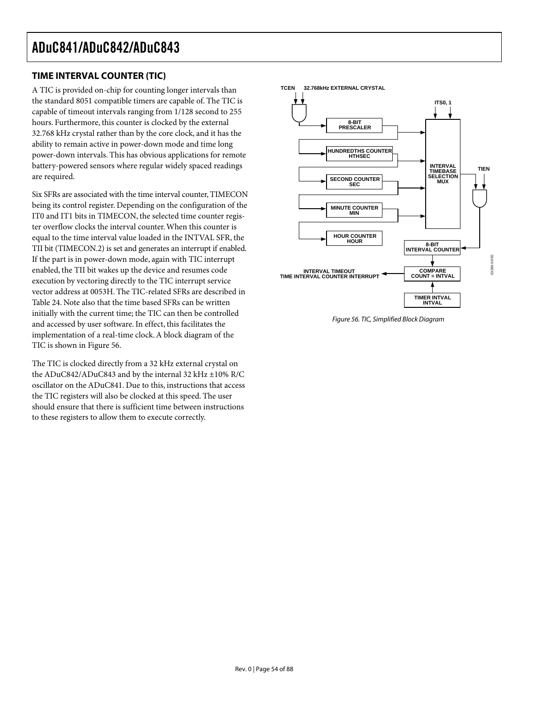## **TIME INTERVAL COUNTER (TIC)**

A TIC is provided on-chip for counting longer intervals than the standard 8051 compatible timers are capable of. The TIC is capable of timeout intervals ranging from 1/128 second to 255 hours. Furthermore, this counter is clocked by the external 32.768 kHz crystal rather than by the core clock, and it has the ability to remain active in power-down mode and time long power-down intervals. This has obvious applications for remote battery-powered sensors where regular widely spaced readings are required.

Six SFRs are associated with the time interval counter, TIMECON being its control register. Depending on the configuration of the IT0 and IT1 bits in TIMECON, the selected time counter register overflow clocks the interval counter. When this counter is equal to the time interval value loaded in the INTVAL SFR, the TII bit (TIMECON.2) is set and generates an interrupt if enabled. If the part is in power-down mode, again with TIC interrupt enabled, the TII bit wakes up the device and resumes code execution by vectoring directly to the TIC interrupt service vector address at 0053H. The TIC-related SFRs are described in Table 24. Note also that the time based SFRs can be written initially with the current time; the TIC can then be controlled and accessed by user software. In effect, this facilitates the implementation of a real-time clock. A block diagram of the TIC is shown in Figure 56.

The TIC is clocked directly from a 32 kHz external crystal on the ADuC842/ADuC843 and by the internal 32 kHz ±10% R/C oscillator on the ADuC841. Due to this, instructions that access the TIC registers will also be clocked at this speed. The user should ensure that there is sufficient time between instructions to these registers to allow them to execute correctly.



Figure 56. TIC, Simplified Block Diagram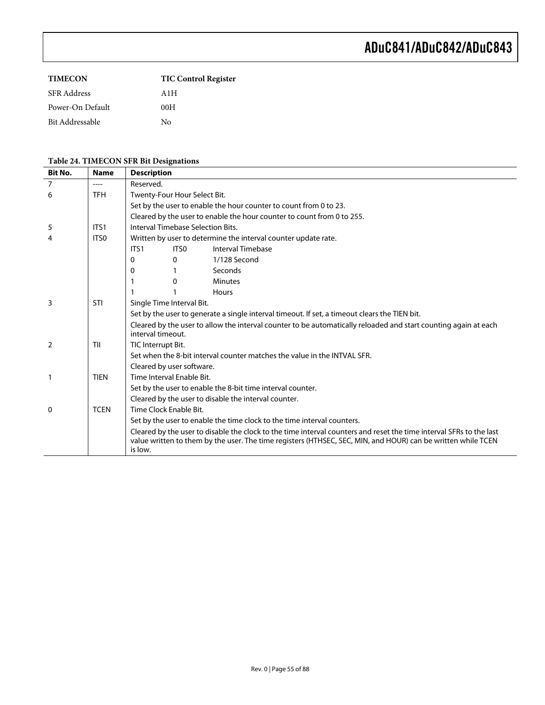| <b>TIMECON</b>     | <b>TIC Control Register</b> |
|--------------------|-----------------------------|
| <b>SFR</b> Address | A1H                         |
| Power-On Default   | 00H                         |
| Bit Addressable    | Nο                          |

## **Table 24. TIMECON SFR Bit Designations**

| <b>Bit No.</b> | <b>Name</b> | <b>Description</b>                                                                                                                                                                                                                             |                                   |                                                                        |
|----------------|-------------|------------------------------------------------------------------------------------------------------------------------------------------------------------------------------------------------------------------------------------------------|-----------------------------------|------------------------------------------------------------------------|
| $\overline{7}$ | ----        | Reserved.                                                                                                                                                                                                                                      |                                   |                                                                        |
| 6              | <b>TFH</b>  | Twenty-Four Hour Select Bit.                                                                                                                                                                                                                   |                                   |                                                                        |
|                |             |                                                                                                                                                                                                                                                |                                   | Set by the user to enable the hour counter to count from 0 to 23.      |
|                |             |                                                                                                                                                                                                                                                |                                   | Cleared by the user to enable the hour counter to count from 0 to 255. |
| 5              | ITS1        |                                                                                                                                                                                                                                                | Interval Timebase Selection Bits. |                                                                        |
| 4              | ITS0        |                                                                                                                                                                                                                                                |                                   | Written by user to determine the interval counter update rate.         |
|                |             | ITS1                                                                                                                                                                                                                                           | ITS <sub>0</sub>                  | Interval Timebase                                                      |
|                |             | 0                                                                                                                                                                                                                                              | $\Omega$                          | 1/128 Second                                                           |
|                |             | 0                                                                                                                                                                                                                                              |                                   | Seconds                                                                |
|                |             |                                                                                                                                                                                                                                                | $\Omega$                          | <b>Minutes</b>                                                         |
|                |             |                                                                                                                                                                                                                                                |                                   | Hours                                                                  |
| 3              | STI         |                                                                                                                                                                                                                                                | Single Time Interval Bit.         |                                                                        |
|                |             | Set by the user to generate a single interval timeout. If set, a timeout clears the TIEN bit.<br>Cleared by the user to allow the interval counter to be automatically reloaded and start counting again at each<br>interval timeout.          |                                   |                                                                        |
|                |             |                                                                                                                                                                                                                                                |                                   |                                                                        |
| $\overline{2}$ | TII         | TIC Interrupt Bit.                                                                                                                                                                                                                             |                                   |                                                                        |
|                |             | Set when the 8-bit interval counter matches the value in the INTVAL SFR.<br>Cleared by user software.                                                                                                                                          |                                   |                                                                        |
|                |             |                                                                                                                                                                                                                                                |                                   |                                                                        |
| $\mathbf{1}$   | <b>TIEN</b> | Time Interval Enable Bit.                                                                                                                                                                                                                      |                                   |                                                                        |
|                |             |                                                                                                                                                                                                                                                |                                   | Set by the user to enable the 8-bit time interval counter.             |
|                |             |                                                                                                                                                                                                                                                |                                   | Cleared by the user to disable the interval counter.                   |
| $\mathbf{0}$   | <b>TCEN</b> | Time Clock Enable Bit.                                                                                                                                                                                                                         |                                   |                                                                        |
|                |             | Set by the user to enable the time clock to the time interval counters.                                                                                                                                                                        |                                   |                                                                        |
|                |             | Cleared by the user to disable the clock to the time interval counters and reset the time interval SFRs to the last<br>value written to them by the user. The time registers (HTHSEC, SEC, MIN, and HOUR) can be written while TCEN<br>is low. |                                   |                                                                        |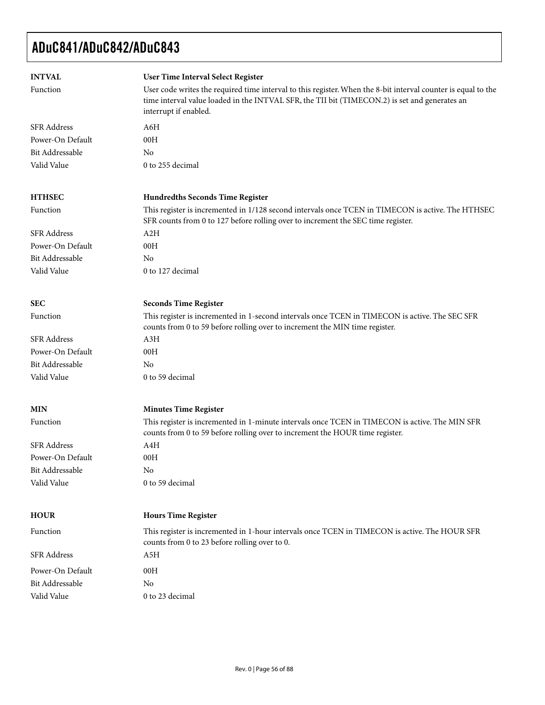| <b>INTVAL</b><br>Function                                                | User Time Interval Select Register<br>User code writes the required time interval to this register. When the 8-bit interval counter is equal to the<br>time interval value loaded in the INTVAL SFR, the TII bit (TIMECON.2) is set and generates an<br>interrupt if enabled. |
|--------------------------------------------------------------------------|-------------------------------------------------------------------------------------------------------------------------------------------------------------------------------------------------------------------------------------------------------------------------------|
| <b>SFR</b> Address<br>Power-On Default<br>Bit Addressable<br>Valid Value | A6H<br>00H<br>N <sub>0</sub><br>0 to 255 decimal                                                                                                                                                                                                                              |
| <b>HTHSEC</b>                                                            | <b>Hundredths Seconds Time Register</b>                                                                                                                                                                                                                                       |
| Function                                                                 | This register is incremented in 1/128 second intervals once TCEN in TIMECON is active. The HTHSEC<br>SFR counts from 0 to 127 before rolling over to increment the SEC time register.                                                                                         |
| <b>SFR</b> Address                                                       | A2H                                                                                                                                                                                                                                                                           |
| Power-On Default                                                         | 00H                                                                                                                                                                                                                                                                           |
| <b>Bit Addressable</b>                                                   | N <sub>0</sub>                                                                                                                                                                                                                                                                |
| Valid Value                                                              | 0 to 127 decimal                                                                                                                                                                                                                                                              |
| <b>SEC</b>                                                               | <b>Seconds Time Register</b>                                                                                                                                                                                                                                                  |
| Function                                                                 | This register is incremented in 1-second intervals once TCEN in TIMECON is active. The SEC SFR<br>counts from 0 to 59 before rolling over to increment the MIN time register.                                                                                                 |
| <b>SFR Address</b>                                                       | A3H                                                                                                                                                                                                                                                                           |
| Power-On Default                                                         | 00H                                                                                                                                                                                                                                                                           |
| <b>Bit Addressable</b>                                                   | N <sub>0</sub>                                                                                                                                                                                                                                                                |
| Valid Value                                                              | 0 to 59 decimal                                                                                                                                                                                                                                                               |
| <b>MIN</b>                                                               | <b>Minutes Time Register</b>                                                                                                                                                                                                                                                  |
| Function                                                                 | This register is incremented in 1-minute intervals once TCEN in TIMECON is active. The MIN SFR<br>counts from 0 to 59 before rolling over to increment the HOUR time register.                                                                                                |
| <b>SFR Address</b>                                                       | A4H                                                                                                                                                                                                                                                                           |
| Power-On Default                                                         | 00H                                                                                                                                                                                                                                                                           |
| Bit Addressable                                                          | No                                                                                                                                                                                                                                                                            |
| Valid Value                                                              | 0 to 59 decimal                                                                                                                                                                                                                                                               |
| <b>HOUR</b>                                                              | <b>Hours Time Register</b>                                                                                                                                                                                                                                                    |
| Function                                                                 | This register is incremented in 1-hour intervals once TCEN in TIMECON is active. The HOUR SFR<br>counts from 0 to 23 before rolling over to 0.                                                                                                                                |
| <b>SFR</b> Address                                                       | A5H                                                                                                                                                                                                                                                                           |
| Power-On Default                                                         | 00H                                                                                                                                                                                                                                                                           |
| Bit Addressable                                                          | No                                                                                                                                                                                                                                                                            |
| Valid Value                                                              | 0 to 23 decimal                                                                                                                                                                                                                                                               |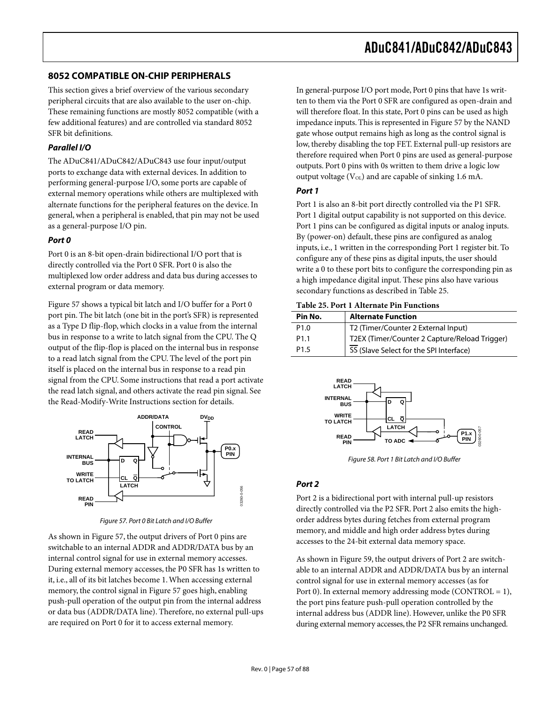## **8052 COMPATIBLE ON-CHIP PERIPHERALS**

This section gives a brief overview of the various secondary peripheral circuits that are also available to the user on-chip. These remaining functions are mostly 8052 compatible (with a few additional features) and are controlled via standard 8052 SFR bit definitions.

### **Parallel I/O**

The ADuC841/ADuC842/ADuC843 use four input/output ports to exchange data with external devices. In addition to performing general-purpose I/O, some ports are capable of external memory operations while others are multiplexed with alternate functions for the peripheral features on the device. In general, when a peripheral is enabled, that pin may not be used as a general-purpose I/O pin.

### **Port 0**

Port 0 is an 8-bit open-drain bidirectional I/O port that is directly controlled via the Port 0 SFR. Port 0 is also the multiplexed low order address and data bus during accesses to external program or data memory.

Figure 57 shows a typical bit latch and I/O buffer for a Port 0 port pin. The bit latch (one bit in the port's SFR) is represented as a Type D flip-flop, which clocks in a value from the internal bus in response to a write to latch signal from the CPU. The Q output of the flip-flop is placed on the internal bus in response to a read latch signal from the CPU. The level of the port pin itself is placed on the internal bus in response to a read pin signal from the CPU. Some instructions that read a port activate the read latch signal, and others activate the read pin signal. See the Read-Modify-Write Instructions section for details.



Figure 57. Port 0 Bit Latch and I/O Buffer

As shown in Figure 57, the output drivers of Port 0 pins are switchable to an internal ADDR and ADDR/DATA bus by an internal control signal for use in external memory accesses. During external memory accesses, the P0 SFR has 1s written to it, i.e., all of its bit latches become 1. When accessing external memory, the control signal in Figure 57 goes high, enabling push-pull operation of the output pin from the internal address or data bus (ADDR/DATA line). Therefore, no external pull-ups are required on Port 0 for it to access external memory.

In general-purpose I/O port mode, Port 0 pins that have 1s written to them via the Port 0 SFR are configured as open-drain and will therefore float. In this state, Port 0 pins can be used as high impedance inputs. This is represented in Figure 57 by the NAND gate whose output remains high as long as the control signal is low, thereby disabling the top FET. External pull-up resistors are therefore required when Port 0 pins are used as general-purpose outputs. Port 0 pins with 0s written to them drive a logic low output voltage  $(V<sub>OL</sub>)$  and are capable of sinking 1.6 mA.

### **Port 1**

Port 1 is also an 8-bit port directly controlled via the P1 SFR. Port 1 digital output capability is not supported on this device. Port 1 pins can be configured as digital inputs or analog inputs. By (power-on) default, these pins are configured as analog inputs, i.e., 1 written in the corresponding Port 1 register bit. To configure any of these pins as digital inputs, the user should write a 0 to these port bits to configure the corresponding pin as a high impedance digital input. These pins also have various secondary functions as described in Table 25.

#### **Table 25. Port 1 Alternate Pin Functions**

| Pin No.          | <b>Alternate Function</b>                     |
|------------------|-----------------------------------------------|
| P <sub>1.0</sub> | T2 (Timer/Counter 2 External Input)           |
| P <sub>1.1</sub> | T2EX (Timer/Counter 2 Capture/Reload Trigger) |
| P <sub>1.5</sub> | SS (Slave Select for the SPI Interface)       |



Figure 58. Port 1 Bit Latch and I/O Buffer

#### **Port 2**

Port 2 is a bidirectional port with internal pull-up resistors directly controlled via the P2 SFR. Port 2 also emits the highorder address bytes during fetches from external program memory, and middle and high order address bytes during accesses to the 24-bit external data memory space.

As shown in Figure 59, the output drivers of Port 2 are switchable to an internal ADDR and ADDR/DATA bus by an internal control signal for use in external memory accesses (as for Port 0). In external memory addressing mode (CONTROL = 1), the port pins feature push-pull operation controlled by the internal address bus (ADDR line). However, unlike the P0 SFR during external memory accesses, the P2 SFR remains unchanged.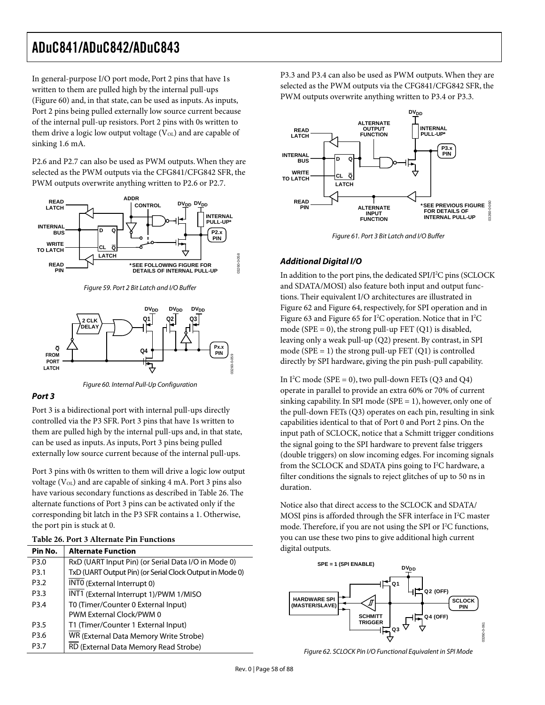In general-purpose I/O port mode, Port 2 pins that have 1s written to them are pulled high by the internal pull-ups (Figure 60) and, in that state, can be used as inputs. As inputs, Port 2 pins being pulled externally low source current because of the internal pull-up resistors. Port 2 pins with 0s written to them drive a logic low output voltage  $(V<sub>OL</sub>)$  and are capable of sinking 1.6 mA.

P2.6 and P2.7 can also be used as PWM outputs. When they are selected as the PWM outputs via the CFG841/CFG842 SFR, the PWM outputs overwrite anything written to P2.6 or P2.7.



Figure 59. Port 2 Bit Latch and I/O Buffer





#### **Port 3**

Port 3 is a bidirectional port with internal pull-ups directly controlled via the P3 SFR. Port 3 pins that have 1s written to them are pulled high by the internal pull-ups and, in that state, can be used as inputs. As inputs, Port 3 pins being pulled externally low source current because of the internal pull-ups.

Port 3 pins with 0s written to them will drive a logic low output voltage  $(V_{OL})$  and are capable of sinking 4 mA. Port 3 pins also have various secondary functions as described in Table 26. The alternate functions of Port 3 pins can be activated only if the corresponding bit latch in the P3 SFR contains a 1. Otherwise, the port pin is stuck at 0.

| Pin No.          | <b>Alternate Function</b>                                |
|------------------|----------------------------------------------------------|
| P3.0             | RxD (UART Input Pin) (or Serial Data I/O in Mode 0)      |
| P <sub>3.1</sub> | TxD (UART Output Pin) (or Serial Clock Output in Mode 0) |
| P <sub>3.2</sub> | INTO (External Interrupt 0)                              |
| P3.3             | INT1 (External Interrupt 1)/PWM 1/MISO                   |
| P <sub>3.4</sub> | T0 (Timer/Counter 0 External Input)                      |
|                  | PWM External Clock/PWM 0                                 |
| P <sub>3.5</sub> | T1 (Timer/Counter 1 External Input)                      |
| P3.6             | WR (External Data Memory Write Strobe)                   |
| P <sub>3.7</sub> | RD (External Data Memory Read Strobe)                    |

P3.3 and P3.4 can also be used as PWM outputs. When they are selected as the PWM outputs via the CFG841/CFG842 SFR, the PWM outputs overwrite anything written to P3.4 or P3.3.



Figure 61. Port 3 Bit Latch and I/O Buffer

### **Additional Digital I/O**

In addition to the port pins, the dedicated SPI/I<sup>2</sup>C pins (SCLOCK and SDATA/MOSI) also feature both input and output functions. Their equivalent I/O architectures are illustrated in Figure 62 and Figure 64, respectively, for SPI operation and in Figure 63 and Figure 65 for  $I^2C$  operation. Notice that in  $I^2C$ mode ( $SPE = 0$ ), the strong pull-up FET (Q1) is disabled, leaving only a weak pull-up (Q2) present. By contrast, in SPI mode ( $SPE = 1$ ) the strong pull-up FET (Q1) is controlled directly by SPI hardware, giving the pin push-pull capability.

In  $I^2C$  mode (SPE = 0), two pull-down FETs (Q3 and Q4) operate in parallel to provide an extra 60% or 70% of current sinking capability. In SPI mode (SPE = 1), however, only one of the pull-down FETs (Q3) operates on each pin, resulting in sink capabilities identical to that of Port 0 and Port 2 pins. On the input path of SCLOCK, notice that a Schmitt trigger conditions the signal going to the SPI hardware to prevent false triggers (double triggers) on slow incoming edges. For incoming signals from the SCLOCK and SDATA pins going to I<sup>2</sup>C hardware, a filter conditions the signals to reject glitches of up to 50 ns in duration.

Notice also that direct access to the SCLOCK and SDATA/ MOSI pins is afforded through the SFR interface in  $I^2C$  master mode. Therefore, if you are not using the SPI or I<sup>2</sup>C functions, you can use these two pins to give additional high current digital outputs.



Figure 62. SCLOCK Pin I/O Functional Equivalent in SPI Mode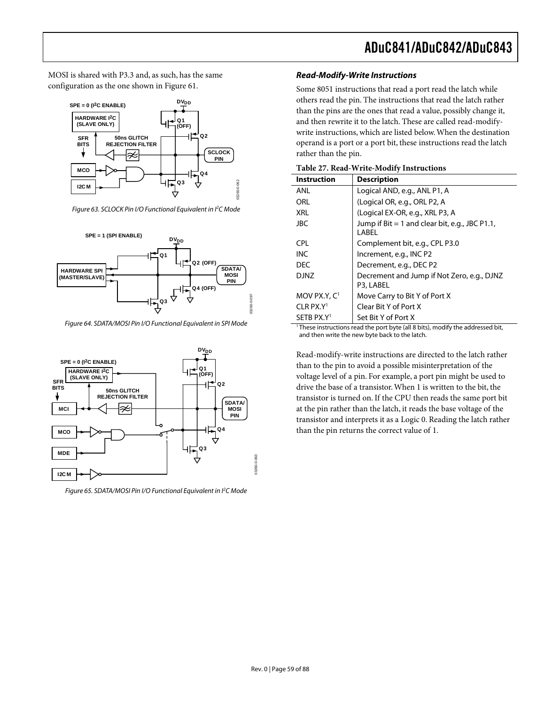MOSI is shared with P3.3 and, as such, has the same configuration as the one shown in Figure 61.



Figure 63. SCLOCK Pin I/O Functional Equivalent in <sup>P</sup>C Mode



Figure 64. SDATA/MOSI Pin I/O Functional Equivalent in SPI Mode



Figure 65. SDATA/MOSI Pin I/O Functional Equivalent in I<sup>2</sup>C Mode

### **Read-Modify-Write Instructions**

Some 8051 instructions that read a port read the latch while others read the pin. The instructions that read the latch rather than the pins are the ones that read a value, possibly change it, and then rewrite it to the latch. These are called read-modifywrite instructions, which are listed below. When the destination operand is a port or a port bit, these instructions read the latch rather than the pin.

| Table 27. Read-Write-Modify Instructions |  |
|------------------------------------------|--|
|------------------------------------------|--|

| <b>Instruction</b>      | <b>Description</b>                                        |
|-------------------------|-----------------------------------------------------------|
| ANL                     | Logical AND, e.g., ANL P1, A                              |
| ORL                     | (Logical OR, e.g., ORL P2, A                              |
| <b>XRL</b>              | (Logical EX-OR, e.g., XRL P3, A                           |
| <b>JBC</b>              | Jump if $Bit = 1$ and clear bit, e.g., JBC P1.1,<br>LABEL |
| <b>CPL</b>              | Complement bit, e.g., CPL P3.0                            |
| <b>INC</b>              | Increment, e.g., INC P2                                   |
| <b>DEC</b>              | Decrement, e.g., DEC P2                                   |
| <b>DJNZ</b>             | Decrement and Jump if Not Zero, e.g., DJNZ<br>P3, LABEL   |
| MOV PX.Y, $C1$          | Move Carry to Bit Y of Port X                             |
| $CLR$ PX.Y <sup>1</sup> | Clear Bit Y of Port X                                     |
| SETB PX.Y <sup>1</sup>  | Set Bit Y of Port X<br>$\cdot$ $\cdot$<br>.               |

These instructions read the port byte (all 8 bits), modify the addressed bit, and then write the new byte back to the latch.

Read-modify-write instructions are directed to the latch rather than to the pin to avoid a possible misinterpretation of the voltage level of a pin. For example, a port pin might be used to drive the base of a transistor. When 1 is written to the bit, the transistor is turned on. If the CPU then reads the same port bit at the pin rather than the latch, it reads the base voltage of the transistor and interprets it as a Logic 0. Reading the latch rather than the pin returns the correct value of 1.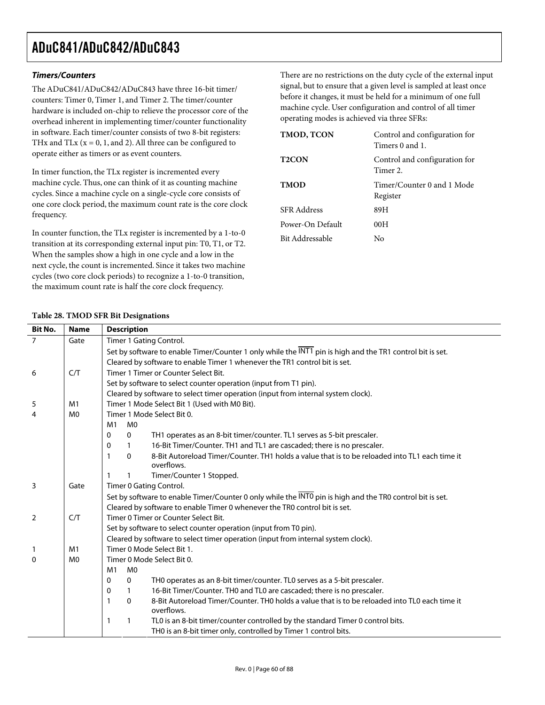### **Timers/Counters**

The ADuC841/ADuC842/ADuC843 have three 16-bit timer/ counters: Timer 0, Timer 1, and Timer 2. The timer/counter hardware is included on-chip to relieve the processor core of the overhead inherent in implementing timer/counter functionality in software. Each timer/counter consists of two 8-bit registers: THx and TLx ( $x = 0$ , 1, and 2). All three can be configured to operate either as timers or as event counters.

In timer function, the TLx register is incremented every machine cycle. Thus, one can think of it as counting machine cycles. Since a machine cycle on a single-cycle core consists of one core clock period, the maximum count rate is the core clock frequency.

In counter function, the TLx register is incremented by a 1-to-0 transition at its corresponding external input pin: T0, T1, or T2. When the samples show a high in one cycle and a low in the next cycle, the count is incremented. Since it takes two machine cycles (two core clock periods) to recognize a 1-to-0 transition, the maximum count rate is half the core clock frequency.

There are no restrictions on the duty cycle of the external input signal, but to ensure that a given level is sampled at least once before it changes, it must be held for a minimum of one full machine cycle. User configuration and control of all timer operating modes is achieved via three SFRs:

| TMOD, TCON         | Control and configuration for<br>Timers 0 and 1. |
|--------------------|--------------------------------------------------|
| <b>T2CON</b>       | Control and configuration for<br>Timer 2.        |
| <b>TMOD</b>        | Timer/Counter 0 and 1 Mode<br>Register           |
| <b>SFR</b> Address | 89H                                              |
| Power-On Default   | 00H                                              |
| Bit Addressable    | Nο                                               |

### **Table 28. TMOD SFR Bit Designations**

| <b>Bit No.</b> | <b>Name</b>    | <b>Description</b>                                                                                                           |  |  |  |  |  |
|----------------|----------------|------------------------------------------------------------------------------------------------------------------------------|--|--|--|--|--|
| $\overline{7}$ | Gate           | Timer 1 Gating Control.                                                                                                      |  |  |  |  |  |
|                |                | Set by software to enable Timer/Counter 1 only while the INT1 pin is high and the TR1 control bit is set.                    |  |  |  |  |  |
|                |                | Cleared by software to enable Timer 1 whenever the TR1 control bit is set.                                                   |  |  |  |  |  |
| 6              | C/T            | Timer 1 Timer or Counter Select Bit.                                                                                         |  |  |  |  |  |
|                |                | Set by software to select counter operation (input from T1 pin).                                                             |  |  |  |  |  |
|                |                | Cleared by software to select timer operation (input from internal system clock).                                            |  |  |  |  |  |
| 5              | M <sub>1</sub> | Timer 1 Mode Select Bit 1 (Used with M0 Bit).                                                                                |  |  |  |  |  |
| $\overline{4}$ | M <sub>0</sub> | Timer 1 Mode Select Bit 0.                                                                                                   |  |  |  |  |  |
|                |                | M1<br>M <sub>0</sub>                                                                                                         |  |  |  |  |  |
|                |                | TH1 operates as an 8-bit timer/counter. TL1 serves as 5-bit prescaler.<br>$\mathbf 0$                                        |  |  |  |  |  |
|                |                | 16-Bit Timer/Counter. TH1 and TL1 are cascaded; there is no prescaler.<br>$\mathbf{1}$                                       |  |  |  |  |  |
|                |                | 8-Bit Autoreload Timer/Counter. TH1 holds a value that is to be reloaded into TL1 each time it<br>$\mathbf{0}$<br>overflows. |  |  |  |  |  |
|                |                | Timer/Counter 1 Stopped.                                                                                                     |  |  |  |  |  |
| 3              | Gate           | Timer 0 Gating Control.                                                                                                      |  |  |  |  |  |
|                |                | Set by software to enable Timer/Counter 0 only while the INTO pin is high and the TRO control bit is set.                    |  |  |  |  |  |
|                |                | Cleared by software to enable Timer 0 whenever the TR0 control bit is set.                                                   |  |  |  |  |  |
| 2              | C/T            | Timer 0 Timer or Counter Select Bit.                                                                                         |  |  |  |  |  |
|                |                | Set by software to select counter operation (input from T0 pin).                                                             |  |  |  |  |  |
|                |                | Cleared by software to select timer operation (input from internal system clock).                                            |  |  |  |  |  |
| $\mathbf{1}$   | M <sub>1</sub> | Timer 0 Mode Select Bit 1.                                                                                                   |  |  |  |  |  |
| $\Omega$       | M <sub>0</sub> | Timer 0 Mode Select Bit 0.                                                                                                   |  |  |  |  |  |
|                |                | M <sub>0</sub><br>M1                                                                                                         |  |  |  |  |  |
|                |                | THO operates as an 8-bit timer/counter. TLO serves as a 5-bit prescaler.<br>$\mathbf 0$                                      |  |  |  |  |  |
|                |                | 16-Bit Timer/Counter. TH0 and TL0 are cascaded; there is no prescaler.<br>1                                                  |  |  |  |  |  |
|                |                | 8-Bit Autoreload Timer/Counter. TH0 holds a value that is to be reloaded into TL0 each time it<br>$\mathbf{0}$<br>overflows. |  |  |  |  |  |
|                |                | TL0 is an 8-bit timer/counter controlled by the standard Timer 0 control bits.<br>1                                          |  |  |  |  |  |
|                |                | TH0 is an 8-bit timer only, controlled by Timer 1 control bits.                                                              |  |  |  |  |  |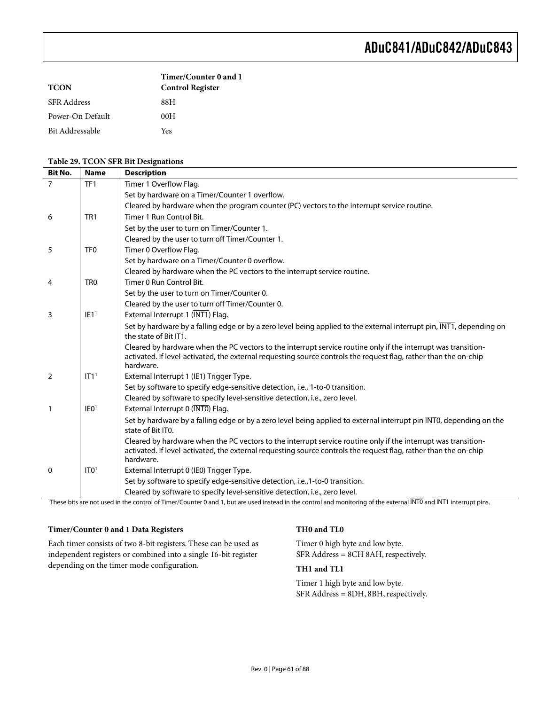|                    | Timer/Counter 0 and 1   |
|--------------------|-------------------------|
| <b>TCON</b>        | <b>Control Register</b> |
| <b>SFR</b> Address | 88H                     |
| Power-On Default   | 00H                     |
| Bit Addressable    | Yes                     |

#### **Table 29. TCON SFR Bit Designations**

| <b>Bit No.</b> | <b>Name</b>      | <b>Description</b>                                                                                                                                                             |
|----------------|------------------|--------------------------------------------------------------------------------------------------------------------------------------------------------------------------------|
| $\overline{7}$ | TF <sub>1</sub>  | Timer 1 Overflow Flag.                                                                                                                                                         |
|                |                  | Set by hardware on a Timer/Counter 1 overflow.                                                                                                                                 |
|                |                  | Cleared by hardware when the program counter (PC) vectors to the interrupt service routine.                                                                                    |
| 6              | TR <sub>1</sub>  | Timer 1 Run Control Bit.                                                                                                                                                       |
|                |                  | Set by the user to turn on Timer/Counter 1.                                                                                                                                    |
|                |                  | Cleared by the user to turn off Timer/Counter 1.                                                                                                                               |
| 5              | TF <sub>0</sub>  | Timer 0 Overflow Flag.                                                                                                                                                         |
|                |                  | Set by hardware on a Timer/Counter 0 overflow.                                                                                                                                 |
|                |                  | Cleared by hardware when the PC vectors to the interrupt service routine.                                                                                                      |
| 4              | TR <sub>0</sub>  | Timer 0 Run Control Bit.                                                                                                                                                       |
|                |                  | Set by the user to turn on Timer/Counter 0.                                                                                                                                    |
|                |                  | Cleared by the user to turn off Timer/Counter 0.                                                                                                                               |
| 3              | IE1 <sup>1</sup> | External Interrupt 1 (INT1) Flag.                                                                                                                                              |
|                |                  | Set by hardware by a falling edge or by a zero level being applied to the external interrupt pin, INT1, depending on                                                           |
|                |                  | the state of Bit IT1.                                                                                                                                                          |
|                |                  | Cleared by hardware when the PC vectors to the interrupt service routine only if the interrupt was transition-                                                                 |
|                |                  | activated. If level-activated, the external requesting source controls the request flag, rather than the on-chip<br>hardware.                                                  |
| $\overline{2}$ | IT1 <sup>1</sup> | External Interrupt 1 (IE1) Trigger Type.                                                                                                                                       |
|                |                  | Set by software to specify edge-sensitive detection, i.e., 1-to-0 transition.                                                                                                  |
|                |                  | Cleared by software to specify level-sensitive detection, i.e., zero level.                                                                                                    |
| $\mathbf{1}$   | IEO <sup>1</sup> | External Interrupt 0 (INTO) Flag.                                                                                                                                              |
|                |                  | Set by hardware by a falling edge or by a zero level being applied to external interrupt pin INTO, depending on the                                                            |
|                |                  | state of Bit ITO.                                                                                                                                                              |
|                |                  | Cleared by hardware when the PC vectors to the interrupt service routine only if the interrupt was transition-                                                                 |
|                |                  | activated. If level-activated, the external requesting source controls the request flag, rather than the on-chip                                                               |
|                |                  | hardware.                                                                                                                                                                      |
| $\mathbf{0}$   | ITO <sup>1</sup> | External Interrupt 0 (IE0) Trigger Type.                                                                                                                                       |
|                |                  | Set by software to specify edge-sensitive detection, i.e., 1-to-0 transition.                                                                                                  |
|                |                  | Cleared by software to specify level-sensitive detection, i.e., zero level.                                                                                                    |
|                |                  | <sup>1</sup> These bits are not used in the control of Timer/Counter 0 and 1, but are used instead in the control and monitoring of the external INTO and INT1 interrupt pins. |

#### **Timer/Counter 0 and 1 Data Registers**

Each timer consists of two 8-bit registers. These can be used as independent registers or combined into a single 16-bit register depending on the timer mode configuration.

#### **TH0 and TL0**

Timer 0 high byte and low byte. SFR Address = 8CH 8AH, respectively.

#### **TH1 and TL1**

Timer 1 high byte and low byte. SFR Address = 8DH, 8BH, respectively.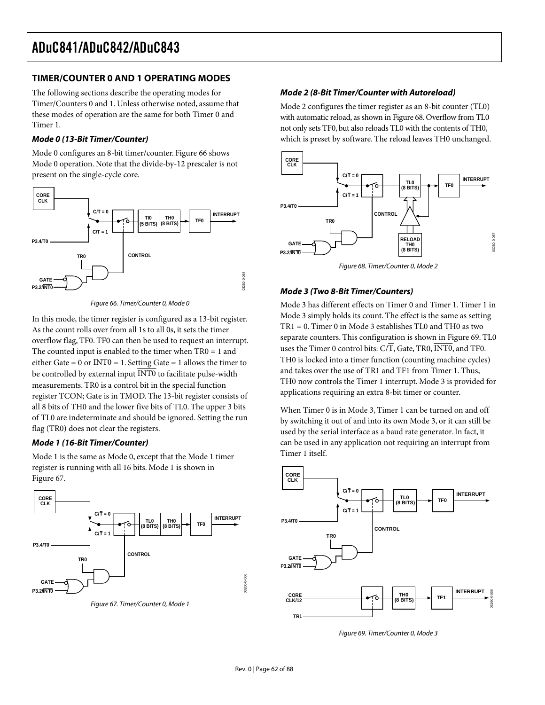### **TIMER/COUNTER 0 AND 1 OPERATING MODES**

The following sections describe the operating modes for Timer/Counters 0 and 1. Unless otherwise noted, assume that these modes of operation are the same for both Timer 0 and Timer 1.

### **Mode 0 (13-Bit Timer/Counter)**

Mode 0 configures an 8-bit timer/counter. Figure 66 shows Mode 0 operation. Note that the divide-by-12 prescaler is not present on the single-cycle core.



Figure 66. Timer/Counter 0, Mode 0

In this mode, the timer register is configured as a 13-bit register. As the count rolls over from all 1s to all 0s, it sets the timer overflow flag, TF0. TF0 can then be used to request an interrupt. The counted input is enabled to the timer when TR0 = 1 and either Gate = 0 or  $\overline{INT0}$  = 1. Setting Gate = 1 allows the timer to be controlled by external input INT0 to facilitate pulse-width measurements. TR0 is a control bit in the special function register TCON; Gate is in TMOD. The 13-bit register consists of all 8 bits of TH0 and the lower five bits of TL0. The upper 3 bits of TL0 are indeterminate and should be ignored. Setting the run flag (TR0) does not clear the registers.

#### **Mode 1 (16-Bit Timer/Counter)**

Mode 1 is the same as Mode 0, except that the Mode 1 timer register is running with all 16 bits. Mode 1 is shown in Figure 67.



Figure 67. Timer/Counter 0, Mode 1

#### **Mode 2 (8-Bit Timer/Counter with Autoreload)**

Mode 2 configures the timer register as an 8-bit counter (TL0) with automatic reload, as shown in Figure 68. Overflow from TL0 not only sets TF0, but also reloads TL0 with the contents of TH0, which is preset by software. The reload leaves TH0 unchanged.



Figure 68. Timer/Counter 0, Mode 2

### **Mode 3 (Two 8-Bit Timer/Counters)**

Mode 3 has different effects on Timer 0 and Timer 1. Timer 1 in Mode 3 simply holds its count. The effect is the same as setting TR1 = 0. Timer 0 in Mode 3 establishes TL0 and TH0 as two separate counters. This configuration is shown in Figure 69. TL0 uses the Timer 0 control bits: C/T, Gate, TR0, INT0, and TF0. TH0 is locked into a timer function (counting machine cycles) and takes over the use of TR1 and TF1 from Timer 1. Thus, TH0 now controls the Timer 1 interrupt. Mode 3 is provided for applications requiring an extra 8-bit timer or counter.

When Timer 0 is in Mode 3, Timer 1 can be turned on and off by switching it out of and into its own Mode 3, or it can still be used by the serial interface as a baud rate generator. In fact, it can be used in any application not requiring an interrupt from Timer 1 itself.



Figure 69. Timer/Counter 0, Mode 3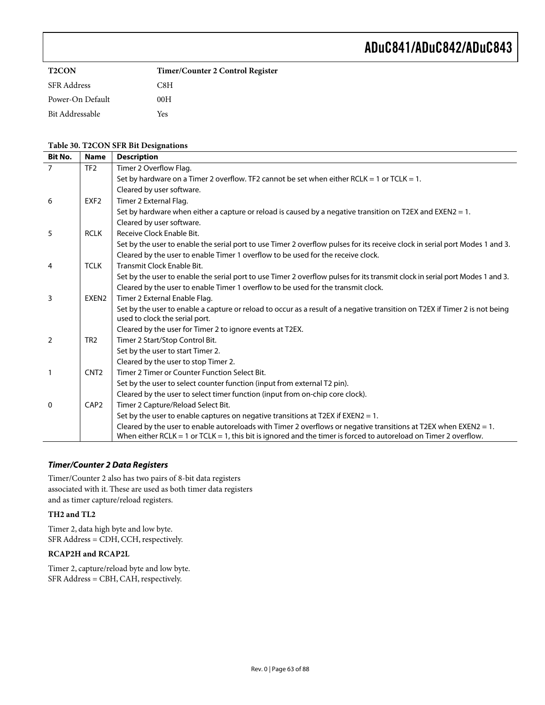| <b>T2CON</b>       | Timer/Counter 2 Control Register |
|--------------------|----------------------------------|
| <b>SFR Address</b> | C8H                              |
| Power-On Default   | 00H                              |
| Bit Addressable    | Yes                              |

### **Table 30. T2CON SFR Bit Designations**

| <b>Bit No.</b> | <b>Name</b>      | <b>Description</b>                                                                                                                                                                                                                   |
|----------------|------------------|--------------------------------------------------------------------------------------------------------------------------------------------------------------------------------------------------------------------------------------|
| $\overline{7}$ | TF <sub>2</sub>  | Timer 2 Overflow Flag.                                                                                                                                                                                                               |
|                |                  | Set by hardware on a Timer 2 overflow. TF2 cannot be set when either RCLK = 1 or TCLK = 1.                                                                                                                                           |
|                |                  | Cleared by user software.                                                                                                                                                                                                            |
| 6              | EXF <sub>2</sub> | Timer 2 External Flag.                                                                                                                                                                                                               |
|                |                  | Set by hardware when either a capture or reload is caused by a negative transition on T2EX and EXEN2 = 1.                                                                                                                            |
|                |                  | Cleared by user software.                                                                                                                                                                                                            |
| 5              | <b>RCLK</b>      | Receive Clock Enable Bit.                                                                                                                                                                                                            |
|                |                  | Set by the user to enable the serial port to use Timer 2 overflow pulses for its receive clock in serial port Modes 1 and 3.                                                                                                         |
|                |                  | Cleared by the user to enable Timer 1 overflow to be used for the receive clock.                                                                                                                                                     |
| 4              | <b>TCLK</b>      | Transmit Clock Enable Bit.                                                                                                                                                                                                           |
|                |                  | Set by the user to enable the serial port to use Timer 2 overflow pulses for its transmit clock in serial port Modes 1 and 3.                                                                                                        |
|                |                  | Cleared by the user to enable Timer 1 overflow to be used for the transmit clock.                                                                                                                                                    |
| 3              | EXEN2            | Timer 2 External Enable Flag.                                                                                                                                                                                                        |
|                |                  | Set by the user to enable a capture or reload to occur as a result of a negative transition on T2EX if Timer 2 is not being<br>used to clock the serial port.                                                                        |
|                |                  | Cleared by the user for Timer 2 to ignore events at T2EX.                                                                                                                                                                            |
| $\overline{2}$ | TR <sub>2</sub>  | Timer 2 Start/Stop Control Bit.                                                                                                                                                                                                      |
|                |                  | Set by the user to start Timer 2.                                                                                                                                                                                                    |
|                |                  | Cleared by the user to stop Timer 2.                                                                                                                                                                                                 |
|                | CNT <sub>2</sub> | Timer 2 Timer or Counter Function Select Bit.                                                                                                                                                                                        |
|                |                  | Set by the user to select counter function (input from external T2 pin).                                                                                                                                                             |
|                |                  | Cleared by the user to select timer function (input from on-chip core clock).                                                                                                                                                        |
| $\mathbf{0}$   | CAP <sub>2</sub> | Timer 2 Capture/Reload Select Bit.                                                                                                                                                                                                   |
|                |                  | Set by the user to enable captures on negative transitions at T2EX if EXEN2 = 1.                                                                                                                                                     |
|                |                  | Cleared by the user to enable autoreloads with Timer 2 overflows or negative transitions at T2EX when EXEN2 = 1.<br>When either RCLK = 1 or TCLK = 1, this bit is ignored and the timer is forced to autoreload on Timer 2 overflow. |

#### **Timer/Counter 2 Data Registers**

Timer/Counter 2 also has two pairs of 8-bit data registers associated with it. These are used as both timer data registers and as timer capture/reload registers.

#### **TH2 and TL2**

Timer 2, data high byte and low byte. SFR Address = CDH, CCH, respectively.

#### **RCAP2H and RCAP2L**

Timer 2, capture/reload byte and low byte. SFR Address = CBH, CAH, respectively.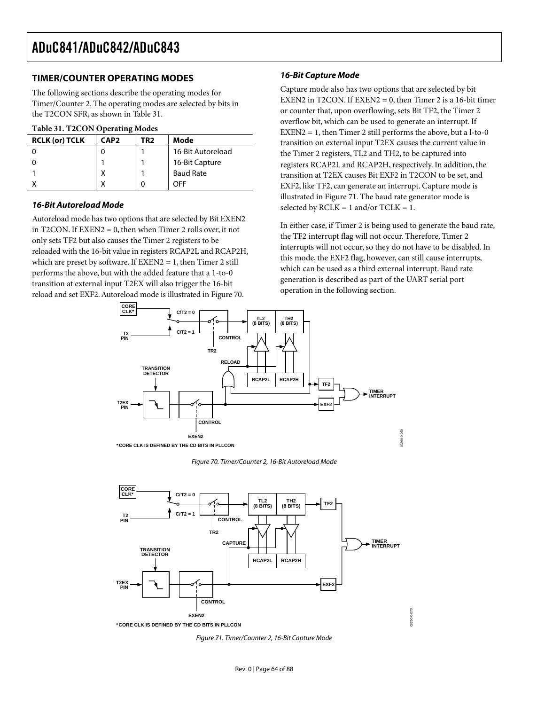### **TIMER/COUNTER OPERATING MODES**

The following sections describe the operating modes for Timer/Counter 2. The operating modes are selected by bits in the T2CON SFR, as shown in Table 31.

#### **Table 31. T2CON Operating Modes**

| <b>RCLK (or) TCLK</b> | CAP <sub>2</sub> | TR2 | Mode              |
|-----------------------|------------------|-----|-------------------|
|                       |                  |     | 16-Bit Autoreload |
|                       |                  |     | 16-Bit Capture    |
|                       | v<br>́           |     | <b>Baud Rate</b>  |
|                       | v                |     | OFF               |

#### **16-Bit Autoreload Mode**

Autoreload mode has two options that are selected by Bit EXEN2 in T2CON. If EXEN2 = 0, then when Timer 2 rolls over, it not only sets TF2 but also causes the Timer 2 registers to be reloaded with the 16-bit value in registers RCAP2L and RCAP2H, which are preset by software. If  $EXEN2 = 1$ , then Timer 2 still performs the above, but with the added feature that a 1-to-0 transition at external input T2EX will also trigger the 16-bit reload and set EXF2. Autoreload mode is illustrated in Figure 70.

#### **16-Bit Capture Mode**

Capture mode also has two options that are selected by bit EXEN2 in T2CON. If EXEN2 = 0, then Timer 2 is a 16-bit timer or counter that, upon overflowing, sets Bit TF2, the Timer 2 overflow bit, which can be used to generate an interrupt. If  $EXEN2 = 1$ , then Timer 2 still performs the above, but a l-to-0 transition on external input T2EX causes the current value in the Timer 2 registers, TL2 and TH2, to be captured into registers RCAP2L and RCAP2H, respectively. In addition, the transition at T2EX causes Bit EXF2 in T2CON to be set, and EXF2, like TF2, can generate an interrupt. Capture mode is illustrated in Figure 71. The baud rate generator mode is selected by  $RCLK = 1$  and/or  $TCLK = 1$ .

In either case, if Timer 2 is being used to generate the baud rate, the TF2 interrupt flag will not occur. Therefore, Timer 2 interrupts will not occur, so they do not have to be disabled. In this mode, the EXF2 flag, however, can still cause interrupts, which can be used as a third external interrupt. Baud rate generation is described as part of the UART serial port operation in the following section.



Figure 70. Timer/Counter 2, 16-Bit Autoreload Mode



Figure 71. Timer/Counter 2, 16-Bit Capture Mode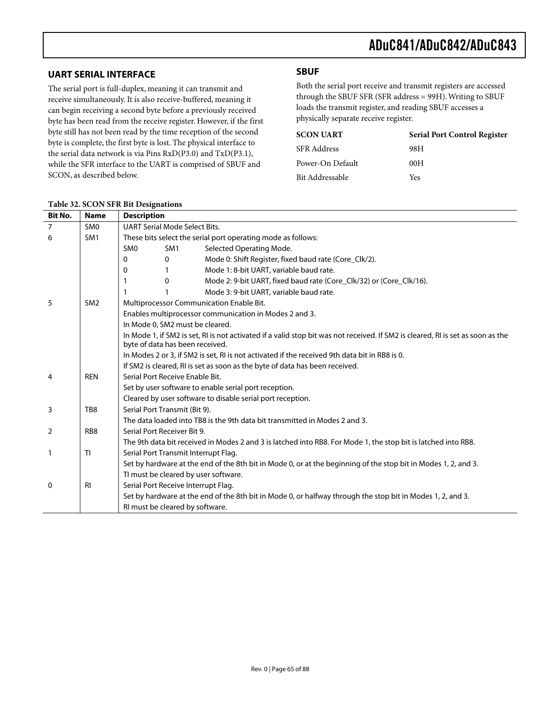### **UART SERIAL INTERFACE**

The serial port is full-duplex, meaning it can transmit and receive simultaneously. It is also receive-buffered, meaning it can begin receiving a second byte before a previously received byte has been read from the receive register. However, if the first byte still has not been read by the time reception of the second byte is complete, the first byte is lost. The physical interface to the serial data network is via Pins RxD(P3.0) and TxD(P3.1), while the SFR interface to the UART is comprised of SBUF and SCON, as described below.

## **SBUF**

Both the serial port receive and transmit registers are accessed through the SBUF SFR (SFR address = 99H). Writing to SBUF loads the transmit register, and reading SBUF accesses a physically separate receive register.

| <b>SCON UART</b>   | <b>Serial Port Control Register</b> |
|--------------------|-------------------------------------|
| <b>SFR Address</b> | 98H                                 |
| Power-On Default   | 00H                                 |
| Bit Addressable    | Yes                                 |

| Bit No.        | <b>Name</b>     | <b>Description</b>                                           |                                                                                               |                                                                                                                                 |  |  |  |
|----------------|-----------------|--------------------------------------------------------------|-----------------------------------------------------------------------------------------------|---------------------------------------------------------------------------------------------------------------------------------|--|--|--|
| $\overline{7}$ | SM <sub>0</sub> |                                                              | <b>UART Serial Mode Select Bits.</b>                                                          |                                                                                                                                 |  |  |  |
| 6              | SM <sub>1</sub> | These bits select the serial port operating mode as follows: |                                                                                               |                                                                                                                                 |  |  |  |
|                |                 | <b>SMO</b>                                                   | SM <sub>1</sub>                                                                               | Selected Operating Mode.                                                                                                        |  |  |  |
|                |                 | 0                                                            | 0                                                                                             | Mode 0: Shift Register, fixed baud rate (Core_Clk/2).                                                                           |  |  |  |
|                |                 | 0                                                            |                                                                                               | Mode 1: 8-bit UART, variable baud rate.                                                                                         |  |  |  |
|                |                 | 1                                                            | $\Omega$                                                                                      | Mode 2: 9-bit UART, fixed baud rate (Core_Clk/32) or (Core_Clk/16).                                                             |  |  |  |
|                |                 |                                                              |                                                                                               | Mode 3: 9-bit UART, variable baud rate.                                                                                         |  |  |  |
| 5              | SM <sub>2</sub> |                                                              |                                                                                               | Multiprocessor Communication Enable Bit.                                                                                        |  |  |  |
|                |                 |                                                              |                                                                                               | Enables multiprocessor communication in Modes 2 and 3.                                                                          |  |  |  |
|                |                 |                                                              | In Mode 0, SM2 must be cleared.                                                               |                                                                                                                                 |  |  |  |
|                |                 |                                                              |                                                                                               | In Mode 1, if SM2 is set, RI is not activated if a valid stop bit was not received. If SM2 is cleared, RI is set as soon as the |  |  |  |
|                |                 |                                                              | byte of data has been received.                                                               |                                                                                                                                 |  |  |  |
|                |                 |                                                              | In Modes 2 or 3, if SM2 is set, RI is not activated if the received 9th data bit in RB8 is 0. |                                                                                                                                 |  |  |  |
|                |                 |                                                              |                                                                                               | If SM2 is cleared, RI is set as soon as the byte of data has been received.                                                     |  |  |  |
| 4              | <b>REN</b>      |                                                              | Serial Port Receive Enable Bit.                                                               |                                                                                                                                 |  |  |  |
|                |                 |                                                              |                                                                                               | Set by user software to enable serial port reception.                                                                           |  |  |  |
|                |                 |                                                              | Cleared by user software to disable serial port reception.                                    |                                                                                                                                 |  |  |  |
| 3              | TB8             |                                                              | Serial Port Transmit (Bit 9).                                                                 |                                                                                                                                 |  |  |  |
|                |                 |                                                              |                                                                                               | The data loaded into TB8 is the 9th data bit transmitted in Modes 2 and 3.                                                      |  |  |  |
| 2              | RB <sub>8</sub> |                                                              | Serial Port Receiver Bit 9.                                                                   |                                                                                                                                 |  |  |  |
|                |                 |                                                              |                                                                                               | The 9th data bit received in Modes 2 and 3 is latched into RB8. For Mode 1, the stop bit is latched into RB8.                   |  |  |  |
| 1              | TI              |                                                              | Serial Port Transmit Interrupt Flag.                                                          |                                                                                                                                 |  |  |  |
|                |                 |                                                              |                                                                                               | Set by hardware at the end of the 8th bit in Mode 0, or at the beginning of the stop bit in Modes 1, 2, and 3.                  |  |  |  |
|                |                 |                                                              |                                                                                               | TI must be cleared by user software.                                                                                            |  |  |  |
| 0              | R <sub>l</sub>  |                                                              | Serial Port Receive Interrupt Flag.                                                           |                                                                                                                                 |  |  |  |
|                |                 |                                                              |                                                                                               | Set by hardware at the end of the 8th bit in Mode 0, or halfway through the stop bit in Modes 1, 2, and 3.                      |  |  |  |
|                |                 |                                                              | RI must be cleared by software.                                                               |                                                                                                                                 |  |  |  |

#### **Table 32. SCON SFR Bit Designations**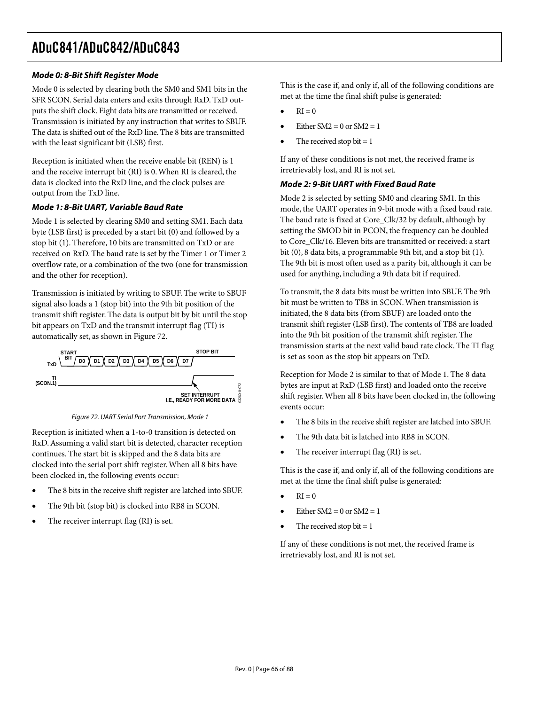### **Mode 0: 8-Bit Shift Register Mode**

Mode 0 is selected by clearing both the SM0 and SM1 bits in the SFR SCON. Serial data enters and exits through RxD. TxD outputs the shift clock. Eight data bits are transmitted or received. Transmission is initiated by any instruction that writes to SBUF. The data is shifted out of the RxD line. The 8 bits are transmitted with the least significant bit (LSB) first.

Reception is initiated when the receive enable bit (REN) is 1 and the receive interrupt bit (RI) is 0. When RI is cleared, the data is clocked into the RxD line, and the clock pulses are output from the TxD line.

#### **Mode 1: 8-Bit UART, Variable Baud Rate**

Mode 1 is selected by clearing SM0 and setting SM1. Each data byte (LSB first) is preceded by a start bit (0) and followed by a stop bit (1). Therefore, 10 bits are transmitted on TxD or are received on RxD. The baud rate is set by the Timer 1 or Timer 2 overflow rate, or a combination of the two (one for transmission and the other for reception).

Transmission is initiated by writing to SBUF. The write to SBUF signal also loads a 1 (stop bit) into the 9th bit position of the transmit shift register. The data is output bit by bit until the stop bit appears on TxD and the transmit interrupt flag (TI) is automatically set, as shown in Figure 72.



Figure 72. UART Serial Port Transmission, Mode 1

Reception is initiated when a 1-to-0 transition is detected on RxD. Assuming a valid start bit is detected, character reception continues. The start bit is skipped and the 8 data bits are clocked into the serial port shift register. When all 8 bits have been clocked in, the following events occur:

- The 8 bits in the receive shift register are latched into SBUF.
- The 9th bit (stop bit) is clocked into RB8 in SCON.
- The receiver interrupt flag (RI) is set.

This is the case if, and only if, all of the following conditions are met at the time the final shift pulse is generated:

- $RI = 0$
- Either  $SM2 = 0$  or  $SM2 = 1$
- The received stop bit  $= 1$

If any of these conditions is not met, the received frame is irretrievably lost, and RI is not set.

#### **Mode 2: 9-Bit UART with Fixed Baud Rate**

Mode 2 is selected by setting SM0 and clearing SM1. In this mode, the UART operates in 9-bit mode with a fixed baud rate. The baud rate is fixed at Core\_Clk/32 by default, although by setting the SMOD bit in PCON, the frequency can be doubled to Core\_Clk/16. Eleven bits are transmitted or received: a start bit (0), 8 data bits, a programmable 9th bit, and a stop bit (1). The 9th bit is most often used as a parity bit, although it can be used for anything, including a 9th data bit if required.

To transmit, the 8 data bits must be written into SBUF. The 9th bit must be written to TB8 in SCON. When transmission is initiated, the 8 data bits (from SBUF) are loaded onto the transmit shift register (LSB first). The contents of TB8 are loaded into the 9th bit position of the transmit shift register. The transmission starts at the next valid baud rate clock. The TI flag is set as soon as the stop bit appears on TxD.

Reception for Mode 2 is similar to that of Mode 1. The 8 data bytes are input at RxD (LSB first) and loaded onto the receive shift register. When all 8 bits have been clocked in, the following events occur:

- The 8 bits in the receive shift register are latched into SBUF.
- The 9th data bit is latched into RB8 in SCON.
- The receiver interrupt flag (RI) is set.

This is the case if, and only if, all of the following conditions are met at the time the final shift pulse is generated:

- $RI = 0$
- Either  $SM2 = 0$  or  $SM2 = 1$
- The received stop bit  $= 1$

If any of these conditions is not met, the received frame is irretrievably lost, and RI is not set.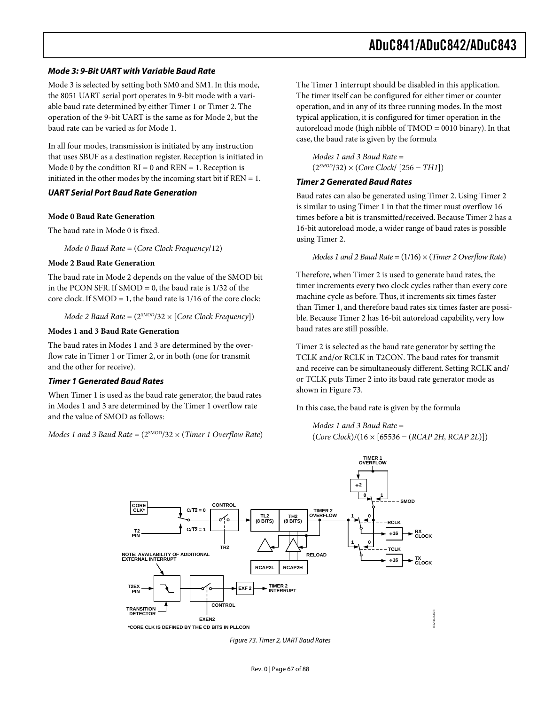#### **Mode 3: 9-Bit UART with Variable Baud Rate**

Mode 3 is selected by setting both SM0 and SM1. In this mode, the 8051 UART serial port operates in 9-bit mode with a variable baud rate determined by either Timer 1 or Timer 2. The operation of the 9-bit UART is the same as for Mode 2, but the baud rate can be varied as for Mode 1.

In all four modes, transmission is initiated by any instruction that uses SBUF as a destination register. Reception is initiated in Mode 0 by the condition  $RI = 0$  and  $REN = 1$ . Reception is initiated in the other modes by the incoming start bit if  $REN = 1$ .

#### **UART Serial Port Baud Rate Generation**

#### **Mode 0 Baud Rate Generation**

The baud rate in Mode 0 is fixed.

*Mode 0 Baud Rate* = (*Core Clock Frequency*/12)

#### **Mode 2 Baud Rate Generation**

The baud rate in Mode 2 depends on the value of the SMOD bit in the PCON SFR. If  $SMOD = 0$ , the baud rate is  $1/32$  of the core clock. If  $SMOD = 1$ , the baud rate is  $1/16$  of the core clock:

*Mode 2 Baud Rate* = (2*SMOD*/32 × [*Core Clock Frequency*])

#### **Modes 1 and 3 Baud Rate Generation**

The baud rates in Modes 1 and 3 are determined by the overflow rate in Timer 1 or Timer 2, or in both (one for transmit and the other for receive).

#### **Timer 1 Generated Baud Rates**

When Timer 1 is used as the baud rate generator, the baud rates in Modes 1 and 3 are determined by the Timer 1 overflow rate and the value of SMOD as follows:

*Modes* 1 *and* 3 *Baud Rate* =  $(2^{5 \text{MOD}}/32 \times (Timer 10)$  *Dverflow Rate*)

The Timer 1 interrupt should be disabled in this application. The timer itself can be configured for either timer or counter operation, and in any of its three running modes. In the most typical application, it is configured for timer operation in the autoreload mode (high nibble of TMOD = 0010 binary). In that case, the baud rate is given by the formula

*Modes 1 and 3 Baud Rate* = (2*SMOD*/32) × (*Core Clock*/ [256 − *TH1*])

#### **Timer 2 Generated Baud Rates**

Baud rates can also be generated using Timer 2. Using Timer 2 is similar to using Timer 1 in that the timer must overflow 16 times before a bit is transmitted/received. Because Timer 2 has a 16-bit autoreload mode, a wider range of baud rates is possible using Timer 2.

*Modes 1 and 2 Baud Rate* = (1/16) × (*Timer 2 Overflow Rate*)

Therefore, when Timer 2 is used to generate baud rates, the timer increments every two clock cycles rather than every core machine cycle as before. Thus, it increments six times faster than Timer 1, and therefore baud rates six times faster are possible. Because Timer 2 has 16-bit autoreload capability, very low baud rates are still possible.

Timer 2 is selected as the baud rate generator by setting the TCLK and/or RCLK in T2CON. The baud rates for transmit and receive can be simultaneously different. Setting RCLK and/ or TCLK puts Timer 2 into its baud rate generator mode as shown in Figure 73.

In this case, the baud rate is given by the formula

*Modes 1 and 3 Baud Rate* = (*Core Clock*)/(16 × [65536 − (*RCAP 2H, RCAP 2L*)])



Figure 73. Timer 2, UART Baud Rates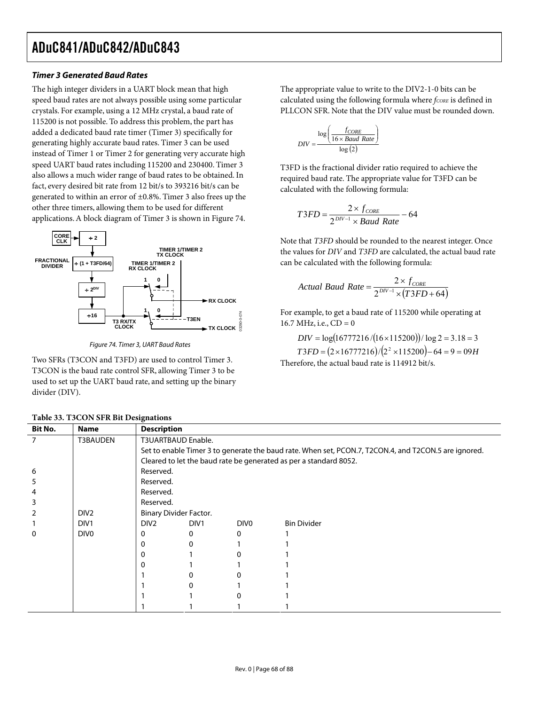#### **Timer 3 Generated Baud Rates**

The high integer dividers in a UART block mean that high speed baud rates are not always possible using some particular crystals. For example, using a 12 MHz crystal, a baud rate of 115200 is not possible. To address this problem, the part has added a dedicated baud rate timer (Timer 3) specifically for generating highly accurate baud rates. Timer 3 can be used instead of Timer 1 or Timer 2 for generating very accurate high speed UART baud rates including 115200 and 230400. Timer 3 also allows a much wider range of baud rates to be obtained. In fact, every desired bit rate from 12 bit/s to 393216 bit/s can be generated to within an error of ±0.8%. Timer 3 also frees up the other three timers, allowing them to be used for different applications. A block diagram of Timer 3 is shown in Figure 74.



Figure 74. Timer 3, UART Baud Rates

Two SFRs (T3CON and T3FD) are used to control Timer 3. T3CON is the baud rate control SFR, allowing Timer 3 to be used to set up the UART baud rate, and setting up the binary divider (DIV).

The appropriate value to write to the DIV2-1-0 bits can be calculated using the following formula where *fcoRE* is defined in PLLCON SFR. Note that the DIV value must be rounded down.

$$
DIV = \frac{\log\left(\frac{f_{CORE}}{16 \times Baud Rate}\right)}{\log(2)}
$$

T3FD is the fractional divider ratio required to achieve the required baud rate. The appropriate value for T3FD can be calculated with the following formula:

$$
T3FD = \frac{2 \times f_{CORE}}{2^{DIV-1} \times Baud Rate} - 64
$$

Note that *T3FD* should be rounded to the nearest integer. Once the values for *DIV* and *T3FD* are calculated, the actual baud rate can be calculated with the following formula:

$$
Actual\;Baud\;Rate = \frac{2 \times f_{CORE}}{2^{DV-1} \times (T3FD + 64)}
$$

For example, to get a baud rate of 115200 while operating at 16.7 MHz, i.e.,  $CD = 0$ 

 $DIV = log(16777216/(16 \times 115200))/log 2 = 3.18 = 3$  $T3FD = (2 \times 16777216)/(2^2 \times 115200) - 64 = 9 = 09H$ 

|  | Therefore, the actual baud rate is 114912 bit/s. |  |  |  |
|--|--------------------------------------------------|--|--|--|
|  |                                                  |  |  |  |

| Table 55. T5CON SFR BILDesignations |                  |                                                                                                      |                  |                  |                    |  |
|-------------------------------------|------------------|------------------------------------------------------------------------------------------------------|------------------|------------------|--------------------|--|
| <b>Bit No.</b>                      | <b>Name</b>      | <b>Description</b>                                                                                   |                  |                  |                    |  |
|                                     | T3BAUDEN         | T3UARTBAUD Enable.                                                                                   |                  |                  |                    |  |
|                                     |                  | Set to enable Timer 3 to generate the baud rate. When set, PCON.7, T2CON.4, and T2CON.5 are ignored. |                  |                  |                    |  |
|                                     |                  | Cleared to let the baud rate be generated as per a standard 8052.                                    |                  |                  |                    |  |
| 6                                   |                  | Reserved.                                                                                            |                  |                  |                    |  |
| 5                                   |                  | Reserved.                                                                                            |                  |                  |                    |  |
|                                     |                  | Reserved.                                                                                            |                  |                  |                    |  |
|                                     |                  | Reserved.                                                                                            |                  |                  |                    |  |
|                                     | DIV <sub>2</sub> | Binary Divider Factor.                                                                               |                  |                  |                    |  |
|                                     | DIV <sub>1</sub> | DIV <sub>2</sub>                                                                                     | DIV <sub>1</sub> | DIV <sub>0</sub> | <b>Bin Divider</b> |  |
|                                     | DIV <sub>0</sub> | 0                                                                                                    |                  |                  |                    |  |
|                                     |                  | 0                                                                                                    |                  |                  |                    |  |
|                                     |                  | 0                                                                                                    |                  |                  |                    |  |
|                                     |                  | O                                                                                                    |                  |                  |                    |  |
|                                     |                  |                                                                                                      |                  |                  |                    |  |
|                                     |                  |                                                                                                      |                  |                  |                    |  |
|                                     |                  |                                                                                                      |                  |                  |                    |  |
|                                     |                  |                                                                                                      |                  |                  |                    |  |

|  | Table 33. T3CON SFR Bit Designations |
|--|--------------------------------------|
|--|--------------------------------------|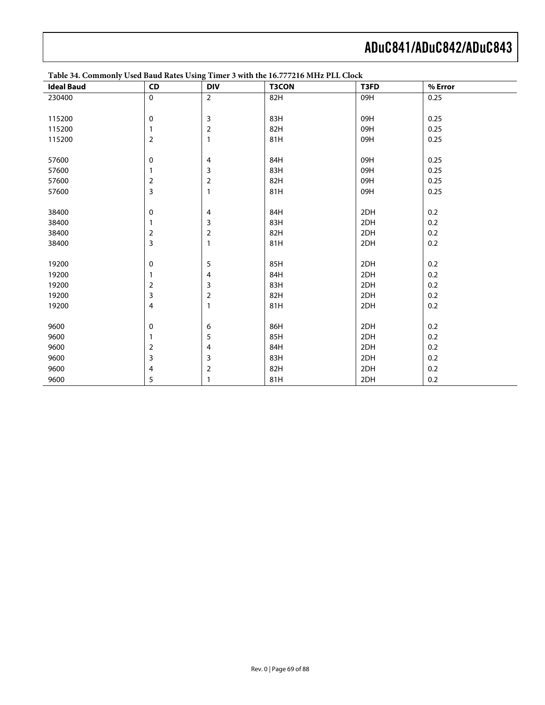| <b>Ideal Baud</b> | ${\sf CD}$     | Ð<br><b>DIV</b> | <b>T3CON</b> | T3FD | % Error |
|-------------------|----------------|-----------------|--------------|------|---------|
| 230400            | $\mathsf 0$    | $\mathbf 2$     | 82H          | 09H  | 0.25    |
|                   |                |                 |              |      |         |
| 115200            | 0              | $\mathsf 3$     | 83H          | 09H  | 0.25    |
| 115200            | 1              | $\mathbf 2$     | 82H          | 09H  | 0.25    |
| 115200            | 2              | $\mathbf{1}$    | 81H          | 09H  | 0.25    |
|                   |                |                 |              |      |         |
| 57600             | 0              | 4               | 84H          | 09H  | 0.25    |
| 57600             | 1              | $\mathsf 3$     | 83H          | 09H  | 0.25    |
| 57600             | 2              | $\mathbf 2$     | 82H          | 09H  | 0.25    |
| 57600             | 3              | $\mathbf{1}$    | 81H          | 09H  | 0.25    |
|                   |                |                 |              |      |         |
| 38400             | $\mathbf 0$    | $\overline{4}$  | 84H          | 2DH  | 0.2     |
| 38400             | 1              | $\mathsf 3$     | 83H          | 2DH  | $0.2\,$ |
| 38400             | $\overline{2}$ | $\mathbf 2$     | 82H          | 2DH  | 0.2     |
| 38400             | 3              | $\mathbf{1}$    | 81H          | 2DH  | 0.2     |
|                   |                |                 |              |      |         |
| 19200             | 0              | 5               | 85H          | 2DH  | 0.2     |
| 19200             | 1              | 4               | 84H          | 2DH  | 0.2     |
| 19200             | 2              | 3               | 83H          | 2DH  | $0.2\,$ |
| 19200             | 3              | $\mathbf 2$     | 82H          | 2DH  | 0.2     |
| 19200             | 4              | $\mathbf{1}$    | 81H          | 2DH  | $0.2\,$ |
|                   |                |                 |              |      |         |
| 9600              | 0              | 6               | 86H          | 2DH  | $0.2\,$ |
| 9600              |                | 5               | 85H          | 2DH  | 0.2     |
| 9600              | 2              | 4               | 84H          | 2DH  | 0.2     |
| 9600              | 3              | 3               | 83H          | 2DH  | 0.2     |
| 9600              | 4              | $\mathbf 2$     | 82H          | 2DH  | $0.2\,$ |
| 9600              | 5              | $\mathbf{1}$    | 81H          | 2DH  | $0.2\,$ |

**Table 34. Commonly Used Baud Rates Using Timer 3 with the 16.777216 MHz PLL Clock**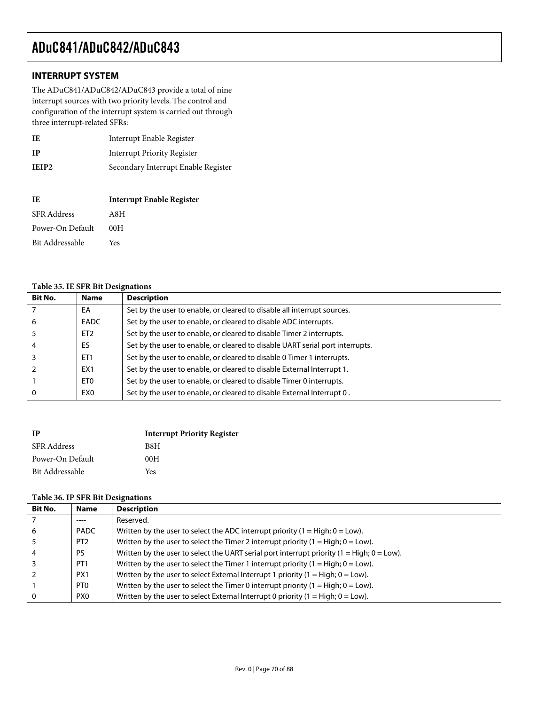### **INTERRUPT SYSTEM**

The ADuC841/ADuC842/ADuC843 provide a total of nine interrupt sources with two priority levels. The control and configuration of the interrupt system is carried out through three interrupt-related SFRs:

| IE                | Interrupt Enable Register           |
|-------------------|-------------------------------------|
| <b>IP</b>         | <b>Interrupt Priority Register</b>  |
| IEIP <sub>2</sub> | Secondary Interrupt Enable Register |

| TE.                | <b>Interrupt Enable Register</b> |
|--------------------|----------------------------------|
| <b>SFR Address</b> | A8H                              |
| Power-On Default   | 00 H                             |
| Bit Addressable    | Yes                              |

#### **Table 35. IE SFR Bit Designations**

| <b>Bit No.</b> | <b>Name</b>     | <b>Description</b>                                                            |
|----------------|-----------------|-------------------------------------------------------------------------------|
|                | EA              | Set by the user to enable, or cleared to disable all interrupt sources.       |
| 6              | EADC            | Set by the user to enable, or cleared to disable ADC interrupts.              |
|                | ET <sub>2</sub> | Set by the user to enable, or cleared to disable Timer 2 interrupts.          |
|                | ES              | Set by the user to enable, or cleared to disable UART serial port interrupts. |
|                | ET <sub>1</sub> | Set by the user to enable, or cleared to disable 0 Timer 1 interrupts.        |
|                | EX <sub>1</sub> | Set by the user to enable, or cleared to disable External Interrupt 1.        |
|                | ET0             | Set by the user to enable, or cleared to disable Timer 0 interrupts.          |
|                | EX0             | Set by the user to enable, or cleared to disable External Interrupt 0.        |

| <b>IP</b>          | <b>Interrupt Priority Register</b> |
|--------------------|------------------------------------|
| <b>SFR Address</b> | B8H                                |
| Power-On Default   | 00H                                |
| Bit Addressable    | Yes                                |

#### **Table 36. IP SFR Bit Designations**

| <b>Bit No.</b> | <b>Name</b>     | <b>Description</b>                                                                            |
|----------------|-----------------|-----------------------------------------------------------------------------------------------|
|                | ----            | Reserved.                                                                                     |
| 6              | PADC            | Written by the user to select the ADC interrupt priority $(1 = High; 0 = Low)$ .              |
|                | PT <sub>2</sub> | Written by the user to select the Timer 2 interrupt priority $(1 = High; 0 = Low)$ .          |
|                | PS              | Written by the user to select the UART serial port interrupt priority $(1 = High; 0 = Low)$ . |
|                | PT <sub>1</sub> | Written by the user to select the Timer 1 interrupt priority $(1 = High; 0 = Low)$ .          |
|                | PX <sub>1</sub> | Written by the user to select External Interrupt 1 priority $(1 = High; 0 = Low)$ .           |
|                | PT <sub>0</sub> | Written by the user to select the Timer 0 interrupt priority $(1 = High; 0 = Low)$ .          |
|                | PX <sub>0</sub> | Written by the user to select External Interrupt 0 priority $(1 = High; 0 = Low)$ .           |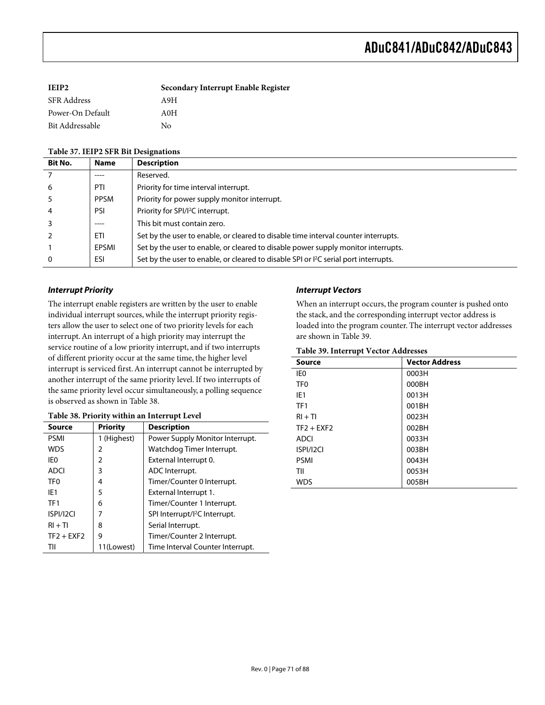| IEIP2            | Secondary Interrupt Enable Register |
|------------------|-------------------------------------|
| SFR Address      | A9H                                 |
| Power-On Default | A0H                                 |
| Bit Addressable  | Nο                                  |

#### **Table 37. IEIP2 SFR Bit Designations**

| <b>Bit No.</b> | <b>Name</b> | <b>Description</b>                                                                               |
|----------------|-------------|--------------------------------------------------------------------------------------------------|
|                | -----       | Reserved.                                                                                        |
| 6              | PTI         | Priority for time interval interrupt.                                                            |
|                | <b>PPSM</b> | Priority for power supply monitor interrupt.                                                     |
|                | PSI         | Priority for SPI/I <sup>2</sup> C interrupt.                                                     |
|                | -----       | This bit must contain zero.                                                                      |
|                | <b>ETI</b>  | Set by the user to enable, or cleared to disable time interval counter interrupts.               |
|                | EPSMI       | Set by the user to enable, or cleared to disable power supply monitor interrupts.                |
| 0              | ESI         | Set by the user to enable, or cleared to disable SPI or I <sup>2</sup> C serial port interrupts. |

#### **Interrupt Priority**

The interrupt enable registers are written by the user to enable individual interrupt sources, while the interrupt priority registers allow the user to select one of two priority levels for each interrupt. An interrupt of a high priority may interrupt the service routine of a low priority interrupt, and if two interrupts of different priority occur at the same time, the higher level interrupt is serviced first. An interrupt cannot be interrupted by another interrupt of the same priority level. If two interrupts of the same priority level occur simultaneously, a polling sequence is observed as shown in Table 38.

| Source          | <b>Priority</b> | <b>Description</b>                        |
|-----------------|-----------------|-------------------------------------------|
| <b>PSMI</b>     | 1 (Highest)     | Power Supply Monitor Interrupt.           |
| <b>WDS</b>      | 2               | Watchdog Timer Interrupt.                 |
| IE0             | 2               | External Interrupt 0.                     |
| <b>ADCI</b>     | 3               | ADC Interrupt.                            |
| TF0             | 4               | Timer/Counter 0 Interrupt.                |
| IF <sub>1</sub> | 5               | External Interrupt 1.                     |
| TF <sub>1</sub> | 6               | Timer/Counter 1 Interrupt.                |
| ISPI/I2CI       | 7               | SPI Interrupt/I <sup>2</sup> C Interrupt. |
| $RI + TI$       | 8               | Serial Interrupt.                         |
| $TF2 + EXF2$    | 9               | Timer/Counter 2 Interrupt.                |
| TII             | 11(Lowest)      | Time Interval Counter Interrupt.          |

#### **Table 38. Priority within an Interrupt Level**

#### **Interrupt Vectors**

When an interrupt occurs, the program counter is pushed onto the stack, and the corresponding interrupt vector address is loaded into the program counter. The interrupt vector addresses are shown in Table 39.

#### **Table 39. Interrupt Vector Addresses**

| Source          | <b>Vector Address</b> |
|-----------------|-----------------------|
| IE <sub>0</sub> | 0003H                 |
| TF <sub>0</sub> | 000BH                 |
| IE <sub>1</sub> | 0013H                 |
| TF <sub>1</sub> | 001BH                 |
| $RI + TI$       | 0023H                 |
| $TF2 + EXF2$    | 002BH                 |
| <b>ADCI</b>     | 0033H                 |
| ISPI/I2CI       | 003BH                 |
| <b>PSMI</b>     | 0043H                 |
| TII             | 0053H                 |
| <b>WDS</b>      | 005BH                 |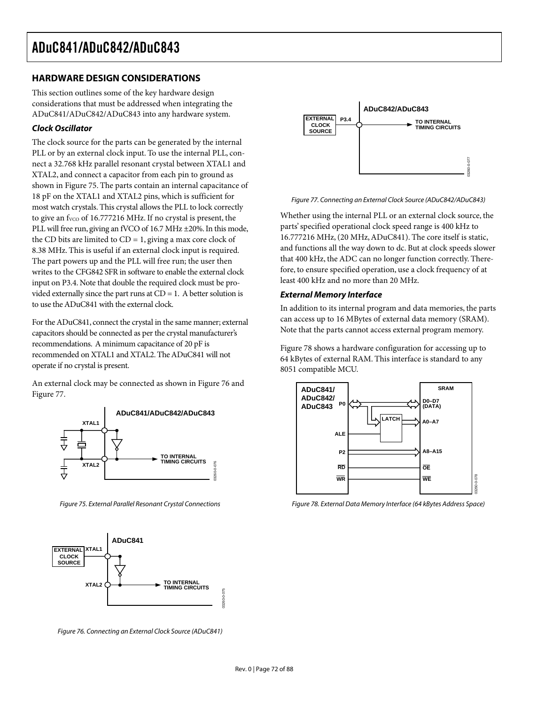## **HARDWARE DESIGN CONSIDERATIONS**

This section outlines some of the key hardware design considerations that must be addressed when integrating the ADuC841/ADuC842/ADuC843 into any hardware system.

### **Clock Oscillator**

The clock source for the parts can be generated by the internal PLL or by an external clock input. To use the internal PLL, connect a 32.768 kHz parallel resonant crystal between XTAL1 and XTAL2, and connect a capacitor from each pin to ground as shown in Figure 75. The parts contain an internal capacitance of 18 pF on the XTAL1 and XTAL2 pins, which is sufficient for most watch crystals. This crystal allows the PLL to lock correctly to give an  $f_{VCO}$  of 16.777216 MHz. If no crystal is present, the PLL will free run, giving an fVCO of 16.7 MHz ±20%. In this mode, the CD bits are limited to  $CD = 1$ , giving a max core clock of 8.38 MHz. This is useful if an external clock input is required. The part powers up and the PLL will free run; the user then writes to the CFG842 SFR in software to enable the external clock input on P3.4. Note that double the required clock must be provided externally since the part runs at  $CD = 1$ . A better solution is to use the ADuC841 with the external clock.

For the ADuC841, connect the crystal in the same manner; external capacitors should be connected as per the crystal manufacturer's recommendations. A minimum capacitance of 20 pF is recommended on XTAL1 and XTAL2. The ADuC841 will not operate if no crystal is present.

An external clock may be connected as shown in Figure 76 and Figure 77.



Figure 75. External Parallel Resonant Crystal Connections



Figure 76. Connecting an External Clock Source (ADuC841)



Figure 77. Connecting an External Clock Source (ADuC842/ADuC843)

Whether using the internal PLL or an external clock source, the parts' specified operational clock speed range is 400 kHz to 16.777216 MHz, (20 MHz, ADuC841). The core itself is static, and functions all the way down to dc. But at clock speeds slower that 400 kHz, the ADC can no longer function correctly. Therefore, to ensure specified operation, use a clock frequency of at least 400 kHz and no more than 20 MHz.

#### **External Memory Interface**

In addition to its internal program and data memories, the parts can access up to 16 MBytes of external data memory (SRAM). Note that the parts cannot access external program memory.

Figure 78 shows a hardware configuration for accessing up to 64 kBytes of external RAM. This interface is standard to any 8051 compatible MCU.



Figure 78. External Data Memory Interface (64 kBytes Address Space)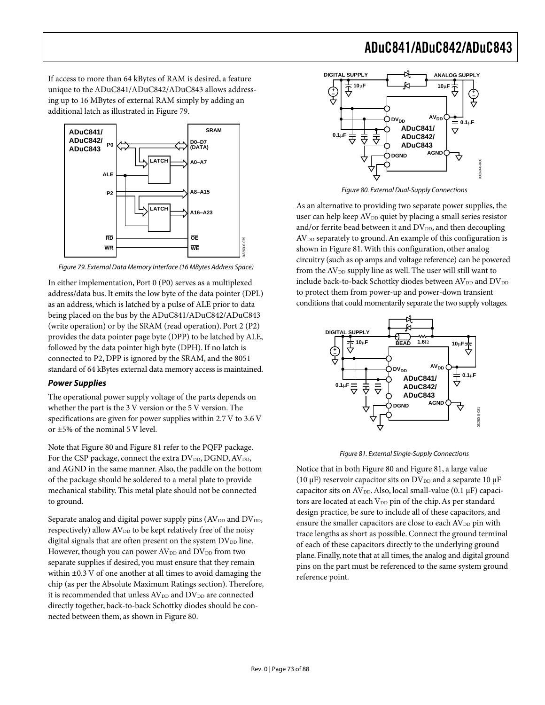If access to more than 64 kBytes of RAM is desired, a feature unique to the ADuC841/ADuC842/ADuC843 allows addressing up to 16 MBytes of external RAM simply by adding an additional latch as illustrated in Figure 79.



Figure 79. External Data Memory Interface (16 MBytes Address Space)

In either implementation, Port 0 (P0) serves as a multiplexed address/data bus. It emits the low byte of the data pointer (DPL) as an address, which is latched by a pulse of ALE prior to data being placed on the bus by the ADuC841/ADuC842/ADuC843 (write operation) or by the SRAM (read operation). Port 2 (P2) provides the data pointer page byte (DPP) to be latched by ALE, followed by the data pointer high byte (DPH). If no latch is connected to P2, DPP is ignored by the SRAM, and the 8051 standard of 64 kBytes external data memory access is maintained.

#### **Power Supplies**

The operational power supply voltage of the parts depends on whether the part is the 3 V version or the 5 V version. The specifications are given for power supplies within 2.7 V to 3.6 V or ±5% of the nominal 5 V level.

Note that Figure 80 and Figure 81 refer to the PQFP package. For the CSP package, connect the extra  $DV_{DD}$ , DGND,  $AV_{DD}$ , and AGND in the same manner. Also, the paddle on the bottom of the package should be soldered to a metal plate to provide mechanical stability. This metal plate should not be connected to ground.

Separate analog and digital power supply pins  $(AV_{DD}$  and  $DV_{DD}$ , respectively) allow  $AV_{DD}$  to be kept relatively free of the noisy digital signals that are often present on the system  $DV_{DD}$  line. However, though you can power  $AV_{DD}$  and  $DV_{DD}$  from two separate supplies if desired, you must ensure that they remain within ±0.3 V of one another at all times to avoid damaging the chip (as per the Absolute Maximum Ratings section). Therefore, it is recommended that unless  $AV_{DD}$  and  $DV_{DD}$  are connected directly together, back-to-back Schottky diodes should be connected between them, as shown in Figure 80.



Figure 80. External Dual-Supply Connections

As an alternative to providing two separate power supplies, the user can help keep AV<sub>DD</sub> quiet by placing a small series resistor and/or ferrite bead between it and  $DV_{DD}$ , and then decoupling  $AV<sub>DD</sub>$  separately to ground. An example of this configuration is shown in Figure 81. With this configuration, other analog circuitry (such as op amps and voltage reference) can be powered from the  $AV<sub>DD</sub>$  supply line as well. The user will still want to include back-to-back Schottky diodes between  $AV_{DD}$  and  $DV_{DD}$ to protect them from power-up and power-down transient conditions that could momentarily separate the two supply voltages.



Figure 81. External Single-Supply Connections

Notice that in both Figure 80 and Figure 81, a large value (10  $\mu$ F) reservoir capacitor sits on DV<sub>DD</sub> and a separate 10  $\mu$ F capacitor sits on  $AV_{DD}$ . Also, local small-value (0.1  $\mu$ F) capacitors are located at each V<sub>DD</sub> pin of the chip. As per standard design practice, be sure to include all of these capacitors, and ensure the smaller capacitors are close to each AV<sub>DD</sub> pin with trace lengths as short as possible. Connect the ground terminal of each of these capacitors directly to the underlying ground plane. Finally, note that at all times, the analog and digital ground pins on the part must be referenced to the same system ground reference point.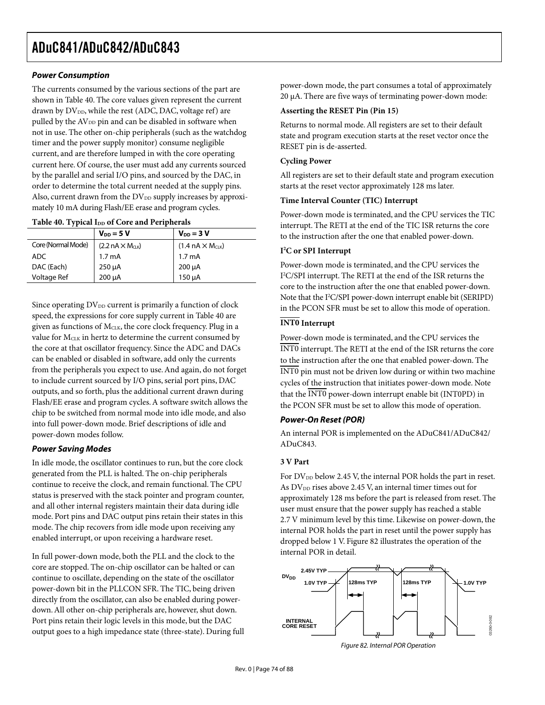## **Power Consumption**

The currents consumed by the various sections of the part are shown in Table 40. The core values given represent the current drawn by  $DV_{DD}$ , while the rest (ADC, DAC, voltage ref) are pulled by the AV<sub>DD</sub> pin and can be disabled in software when not in use. The other on-chip peripherals (such as the watchdog timer and the power supply monitor) consume negligible current, and are therefore lumped in with the core operating current here. Of course, the user must add any currents sourced by the parallel and serial I/O pins, and sourced by the DAC, in order to determine the total current needed at the supply pins. Also, current drawn from the  $DV_{DD}$  supply increases by approximately 10 mA during Flash/EE erase and program cycles.

#### Table 40. Typical I<sub>DD</sub> of Core and Peripherals

|                    | $V_{DD} = 5 V$            | $V_{DD} = 3 V$            |
|--------------------|---------------------------|---------------------------|
| Core (Normal Mode) | $(2.2 nA \times M_{CLK})$ | $(1.4 nA \times M_{CLK})$ |
| ADC.               | 1.7 <sub>m</sub> A        | 1.7 mA                    |
| DAC (Each)         | $250 \mu A$               | $200 \mu A$               |
| Voltage Ref        | 200 µA                    | 150 µA                    |

Since operating  $DV_{DD}$  current is primarily a function of clock speed, the expressions for core supply current in Table 40 are given as functions of  $M<sub>CLK</sub>$ , the core clock frequency. Plug in a value for MCLK in hertz to determine the current consumed by the core at that oscillator frequency. Since the ADC and DACs can be enabled or disabled in software, add only the currents from the peripherals you expect to use. And again, do not forget to include current sourced by I/O pins, serial port pins, DAC outputs, and so forth, plus the additional current drawn during Flash/EE erase and program cycles. A software switch allows the chip to be switched from normal mode into idle mode, and also into full power-down mode. Brief descriptions of idle and power-down modes follow.

## **Power Saving Modes**

In idle mode, the oscillator continues to run, but the core clock generated from the PLL is halted. The on-chip peripherals continue to receive the clock, and remain functional. The CPU status is preserved with the stack pointer and program counter, and all other internal registers maintain their data during idle mode. Port pins and DAC output pins retain their states in this mode. The chip recovers from idle mode upon receiving any enabled interrupt, or upon receiving a hardware reset.

In full power-down mode, both the PLL and the clock to the core are stopped. The on-chip oscillator can be halted or can continue to oscillate, depending on the state of the oscillator power-down bit in the PLLCON SFR. The TIC, being driven directly from the oscillator, can also be enabled during powerdown. All other on-chip peripherals are, however, shut down. Port pins retain their logic levels in this mode, but the DAC output goes to a high impedance state (three-state). During full power-down mode, the part consumes a total of approximately 20 µA. There are five ways of terminating power-down mode:

### **Asserting the RESET Pin (Pin 15)**

Returns to normal mode. All registers are set to their default state and program execution starts at the reset vector once the RESET pin is de-asserted.

### **Cycling Power**

All registers are set to their default state and program execution starts at the reset vector approximately 128 ms later.

### **Time Interval Counter (TIC) Interrupt**

Power-down mode is terminated, and the CPU services the TIC interrupt. The RETI at the end of the TIC ISR returns the core to the instruction after the one that enabled power-down.

### **I2 C or SPI Interrupt**

Power-down mode is terminated, and the CPU services the I 2 C/SPI interrupt. The RETI at the end of the ISR returns the core to the instruction after the one that enabled power-down. Note that the I<sup>2</sup>C/SPI power-down interrupt enable bit (SERIPD) in the PCON SFR must be set to allow this mode of operation.

## **INT0 Interrupt**

Power-down mode is terminated, and the CPU services the INT0 interrupt. The RETI at the end of the ISR returns the core to the instruction after the one that enabled power-down. The INT0 pin must not be driven low during or within two machine cycles of the instruction that initiates power-down mode. Note that the  $\overline{\text{INT0}}$  power-down interrupt enable bit (INT0PD) in the PCON SFR must be set to allow this mode of operation.

### **Power-On Reset (POR)**

An internal POR is implemented on the ADuC841/ADuC842/ ADuC843.

## **3 V Part**

For DV<sub>DD</sub> below 2.45 V, the internal POR holds the part in reset. As DV<sub>DD</sub> rises above 2.45 V, an internal timer times out for approximately 128 ms before the part is released from reset. The user must ensure that the power supply has reached a stable 2.7 V minimum level by this time. Likewise on power-down, the internal POR holds the part in reset until the power supply has dropped below 1 V. Figure 82 illustrates the operation of the internal POR in detail.



Figure 82. Internal POR Operation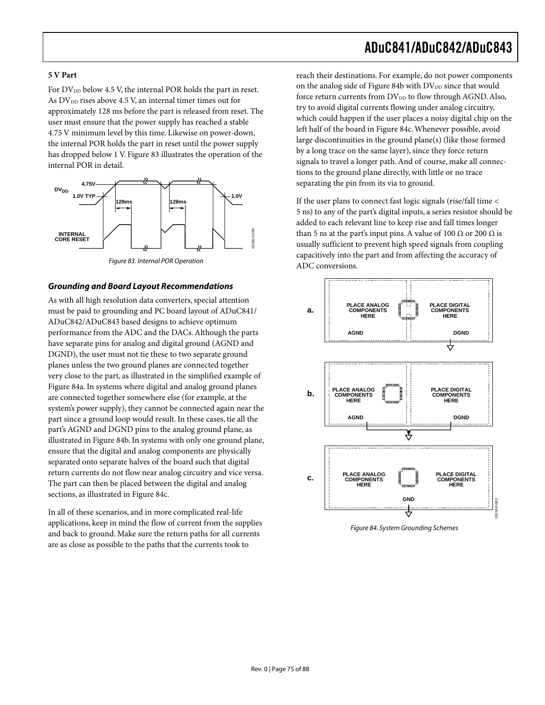#### **5 V Part**

For  $DV_{DD}$  below 4.5 V, the internal POR holds the part in reset. As  $DV_{DD}$  rises above 4.5 V, an internal timer times out for approximately 128 ms before the part is released from reset. The user must ensure that the power supply has reached a stable 4.75 V minimum level by this time. Likewise on power-down, the internal POR holds the part in reset until the power supply has dropped below 1 V. Figure 83 illustrates the operation of the internal POR in detail.



Figure 83. Internal POR Operation

#### **Grounding and Board Layout Recommendations**

As with all high resolution data converters, special attention must be paid to grounding and PC board layout of ADuC841/ ADuC842/ADuC843 based designs to achieve optimum performance from the ADC and the DACs. Although the parts have separate pins for analog and digital ground (AGND and DGND), the user must not tie these to two separate ground planes unless the two ground planes are connected together very close to the part, as illustrated in the simplified example of Figure 84a. In systems where digital and analog ground planes are connected together somewhere else (for example, at the system's power supply), they cannot be connected again near the part since a ground loop would result. In these cases, tie all the part's AGND and DGND pins to the analog ground plane, as illustrated in Figure 84b. In systems with only one ground plane, ensure that the digital and analog components are physically separated onto separate halves of the board such that digital return currents do not flow near analog circuitry and vice versa. The part can then be placed between the digital and analog sections, as illustrated in Figure 84c.

In all of these scenarios, and in more complicated real-life applications, keep in mind the flow of current from the supplies and back to ground. Make sure the return paths for all currents are as close as possible to the paths that the currents took to

reach their destinations. For example, do not power components on the analog side of Figure 84b with  $DV_{DD}$  since that would force return currents from  $DV_{DD}$  to flow through AGND. Also, try to avoid digital currents flowing under analog circuitry, which could happen if the user places a noisy digital chip on the left half of the board in Figure 84c. Whenever possible, avoid large discontinuities in the ground plane(s) (like those formed by a long trace on the same layer), since they force return signals to travel a longer path. And of course, make all connections to the ground plane directly, with little or no trace separating the pin from its via to ground.

If the user plans to connect fast logic signals (rise/fall time < 5 ns) to any of the part's digital inputs, a series resistor should be added to each relevant line to keep rise and fall times longer than 5 ns at the part's input pins. A value of 100  $\Omega$  or 200  $\Omega$  is usually sufficient to prevent high speed signals from coupling capacitively into the part and from affecting the accuracy of ADC conversions.



Figure 84. System Grounding Schemes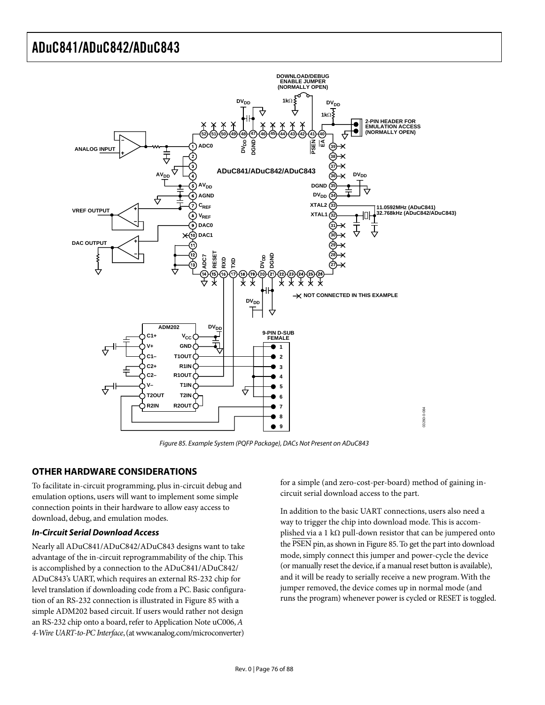

Figure 85. Example System (PQFP Package), DACs Not Present on ADuC843

## **OTHER HARDWARE CONSIDERATIONS**

To facilitate in-circuit programming, plus in-circuit debug and emulation options, users will want to implement some simple connection points in their hardware to allow easy access to download, debug, and emulation modes.

### **In-Circuit Serial Download Access**

Nearly all ADuC841/ADuC842/ADuC843 designs want to take advantage of the in-circuit reprogrammability of the chip. This is accomplished by a connection to the ADuC841/ADuC842/ ADuC843's UART, which requires an external RS-232 chip for level translation if downloading code from a PC. Basic configuration of an RS-232 connection is illustrated in Figure 85 with a simple ADM202 based circuit. If users would rather not design an RS-232 chip onto a board, refer to Application Note uC006, *A 4-Wire UART-to-PC Interface*, (at www.analog.com/microconverter)

for a simple (and zero-cost-per-board) method of gaining incircuit serial download access to the part.

In addition to the basic UART connections, users also need a way to trigger the chip into download mode. This is accomplished via a 1 kΩ pull-down resistor that can be jumpered onto the PSEN pin, as shown in Figure 85. To get the part into download mode, simply connect this jumper and power-cycle the device (or manually reset the device, if a manual reset button is available), and it will be ready to serially receive a new program. With the jumper removed, the device comes up in normal mode (and runs the program) whenever power is cycled or RESET is toggled.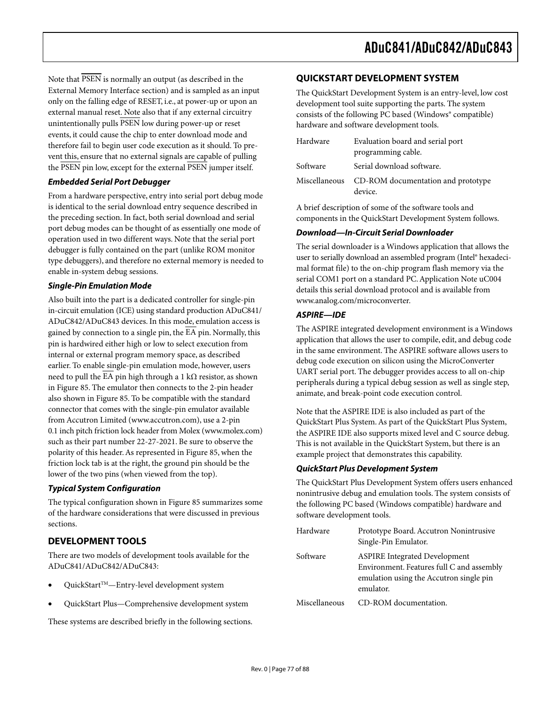Note that PSEN is normally an output (as described in the External Memory Interface section) and is sampled as an input only on the falling edge of RESET, i.e., at power-up or upon an external manual reset. Note also that if any external circuitry unintentionally pulls  $\overline{PSEN}$  low during power-up or reset events, it could cause the chip to enter download mode and therefore fail to begin user code execution as it should. To prevent this, ensure that no external signals are capable of pulling the PSEN pin low, except for the external PSEN jumper itself.

## **Embedded Serial Port Debugger**

From a hardware perspective, entry into serial port debug mode is identical to the serial download entry sequence described in the preceding section. In fact, both serial download and serial port debug modes can be thought of as essentially one mode of operation used in two different ways. Note that the serial port debugger is fully contained on the part (unlike ROM monitor type debuggers), and therefore no external memory is needed to enable in-system debug sessions.

### **Single-Pin Emulation Mode**

Also built into the part is a dedicated controller for single-pin in-circuit emulation (ICE) using standard production ADuC841/ ADuC842/ADuC843 devices. In this mode, emulation access is gained by connection to a single pin, the  $\overline{EA}$  pin. Normally, this pin is hardwired either high or low to select execution from internal or external program memory space, as described earlier. To enable single-pin emulation mode, however, users need to pull the  $\overline{EA}$  pin high through a 1 kΩ resistor, as shown in Figure 85. The emulator then connects to the 2-pin header also shown in Figure 85. To be compatible with the standard connector that comes with the single-pin emulator available from Accutron Limited (www.accutron.com), use a 2-pin 0.1 inch pitch friction lock header from Molex (www.molex.com) such as their part number 22-27-2021. Be sure to observe the polarity of this header. As represented in Figure 85, when the friction lock tab is at the right, the ground pin should be the lower of the two pins (when viewed from the top).

### **Typical System Configuration**

The typical configuration shown in Figure 85 summarizes some of the hardware considerations that were discussed in previous sections.

## **DEVELOPMENT TOOLS**

There are two models of development tools available for the ADuC841/ADuC842/ADuC843:

- QuickStartTM—Entry-level development system
- QuickStart Plus—Comprehensive development system

These systems are described briefly in the following sections.

## **QUICKSTART DEVELOPMENT SYSTEM**

The QuickStart Development System is an entry-level, low cost development tool suite supporting the parts. The system consists of the following PC based (Windows® compatible) hardware and software development tools.

| Hardware      | Evaluation board and serial port              |
|---------------|-----------------------------------------------|
|               | programming cable.                            |
| Software      | Serial download software.                     |
| Miscellaneous | CD-ROM documentation and prototype<br>device. |

A brief description of some of the software tools and components in the QuickStart Development System follows.

### **Download—In-Circuit Serial Downloader**

The serial downloader is a Windows application that allows the user to serially download an assembled program (Intel® hexadecimal format file) to the on-chip program flash memory via the serial COM1 port on a standard PC. Application Note uC004 details this serial download protocol and is available from www.analog.com/microconverter.

### **ASPIRE—IDE**

The ASPIRE integrated development environment is a Windows application that allows the user to compile, edit, and debug code in the same environment. The ASPIRE software allows users to debug code execution on silicon using the MicroConverter UART serial port. The debugger provides access to all on-chip peripherals during a typical debug session as well as single step, animate, and break-point code execution control.

Note that the ASPIRE IDE is also included as part of the QuickStart Plus System. As part of the QuickStart Plus System, the ASPIRE IDE also supports mixed level and C source debug. This is not available in the QuickStart System, but there is an example project that demonstrates this capability.

### **QuickStart Plus Development System**

The QuickStart Plus Development System offers users enhanced nonintrusive debug and emulation tools. The system consists of the following PC based (Windows compatible) hardware and software development tools.

| Hardware      | Prototype Board. Accutron Nonintrusive<br>Single-Pin Emulator. |
|---------------|----------------------------------------------------------------|
|               |                                                                |
| Software      | <b>ASPIRE Integrated Development</b>                           |
|               | Environment. Features full C and assembly                      |
|               | emulation using the Accutron single pin                        |
|               | emulator.                                                      |
| Miscellaneous | CD-ROM documentation.                                          |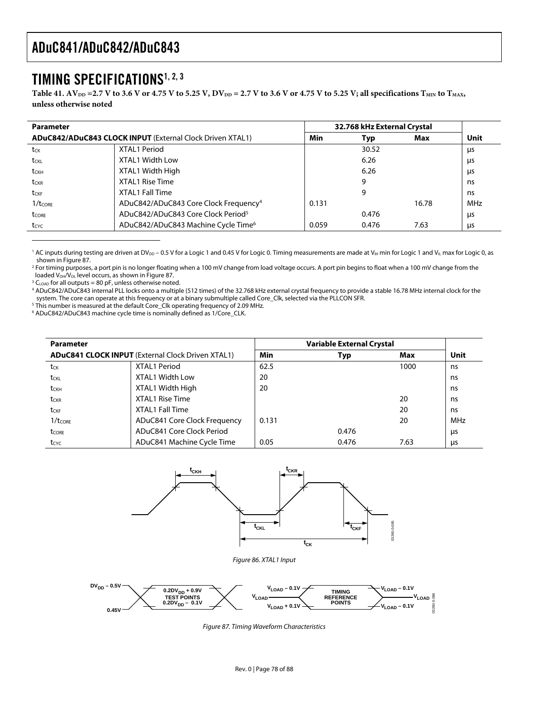## TIMING SPECIFICATIONS1, 2, 3

Table 41. AV<sub>DD</sub> = 2.7 V to 3.6 V or 4.75 V to 5.25 V, DV<sub>DD</sub> = 2.7 V to 3.6 V or 4.75 V to 5.25 V; all specifications T<sub>MIN</sub> to T<sub>MAX</sub>, **unless otherwise noted** 

| <b>Parameter</b>    |                                                                  |       | 32.768 kHz External Crystal |       |      |  |
|---------------------|------------------------------------------------------------------|-------|-----------------------------|-------|------|--|
|                     | <b>ADuC842/ADuC843 CLOCK INPUT (External Clock Driven XTAL1)</b> | Min   | Typ                         | Max   | Unit |  |
| tck                 | XTAL1 Period                                                     |       | 30.52                       |       | μs   |  |
| t <sub>CKL</sub>    | XTAL1 Width Low                                                  |       | 6.26                        |       | μs   |  |
| tckh                | XTAL1 Width High                                                 |       | 6.26                        |       | μs   |  |
| tckr                | XTAL1 Rise Time                                                  |       | 9                           |       | ns   |  |
| t <sub>CKF</sub>    | XTAL1 Fall Time                                                  |       | 9                           |       | ns   |  |
| $1/t_{\text{CORE}}$ | ADuC842/ADuC843 Core Clock Frequency <sup>4</sup>                | 0.131 |                             | 16.78 | MHz  |  |
| tcore               | ADuC842/ADuC843 Core Clock Period <sup>5</sup>                   |       | 0.476                       |       | μs   |  |
| tcyc                | ADuC842/ADuC843 Machine Cycle Time <sup>6</sup>                  | 0.059 | 0.476                       | 7.63  | us   |  |

 $^{\rm 1}$  AC inputs during testing are driven at DV $_{\rm DD}$  – 0.5 V for a Logic 1 and 0.45 V for Logic 0. Timing measurements are made at V $_{\rm IH}$  min for Logic 1 and V $_{\rm IL}$  max for Logic 0, as shown in Figure 87.

2 For timing purposes, a port pin is no longer floating when a 100 mV change from load voltage occurs. A port pin begins to float when a 100 mV change from the loaded  $V_{OH}/V_{OL}$  level occurs, as shown in Figure 87.

 $3 C_{\text{LOAD}}$  for all outputs = 80 pF, unless otherwise noted.

 $\overline{a}$ 

 ADuC842/ADuC843 internal PLL locks onto a multiple (512 times) of the 32.768 kHz external crystal frequency to provide a stable 16.78 MHz internal clock for the system. The core can operate at this frequency or at a binary submultiple called Core\_Clk, selected via the PLLCON SFR.

<sup>5</sup> This number is measured at the default Core\_Clk operating frequency of 2.09 MHz.

6 ADuC842/ADuC843 machine cycle time is nominally defined as 1/Core\_CLK.

| <b>Parameter</b>                                         |                              |       |       |      |      |
|----------------------------------------------------------|------------------------------|-------|-------|------|------|
| <b>ADuC841 CLOCK INPUT</b> (External Clock Driven XTAL1) |                              | Min   | Typ   | Max  | Unit |
| t <sub>CK</sub>                                          | XTAL1 Period                 | 62.5  |       | 1000 | ns   |
| t <sub>CKL</sub>                                         | <b>XTAL1 Width Low</b>       | 20    |       |      | ns   |
| t <sub>CKH</sub>                                         | XTAL1 Width High             | 20    |       |      | ns   |
| t <sub>CKR</sub>                                         | XTAL1 Rise Time              |       |       | 20   | ns   |
| t <sub>CKF</sub>                                         | <b>XTAL1 Fall Time</b>       |       |       | 20   | ns   |
| $1/t_{\text{CORE}}$                                      | ADuC841 Core Clock Frequency | 0.131 |       | 20   | MHz  |
| tcore                                                    | ADuC841 Core Clock Period    |       | 0.476 |      | μs   |
| $t_{\text{CYC}}$                                         | ADuC841 Machine Cycle Time   | 0.05  | 0.476 | 7.63 | us   |





Figure 87. Timing Waveform Characteristics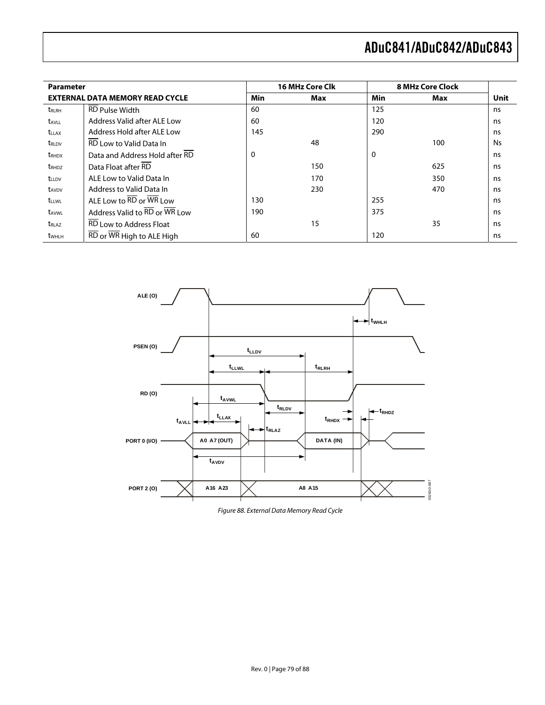| <b>Parameter</b>         |                                                                   |     | <b>16 MHz Core Clk</b> |     | <b>8 MHz Core Clock</b> |           |
|--------------------------|-------------------------------------------------------------------|-----|------------------------|-----|-------------------------|-----------|
|                          | <b>EXTERNAL DATA MEMORY READ CYCLE</b>                            | Min | Max                    | Min | Max                     | Unit      |
| <b>TRLRH</b>             | <b>RD Pulse Width</b>                                             | 60  |                        | 125 |                         | ns        |
| t <sub>AVLL</sub>        | Address Valid after ALE Low                                       | 60  |                        | 120 |                         | ns        |
| <b>t</b> <sub>LLAX</sub> | Address Hold after ALE Low                                        | 145 |                        | 290 |                         | ns        |
| t <sub>rld</sub>         | <b>RD</b> Low to Valid Data In                                    |     | 48                     |     | 100                     | <b>Ns</b> |
| <b>t</b> RHDX            | Data and Address Hold after RD                                    | 0   |                        | 0   |                         | ns        |
| t <sub>RHDZ</sub>        | Data Float after RD                                               |     | 150                    |     | 625                     | ns        |
| <b>t</b> LLDV            | ALE Low to Valid Data In                                          |     | 170                    |     | 350                     | ns        |
| t <sub>AVDV</sub>        | Address to Valid Data In                                          |     | 230                    |     | 470                     | ns        |
| <b>t</b> LLWL            | ALE Low to $\overline{\text{RD}}$ or $\overline{\text{WR}}$ Low   | 130 |                        | 255 |                         | ns        |
| t <sub>AVWL</sub>        | Address Valid to RD or WR Low                                     | 190 |                        | 375 |                         | ns        |
| t <sub>RLAZ</sub>        | RD Low to Address Float                                           |     | 15                     |     | 35                      | ns        |
| twhlh                    | $\overline{\text{RD}}$ or $\overline{\text{WR}}$ High to ALE High | 60  |                        | 120 |                         | ns        |



Figure 88. External Data Memory Read Cycle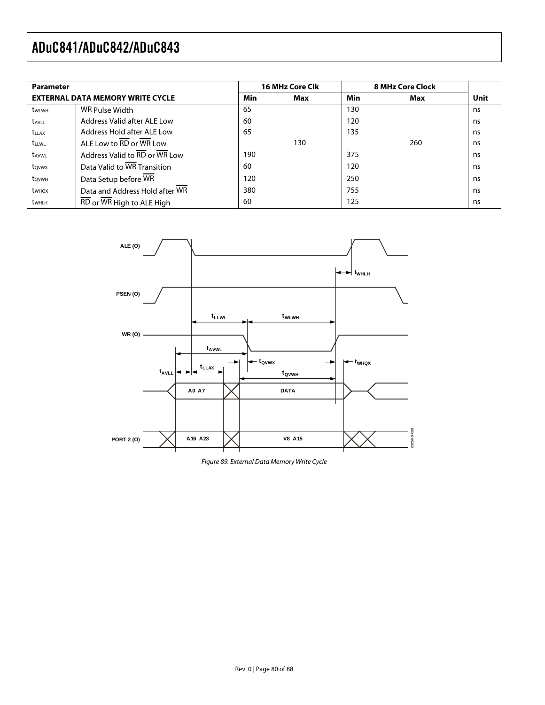| <b>Parameter</b>         |                                                                       |     | <b>16 MHz Core Clk</b> |     | <b>8 MHz Core Clock</b> |      |  |
|--------------------------|-----------------------------------------------------------------------|-----|------------------------|-----|-------------------------|------|--|
|                          | <b>EXTERNAL DATA MEMORY WRITE CYCLE</b>                               | Min | Max                    | Min | Max                     | Unit |  |
| twlwh                    | WR Pulse Width                                                        | 65  |                        | 130 |                         | ns   |  |
| <b>t</b> <sub>AVIL</sub> | Address Valid after ALE Low                                           | 60  |                        | 120 |                         | ns   |  |
| <b>t</b> <sub>LLAX</sub> | Address Hold after ALE Low                                            | 65  |                        | 135 |                         | ns   |  |
| <b>t</b> <sub>LLWL</sub> | ALE Low to RD or WR Low                                               |     | 130                    |     | 260                     | ns   |  |
| <b>t</b> <sub>AVWL</sub> | Address Valid to $\overline{\text{RD}}$ or $\overline{\text{WR}}$ Low | 190 |                        | 375 |                         | ns   |  |
| towy                     | Data Valid to WR Transition                                           | 60  |                        | 120 |                         | ns   |  |
| town                     | Data Setup before WR                                                  | 120 |                        | 250 |                         | ns   |  |
| t <sub>whox</sub>        | Data and Address Hold after WR                                        | 380 |                        | 755 |                         | ns   |  |
| t <sub>whlH</sub>        | RD or WR High to ALE High                                             | 60  |                        | 125 |                         | ns   |  |



Figure 89. External Data Memory Write Cycle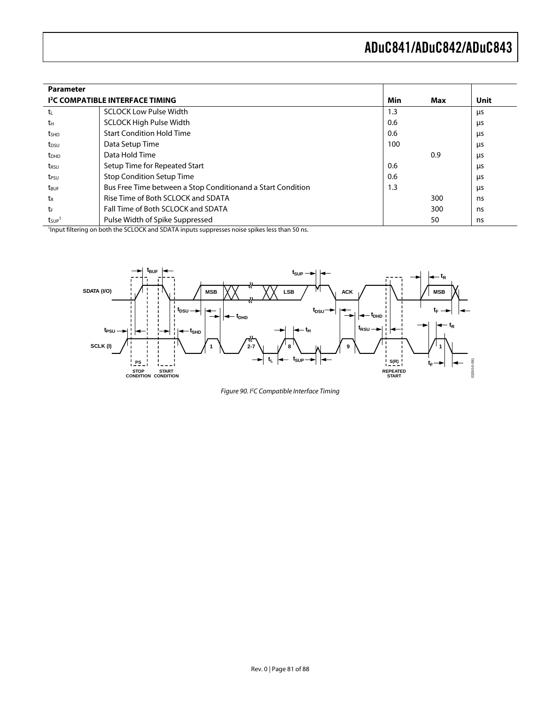| <b>Parameter</b>                                                        |                                                                                                           |     |     |    |
|-------------------------------------------------------------------------|-----------------------------------------------------------------------------------------------------------|-----|-----|----|
| Min<br>Unit<br><b>I<sup>2</sup>C COMPATIBLE INTERFACE TIMING</b><br>Max |                                                                                                           |     |     |    |
| tı                                                                      | <b>SCLOCK Low Pulse Width</b>                                                                             | 1.3 |     | μs |
| tн                                                                      | <b>SCLOCK High Pulse Width</b>                                                                            | 0.6 |     | μs |
| t <sub>SHD</sub>                                                        | <b>Start Condition Hold Time</b>                                                                          | 0.6 |     | μs |
| t <sub>DSU</sub>                                                        | Data Setup Time                                                                                           | 100 |     | μs |
| t <sub>DHD</sub>                                                        | Data Hold Time                                                                                            |     | 0.9 | μs |
| t <sub>rsu</sub>                                                        | Setup Time for Repeated Start                                                                             | 0.6 |     | μs |
| t <sub>PSU</sub>                                                        | <b>Stop Condition Setup Time</b>                                                                          | 0.6 |     | μs |
| t <sub>BUF</sub>                                                        | Bus Free Time between a Stop Conditionand a Start Condition                                               | 1.3 |     | μs |
| t <sub>R</sub>                                                          | Rise Time of Both SCLOCK and SDATA                                                                        |     | 300 | ns |
| tr                                                                      | Fall Time of Both SCLOCK and SDATA                                                                        |     | 300 | ns |
| t <sub>sup</sub>                                                        | Pulse Width of Spike Suppressed                                                                           |     | 50  | ns |
|                                                                         | <sup>1</sup> Input filtering on both the SCLOCK and SDATA inputs suppresses noise spikes less than 50 ns. |     |     |    |



Figure 90. I<sup>2</sup>C Compatible Interface Timing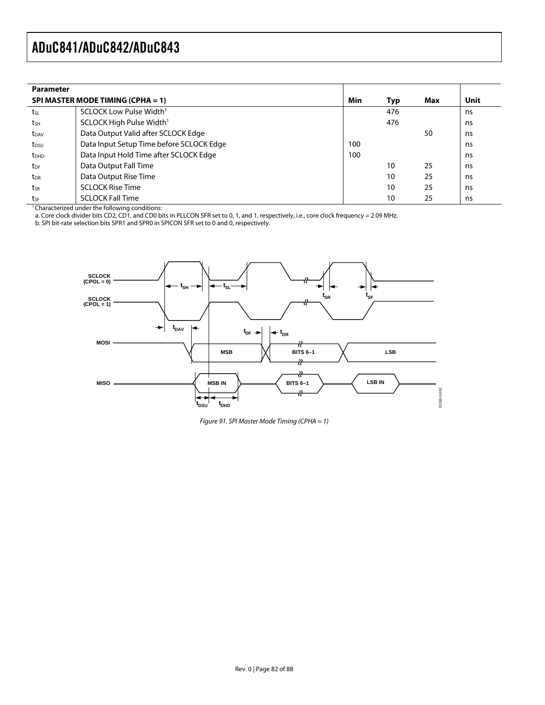| <b>Parameter</b> |                                                            |     |     |     |      |
|------------------|------------------------------------------------------------|-----|-----|-----|------|
|                  | SPI MASTER MODE TIMING (CPHA = 1)                          | Min | Typ | Max | Unit |
| tsL              | SCLOCK Low Pulse Width <sup>1</sup>                        |     | 476 |     | ns   |
| tsh              | SCLOCK High Pulse Width <sup>1</sup>                       |     | 476 |     | ns   |
| t <sub>DAV</sub> | Data Output Valid after SCLOCK Edge                        |     |     | 50  | ns   |
| t <sub>DSU</sub> | Data Input Setup Time before SCLOCK Edge                   | 100 |     |     | ns   |
| $t_{DHD}$        | Data Input Hold Time after SCLOCK Edge                     | 100 |     |     | ns   |
| t <sub>DF</sub>  | Data Output Fall Time                                      |     | 10  | 25  | ns   |
| $t_{\sf DR}$     | Data Output Rise Time                                      |     | 10  | 25  | ns   |
| tsr              | <b>SCLOCK Rise Time</b>                                    |     | 10  | 25  | ns   |
| tsF              | <b>SCLOCK Fall Time</b>                                    |     | 10  | 25  | ns   |
|                  | <sup>1</sup> Characterized under the following conditions: |     |     |     |      |

a. Core clock divider bits CD2, CD1, and CD0 bits in PLLCON SFR set to 0, 1, and 1, respectively, i.e., core clock frequency = 2.09 MHz.

b. SPI bit-rate selection bits SPR1 and SPR0 in SPICON SFR set to 0 and 0, respectively.



Figure 91. SPI Master Mode Timing (CPHA = 1)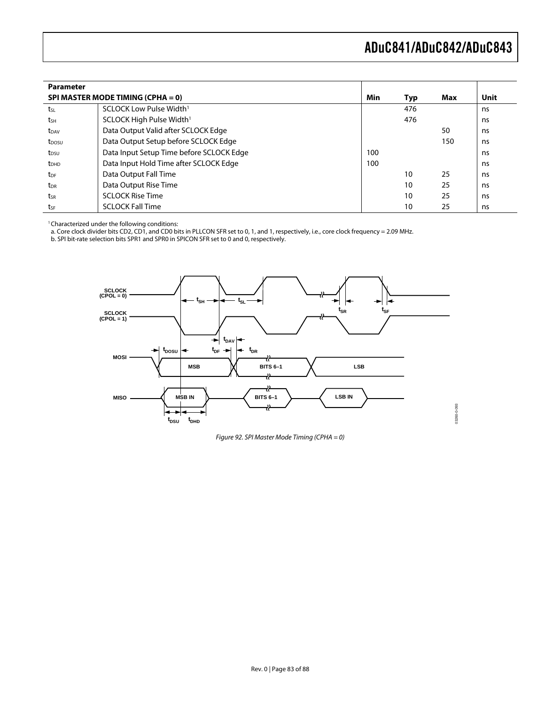| <b>Parameter</b>        |                                          |     |     |     |      |
|-------------------------|------------------------------------------|-----|-----|-----|------|
|                         | SPI MASTER MODE TIMING (CPHA = 0)        | Min | Typ | Max | Unit |
| tsL                     | SCLOCK Low Pulse Width <sup>1</sup>      |     | 476 |     | ns   |
| tsh                     | SCLOCK High Pulse Width <sup>1</sup>     |     | 476 |     | ns   |
| t <sub>DAV</sub>        | Data Output Valid after SCLOCK Edge      |     |     | 50  | ns   |
| t <sub>DOSU</sub>       | Data Output Setup before SCLOCK Edge     |     |     | 150 | ns   |
| t <sub>DSU</sub>        | Data Input Setup Time before SCLOCK Edge | 100 |     |     | ns   |
| <b>t</b> <sub>DHD</sub> | Data Input Hold Time after SCLOCK Edge   | 100 |     |     | ns   |
| t <sub>DF</sub>         | Data Output Fall Time                    |     | 10  | 25  | ns   |
| t <sub>DR</sub>         | Data Output Rise Time                    |     | 10  | 25  | ns   |
| tsr                     | <b>SCLOCK Rise Time</b>                  |     | 10  | 25  | ns   |
| tsF                     | <b>SCLOCK Fall Time</b>                  |     | 10  | 25  | ns   |

<sup>1</sup> Characterized under the following conditions:

a. Core clock divider bits CD2, CD1, and CD0 bits in PLLCON SFR set to 0, 1, and 1, respectively, i.e., core clock frequency = 2.09 MHz.

b. SPI bit-rate selection bits SPR1 and SPR0 in SPICON SFR set to 0 and 0, respectively.



Figure 92. SPI Master Mode Timing (CPHA = 0)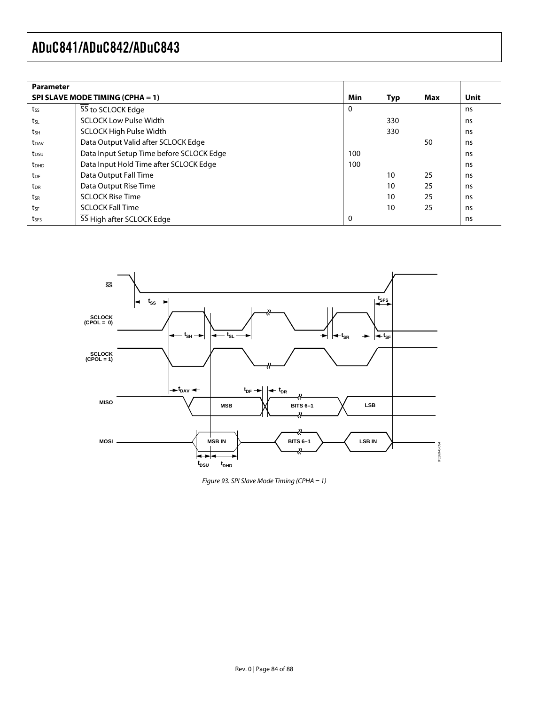| <b>Parameter</b>        |                                          |          |     |     |      |
|-------------------------|------------------------------------------|----------|-----|-----|------|
|                         | SPI SLAVE MODE TIMING (CPHA = 1)         | Min      | Typ | Max | Unit |
| tss                     | SS to SCLOCK Edge                        | $\Omega$ |     |     | ns   |
| tsL                     | <b>SCLOCK Low Pulse Width</b>            |          | 330 |     | ns   |
| tsh                     | <b>SCLOCK High Pulse Width</b>           |          | 330 |     | ns   |
| t <sub>DAV</sub>        | Data Output Valid after SCLOCK Edge      |          |     | 50  | ns   |
| t <sub>DSU</sub>        | Data Input Setup Time before SCLOCK Edge | 100      |     |     | ns   |
| <b>t</b> <sub>DHD</sub> | Data Input Hold Time after SCLOCK Edge   | 100      |     |     | ns   |
| $t_{DF}$                | Data Output Fall Time                    |          | 10  | 25  | ns   |
| t <sub>DR</sub>         | Data Output Rise Time                    |          | 10  | 25  | ns   |
| tsr                     | <b>SCLOCK Rise Time</b>                  |          | 10  | 25  | ns   |
| tsF                     | <b>SCLOCK Fall Time</b>                  |          | 10  | 25  | ns   |
| t <sub>SFS</sub>        | SS High after SCLOCK Edge                | 0        |     |     | ns   |



Figure 93. SPI Slave Mode Timing (CPHA = 1)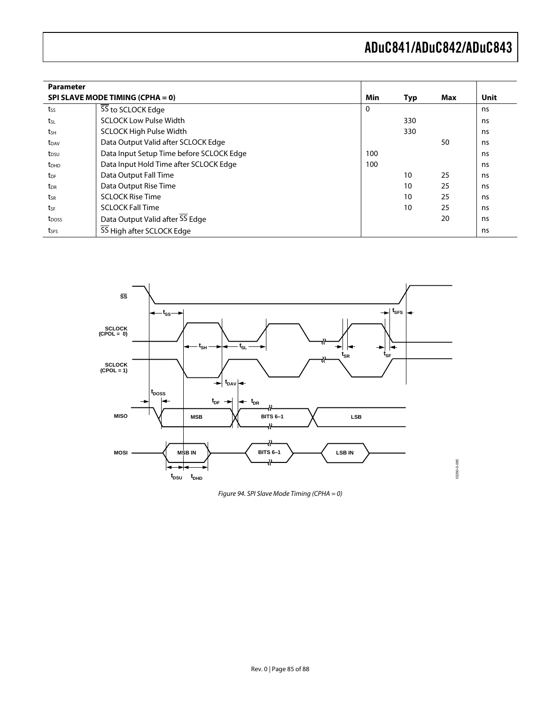| <b>Parameter</b>  |                                          |     |     |     |      |
|-------------------|------------------------------------------|-----|-----|-----|------|
|                   | SPI SLAVE MODE TIMING (CPHA = 0)         | Min | Typ | Max | Unit |
| tss               | 55 to SCLOCK Edge                        | 0   |     |     | ns   |
| tsL               | <b>SCLOCK Low Pulse Width</b>            |     | 330 |     | ns   |
| tsh               | <b>SCLOCK High Pulse Width</b>           |     | 330 |     | ns   |
| t <sub>DAV</sub>  | Data Output Valid after SCLOCK Edge      |     |     | 50  | ns   |
| t <sub>DSU</sub>  | Data Input Setup Time before SCLOCK Edge | 100 |     |     | ns   |
| t <sub>DHD</sub>  | Data Input Hold Time after SCLOCK Edge   | 100 |     |     | ns   |
| t <sub>DF</sub>   | Data Output Fall Time                    |     | 10  | 25  | ns   |
| t <sub>DR</sub>   | Data Output Rise Time                    |     | 10  | 25  | ns   |
| tsr               | <b>SCLOCK Rise Time</b>                  |     | 10  | 25  | ns   |
| tsf               | <b>SCLOCK Fall Time</b>                  |     | 10  | 25  | ns   |
| t <sub>poss</sub> | Data Output Valid after SS Edge          |     |     | 20  | ns   |
| tses              | 55 High after SCLOCK Edge                |     |     |     | ns   |



Figure 94. SPI Slave Mode Timing (CPHA = 0)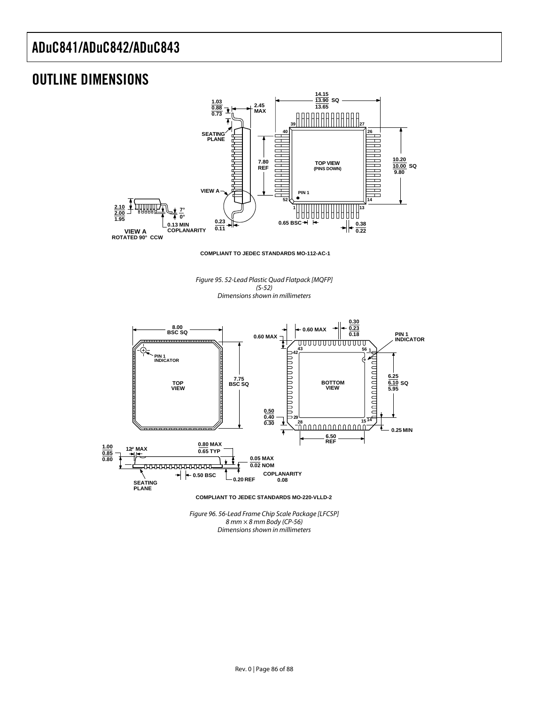## OUTLINE DIMENSIONS



**COMPLIANT TO JEDEC STANDARDS MO-112-AC-1**

Figure 95. 52-Lead Plastic Quad Flatpack [MQFP] (S-52) Dimensions shown in millimeters



Figure 96. 56-Lead Frame Chip Scale Package [LFCSP]  $8$  mm  $\times$  8 mm Body (CP-56) Dimensions shown in millimeters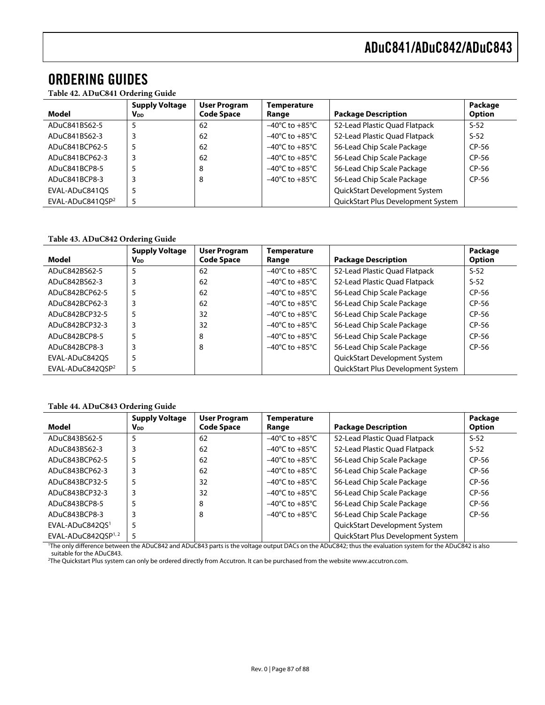## ORDERING GUIDES

**Table 42. ADuC841 Ordering Guide** 

| Model                        | <b>Supply Voltage</b><br><b>V</b> <sub>DD</sub> | <b>User Program</b><br><b>Code Space</b> | Temperature<br>Range               | <b>Package Description</b>           | Package<br><b>Option</b> |
|------------------------------|-------------------------------------------------|------------------------------------------|------------------------------------|--------------------------------------|--------------------------|
| ADuC841BS62-5                | 5                                               | 62                                       | $-40^{\circ}$ C to $+85^{\circ}$ C | 52-Lead Plastic Quad Flatpack        | $S-52$                   |
| ADuC841BS62-3                |                                                 | 62                                       | $-40^{\circ}$ C to $+85^{\circ}$ C | 52-Lead Plastic Quad Flatpack        | $S-52$                   |
| ADuC841BCP62-5               | 5                                               | 62                                       | $-40^{\circ}$ C to $+85^{\circ}$ C | 56-Lead Chip Scale Package           | $CP-56$                  |
| ADuC841BCP62-3               | 3                                               | 62                                       | $-40^{\circ}$ C to $+85^{\circ}$ C | 56-Lead Chip Scale Package           | $CP-56$                  |
| ADuC841BCP8-5                |                                                 | 8                                        | $-40^{\circ}$ C to $+85^{\circ}$ C | 56-Lead Chip Scale Package           | $CP-56$                  |
| ADuC841BCP8-3                | 3                                               | 8                                        | $-40^{\circ}$ C to $+85^{\circ}$ C | 56-Lead Chip Scale Package           | $CP-56$                  |
| EVAL-ADuC841OS               | 5                                               |                                          |                                    | <b>QuickStart Development System</b> |                          |
| EVAL-ADuC841OSP <sup>2</sup> | 5                                               |                                          |                                    | QuickStart Plus Development System   |                          |

#### **Table 43. ADuC842 Ordering Guide**

|                              | <b>Supply Voltage</b> | <b>User Program</b> | Temperature                        |                                    | Package       |
|------------------------------|-----------------------|---------------------|------------------------------------|------------------------------------|---------------|
| Model                        | VDD                   | <b>Code Space</b>   | Range                              | <b>Package Description</b>         | <b>Option</b> |
| ADuC842BS62-5                |                       | 62                  | $-40^{\circ}$ C to $+85^{\circ}$ C | 52-Lead Plastic Quad Flatpack      | $S-52$        |
| ADuC842BS62-3                |                       | 62                  | $-40^{\circ}$ C to $+85^{\circ}$ C | 52-Lead Plastic Quad Flatpack      | $S-52$        |
| ADuC842BCP62-5               |                       | 62                  | $-40^{\circ}$ C to $+85^{\circ}$ C | 56-Lead Chip Scale Package         | $CP-56$       |
| ADuC842BCP62-3               | 3                     | 62                  | $-40^{\circ}$ C to $+85^{\circ}$ C | 56-Lead Chip Scale Package         | CP-56         |
| ADuC842BCP32-5               | 5                     | 32                  | $-40^{\circ}$ C to $+85^{\circ}$ C | 56-Lead Chip Scale Package         | $CP-56$       |
| ADuC842BCP32-3               |                       | 32                  | $-40^{\circ}$ C to $+85^{\circ}$ C | 56-Lead Chip Scale Package         | $CP-56$       |
| ADuC842BCP8-5                |                       | 8                   | $-40^{\circ}$ C to $+85^{\circ}$ C | 56-Lead Chip Scale Package         | $CP-56$       |
| ADuC842BCP8-3                |                       | 8                   | $-40^{\circ}$ C to $+85^{\circ}$ C | 56-Lead Chip Scale Package         | $CP-56$       |
| EVAL-ADuC842OS               |                       |                     |                                    | QuickStart Development System      |               |
| EVAL-ADuC842OSP <sup>2</sup> | 5                     |                     |                                    | QuickStart Plus Development System |               |

#### **Table 44. ADuC843 Ordering Guide**

|                                                                                                                                                                      | <b>Supply Voltage</b>  | <b>User Program</b> | <b>Temperature</b>                 |                                      | Package |  |
|----------------------------------------------------------------------------------------------------------------------------------------------------------------------|------------------------|---------------------|------------------------------------|--------------------------------------|---------|--|
| Model                                                                                                                                                                | <b>V</b> <sub>DD</sub> | <b>Code Space</b>   | Range                              | <b>Package Description</b>           | Option  |  |
| ADuC843BS62-5                                                                                                                                                        | 5                      | 62                  | $-40^{\circ}$ C to $+85^{\circ}$ C | 52-Lead Plastic Quad Flatpack        | $S-52$  |  |
| ADuC843BS62-3                                                                                                                                                        | 3                      | 62                  | $-40^{\circ}$ C to $+85^{\circ}$ C | 52-Lead Plastic Quad Flatpack        | $S-52$  |  |
| ADuC843BCP62-5                                                                                                                                                       | 5                      | 62                  | $-40^{\circ}$ C to $+85^{\circ}$ C | 56-Lead Chip Scale Package           | $CP-56$ |  |
| ADuC843BCP62-3                                                                                                                                                       | 3                      | 62                  | $-40^{\circ}$ C to $+85^{\circ}$ C | 56-Lead Chip Scale Package           | $CP-56$ |  |
| ADuC843BCP32-5                                                                                                                                                       |                        | 32                  | $-40^{\circ}$ C to $+85^{\circ}$ C | 56-Lead Chip Scale Package           | $CP-56$ |  |
| ADuC843BCP32-3                                                                                                                                                       | 3                      | 32                  | $-40^{\circ}$ C to $+85^{\circ}$ C | 56-Lead Chip Scale Package           | CP-56   |  |
| ADuC843BCP8-5                                                                                                                                                        |                        | 8                   | $-40^{\circ}$ C to $+85^{\circ}$ C | 56-Lead Chip Scale Package           | CP-56   |  |
| ADuC843BCP8-3                                                                                                                                                        | 3                      | 8                   | $-40^{\circ}$ C to $+85^{\circ}$ C | 56-Lead Chip Scale Package           | $CP-56$ |  |
| EVAL-ADuC842OS <sup>1</sup>                                                                                                                                          |                        |                     |                                    | <b>QuickStart Development System</b> |         |  |
| EVAL-ADuC842OSP $1,2$                                                                                                                                                | 5                      |                     |                                    | QuickStart Plus Development System   |         |  |
| <sup>1</sup> The only difference between the ADuC842 and ADuC843 parts is the voltage output DACs on the ADuC842; thus the evaluation system for the ADuC842 is also |                        |                     |                                    |                                      |         |  |

suitable for the ADuC843.

2 The Quickstart Plus system can only be ordered directly from Accutron. It can be purchased from the website www.accutron.com.